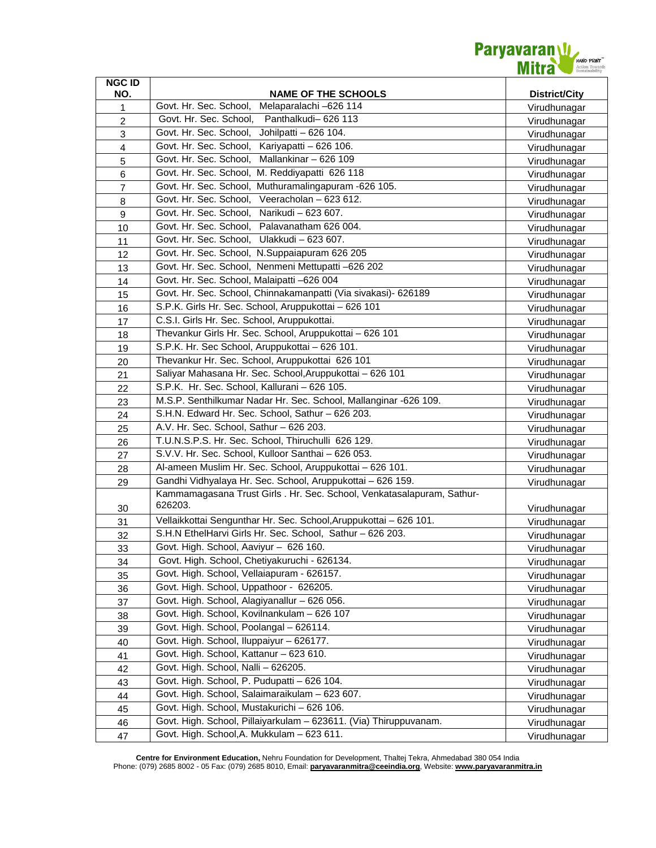

| <b>NGC ID</b>  |                                                                                                     |                      |
|----------------|-----------------------------------------------------------------------------------------------------|----------------------|
| NO.            | <b>NAME OF THE SCHOOLS</b><br>Govt. Hr. Sec. School,                                                | <b>District/City</b> |
| 1              | Melaparalachi -626 114<br>Govt. Hr. Sec. School,<br>Panthalkudi- 626 113                            | Virudhunagar         |
| $\overline{c}$ |                                                                                                     | Virudhunagar         |
| 3              | Govt. Hr. Sec. School,<br>Johilpatti - 626 104.                                                     | Virudhunagar         |
| $\overline{4}$ | Govt. Hr. Sec. School,<br>Kariyapatti - 626 106.<br>Govt. Hr. Sec. School,<br>Mallankinar - 626 109 | Virudhunagar         |
| 5              |                                                                                                     | Virudhunagar         |
| $\,6$          | Govt. Hr. Sec. School,<br>M. Reddiyapatti 626 118                                                   | Virudhunagar         |
| $\overline{7}$ | Govt. Hr. Sec. School,<br>Muthuramalingapuram -626 105.                                             | Virudhunagar         |
| 8              | Veeracholan - 623 612.<br>Govt. Hr. Sec. School,                                                    | Virudhunagar         |
| 9              | Govt. Hr. Sec. School,<br>Narikudi - 623 607.                                                       | Virudhunagar         |
| 10             | Govt. Hr. Sec. School, Palavanatham 626 004.                                                        | Virudhunagar         |
| 11             | Govt. Hr. Sec. School, Ulakkudi - 623 607.                                                          | Virudhunagar         |
| 12             | Govt. Hr. Sec. School, N.Suppaiapuram 626 205                                                       | Virudhunagar         |
| 13             | Govt. Hr. Sec. School, Nenmeni Mettupatti -626 202                                                  | Virudhunagar         |
| 14             | Govt. Hr. Sec. School, Malaipatti -626 004                                                          | Virudhunagar         |
| 15             | Govt. Hr. Sec. School, Chinnakamanpatti (Via sivakasi)- 626189                                      | Virudhunagar         |
| 16             | S.P.K. Girls Hr. Sec. School, Aruppukottai - 626 101                                                | Virudhunagar         |
| 17             | C.S.I. Girls Hr. Sec. School, Aruppukottai.                                                         | Virudhunagar         |
| 18             | Thevankur Girls Hr. Sec. School, Aruppukottai - 626 101                                             | Virudhunagar         |
| 19             | S.P.K. Hr. Sec School, Aruppukottai - 626 101.                                                      | Virudhunagar         |
| 20             | Thevankur Hr. Sec. School, Aruppukottai 626 101                                                     | Virudhunagar         |
| 21             | Saliyar Mahasana Hr. Sec. School, Aruppukottai - 626 101                                            | Virudhunagar         |
| 22             | S.P.K. Hr. Sec. School, Kallurani - 626 105.                                                        | Virudhunagar         |
| 23             | M.S.P. Senthilkumar Nadar Hr. Sec. School, Mallanginar -626 109.                                    | Virudhunagar         |
| 24             | S.H.N. Edward Hr. Sec. School, Sathur - 626 203.                                                    | Virudhunagar         |
| 25             | A.V. Hr. Sec. School, Sathur - 626 203.                                                             | Virudhunagar         |
| 26             | T.U.N.S.P.S. Hr. Sec. School, Thiruchulli 626 129.                                                  | Virudhunagar         |
| 27             | S.V.V. Hr. Sec. School, Kulloor Santhai - 626 053.                                                  | Virudhunagar         |
| 28             | Al-ameen Muslim Hr. Sec. School, Aruppukottai - 626 101.                                            | Virudhunagar         |
| 29             | Gandhi Vidhyalaya Hr. Sec. School, Aruppukottai - 626 159.                                          | Virudhunagar         |
| 30             | Kammamagasana Trust Girls . Hr. Sec. School, Venkatasalapuram, Sathur-<br>626203.                   | Virudhunagar         |
| 31             | Vellaikkottai Sengunthar Hr. Sec. School, Aruppukottai - 626 101.                                   | Virudhunagar         |
| 32             | S.H.N EthelHarvi Girls Hr. Sec. School, Sathur - 626 203.                                           | Virudhunagar         |
| 33             | Govt. High. School, Aaviyur - 626 160.                                                              | Virudhunagar         |
| 34             | Govt. High. School, Chetiyakuruchi - 626134.                                                        | Virudhunagar         |
| 35             | Govt. High. School, Vellaiapuram - 626157.                                                          | Virudhunagar         |
| 36             | Govt. High. School, Uppathoor - 626205.                                                             | Virudhunagar         |
| 37             | Govt. High. School, Alagiyanallur - 626 056.                                                        | Virudhunagar         |
| 38             | Govt. High. School, Kovilnankulam - 626 107                                                         | Virudhunagar         |
| 39             | Govt. High. School, Poolangal - 626114.                                                             | Virudhunagar         |
| 40             | Govt. High. School, Iluppaiyur - 626177.                                                            | Virudhunagar         |
| 41             | Govt. High. School, Kattanur - 623 610.                                                             | Virudhunagar         |
| 42             | Govt. High. School, Nalli - 626205.                                                                 | Virudhunagar         |
| 43             | Govt. High. School, P. Pudupatti - 626 104.                                                         | Virudhunagar         |
| 44             | Govt. High. School, Salaimaraikulam - 623 607.                                                      | Virudhunagar         |
| 45             | Govt. High. School, Mustakurichi - 626 106.                                                         | Virudhunagar         |
| 46             | Govt. High. School, Pillaiyarkulam - 623611. (Via) Thiruppuvanam.                                   | Virudhunagar         |
| 47             | Govt. High. School, A. Mukkulam - 623 611.                                                          | Virudhunagar         |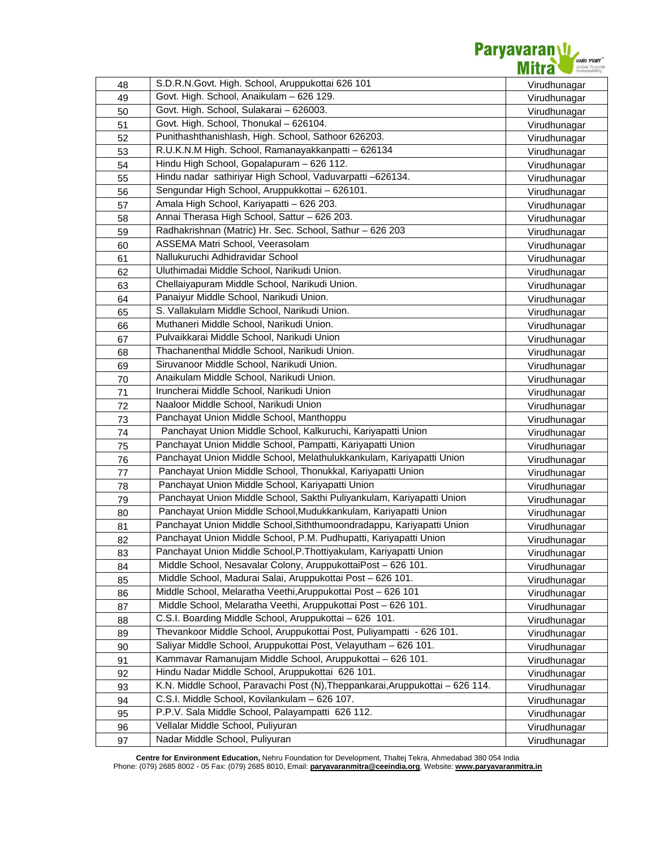

| 48 | S.D.R.N.Govt. High. School, Aruppukottai 626 101                              | Virudhunagar |
|----|-------------------------------------------------------------------------------|--------------|
| 49 | Govt. High. School, Anaikulam - 626 129.                                      | Virudhunagar |
| 50 | Govt. High. School, Sulakarai - 626003.                                       | Virudhunagar |
| 51 | Govt. High. School, Thonukal - 626104.                                        | Virudhunagar |
| 52 | Punithashthanishlash, High. School, Sathoor 626203.                           | Virudhunagar |
| 53 | R.U.K.N.M High. School, Ramanayakkanpatti - 626134                            | Virudhunagar |
| 54 | Hindu High School, Gopalapuram - 626 112.                                     | Virudhunagar |
| 55 | Hindu nadar sathiriyar High School, Vaduvarpatti -626134.                     | Virudhunagar |
| 56 | Sengundar High School, Aruppukkottai - 626101.                                | Virudhunagar |
| 57 | Amala High School, Kariyapatti - 626 203.                                     | Virudhunagar |
| 58 | Annai Therasa High School, Sattur - 626 203.                                  | Virudhunagar |
| 59 | Radhakrishnan (Matric) Hr. Sec. School, Sathur - 626 203                      | Virudhunagar |
| 60 | ASSEMA Matri School, Veerasolam                                               | Virudhunagar |
| 61 | Nallukuruchi Adhidravidar School                                              | Virudhunagar |
| 62 | Uluthimadai Middle School, Narikudi Union.                                    | Virudhunagar |
| 63 | Chellaiyapuram Middle School, Narikudi Union.                                 | Virudhunagar |
| 64 | Panaiyur Middle School, Narikudi Union.                                       | Virudhunagar |
| 65 | S. Vallakulam Middle School, Narikudi Union.                                  | Virudhunagar |
| 66 | Muthaneri Middle School, Narikudi Union.                                      | Virudhunagar |
| 67 | Pulvaikkarai Middle School, Narikudi Union                                    | Virudhunagar |
| 68 | Thachanenthal Middle School, Narikudi Union.                                  | Virudhunagar |
| 69 | Siruvanoor Middle School, Narikudi Union.                                     | Virudhunagar |
| 70 | Anaikulam Middle School, Narikudi Union.                                      | Virudhunagar |
| 71 | Iruncherai Middle School, Narikudi Union                                      | Virudhunagar |
| 72 | Naaloor Middle School, Narikudi Union                                         | Virudhunagar |
| 73 | Panchayat Union Middle School, Manthoppu                                      | Virudhunagar |
| 74 | Panchayat Union Middle School, Kalkuruchi, Kariyapatti Union                  | Virudhunagar |
| 75 | Panchayat Union Middle School, Pampatti, Kariyapatti Union                    | Virudhunagar |
| 76 | Panchayat Union Middle School, Melathulukkankulam, Kariyapatti Union          | Virudhunagar |
| 77 | Panchayat Union Middle School, Thonukkal, Kariyapatti Union                   | Virudhunagar |
| 78 | Panchayat Union Middle School, Kariyapatti Union                              | Virudhunagar |
| 79 | Panchayat Union Middle School, Sakthi Puliyankulam, Kariyapatti Union         | Virudhunagar |
| 80 | Panchayat Union Middle School, Mudukkankulam, Kariyapatti Union               | Virudhunagar |
| 81 | Panchayat Union Middle School, Siththumoondradappu, Kariyapatti Union         | Virudhunagar |
| 82 | Panchayat Union Middle School, P.M. Pudhupatti, Kariyapatti Union             | Virudhunagar |
| 83 | Panchayat Union Middle School, P. Thottiyakulam, Kariyapatti Union            | Virudhunagar |
| 84 | Middle School, Nesavalar Colony, AruppukottaiPost - 626 101.                  | Virudhunagar |
| 85 | Middle School, Madurai Salai, Aruppukottai Post - 626 101.                    | Virudhunagar |
| 86 | Middle School, Melaratha Veethi, Aruppukottai Post - 626 101                  | Virudhunagar |
| 87 | Middle School, Melaratha Veethi, Aruppukottai Post - 626 101.                 | Virudhunagar |
| 88 | C.S.I. Boarding Middle School, Aruppukottai - 626 101.                        | Virudhunagar |
| 89 | Thevankoor Middle School, Aruppukottai Post, Puliyampatti - 626 101.          | Virudhunagar |
| 90 | Saliyar Middle School, Aruppukottai Post, Velayutham - 626 101.               | Virudhunagar |
| 91 | Kammavar Ramanujam Middle School, Aruppukottai - 626 101.                     | Virudhunagar |
| 92 | Hindu Nadar Middle School, Aruppukottai 626 101.                              | Virudhunagar |
| 93 | K.N. Middle School, Paravachi Post (N), Theppankarai, Aruppukottai - 626 114. | Virudhunagar |
| 94 | C.S.I. Middle School, Kovilankulam - 626 107.                                 | Virudhunagar |
| 95 | P.P.V. Sala Middle School, Palayampatti 626 112.                              | Virudhunagar |
| 96 | Vellalar Middle School, Puliyuran                                             | Virudhunagar |
| 97 | Nadar Middle School, Puliyuran                                                | Virudhunagar |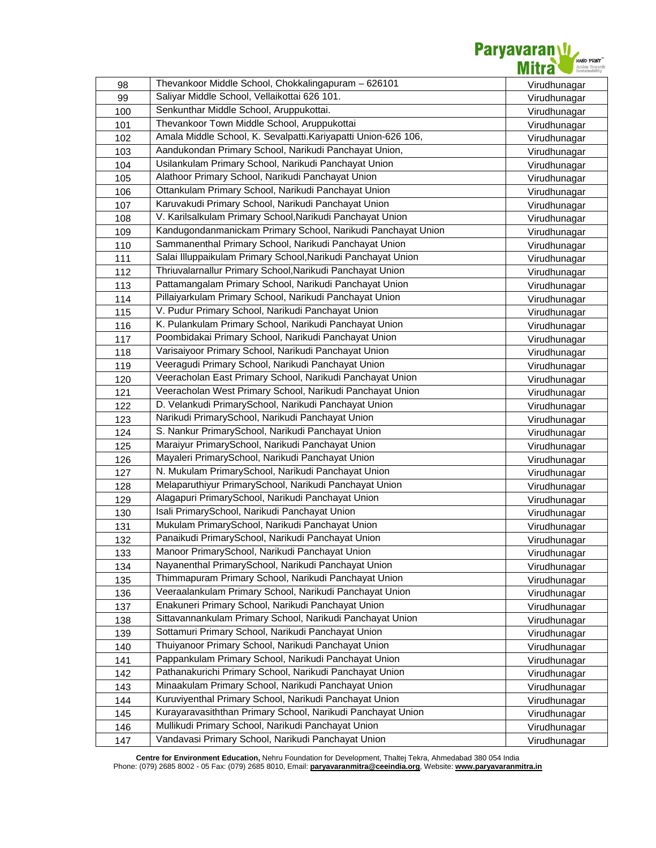

| 98  | Thevankoor Middle School, Chokkalingapuram - 626101            | Virudhunagar |
|-----|----------------------------------------------------------------|--------------|
| 99  | Saliyar Middle School, Vellaikottai 626 101.                   | Virudhunagar |
| 100 | Senkunthar Middle School, Aruppukottai.                        | Virudhunagar |
| 101 | Thevankoor Town Middle School, Aruppukottai                    | Virudhunagar |
| 102 | Amala Middle School, K. Sevalpatti. Kariyapatti Union-626 106, | Virudhunagar |
| 103 | Aandukondan Primary School, Narikudi Panchayat Union,          | Virudhunagar |
| 104 | Usilankulam Primary School, Narikudi Panchayat Union           | Virudhunagar |
| 105 | Alathoor Primary School, Narikudi Panchayat Union              | Virudhunagar |
| 106 | Ottankulam Primary School, Narikudi Panchayat Union            | Virudhunagar |
| 107 | Karuvakudi Primary School, Narikudi Panchayat Union            | Virudhunagar |
| 108 | V. Karilsalkulam Primary School, Narikudi Panchayat Union      | Virudhunagar |
| 109 | Kandugondanmanickam Primary School, Narikudi Panchayat Union   | Virudhunagar |
| 110 | Sammanenthal Primary School, Narikudi Panchayat Union          | Virudhunagar |
| 111 | Salai Illuppaikulam Primary School, Narikudi Panchayat Union   | Virudhunagar |
| 112 | Thriuvalarnallur Primary School, Narikudi Panchayat Union      | Virudhunagar |
| 113 | Pattamangalam Primary School, Narikudi Panchayat Union         | Virudhunagar |
| 114 | Pillaiyarkulam Primary School, Narikudi Panchayat Union        | Virudhunagar |
| 115 | V. Pudur Primary School, Narikudi Panchayat Union              | Virudhunagar |
| 116 | K. Pulankulam Primary School, Narikudi Panchayat Union         | Virudhunagar |
| 117 | Poombidakai Primary School, Narikudi Panchayat Union           | Virudhunagar |
| 118 | Varisaiyoor Primary School, Narikudi Panchayat Union           | Virudhunagar |
| 119 | Veeragudi Primary School, Narikudi Panchayat Union             | Virudhunagar |
| 120 | Veeracholan East Primary School, Narikudi Panchayat Union      | Virudhunagar |
| 121 | Veeracholan West Primary School, Narikudi Panchayat Union      | Virudhunagar |
| 122 | D. Velankudi PrimarySchool, Narikudi Panchayat Union           | Virudhunagar |
| 123 | Narikudi PrimarySchool, Narikudi Panchayat Union               | Virudhunagar |
| 124 | S. Nankur PrimarySchool, Narikudi Panchayat Union              | Virudhunagar |
| 125 | Maraiyur PrimarySchool, Narikudi Panchayat Union               | Virudhunagar |
| 126 | Mayaleri PrimarySchool, Narikudi Panchayat Union               | Virudhunagar |
| 127 | N. Mukulam PrimarySchool, Narikudi Panchayat Union             | Virudhunagar |
| 128 | Melaparuthiyur PrimarySchool, Narikudi Panchayat Union         | Virudhunagar |
| 129 | Alagapuri PrimarySchool, Narikudi Panchayat Union              | Virudhunagar |
| 130 | Isali PrimarySchool, Narikudi Panchayat Union                  | Virudhunagar |
| 131 | Mukulam PrimarySchool, Narikudi Panchayat Union                | Virudhunagar |
| 132 | Panaikudi PrimarySchool, Narikudi Panchayat Union              | Virudhunagar |
| 133 | Manoor PrimarySchool, Narikudi Panchayat Union                 | Virudhunagar |
| 134 | Nayanenthal PrimarySchool, Narikudi Panchayat Union            | Virudhunagar |
| 135 | Thimmapuram Primary School, Narikudi Panchayat Union           | Virudhunagar |
| 136 | Veeraalankulam Primary School, Narikudi Panchayat Union        | Virudhunagar |
| 137 | Enakuneri Primary School, Narikudi Panchayat Union             | Virudhunagar |
| 138 | Sittavannankulam Primary School, Narikudi Panchayat Union      | Virudhunagar |
| 139 | Sottamuri Primary School, Narikudi Panchayat Union             | Virudhunagar |
| 140 | Thuiyanoor Primary School, Narikudi Panchayat Union            | Virudhunagar |
| 141 | Pappankulam Primary School, Narikudi Panchayat Union           | Virudhunagar |
| 142 | Pathanakurichi Primary School, Narikudi Panchayat Union        | Virudhunagar |
| 143 | Minaakulam Primary School, Narikudi Panchayat Union            | Virudhunagar |
| 144 | Kuruviyenthal Primary School, Narikudi Panchayat Union         | Virudhunagar |
| 145 | Kurayaravasiththan Primary School, Narikudi Panchayat Union    | Virudhunagar |
| 146 | Mullikudi Primary School, Narikudi Panchayat Union             | Virudhunagar |
| 147 | Vandavasi Primary School, Narikudi Panchayat Union             | Virudhunagar |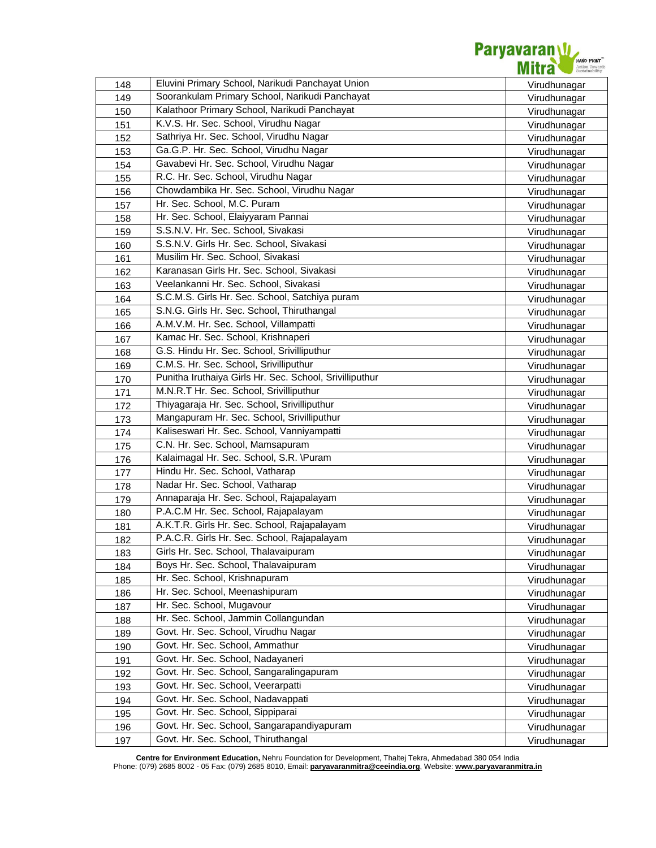

| 148 | Eluvini Primary School, Narikudi Panchayat Union        | Virudhunagar |
|-----|---------------------------------------------------------|--------------|
| 149 | Soorankulam Primary School, Narikudi Panchayat          | Virudhunagar |
| 150 | Kalathoor Primary School, Narikudi Panchayat            | Virudhunagar |
| 151 | K.V.S. Hr. Sec. School, Virudhu Nagar                   | Virudhunagar |
| 152 | Sathriya Hr. Sec. School, Virudhu Nagar                 | Virudhunagar |
| 153 | Ga.G.P. Hr. Sec. School, Virudhu Nagar                  | Virudhunagar |
| 154 | Gavabevi Hr. Sec. School, Virudhu Nagar                 | Virudhunagar |
| 155 | R.C. Hr. Sec. School, Virudhu Nagar                     | Virudhunagar |
| 156 | Chowdambika Hr. Sec. School, Virudhu Nagar              | Virudhunagar |
| 157 | Hr. Sec. School, M.C. Puram                             | Virudhunagar |
| 158 | Hr. Sec. School, Elaiyyaram Pannai                      | Virudhunagar |
| 159 | S.S.N.V. Hr. Sec. School, Sivakasi                      | Virudhunagar |
| 160 | S.S.N.V. Girls Hr. Sec. School, Sivakasi                | Virudhunagar |
| 161 | Musilim Hr. Sec. School, Sivakasi                       | Virudhunagar |
| 162 | Karanasan Girls Hr. Sec. School, Sivakasi               | Virudhunagar |
| 163 | Veelankanni Hr. Sec. School, Sivakasi                   | Virudhunagar |
| 164 | S.C.M.S. Girls Hr. Sec. School, Satchiya puram          | Virudhunagar |
| 165 | S.N.G. Girls Hr. Sec. School, Thiruthangal              | Virudhunagar |
| 166 | A.M.V.M. Hr. Sec. School, Villampatti                   | Virudhunagar |
| 167 | Kamac Hr. Sec. School, Krishnaperi                      | Virudhunagar |
| 168 | G.S. Hindu Hr. Sec. School, Srivilliputhur              | Virudhunagar |
| 169 | C.M.S. Hr. Sec. School, Srivilliputhur                  | Virudhunagar |
| 170 | Punitha Iruthaiya Girls Hr. Sec. School, Srivilliputhur | Virudhunagar |
| 171 | M.N.R.T Hr. Sec. School, Srivilliputhur                 | Virudhunagar |
| 172 | Thiyagaraja Hr. Sec. School, Srivilliputhur             | Virudhunagar |
| 173 | Mangapuram Hr. Sec. School, Srivilliputhur              | Virudhunagar |
| 174 | Kaliseswari Hr. Sec. School, Vanniyampatti              | Virudhunagar |
| 175 | C.N. Hr. Sec. School, Mamsapuram                        | Virudhunagar |
| 176 | Kalaimagal Hr. Sec. School, S.R. \Puram                 | Virudhunagar |
| 177 | Hindu Hr. Sec. School, Vatharap                         | Virudhunagar |
| 178 | Nadar Hr. Sec. School, Vatharap                         | Virudhunagar |
| 179 | Annaparaja Hr. Sec. School, Rajapalayam                 | Virudhunagar |
| 180 | P.A.C.M Hr. Sec. School, Rajapalayam                    | Virudhunagar |
| 181 | A.K.T.R. Girls Hr. Sec. School, Rajapalayam             | Virudhunagar |
| 182 | P.A.C.R. Girls Hr. Sec. School, Rajapalayam             | Virudhunagar |
| 183 | Girls Hr. Sec. School, Thalavaipuram                    | Virudhunagar |
| 184 | Boys Hr. Sec. School, Thalavaipuram                     | Virudhunagar |
| 185 | Hr. Sec. School, Krishnapuram                           | Virudhunagar |
| 186 | Hr. Sec. School, Meenashipuram                          | Virudhunagar |
| 187 | Hr. Sec. School, Mugavour                               | Virudhunagar |
| 188 | Hr. Sec. School, Jammin Collangundan                    | Virudhunagar |
| 189 | Govt. Hr. Sec. School, Virudhu Nagar                    | Virudhunagar |
| 190 | Govt. Hr. Sec. School, Ammathur                         | Virudhunagar |
| 191 | Govt. Hr. Sec. School, Nadayaneri                       | Virudhunagar |
| 192 | Govt. Hr. Sec. School, Sangaralingapuram                | Virudhunagar |
| 193 | Govt. Hr. Sec. School, Veerarpatti                      | Virudhunagar |
| 194 | Govt. Hr. Sec. School, Nadavappati                      | Virudhunagar |
| 195 | Govt. Hr. Sec. School, Sippiparai                       | Virudhunagar |
| 196 | Govt. Hr. Sec. School, Sangarapandiyapuram              | Virudhunagar |
| 197 | Govt. Hr. Sec. School, Thiruthangal                     | Virudhunagar |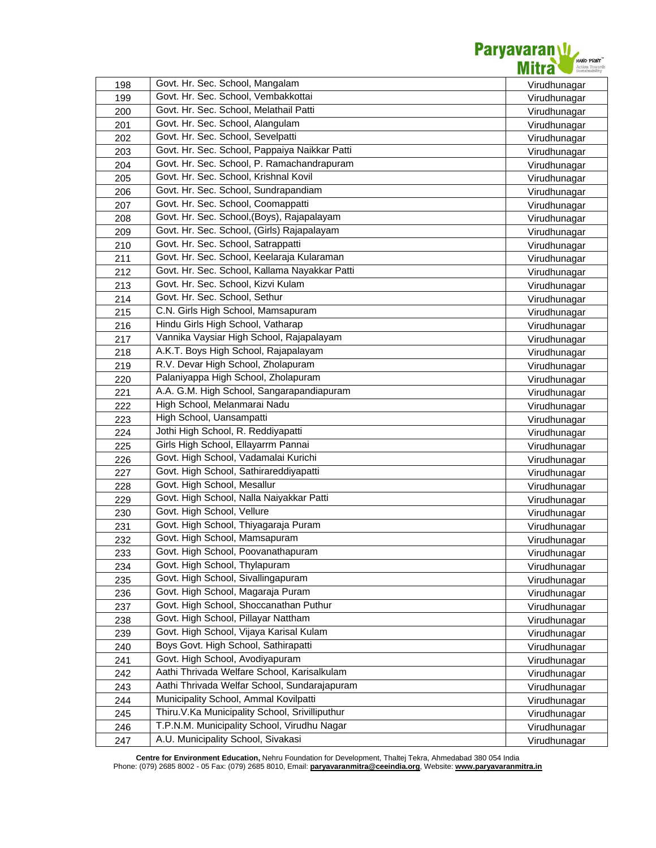

| 198 | Govt. Hr. Sec. School, Mangalam                                               | Virudhunagar |
|-----|-------------------------------------------------------------------------------|--------------|
| 199 | Govt. Hr. Sec. School, Vembakkottai<br>Govt. Hr. Sec. School, Melathail Patti | Virudhunagar |
| 200 |                                                                               | Virudhunagar |
| 201 | Govt. Hr. Sec. School, Alangulam                                              | Virudhunagar |
| 202 | Govt. Hr. Sec. School, Sevelpatti                                             | Virudhunagar |
| 203 | Govt. Hr. Sec. School, Pappaiya Naikkar Patti                                 | Virudhunagar |
| 204 | Govt. Hr. Sec. School, P. Ramachandrapuram                                    | Virudhunagar |
| 205 | Govt. Hr. Sec. School, Krishnal Kovil                                         | Virudhunagar |
| 206 | Govt. Hr. Sec. School, Sundrapandiam                                          | Virudhunagar |
| 207 | Govt. Hr. Sec. School, Coomappatti                                            | Virudhunagar |
| 208 | Govt. Hr. Sec. School, (Boys), Rajapalayam                                    | Virudhunagar |
| 209 | Govt. Hr. Sec. School, (Girls) Rajapalayam                                    | Virudhunagar |
| 210 | Govt. Hr. Sec. School, Satrappatti                                            | Virudhunagar |
| 211 | Govt. Hr. Sec. School, Keelaraja Kularaman                                    | Virudhunagar |
| 212 | Govt. Hr. Sec. School, Kallama Nayakkar Patti                                 | Virudhunagar |
| 213 | Govt. Hr. Sec. School, Kizvi Kulam                                            | Virudhunagar |
| 214 | Govt. Hr. Sec. School, Sethur                                                 | Virudhunagar |
| 215 | C.N. Girls High School, Mamsapuram                                            | Virudhunagar |
| 216 | Hindu Girls High School, Vatharap                                             | Virudhunagar |
| 217 | Vannika Vaysiar High School, Rajapalayam                                      | Virudhunagar |
| 218 | A.K.T. Boys High School, Rajapalayam                                          | Virudhunagar |
| 219 | R.V. Devar High School, Zholapuram                                            | Virudhunagar |
| 220 | Palaniyappa High School, Zholapuram                                           | Virudhunagar |
| 221 | A.A. G.M. High School, Sangarapandiapuram                                     | Virudhunagar |
| 222 | High School, Melanmarai Nadu                                                  | Virudhunagar |
| 223 | High School, Uansampatti                                                      | Virudhunagar |
| 224 | Jothi High School, R. Reddiyapatti                                            | Virudhunagar |
| 225 | Girls High School, Ellayarrm Pannai                                           | Virudhunagar |
| 226 | Govt. High School, Vadamalai Kurichi                                          | Virudhunagar |
| 227 | Govt. High School, Sathirareddiyapatti                                        | Virudhunagar |
| 228 | Govt. High School, Mesallur                                                   | Virudhunagar |
| 229 | Govt. High School, Nalla Naiyakkar Patti                                      | Virudhunagar |
| 230 | Govt. High School, Vellure                                                    | Virudhunagar |
| 231 | Govt. High School, Thiyagaraja Puram                                          | Virudhunagar |
| 232 | Govt. High School, Mamsapuram                                                 | Virudhunagar |
| 233 | Govt. High School, Poovanathapuram                                            | Virudhunagar |
| 234 | Govt. High School, Thylapuram                                                 | Virudhunagar |
| 235 | Govt. High School, Sivallingapuram                                            | Virudhunagar |
| 236 | Govt. High School, Magaraja Puram                                             | Virudhunagar |
| 237 | Govt. High School, Shoccanathan Puthur                                        | Virudhunagar |
| 238 | Govt. High School, Pillayar Nattham                                           | Virudhunagar |
| 239 | Govt. High School, Vijaya Karisal Kulam                                       | Virudhunagar |
| 240 | Boys Govt. High School, Sathirapatti                                          | Virudhunagar |
| 241 | Govt. High School, Avodiyapuram                                               | Virudhunagar |
| 242 | Aathi Thrivada Welfare School, Karisalkulam                                   | Virudhunagar |
| 243 | Aathi Thrivada Welfar School, Sundarajapuram                                  | Virudhunagar |
| 244 | Municipality School, Ammal Kovilpatti                                         |              |
|     | Thiru.V.Ka Municipality School, Srivilliputhur                                | Virudhunagar |
| 245 | T.P.N.M. Municipality School, Virudhu Nagar                                   | Virudhunagar |
| 246 | A.U. Municipality School, Sivakasi                                            | Virudhunagar |
| 247 |                                                                               | Virudhunagar |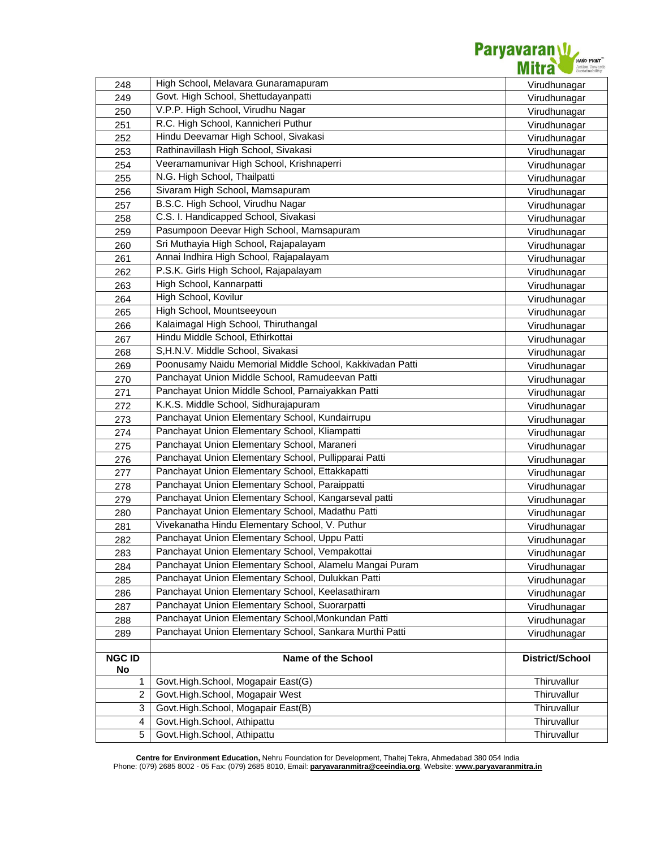

| 248                 | High School, Melavara Gunaramapuram                      | Virudhunagar    |
|---------------------|----------------------------------------------------------|-----------------|
| 249                 | Govt. High School, Shettudayanpatti                      | Virudhunagar    |
| 250                 | V.P.P. High School, Virudhu Nagar                        | Virudhunagar    |
| 251                 | R.C. High School, Kannicheri Puthur                      | Virudhunagar    |
| 252                 | Hindu Deevamar High School, Sivakasi                     | Virudhunagar    |
| 253                 | Rathinavillash High School, Sivakasi                     | Virudhunagar    |
| 254                 | Veeramamunivar High School, Krishnaperri                 | Virudhunagar    |
| 255                 | N.G. High School, Thailpatti                             | Virudhunagar    |
| 256                 | Sivaram High School, Mamsapuram                          | Virudhunagar    |
| 257                 | B.S.C. High School, Virudhu Nagar                        | Virudhunagar    |
| 258                 | C.S. I. Handicapped School, Sivakasi                     | Virudhunagar    |
| 259                 | Pasumpoon Deevar High School, Mamsapuram                 | Virudhunagar    |
| 260                 | Sri Muthayia High School, Rajapalayam                    | Virudhunagar    |
| 261                 | Annai Indhira High School, Rajapalayam                   | Virudhunagar    |
| 262                 | P.S.K. Girls High School, Rajapalayam                    | Virudhunagar    |
| 263                 | High School, Kannarpatti                                 | Virudhunagar    |
| 264                 | High School, Kovilur                                     | Virudhunagar    |
| 265                 | High School, Mountseeyoun                                | Virudhunagar    |
| 266                 | Kalaimagal High School, Thiruthangal                     | Virudhunagar    |
| 267                 | Hindu Middle School, Ethirkottai                         | Virudhunagar    |
| 268                 | S,H.N.V. Middle School, Sivakasi                         | Virudhunagar    |
| 269                 | Poonusamy Naidu Memorial Middle School, Kakkivadan Patti | Virudhunagar    |
| 270                 | Panchayat Union Middle School, Ramudeevan Patti          | Virudhunagar    |
| 271                 | Panchayat Union Middle School, Parnaiyakkan Patti        | Virudhunagar    |
| 272                 | K.K.S. Middle School, Sidhurajapuram                     | Virudhunagar    |
| 273                 | Panchayat Union Elementary School, Kundairrupu           | Virudhunagar    |
| 274                 | Panchayat Union Elementary School, Kliampatti            | Virudhunagar    |
| 275                 | Panchayat Union Elementary School, Maraneri              | Virudhunagar    |
| 276                 | Panchayat Union Elementary School, Pullipparai Patti     | Virudhunagar    |
| 277                 | Panchayat Union Elementary School, Ettakkapatti          | Virudhunagar    |
| 278                 | Panchayat Union Elementary School, Paraippatti           | Virudhunagar    |
| 279                 | Panchayat Union Elementary School, Kangarseval patti     | Virudhunagar    |
| 280                 | Panchayat Union Elementary School, Madathu Patti         | Virudhunagar    |
| 281                 | Vivekanatha Hindu Elementary School, V. Puthur           | Virudhunagar    |
| 282                 | Panchayat Union Elementary School, Uppu Patti            | Virudhunagar    |
| 283                 | Panchayat Union Elementary School, Vempakottai           | Virudhunagar    |
| 284                 | Panchayat Union Elementary School, Alamelu Mangai Puram  | Virudhunagar    |
| 285                 | Panchayat Union Elementary School, Dulukkan Patti        | Virudhunagar    |
| 286                 | Panchayat Union Elementary School, Keelasathiram         | Virudhunagar    |
| 287                 | Panchayat Union Elementary School, Suorarpatti           | Virudhunagar    |
| 288                 | Panchayat Union Elementary School, Monkundan Patti       | Virudhunagar    |
| 289                 | Panchayat Union Elementary School, Sankara Murthi Patti  | Virudhunagar    |
|                     |                                                          |                 |
| <b>NGC ID</b><br>No | Name of the School                                       | District/School |
| 1                   | Govt.High.School, Mogapair East(G)                       | Thiruvallur     |
| 2                   | Govt.High.School, Mogapair West                          | Thiruvallur     |
| 3                   | Govt.High.School, Mogapair East(B)                       | Thiruvallur     |
| 4                   | Govt.High.School, Athipattu                              | Thiruvallur     |
| 5                   | Govt.High.School, Athipattu                              | Thiruvallur     |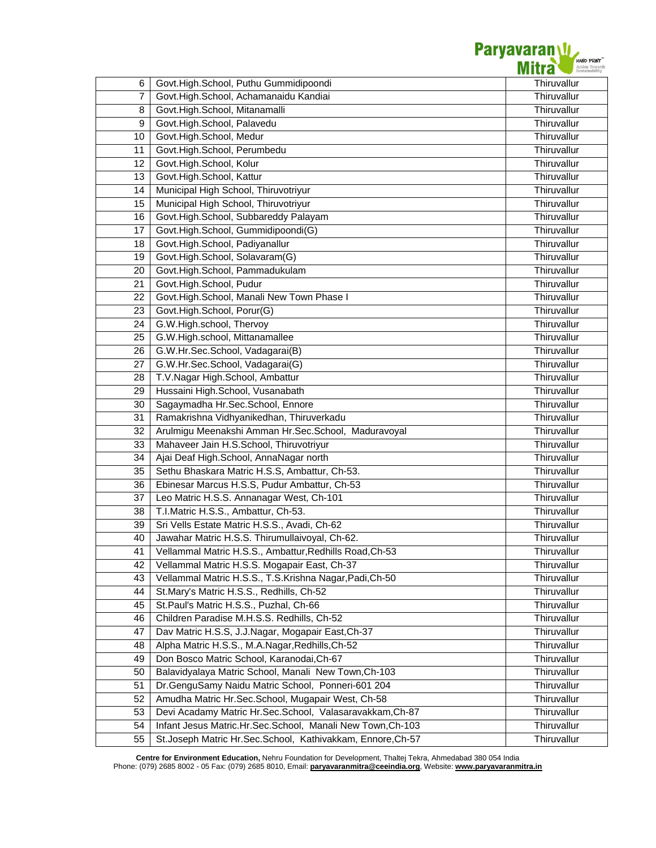

| 6  | Govt.High.School, Puthu Gummidipoondi                      | Thiruvallur |
|----|------------------------------------------------------------|-------------|
| 7  | Govt.High.School, Achamanaidu Kandiai                      | Thiruvallur |
| 8  | Govt.High.School, Mitanamalli                              | Thiruvallur |
| 9  | Govt.High.School, Palavedu                                 | Thiruvallur |
| 10 | Govt.High.School, Medur                                    | Thiruvallur |
| 11 | Govt.High.School, Perumbedu                                | Thiruvallur |
| 12 | Govt.High.School, Kolur                                    | Thiruvallur |
| 13 | Govt.High.School, Kattur                                   | Thiruvallur |
| 14 | Municipal High School, Thiruvotriyur                       | Thiruvallur |
| 15 | Municipal High School, Thiruvotriyur                       | Thiruvallur |
| 16 | Govt.High.School, Subbareddy Palayam                       | Thiruvallur |
| 17 | Govt.High.School, Gummidipoondi(G)                         | Thiruvallur |
| 18 | Govt.High.School, Padiyanallur                             | Thiruvallur |
| 19 | Govt.High.School, Solavaram(G)                             | Thiruvallur |
| 20 | Govt.High.School, Pammadukulam                             | Thiruvallur |
| 21 | Govt.High.School, Pudur                                    | Thiruvallur |
| 22 | Govt.High.School, Manali New Town Phase I                  | Thiruvallur |
| 23 | Govt.High.School, Porur(G)                                 | Thiruvallur |
| 24 | G.W.High.school, Thervoy                                   | Thiruvallur |
| 25 | G.W.High.school, Mittanamallee                             | Thiruvallur |
| 26 | G.W.Hr.Sec.School, Vadagarai(B)                            | Thiruvallur |
| 27 | G.W.Hr.Sec.School, Vadagarai(G)                            | Thiruvallur |
| 28 | T.V. Nagar High. School, Ambattur                          | Thiruvallur |
| 29 | Hussaini High.School, Vusanabath                           | Thiruvallur |
| 30 | Sagaymadha Hr.Sec.School, Ennore                           | Thiruvallur |
| 31 | Ramakrishna Vidhyanikedhan, Thiruverkadu                   | Thiruvallur |
| 32 | Arulmigu Meenakshi Amman Hr.Sec.School, Maduravoyal        | Thiruvallur |
| 33 | Mahaveer Jain H.S.School, Thiruvotriyur                    | Thiruvallur |
| 34 | Ajai Deaf High. School, AnnaNagar north                    | Thiruvallur |
| 35 | Sethu Bhaskara Matric H.S.S, Ambattur, Ch-53.              | Thiruvallur |
| 36 | Ebinesar Marcus H.S.S, Pudur Ambattur, Ch-53               | Thiruvallur |
| 37 | Leo Matric H.S.S. Annanagar West, Ch-101                   | Thiruvallur |
| 38 | T.I.Matric H.S.S., Ambattur, Ch-53.                        | Thiruvallur |
| 39 | Sri Vells Estate Matric H.S.S., Avadi, Ch-62               | Thiruvallur |
| 40 | Jawahar Matric H.S.S. Thirumullaivoyal, Ch-62.             | Thiruvallur |
| 41 | Vellammal Matric H.S.S., Ambattur, Redhills Road, Ch-53    | Thiruvallur |
| 42 | Vellammal Matric H.S.S. Mogapair East, Ch-37               | Thiruvallur |
| 43 | Vellammal Matric H.S.S., T.S.Krishna Nagar, Padi, Ch-50    | Thiruvallur |
| 44 | St.Mary's Matric H.S.S., Redhills, Ch-52                   | Thiruvallur |
| 45 | St.Paul's Matric H.S.S., Puzhal, Ch-66                     | Thiruvallur |
| 46 | Children Paradise M.H.S.S. Redhills, Ch-52                 | Thiruvallur |
| 47 | Dav Matric H.S.S, J.J.Nagar, Mogapair East, Ch-37          | Thiruvallur |
| 48 | Alpha Matric H.S.S., M.A.Nagar, Redhills, Ch-52            | Thiruvallur |
| 49 | Don Bosco Matric School, Karanodai, Ch-67                  | Thiruvallur |
| 50 | Balavidyalaya Matric School, Manali New Town, Ch-103       | Thiruvallur |
| 51 | Dr.GenguSamy Naidu Matric School, Ponneri-601 204          | Thiruvallur |
| 52 | Amudha Matric Hr.Sec.School, Mugapair West, Ch-58          | Thiruvallur |
| 53 | Devi Acadamy Matric Hr.Sec.School, Valasaravakkam, Ch-87   | Thiruvallur |
| 54 | Infant Jesus Matric.Hr.Sec.School, Manali New Town, Ch-103 | Thiruvallur |
| 55 | St.Joseph Matric Hr.Sec.School, Kathivakkam, Ennore, Ch-57 | Thiruvallur |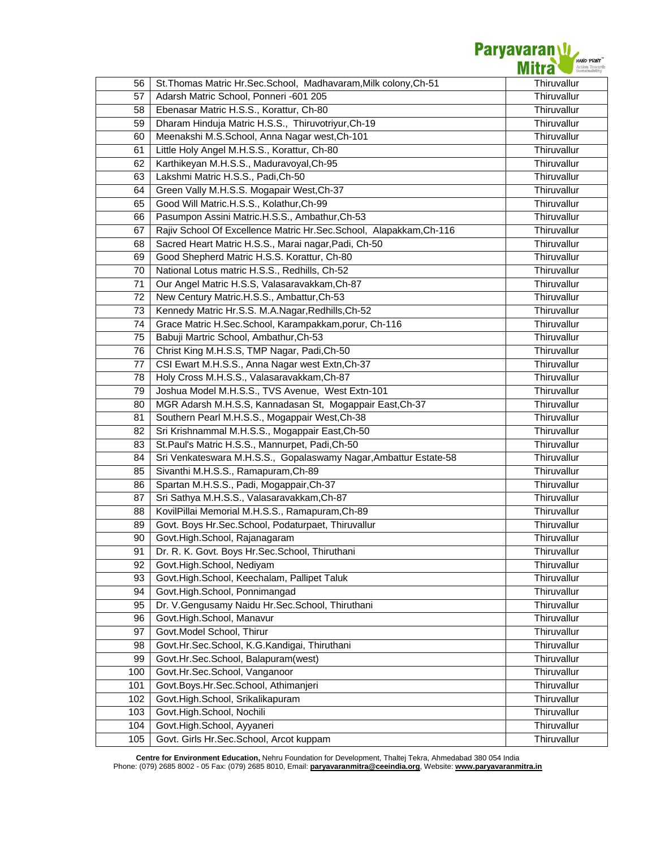

| 56  | St. Thomas Matric Hr. Sec. School, Madhavaram, Milk colony, Ch-51 | Thiruvallur |
|-----|-------------------------------------------------------------------|-------------|
| 57  | Adarsh Matric School, Ponneri -601 205                            | Thiruvallur |
| 58  | Ebenasar Matric H.S.S., Korattur, Ch-80                           | Thiruvallur |
| 59  | Dharam Hinduja Matric H.S.S., Thiruvotriyur, Ch-19                | Thiruvallur |
| 60  | Meenakshi M.S.School, Anna Nagar west, Ch-101                     | Thiruvallur |
| 61  | Little Holy Angel M.H.S.S., Korattur, Ch-80                       | Thiruvallur |
| 62  | Karthikeyan M.H.S.S., Maduravoyal, Ch-95                          | Thiruvallur |
| 63  | Lakshmi Matric H.S.S., Padi, Ch-50                                | Thiruvallur |
| 64  | Green Vally M.H.S.S. Mogapair West, Ch-37                         | Thiruvallur |
| 65  | Good Will Matric.H.S.S., Kolathur, Ch-99                          | Thiruvallur |
| 66  | Pasumpon Assini Matric.H.S.S., Ambathur, Ch-53                    | Thiruvallur |
| 67  | Rajiv School Of Excellence Matric Hr.Sec.School, Alapakkam,Ch-116 | Thiruvallur |
| 68  | Sacred Heart Matric H.S.S., Marai nagar, Padi, Ch-50              | Thiruvallur |
| 69  | Good Shepherd Matric H.S.S. Korattur, Ch-80                       | Thiruvallur |
| 70  | National Lotus matric H.S.S., Redhills, Ch-52                     | Thiruvallur |
| 71  | Our Angel Matric H.S.S, Valasaravakkam, Ch-87                     | Thiruvallur |
| 72  | New Century Matric.H.S.S., Ambattur, Ch-53                        | Thiruvallur |
| 73  | Kennedy Matric Hr.S.S. M.A.Nagar, Redhills, Ch-52                 | Thiruvallur |
| 74  | Grace Matric H.Sec.School, Karampakkam,porur, Ch-116              | Thiruvallur |
| 75  | Babuji Martric School, Ambathur, Ch-53                            | Thiruvallur |
| 76  | Christ King M.H.S.S, TMP Nagar, Padi, Ch-50                       | Thiruvallur |
| 77  | CSI Ewart M.H.S.S., Anna Nagar west Extn, Ch-37                   | Thiruvallur |
| 78  | Holy Cross M.H.S.S., Valasaravakkam, Ch-87                        | Thiruvallur |
| 79  | Joshua Model M.H.S.S., TVS Avenue, West Extn-101                  | Thiruvallur |
| 80  | MGR Adarsh M.H.S.S, Kannadasan St, Mogappair East, Ch-37          | Thiruvallur |
| 81  | Southern Pearl M.H.S.S., Mogappair West, Ch-38                    | Thiruvallur |
| 82  | Sri Krishnammal M.H.S.S., Mogappair East, Ch-50                   | Thiruvallur |
| 83  | St.Paul's Matric H.S.S., Mannurpet, Padi,Ch-50                    | Thiruvallur |
| 84  | Sri Venkateswara M.H.S.S., Gopalaswamy Nagar, Ambattur Estate-58  | Thiruvallur |
| 85  | Sivanthi M.H.S.S., Ramapuram, Ch-89                               | Thiruvallur |
| 86  | Spartan M.H.S.S., Padi, Mogappair, Ch-37                          | Thiruvallur |
| 87  | Sri Sathya M.H.S.S., Valasaravakkam, Ch-87                        | Thiruvallur |
| 88  | KovilPillai Memorial M.H.S.S., Ramapuram, Ch-89                   | Thiruvallur |
| 89  | Govt. Boys Hr.Sec.School, Podaturpaet, Thiruvallur                | Thiruvallur |
| 90  | Govt.High.School, Rajanagaram                                     | Thiruvallur |
| 91  | Dr. R. K. Govt. Boys Hr. Sec. School, Thiruthani                  | Thiruvallur |
| 92  | Govt.High.School, Nediyam                                         | Thiruvallur |
| 93  | Govt.High.School, Keechalam, Pallipet Taluk                       | Thiruvallur |
| 94  | Govt.High.School, Ponnimangad                                     | Thiruvallur |
| 95  | Dr. V.Gengusamy Naidu Hr.Sec.School, Thiruthani                   | Thiruvallur |
| 96  | Govt.High.School, Manavur                                         | Thiruvallur |
| 97  | Govt.Model School, Thirur                                         | Thiruvallur |
| 98  | Govt.Hr.Sec.School, K.G.Kandigai, Thiruthani                      | Thiruvallur |
| 99  | Govt.Hr.Sec.School, Balapuram(west)                               | Thiruvallur |
| 100 | Govt.Hr.Sec.School, Vanganoor                                     | Thiruvallur |
| 101 | Govt.Boys.Hr.Sec.School, Athimanjeri                              | Thiruvallur |
| 102 | Govt.High.School, Srikalikapuram                                  | Thiruvallur |
| 103 | Govt.High.School, Nochili                                         | Thiruvallur |
| 104 | Govt.High.School, Ayyaneri                                        | Thiruvallur |
| 105 | Govt. Girls Hr.Sec.School, Arcot kuppam                           | Thiruvallur |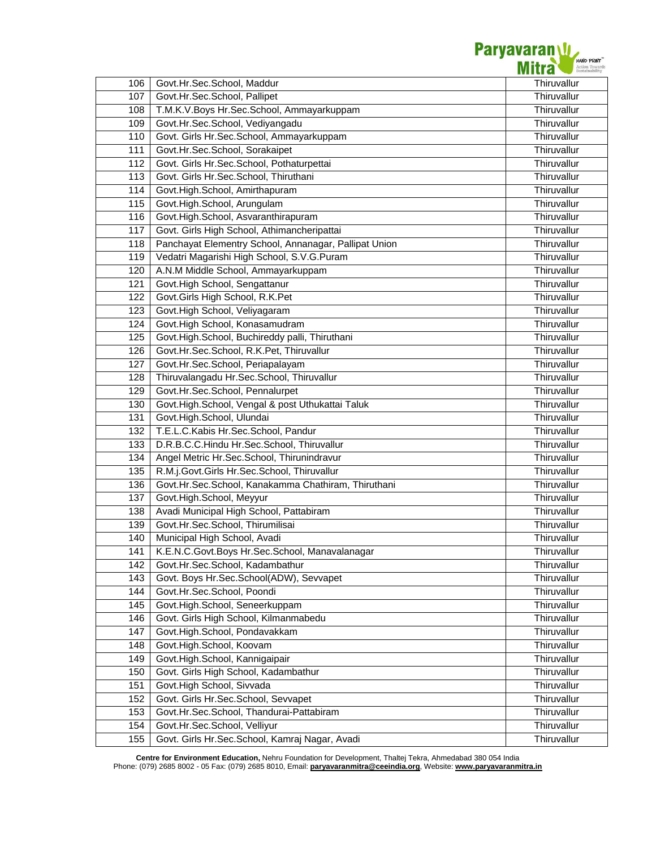

| 106 | Govt.Hr.Sec.School, Maddur                            | Thiruvallur |
|-----|-------------------------------------------------------|-------------|
| 107 | Govt.Hr.Sec.School, Pallipet                          | Thiruvallur |
| 108 | T.M.K.V.Boys Hr.Sec.School, Ammayarkuppam             | Thiruvallur |
| 109 | Govt.Hr.Sec.School, Vediyangadu                       | Thiruvallur |
| 110 | Govt. Girls Hr.Sec.School, Ammayarkuppam              | Thiruvallur |
| 111 | Govt.Hr.Sec.School, Sorakaipet                        | Thiruvallur |
| 112 | Govt. Girls Hr.Sec.School, Pothaturpettai             | Thiruvallur |
| 113 | Govt. Girls Hr.Sec.School, Thiruthani                 | Thiruvallur |
| 114 | Govt.High.School, Amirthapuram                        | Thiruvallur |
| 115 | Govt.High.School, Arungulam                           | Thiruvallur |
| 116 | Govt.High.School, Asvaranthirapuram                   | Thiruvallur |
| 117 | Govt. Girls High School, Athimancheripattai           | Thiruvallur |
| 118 | Panchayat Elementry School, Annanagar, Pallipat Union | Thiruvallur |
| 119 | Vedatri Magarishi High School, S.V.G.Puram            | Thiruvallur |
| 120 | A.N.M Middle School, Ammayarkuppam                    | Thiruvallur |
| 121 | Govt.High School, Sengattanur                         | Thiruvallur |
| 122 | Govt.Girls High School, R.K.Pet                       | Thiruvallur |
| 123 | Govt.High School, Veliyagaram                         | Thiruvallur |
| 124 | Govt.High School, Konasamudram                        | Thiruvallur |
| 125 | Govt.High.School, Buchireddy palli, Thiruthani        | Thiruvallur |
| 126 | Govt.Hr.Sec.School, R.K.Pet, Thiruvallur              | Thiruvallur |
| 127 | Govt.Hr.Sec.School, Periapalayam                      | Thiruvallur |
| 128 | Thiruvalangadu Hr.Sec.School, Thiruvallur             | Thiruvallur |
| 129 | Govt.Hr.Sec.School, Pennalurpet                       | Thiruvallur |
| 130 | Govt.High.School, Vengal & post Uthukattai Taluk      | Thiruvallur |
| 131 | Govt.High.School, Ulundai                             | Thiruvallur |
| 132 | T.E.L.C.Kabis Hr.Sec.School, Pandur                   | Thiruvallur |
| 133 | D.R.B.C.C.Hindu Hr.Sec.School, Thiruvallur            | Thiruvallur |
| 134 | Angel Metric Hr.Sec.School, Thirunindravur            | Thiruvallur |
| 135 | R.M.j.Govt.Girls Hr.Sec.School, Thiruvallur           | Thiruvallur |
| 136 | Govt.Hr.Sec.School, Kanakamma Chathiram, Thiruthani   | Thiruvallur |
| 137 | Govt.High.School, Meyyur                              | Thiruvallur |
| 138 | Avadi Municipal High School, Pattabiram               | Thiruvallur |
| 139 | Govt.Hr.Sec.School, Thirumilisai                      | Thiruvallur |
| 140 | Municipal High School, Avadi                          | Thiruvallur |
| 141 | K.E.N.C.Govt.Boys Hr.Sec.School, Manavalanagar        | Thiruvallur |
| 142 | Govt.Hr.Sec.School, Kadambathur                       | Thiruvallur |
| 143 | Govt. Boys Hr.Sec.School(ADW), Sevvapet               | Thiruvallur |
| 144 | Govt.Hr.Sec.School, Poondi                            | Thiruvallur |
| 145 | Govt.High.School, Seneerkuppam                        | Thiruvallur |
| 146 | Govt. Girls High School, Kilmanmabedu                 | Thiruvallur |
| 147 | Govt.High.School, Pondavakkam                         | Thiruvallur |
| 148 | Govt.High.School, Koovam                              | Thiruvallur |
| 149 | Govt.High.School, Kannigaipair                        | Thiruvallur |
| 150 | Govt. Girls High School, Kadambathur                  | Thiruvallur |
| 151 | Govt.High School, Sivvada                             | Thiruvallur |
| 152 | Govt. Girls Hr.Sec.School, Sevvapet                   | Thiruvallur |
| 153 | Govt.Hr.Sec.School, Thandurai-Pattabiram              | Thiruvallur |
| 154 | Govt.Hr.Sec.School, Velliyur                          | Thiruvallur |
| 155 | Govt. Girls Hr.Sec.School, Kamraj Nagar, Avadi        | Thiruvallur |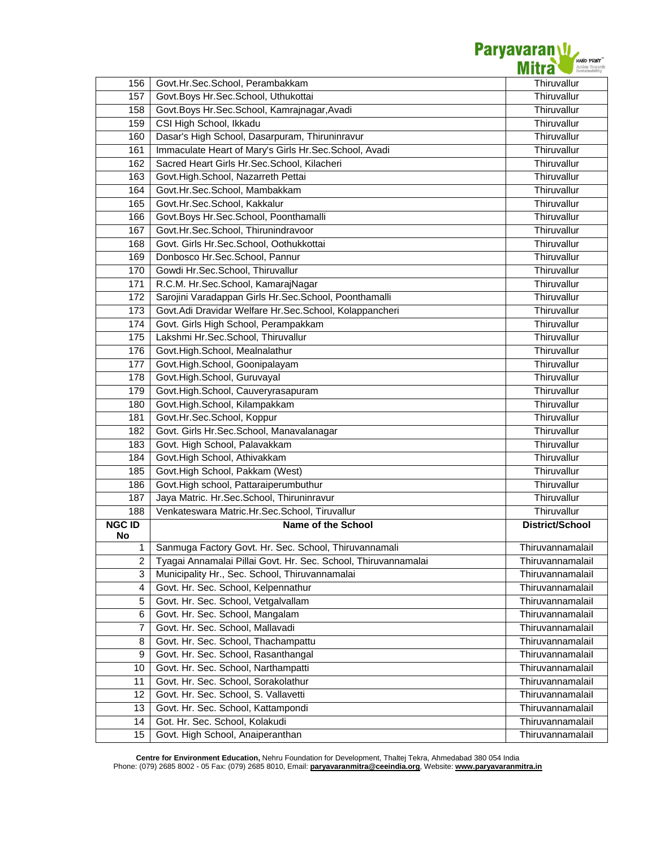

| 156                     | Govt.Hr.Sec.School, Perambakkam                                | Thiruvallur            |
|-------------------------|----------------------------------------------------------------|------------------------|
| 157                     | Govt.Boys Hr.Sec.School, Uthukottai                            | Thiruvallur            |
| 158                     | Govt.Boys Hr.Sec.School, Kamrajnagar, Avadi                    | Thiruvallur            |
| 159                     | CSI High School, Ikkadu                                        | Thiruvallur            |
| 160                     | Dasar's High School, Dasarpuram, Thiruninravur                 | Thiruvallur            |
| 161                     | Immaculate Heart of Mary's Girls Hr.Sec.School, Avadi          | Thiruvallur            |
| 162                     | Sacred Heart Girls Hr.Sec.School, Kilacheri                    | Thiruvallur            |
| 163                     | Govt.High.School, Nazarreth Pettai                             | Thiruvallur            |
| 164                     | Govt.Hr.Sec.School, Mambakkam                                  | Thiruvallur            |
| 165                     | Govt.Hr.Sec.School, Kakkalur                                   | Thiruvallur            |
| 166                     | Govt.Boys Hr.Sec.School, Poonthamalli                          | Thiruvallur            |
| 167                     | Govt.Hr.Sec.School, Thirunindravoor                            | Thiruvallur            |
| 168                     | Govt. Girls Hr.Sec.School, Oothukkottai                        | Thiruvallur            |
| 169                     | Donbosco Hr.Sec.School, Pannur                                 | Thiruvallur            |
| 170                     | Gowdi Hr.Sec.School, Thiruvallur                               | Thiruvallur            |
| 171                     | R.C.M. Hr.Sec.School, KamarajNagar                             | Thiruvallur            |
| 172                     | Sarojini Varadappan Girls Hr.Sec.School, Poonthamalli          | Thiruvallur            |
| 173                     | Govt.Adi Dravidar Welfare Hr.Sec.School, Kolappancheri         | Thiruvallur            |
| 174                     | Govt. Girls High School, Perampakkam                           | Thiruvallur            |
| 175                     | Lakshmi Hr.Sec.School, Thiruvallur                             | Thiruvallur            |
| 176                     | Govt.High.School, Mealnalathur                                 | Thiruvallur            |
| 177                     | Govt.High.School, Goonipalayam                                 | Thiruvallur            |
| 178                     | Govt.High.School, Guruvayal                                    | Thiruvallur            |
| 179                     | Govt.High.School, Cauveryrasapuram                             | Thiruvallur            |
| 180                     | Govt.High.School, Kilampakkam                                  | Thiruvallur            |
| 181                     | Govt.Hr.Sec.School, Koppur                                     | Thiruvallur            |
| 182                     | Govt. Girls Hr.Sec.School, Manavalanagar                       | Thiruvallur            |
| 183                     | Govt. High School, Palavakkam                                  | Thiruvallur            |
| 184                     | Govt.High School, Athivakkam                                   | Thiruvallur            |
| 185                     | Govt.High School, Pakkam (West)                                | Thiruvallur            |
| 186                     | Govt.High school, Pattaraiperumbuthur                          | Thiruvallur            |
| 187                     | Jaya Matric. Hr.Sec.School, Thiruninravur                      | Thiruvallur            |
| 188                     | Venkateswara Matric.Hr.Sec.School, Tiruvallur                  | Thiruvallur            |
| <b>NGC ID</b>           | <b>Name of the School</b>                                      | <b>District/School</b> |
| No                      |                                                                |                        |
| 1                       | Sanmuga Factory Govt. Hr. Sec. School, Thiruvannamali          | Thiruvannamalail       |
| 2                       | Tyagai Annamalai Pillai Govt. Hr. Sec. School, Thiruvannamalai | Thiruvannamalail       |
| 3                       | Municipality Hr., Sec. School, Thiruvannamalai                 | Thiruvannamalail       |
| $\overline{\mathbf{4}}$ | Govt. Hr. Sec. School, Kelpennathur                            | Thiruvannamalail       |
| 5                       | Govt. Hr. Sec. School, Vetgalvallam                            | Thiruvannamalail       |
| 6                       | Govt. Hr. Sec. School, Mangalam                                | Thiruvannamalail       |
| 7                       | Govt. Hr. Sec. School, Mallavadi                               | Thiruvannamalail       |
| 8                       | Govt. Hr. Sec. School, Thachampattu                            | Thiruvannamalail       |
| 9                       | Govt. Hr. Sec. School, Rasanthangal                            | Thiruvannamalail       |
| 10                      | Govt. Hr. Sec. School, Narthampatti                            | Thiruvannamalail       |
| 11                      | Govt. Hr. Sec. School, Sorakolathur                            | Thiruvannamalail       |
| 12                      | Govt. Hr. Sec. School, S. Vallavetti                           | Thiruvannamalail       |
| 13                      | Govt. Hr. Sec. School, Kattampondi                             | Thiruvannamalail       |
| 14<br>15                | Got. Hr. Sec. School, Kolakudi                                 | Thiruvannamalail       |
|                         | Govt. High School, Anaiperanthan                               | Thiruvannamalail       |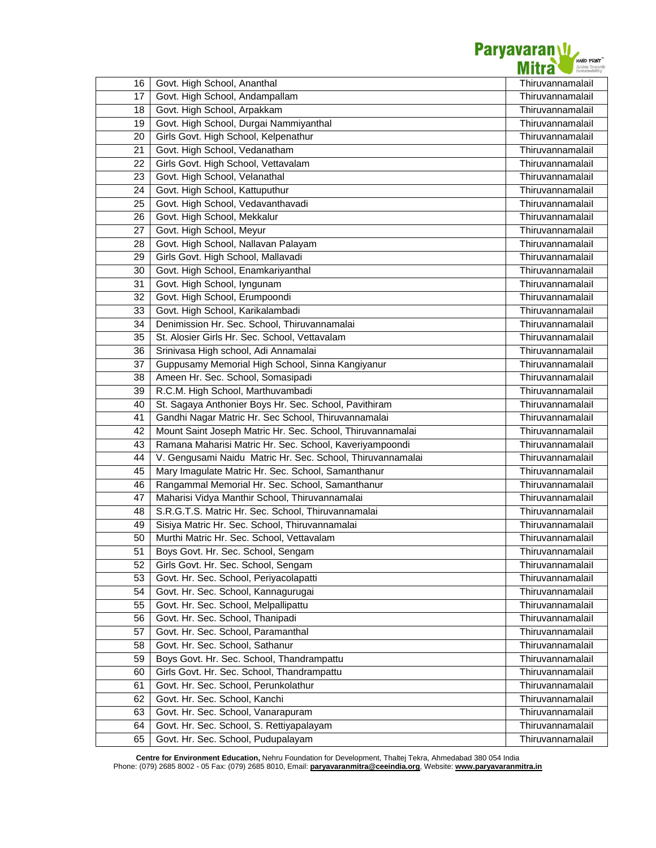

| 16 | Govt. High School, Ananthal                                | Thiruvannamalail |
|----|------------------------------------------------------------|------------------|
| 17 | Govt. High School, Andampallam                             | Thiruvannamalail |
| 18 | Govt. High School, Arpakkam                                | Thiruvannamalail |
| 19 | Govt. High School, Durgai Nammiyanthal                     | Thiruvannamalail |
| 20 | Girls Govt. High School, Kelpenathur                       | Thiruvannamalail |
| 21 | Govt. High School, Vedanatham                              | Thiruvannamalail |
| 22 | Girls Govt. High School, Vettavalam                        | Thiruvannamalail |
| 23 | Govt. High School, Velanathal                              | Thiruvannamalail |
| 24 | Govt. High School, Kattuputhur                             | Thiruvannamalail |
| 25 | Govt. High School, Vedavanthavadi                          | Thiruvannamalail |
| 26 | Govt. High School, Mekkalur                                | Thiruvannamalail |
| 27 | Govt. High School, Meyur                                   | Thiruvannamalail |
| 28 | Govt. High School, Nallavan Palayam                        | Thiruvannamalail |
| 29 | Girls Govt. High School, Mallavadi                         | Thiruvannamalail |
| 30 | Govt. High School, Enamkariyanthal                         | Thiruvannamalail |
| 31 | Govt. High School, lyngunam                                | Thiruvannamalail |
| 32 | Govt. High School, Erumpoondi                              | Thiruvannamalail |
| 33 | Govt. High School, Karikalambadi                           | Thiruvannamalail |
| 34 | Denimission Hr. Sec. School, Thiruvannamalai               | Thiruvannamalail |
| 35 | St. Alosier Girls Hr. Sec. School, Vettavalam              | Thiruvannamalail |
| 36 | Srinivasa High school, Adi Annamalai                       | Thiruvannamalail |
| 37 | Guppusamy Memorial High School, Sinna Kangiyanur           | Thiruvannamalail |
| 38 | Ameen Hr. Sec. School, Somasipadi                          | Thiruvannamalail |
| 39 | R.C.M. High School, Marthuvambadi                          | Thiruvannamalail |
| 40 | St. Sagaya Anthonier Boys Hr. Sec. School, Pavithiram      | Thiruvannamalail |
| 41 | Gandhi Nagar Matric Hr. Sec School, Thiruvannamalai        | Thiruvannamalail |
| 42 | Mount Saint Joseph Matric Hr. Sec. School, Thiruvannamalai | Thiruvannamalail |
| 43 | Ramana Maharisi Matric Hr. Sec. School, Kaveriyampoondi    | Thiruvannamalail |
| 44 | V. Gengusami Naidu Matric Hr. Sec. School, Thiruvannamalai | Thiruvannamalail |
| 45 | Mary Imagulate Matric Hr. Sec. School, Samanthanur         | Thiruvannamalail |
| 46 | Rangammal Memorial Hr. Sec. School, Samanthanur            | Thiruvannamalail |
| 47 | Maharisi Vidya Manthir School, Thiruvannamalai             | Thiruvannamalail |
| 48 | S.R.G.T.S. Matric Hr. Sec. School, Thiruvannamalai         | Thiruvannamalail |
| 49 | Sisiya Matric Hr. Sec. School, Thiruvannamalai             | Thiruvannamalail |
| 50 | Murthi Matric Hr. Sec. School, Vettavalam                  | Thiruvannamalail |
| 51 | Boys Govt. Hr. Sec. School, Sengam                         | Thiruvannamalail |
| 52 | Girls Govt. Hr. Sec. School, Sengam                        | Thiruvannamalail |
| 53 | Govt. Hr. Sec. School, Periyacolapatti                     | Thiruvannamalail |
| 54 | Govt. Hr. Sec. School, Kannagurugai                        | Thiruvannamalail |
| 55 | Govt. Hr. Sec. School, Melpallipattu                       | Thiruvannamalail |
| 56 | Govt. Hr. Sec. School, Thanipadi                           | Thiruvannamalail |
| 57 | Govt. Hr. Sec. School, Paramanthal                         | Thiruvannamalail |
| 58 | Govt. Hr. Sec. School, Sathanur                            | Thiruvannamalail |
| 59 | Boys Govt. Hr. Sec. School, Thandrampattu                  | Thiruvannamalail |
| 60 | Girls Govt. Hr. Sec. School, Thandrampattu                 | Thiruvannamalail |
| 61 | Govt. Hr. Sec. School, Perunkolathur                       | Thiruvannamalail |
| 62 | Govt. Hr. Sec. School, Kanchi                              | Thiruvannamalail |
| 63 | Govt. Hr. Sec. School, Vanarapuram                         | Thiruvannamalail |
| 64 | Govt. Hr. Sec. School, S. Rettiyapalayam                   | Thiruvannamalail |
| 65 | Govt. Hr. Sec. School, Pudupalayam                         | Thiruvannamalail |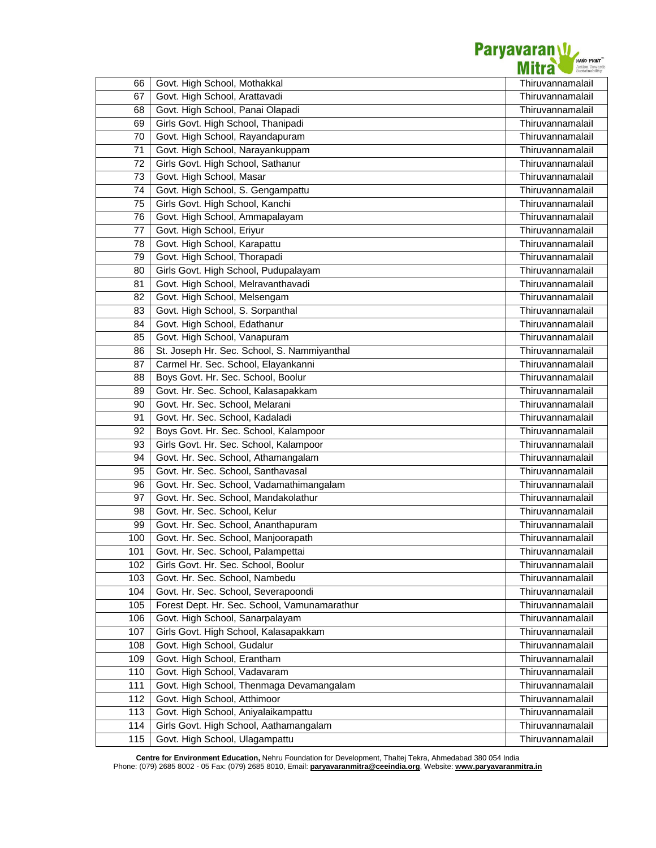

| 66  | Govt. High School, Mothakkal                 | Thiruvannamalail |
|-----|----------------------------------------------|------------------|
| 67  | Govt. High School, Arattavadi                | Thiruvannamalail |
| 68  | Govt. High School, Panai Olapadi             | Thiruvannamalail |
| 69  | Girls Govt. High School, Thanipadi           | Thiruvannamalail |
| 70  | Govt. High School, Rayandapuram              | Thiruvannamalail |
| 71  | Govt. High School, Narayankuppam             | Thiruvannamalail |
| 72  | Girls Govt. High School, Sathanur            | Thiruvannamalail |
| 73  | Govt. High School, Masar                     | Thiruvannamalail |
| 74  | Govt. High School, S. Gengampattu            | Thiruvannamalail |
| 75  | Girls Govt. High School, Kanchi              | Thiruvannamalail |
| 76  | Govt. High School, Ammapalayam               | Thiruvannamalail |
| 77  | Govt. High School, Eriyur                    | Thiruvannamalail |
| 78  | Govt. High School, Karapattu                 | Thiruvannamalail |
| 79  | Govt. High School, Thorapadi                 | Thiruvannamalail |
| 80  | Girls Govt. High School, Pudupalayam         | Thiruvannamalail |
| 81  | Govt. High School, Melravanthavadi           | Thiruvannamalail |
| 82  | Govt. High School, Melsengam                 | Thiruvannamalail |
| 83  | Govt. High School, S. Sorpanthal             | Thiruvannamalail |
| 84  | Govt. High School, Edathanur                 | Thiruvannamalail |
| 85  | Govt. High School, Vanapuram                 | Thiruvannamalail |
| 86  | St. Joseph Hr. Sec. School, S. Nammiyanthal  | Thiruvannamalail |
| 87  | Carmel Hr. Sec. School, Elayankanni          | Thiruvannamalail |
| 88  | Boys Govt. Hr. Sec. School, Boolur           | Thiruvannamalail |
| 89  | Govt. Hr. Sec. School, Kalasapakkam          | Thiruvannamalail |
| 90  | Govt. Hr. Sec. School, Melarani              | Thiruvannamalail |
| 91  | Govt. Hr. Sec. School, Kadaladi              | Thiruvannamalail |
| 92  | Boys Govt. Hr. Sec. School, Kalampoor        | Thiruvannamalail |
| 93  | Girls Govt. Hr. Sec. School, Kalampoor       | Thiruvannamalail |
| 94  | Govt. Hr. Sec. School, Athamangalam          | Thiruvannamalail |
| 95  | Govt. Hr. Sec. School, Santhavasal           | Thiruvannamalail |
| 96  | Govt. Hr. Sec. School, Vadamathimangalam     | Thiruvannamalail |
| 97  | Govt. Hr. Sec. School, Mandakolathur         | Thiruvannamalail |
| 98  | Govt. Hr. Sec. School, Kelur                 | Thiruvannamalail |
| 99  | Govt. Hr. Sec. School, Ananthapuram          | Thiruvannamalail |
| 100 | Govt. Hr. Sec. School, Manjoorapath          | Thiruvannamalail |
| 101 | Govt. Hr. Sec. School, Palampettai           | Thiruvannamalail |
| 102 | Girls Govt. Hr. Sec. School, Boolur          | Thiruvannamalail |
| 103 | Govt. Hr. Sec. School, Nambedu               | Thiruvannamalail |
| 104 | Govt. Hr. Sec. School, Severapoondi          | Thiruvannamalail |
| 105 | Forest Dept. Hr. Sec. School, Vamunamarathur | Thiruvannamalail |
| 106 | Govt. High School, Sanarpalayam              | Thiruvannamalail |
| 107 | Girls Govt. High School, Kalasapakkam        | Thiruvannamalail |
| 108 | Govt. High School, Gudalur                   | Thiruvannamalail |
| 109 | Govt. High School, Erantham                  | Thiruvannamalail |
| 110 | Govt. High School, Vadavaram                 | Thiruvannamalail |
| 111 | Govt. High School, Thenmaga Devamangalam     | Thiruvannamalail |
| 112 | Govt. High School, Atthimoor                 | Thiruvannamalail |
| 113 | Govt. High School, Aniyalaikampattu          | Thiruvannamalail |
| 114 | Girls Govt. High School, Aathamangalam       | Thiruvannamalail |
| 115 | Govt. High School, Ulagampattu               | Thiruvannamalail |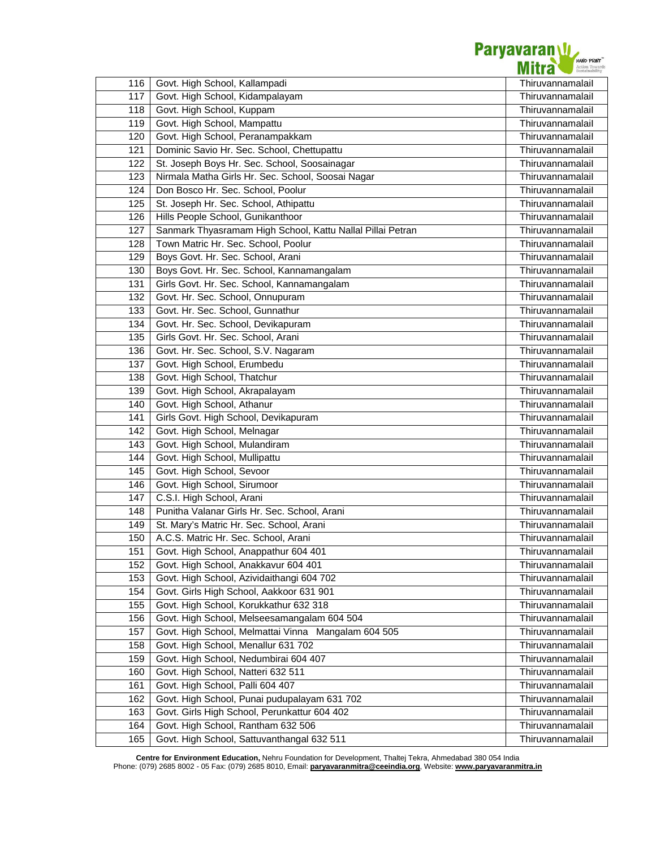

| 116 | Govt. High School, Kallampadi                              | Thiruvannamalail |
|-----|------------------------------------------------------------|------------------|
| 117 | Govt. High School, Kidampalayam                            | Thiruvannamalail |
| 118 | Govt. High School, Kuppam                                  | Thiruvannamalail |
| 119 | Govt. High School, Mampattu                                | Thiruvannamalail |
| 120 | Govt. High School, Peranampakkam                           | Thiruvannamalail |
| 121 | Dominic Savio Hr. Sec. School, Chettupattu                 | Thiruvannamalail |
| 122 | St. Joseph Boys Hr. Sec. School, Soosainagar               | Thiruvannamalail |
| 123 | Nirmala Matha Girls Hr. Sec. School, Soosai Nagar          | Thiruvannamalail |
| 124 | Don Bosco Hr. Sec. School, Poolur                          | Thiruvannamalail |
| 125 | St. Joseph Hr. Sec. School, Athipattu                      | Thiruvannamalail |
| 126 | Hills People School, Gunikanthoor                          | Thiruvannamalail |
| 127 | Sanmark Thyasramam High School, Kattu Nallal Pillai Petran | Thiruvannamalail |
| 128 | Town Matric Hr. Sec. School, Poolur                        | Thiruvannamalail |
| 129 | Boys Govt. Hr. Sec. School, Arani                          | Thiruvannamalail |
| 130 | Boys Govt. Hr. Sec. School, Kannamangalam                  | Thiruvannamalail |
| 131 | Girls Govt. Hr. Sec. School, Kannamangalam                 | Thiruvannamalail |
| 132 | Govt. Hr. Sec. School, Onnupuram                           | Thiruvannamalail |
| 133 | Govt. Hr. Sec. School, Gunnathur                           | Thiruvannamalail |
| 134 | Govt. Hr. Sec. School, Devikapuram                         | Thiruvannamalail |
| 135 | Girls Govt. Hr. Sec. School, Arani                         | Thiruvannamalail |
| 136 | Govt. Hr. Sec. School, S.V. Nagaram                        | Thiruvannamalail |
| 137 | Govt. High School, Erumbedu                                | Thiruvannamalail |
| 138 | Govt. High School, Thatchur                                | Thiruvannamalail |
| 139 | Govt. High School, Akrapalayam                             | Thiruvannamalail |
| 140 | Govt. High School, Athanur                                 | Thiruvannamalail |
| 141 | Girls Govt. High School, Devikapuram                       | Thiruvannamalail |
| 142 | Govt. High School, Melnagar                                | Thiruvannamalail |
| 143 | Govt. High School, Mulandiram                              | Thiruvannamalail |
| 144 | Govt. High School, Mullipattu                              | Thiruvannamalail |
| 145 | Govt. High School, Sevoor                                  | Thiruvannamalail |
| 146 | Govt. High School, Sirumoor                                | Thiruvannamalail |
| 147 | C.S.I. High School, Arani                                  | Thiruvannamalail |
| 148 | Punitha Valanar Girls Hr. Sec. School, Arani               | Thiruvannamalail |
| 149 | St. Mary's Matric Hr. Sec. School, Arani                   | Thiruvannamalail |
| 150 | A.C.S. Matric Hr. Sec. School, Arani                       | Thiruvannamalail |
| 151 | Govt. High School, Anappathur 604 401                      | Thiruvannamalail |
| 152 | Govt. High School, Anakkavur 604 401                       | Thiruvannamalail |
| 153 | Govt. High School, Azividaithangi 604 702                  | Thiruvannamalail |
| 154 | Govt. Girls High School, Aakkoor 631 901                   | Thiruvannamalail |
| 155 | Govt. High School, Korukkathur 632 318                     | Thiruvannamalail |
| 156 | Govt. High School, Melseesamangalam 604 504                | Thiruvannamalail |
| 157 | Govt. High School, Melmattai Vinna Mangalam 604 505        | Thiruvannamalail |
| 158 | Govt. High School, Menallur 631 702                        | Thiruvannamalail |
| 159 | Govt. High School, Nedumbirai 604 407                      | Thiruvannamalail |
| 160 | Govt. High School, Natteri 632 511                         | Thiruvannamalail |
| 161 | Govt. High School, Palli 604 407                           | Thiruvannamalail |
| 162 | Govt. High School, Punai pudupalayam 631 702               | Thiruvannamalail |
| 163 | Govt. Girls High School, Perunkattur 604 402               | Thiruvannamalail |
| 164 | Govt. High School, Rantham 632 506                         | Thiruvannamalail |
| 165 | Govt. High School, Sattuvanthangal 632 511                 | Thiruvannamalail |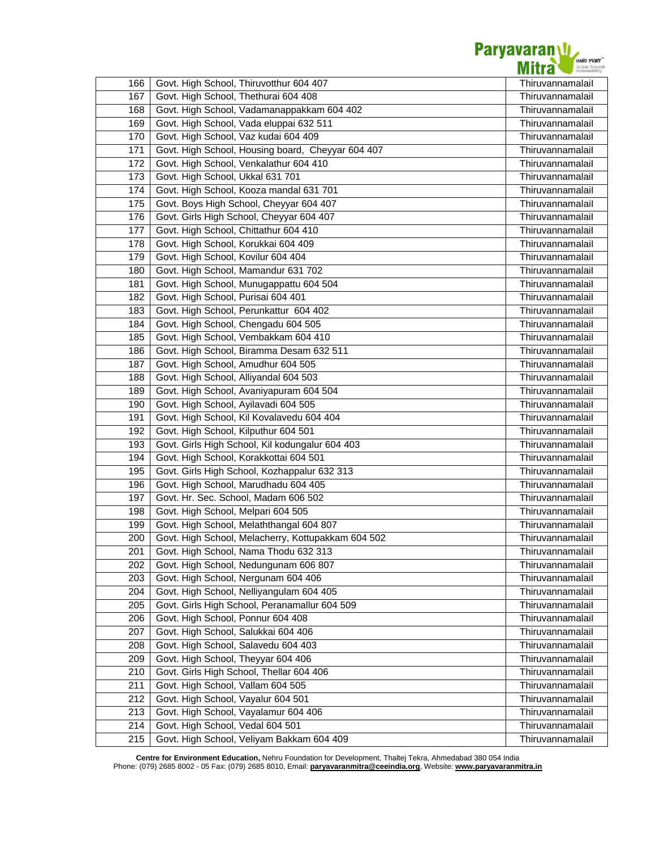

|            | Govt. High School, Thiruvotthur 604 407            |                                      |
|------------|----------------------------------------------------|--------------------------------------|
| 166        | Govt. High School, Thethurai 604 408               | Thiruvannamalail<br>Thiruvannamalail |
| 167<br>168 | Govt. High School, Vadamanappakkam 604 402         | Thiruvannamalail                     |
|            | Govt. High School, Vada eluppai 632 511            | Thiruvannamalail                     |
| 169        | Govt. High School, Vaz kudai 604 409               | Thiruvannamalail                     |
| 170<br>171 | Govt. High School, Housing board, Cheyyar 604 407  | Thiruvannamalail                     |
|            | Govt. High School, Venkalathur 604 410             |                                      |
| 172<br>173 | Govt. High School, Ukkal 631 701                   | Thiruvannamalail<br>Thiruvannamalail |
| 174        | Govt. High School, Kooza mandal 631 701            | Thiruvannamalail                     |
| 175        | Govt. Boys High School, Cheyyar 604 407            | Thiruvannamalail                     |
| 176        | Govt. Girls High School, Cheyyar 604 407           | Thiruvannamalail                     |
| 177        | Govt. High School, Chittathur 604 410              | Thiruvannamalail                     |
| 178        | Govt. High School, Korukkai 604 409                | Thiruvannamalail                     |
| 179        | Govt. High School, Kovilur 604 404                 | Thiruvannamalail                     |
| 180        | Govt. High School, Mamandur 631 702                | Thiruvannamalail                     |
| 181        | Govt. High School, Munugappattu 604 504            | Thiruvannamalail                     |
| 182        | Govt. High School, Purisai 604 401                 | Thiruvannamalail                     |
| 183        | Govt. High School, Perunkattur 604 402             | Thiruvannamalail                     |
| 184        | Govt. High School, Chengadu 604 505                | Thiruvannamalail                     |
| 185        | Govt. High School, Vembakkam 604 410               | Thiruvannamalail                     |
| 186        | Govt. High School, Biramma Desam 632 511           | Thiruvannamalail                     |
| 187        | Govt. High School, Amudhur 604 505                 | Thiruvannamalail                     |
| 188        | Govt. High School, Alliyandal 604 503              | Thiruvannamalail                     |
| 189        | Govt. High School, Avaniyapuram 604 504            | Thiruvannamalail                     |
| 190        | Govt. High School, Ayilavadi 604 505               | Thiruvannamalail                     |
| 191        | Govt. High School, Kil Kovalavedu 604 404          | Thiruvannamalail                     |
| 192        | Govt. High School, Kilputhur 604 501               | Thiruvannamalail                     |
| 193        | Govt. Girls High School, Kil kodungalur 604 403    | Thiruvannamalail                     |
| 194        | Govt. High School, Korakkottai 604 501             | Thiruvannamalail                     |
| 195        | Govt. Girls High School, Kozhappalur 632 313       | Thiruvannamalail                     |
| 196        | Govt. High School, Marudhadu 604 405               | Thiruvannamalail                     |
| 197        | Govt. Hr. Sec. School, Madam 606 502               | Thiruvannamalail                     |
| 198        | Govt. High School, Melpari 604 505                 | Thiruvannamalail                     |
| 199        | Govt. High School, Melaththangal 604 807           | Thiruvannamalail                     |
| 200        | Govt. High School, Melacherry, Kottupakkam 604 502 | Thiruvannamalail                     |
| 201        | Govt. High School, Nama Thodu 632 313              | Thiruvannamalail                     |
| 202        | Govt. High School, Nedungunam 606 807              | Thiruvannamalail                     |
| 203        | Govt. High School, Nergunam 604 406                | Thiruvannamalail                     |
| 204        | Govt. High School, Nelliyangulam 604 405           | Thiruvannamalail                     |
| 205        | Govt. Girls High School, Peranamallur 604 509      | Thiruvannamalail                     |
| 206        | Govt. High School, Ponnur 604 408                  | Thiruvannamalail                     |
| 207        | Govt. High School, Salukkai 604 406                | Thiruvannamalail                     |
| 208        | Govt. High School, Salavedu 604 403                | Thiruvannamalail                     |
| 209        | Govt. High School, Theyyar 604 406                 | Thiruvannamalail                     |
| 210        | Govt. Girls High School, Thellar 604 406           | Thiruvannamalail                     |
| 211        | Govt. High School, Vallam 604 505                  | Thiruvannamalail                     |
| 212        | Govt. High School, Vayalur 604 501                 | Thiruvannamalail                     |
| 213        | Govt. High School, Vayalamur 604 406               | Thiruvannamalail                     |
| 214        | Govt. High School, Vedal 604 501                   | Thiruvannamalail                     |
| 215        | Govt. High School, Veliyam Bakkam 604 409          | Thiruvannamalail                     |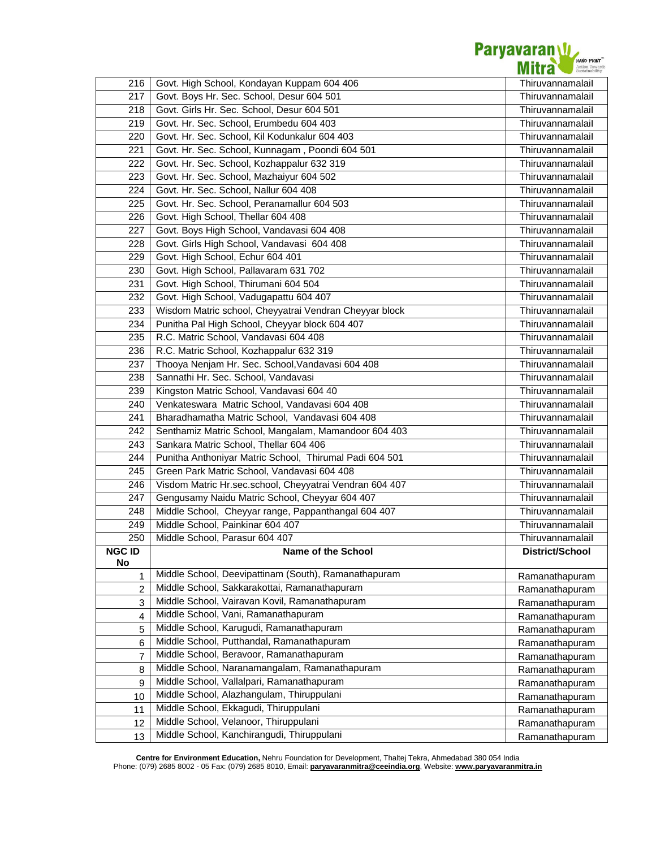

| 216           | Govt. High School, Kondayan Kuppam 604 406                                           | Thiruvannamalail |
|---------------|--------------------------------------------------------------------------------------|------------------|
| 217           | Govt. Boys Hr. Sec. School, Desur 604 501                                            | Thiruvannamalail |
| 218           | Govt. Girls Hr. Sec. School, Desur 604 501                                           | Thiruvannamalail |
| 219           | Govt. Hr. Sec. School, Erumbedu 604 403                                              | Thiruvannamalail |
| 220           | Govt. Hr. Sec. School, Kil Kodunkalur 604 403                                        | Thiruvannamalail |
| 221           | Govt. Hr. Sec. School, Kunnagam, Poondi 604 501                                      | Thiruvannamalail |
| 222           | Govt. Hr. Sec. School, Kozhappalur 632 319                                           | Thiruvannamalail |
| 223           | Govt. Hr. Sec. School, Mazhaiyur 604 502                                             | Thiruvannamalail |
| 224           | Govt. Hr. Sec. School, Nallur 604 408                                                | Thiruvannamalail |
| 225           | Govt. Hr. Sec. School, Peranamallur 604 503                                          | Thiruvannamalail |
| 226           | Govt. High School, Thellar 604 408                                                   | Thiruvannamalail |
| 227           | Govt. Boys High School, Vandavasi 604 408                                            | Thiruvannamalail |
| 228           | Govt. Girls High School, Vandavasi 604 408                                           | Thiruvannamalail |
| 229           | Govt. High School, Echur 604 401                                                     | Thiruvannamalail |
| 230           | Govt. High School, Pallavaram 631 702                                                | Thiruvannamalail |
| 231           | Govt. High School, Thirumani 604 504                                                 | Thiruvannamalail |
| 232           | Govt. High School, Vadugapattu 604 407                                               | Thiruvannamalail |
| 233           | Wisdom Matric school, Cheyyatrai Vendran Cheyyar block                               | Thiruvannamalail |
| 234           | Punitha Pal High School, Cheyyar block 604 407                                       | Thiruvannamalail |
| 235           | R.C. Matric School, Vandavasi 604 408                                                | Thiruvannamalail |
| 236           | R.C. Matric School, Kozhappalur 632 319                                              | Thiruvannamalail |
| 237           | Thooya Nenjam Hr. Sec. School, Vandavasi 604 408                                     | Thiruvannamalail |
| 238           | Sannathi Hr. Sec. School, Vandavasi                                                  | Thiruvannamalail |
| 239           | Kingston Matric School, Vandavasi 604 40                                             | Thiruvannamalail |
| 240           | Venkateswara Matric School, Vandavasi 604 408                                        | Thiruvannamalail |
| 241           | Bharadhamatha Matric School, Vandavasi 604 408                                       | Thiruvannamalail |
| 242           | Senthamiz Matric School, Mangalam, Mamandoor 604 403                                 | Thiruvannamalail |
| 243           | Sankara Matric School, Thellar 604 406                                               | Thiruvannamalail |
| 244           | Punitha Anthoniyar Matric School, Thirumal Padi 604 501                              | Thiruvannamalail |
| 245           | Green Park Matric School, Vandavasi 604 408                                          | Thiruvannamalail |
| 246           | Visdom Matric Hr.sec.school, Cheyyatrai Vendran 604 407                              | Thiruvannamalail |
| 247           | Gengusamy Naidu Matric School, Cheyyar 604 407                                       | Thiruvannamalail |
| 248           | Middle School, Cheyyar range, Pappanthangal 604 407                                  | Thiruvannamalail |
| 249           | Middle School, Painkinar 604 407                                                     | Thiruvannamalail |
| 250           | Middle School, Parasur 604 407                                                       | Thiruvannamalail |
| <b>NGC ID</b> | Name of the School                                                                   | District/School  |
| No            |                                                                                      |                  |
| 1             | Middle School, Deevipattinam (South), Ramanathapuram                                 | Ramanathapuram   |
| 2             | Middle School, Sakkarakottai, Ramanathapuram                                         | Ramanathapuram   |
| 3             | Middle School, Vairavan Kovil, Ramanathapuram<br>Middle School, Vani, Ramanathapuram | Ramanathapuram   |
| 4             | Middle School, Karugudi, Ramanathapuram                                              | Ramanathapuram   |
| 5             | Middle School, Putthandal, Ramanathapuram                                            | Ramanathapuram   |
| 6             | Middle School, Beravoor, Ramanathapuram                                              | Ramanathapuram   |
| 7             | Middle School, Naranamangalam, Ramanathapuram                                        | Ramanathapuram   |
| 8             | Middle School, Vallalpari, Ramanathapuram                                            | Ramanathapuram   |
| 9             | Middle School, Alazhangulam, Thiruppulani                                            | Ramanathapuram   |
| 10            | Middle School, Ekkagudi, Thiruppulani                                                | Ramanathapuram   |
| 11            | Middle School, Velanoor, Thiruppulani                                                | Ramanathapuram   |
| 12            | Middle School, Kanchirangudi, Thiruppulani                                           | Ramanathapuram   |
| 13            |                                                                                      | Ramanathapuram   |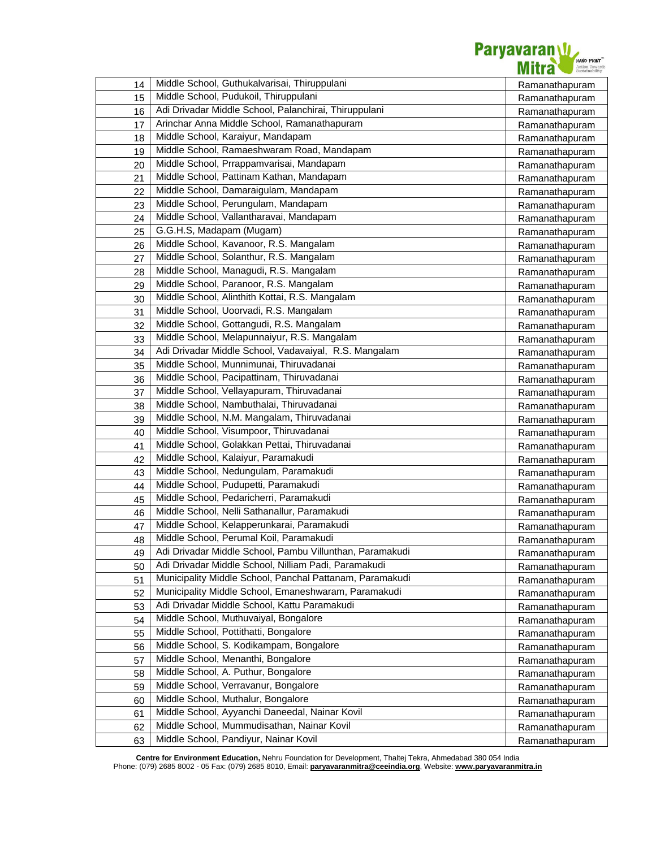

| 14 | Middle School, Guthukalvarisai, Thiruppulani             | Ramanathapuram |
|----|----------------------------------------------------------|----------------|
| 15 | Middle School, Pudukoil, Thiruppulani                    | Ramanathapuram |
| 16 | Adi Drivadar Middle School, Palanchirai, Thiruppulani    | Ramanathapuram |
| 17 | Arinchar Anna Middle School, Ramanathapuram              | Ramanathapuram |
| 18 | Middle School, Karaiyur, Mandapam                        | Ramanathapuram |
| 19 | Middle School, Ramaeshwaram Road, Mandapam               | Ramanathapuram |
| 20 | Middle School, Prrappamvarisai, Mandapam                 | Ramanathapuram |
| 21 | Middle School, Pattinam Kathan, Mandapam                 | Ramanathapuram |
| 22 | Middle School, Damaraigulam, Mandapam                    | Ramanathapuram |
| 23 | Middle School, Perungulam, Mandapam                      | Ramanathapuram |
| 24 | Middle School, Vallantharavai, Mandapam                  | Ramanathapuram |
| 25 | G.G.H.S, Madapam (Mugam)                                 | Ramanathapuram |
| 26 | Middle School, Kavanoor, R.S. Mangalam                   | Ramanathapuram |
| 27 | Middle School, Solanthur, R.S. Mangalam                  | Ramanathapuram |
| 28 | Middle School, Managudi, R.S. Mangalam                   | Ramanathapuram |
| 29 | Middle School, Paranoor, R.S. Mangalam                   | Ramanathapuram |
| 30 | Middle School, Alinthith Kottai, R.S. Mangalam           | Ramanathapuram |
| 31 | Middle School, Uoorvadi, R.S. Mangalam                   | Ramanathapuram |
| 32 | Middle School, Gottangudi, R.S. Mangalam                 | Ramanathapuram |
| 33 | Middle School, Melapunnaiyur, R.S. Mangalam              | Ramanathapuram |
| 34 | Adi Drivadar Middle School, Vadavaiyal, R.S. Mangalam    | Ramanathapuram |
| 35 | Middle School, Munnimunai, Thiruvadanai                  | Ramanathapuram |
| 36 | Middle School, Pacipattinam, Thiruvadanai                | Ramanathapuram |
| 37 | Middle School, Vellayapuram, Thiruvadanai                | Ramanathapuram |
| 38 | Middle School, Nambuthalai, Thiruvadanai                 | Ramanathapuram |
| 39 | Middle School, N.M. Mangalam, Thiruvadanai               | Ramanathapuram |
| 40 | Middle School, Visumpoor, Thiruvadanai                   | Ramanathapuram |
| 41 | Middle School, Golakkan Pettai, Thiruvadanai             | Ramanathapuram |
| 42 | Middle School, Kalaiyur, Paramakudi                      | Ramanathapuram |
| 43 | Middle School, Nedungulam, Paramakudi                    | Ramanathapuram |
| 44 | Middle School, Pudupetti, Paramakudi                     | Ramanathapuram |
| 45 | Middle School, Pedaricherri, Paramakudi                  | Ramanathapuram |
| 46 | Middle School, Nelli Sathanallur, Paramakudi             | Ramanathapuram |
| 47 | Middle School, Kelapperunkarai, Paramakudi               | Ramanathapuram |
| 48 | Middle School, Perumal Koil, Paramakudi                  | Ramanathapuram |
| 49 | Adi Drivadar Middle School, Pambu Villunthan, Paramakudi | Ramanathapuram |
| 50 | Adi Drivadar Middle School, Nilliam Padi, Paramakudi     | Ramanathapuram |
| 51 | Municipality Middle School, Panchal Pattanam, Paramakudi | Ramanathapuram |
| 52 | Municipality Middle School, Emaneshwaram, Paramakudi     | Ramanathapuram |
| 53 | Adi Drivadar Middle School, Kattu Paramakudi             | Ramanathapuram |
| 54 | Middle School, Muthuvaiyal, Bongalore                    | Ramanathapuram |
| 55 | Middle School, Pottithatti, Bongalore                    | Ramanathapuram |
| 56 | Middle School, S. Kodikampam, Bongalore                  | Ramanathapuram |
| 57 | Middle School, Menanthi, Bongalore                       | Ramanathapuram |
| 58 | Middle School, A. Puthur, Bongalore                      | Ramanathapuram |
| 59 | Middle School, Verravanur, Bongalore                     | Ramanathapuram |
| 60 | Middle School, Muthalur, Bongalore                       | Ramanathapuram |
| 61 | Middle School, Ayyanchi Daneedal, Nainar Kovil           | Ramanathapuram |
| 62 | Middle School, Mummudisathan, Nainar Kovil               | Ramanathapuram |
| 63 | Middle School, Pandiyur, Nainar Kovil                    | Ramanathapuram |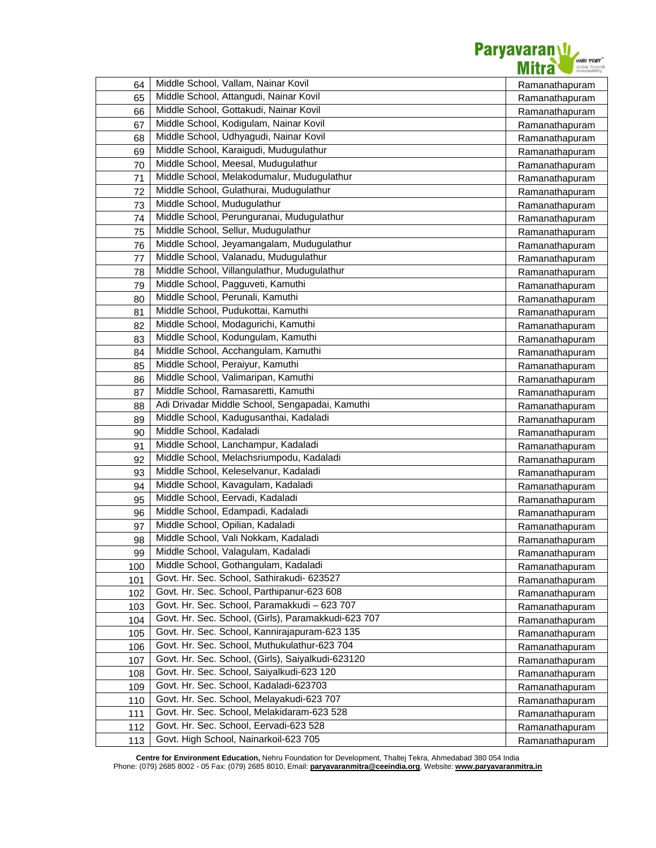

| 64  | Middle School, Vallam, Nainar Kovil                 | Ramanathapuram |
|-----|-----------------------------------------------------|----------------|
| 65  | Middle School, Attangudi, Nainar Kovil              | Ramanathapuram |
| 66  | Middle School, Gottakudi, Nainar Kovil              | Ramanathapuram |
| 67  | Middle School, Kodigulam, Nainar Kovil              | Ramanathapuram |
| 68  | Middle School, Udhyagudi, Nainar Kovil              | Ramanathapuram |
| 69  | Middle School, Karaigudi, Mudugulathur              | Ramanathapuram |
| 70  | Middle School, Meesal, Mudugulathur                 | Ramanathapuram |
| 71  | Middle School, Melakodumalur, Mudugulathur          | Ramanathapuram |
| 72  | Middle School, Gulathurai, Mudugulathur             | Ramanathapuram |
| 73  | Middle School, Mudugulathur                         | Ramanathapuram |
| 74  | Middle School, Perunguranai, Mudugulathur           | Ramanathapuram |
| 75  | Middle School, Sellur, Mudugulathur                 | Ramanathapuram |
| 76  | Middle School, Jeyamangalam, Mudugulathur           | Ramanathapuram |
| 77  | Middle School, Valanadu, Mudugulathur               | Ramanathapuram |
| 78  | Middle School, Villangulathur, Mudugulathur         | Ramanathapuram |
| 79  | Middle School, Pagguveti, Kamuthi                   | Ramanathapuram |
| 80  | Middle School, Perunali, Kamuthi                    | Ramanathapuram |
| 81  | Middle School, Pudukottai, Kamuthi                  | Ramanathapuram |
| 82  | Middle School, Modagurichi, Kamuthi                 | Ramanathapuram |
| 83  | Middle School, Kodungulam, Kamuthi                  | Ramanathapuram |
| 84  | Middle School, Acchangulam, Kamuthi                 | Ramanathapuram |
| 85  | Middle School, Peraiyur, Kamuthi                    | Ramanathapuram |
| 86  | Middle School, Valimaripan, Kamuthi                 | Ramanathapuram |
| 87  | Middle School, Ramasaretti, Kamuthi                 | Ramanathapuram |
| 88  | Adi Drivadar Middle School, Sengapadai, Kamuthi     | Ramanathapuram |
| 89  | Middle School, Kadugusanthai, Kadaladi              | Ramanathapuram |
| 90  | Middle School, Kadaladi                             | Ramanathapuram |
| 91  | Middle School, Lanchampur, Kadaladi                 | Ramanathapuram |
| 92  | Middle School, Melachsriumpodu, Kadaladi            | Ramanathapuram |
| 93  | Middle School, Keleselvanur, Kadaladi               | Ramanathapuram |
| 94  | Middle School, Kavagulam, Kadaladi                  | Ramanathapuram |
| 95  | Middle School, Eervadi, Kadaladi                    | Ramanathapuram |
| 96  | Middle School, Edampadi, Kadaladi                   | Ramanathapuram |
| 97  | Middle School, Opilian, Kadaladi                    | Ramanathapuram |
| 98  | Middle School, Vali Nokkam, Kadaladi                | Ramanathapuram |
| 99  | Middle School, Valagulam, Kadaladi                  | Ramanathapuram |
| 100 | Middle School, Gothangulam, Kadaladi                | Ramanathapuram |
| 101 | Govt. Hr. Sec. School, Sathirakudi- 623527          | Ramanathapuram |
| 102 | Govt. Hr. Sec. School, Parthipanur-623 608          | Ramanathapuram |
| 103 | Govt. Hr. Sec. School, Paramakkudi - 623 707        | Ramanathapuram |
| 104 | Govt. Hr. Sec. School, (Girls), Paramakkudi-623 707 | Ramanathapuram |
| 105 | Govt. Hr. Sec. School, Kannirajapuram-623 135       | Ramanathapuram |
| 106 | Govt. Hr. Sec. School, Muthukulathur-623 704        | Ramanathapuram |
| 107 | Govt. Hr. Sec. School, (Girls), Saiyalkudi-623120   | Ramanathapuram |
| 108 | Govt. Hr. Sec. School, Saiyalkudi-623 120           | Ramanathapuram |
| 109 | Govt. Hr. Sec. School, Kadaladi-623703              | Ramanathapuram |
| 110 | Govt. Hr. Sec. School, Melayakudi-623 707           | Ramanathapuram |
| 111 | Govt. Hr. Sec. School, Melakidaram-623 528          | Ramanathapuram |
| 112 | Govt. Hr. Sec. School, Eervadi-623 528              | Ramanathapuram |
| 113 | Govt. High School, Nainarkoil-623 705               | Ramanathapuram |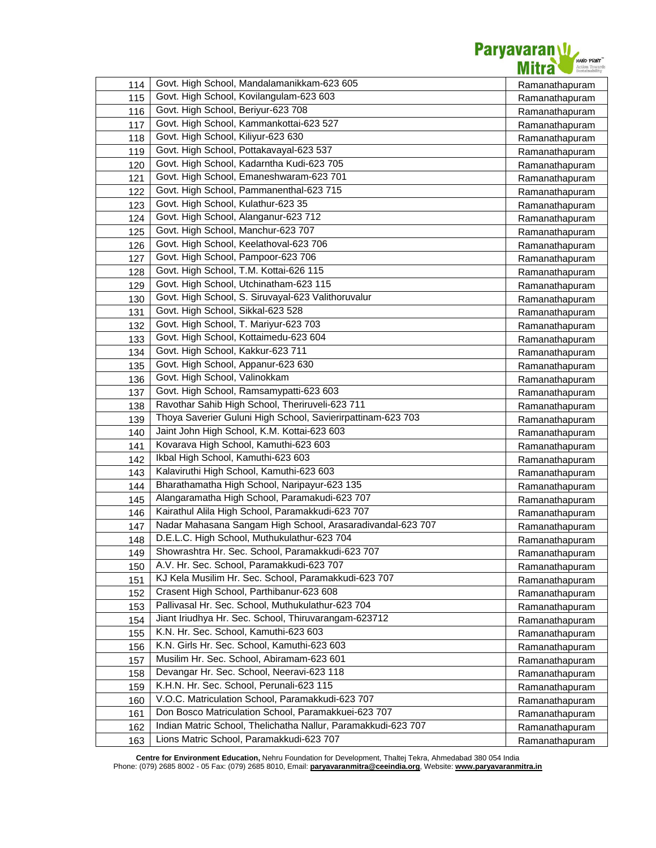

| 114 | Govt. High School, Mandalamanikkam-623 605                    | Ramanathapuram |
|-----|---------------------------------------------------------------|----------------|
| 115 | Govt. High School, Kovilangulam-623 603                       | Ramanathapuram |
| 116 | Govt. High School, Beriyur-623 708                            | Ramanathapuram |
| 117 | Govt. High School, Kammankottai-623 527                       | Ramanathapuram |
| 118 | Govt. High School, Kiliyur-623 630                            | Ramanathapuram |
| 119 | Govt. High School, Pottakavayal-623 537                       | Ramanathapuram |
| 120 | Govt. High School, Kadarntha Kudi-623 705                     | Ramanathapuram |
| 121 | Govt. High School, Emaneshwaram-623 701                       | Ramanathapuram |
| 122 | Govt. High School, Pammanenthal-623 715                       | Ramanathapuram |
| 123 | Govt. High School, Kulathur-623 35                            | Ramanathapuram |
| 124 | Govt. High School, Alanganur-623 712                          | Ramanathapuram |
| 125 | Govt. High School, Manchur-623 707                            | Ramanathapuram |
| 126 | Govt. High School, Keelathoval-623 706                        | Ramanathapuram |
| 127 | Govt. High School, Pampoor-623 706                            | Ramanathapuram |
| 128 | Govt. High School, T.M. Kottai-626 115                        | Ramanathapuram |
| 129 | Govt. High School, Utchinatham-623 115                        | Ramanathapuram |
| 130 | Govt. High School, S. Siruvayal-623 Valithoruvalur            | Ramanathapuram |
| 131 | Govt. High School, Sikkal-623 528                             | Ramanathapuram |
| 132 | Govt. High School, T. Mariyur-623 703                         | Ramanathapuram |
| 133 | Govt. High School, Kottaimedu-623 604                         | Ramanathapuram |
| 134 | Govt. High School, Kakkur-623 711                             | Ramanathapuram |
| 135 | Govt. High School, Appanur-623 630                            | Ramanathapuram |
| 136 | Govt. High School, Valinokkam                                 | Ramanathapuram |
| 137 | Govt. High School, Ramsamypatti-623 603                       | Ramanathapuram |
| 138 | Ravothar Sahib High School, Theriruveli-623 711               | Ramanathapuram |
| 139 | Thoya Saverier Guluni High School, Savierirpattinam-623 703   | Ramanathapuram |
| 140 | Jaint John High School, K.M. Kottai-623 603                   | Ramanathapuram |
| 141 | Kovarava High School, Kamuthi-623 603                         | Ramanathapuram |
| 142 | Ikbal High School, Kamuthi-623 603                            | Ramanathapuram |
| 143 | Kalaviruthi High School, Kamuthi-623 603                      | Ramanathapuram |
| 144 | Bharathamatha High School, Naripayur-623 135                  | Ramanathapuram |
| 145 | Alangaramatha High School, Paramakudi-623 707                 | Ramanathapuram |
| 146 | Kairathul Alila High School, Paramakkudi-623 707              | Ramanathapuram |
| 147 | Nadar Mahasana Sangam High School, Arasaradivandal-623 707    | Ramanathapuram |
| 148 | D.E.L.C. High School, Muthukulathur-623 704                   | Ramanathapuram |
| 149 | Showrashtra Hr. Sec. School, Paramakkudi-623 707              | Ramanathapuram |
| 150 | A.V. Hr. Sec. School, Paramakkudi-623 707                     | Ramanathapuram |
| 151 | KJ Kela Musilim Hr. Sec. School, Paramakkudi-623 707          | Ramanathapuram |
| 152 | Crasent High School, Parthibanur-623 608                      | Ramanathapuram |
| 153 | Pallivasal Hr. Sec. School, Muthukulathur-623 704             | Ramanathapuram |
| 154 | Jiant Iriudhya Hr. Sec. School, Thiruvarangam-623712          | Ramanathapuram |
| 155 | K.N. Hr. Sec. School, Kamuthi-623 603                         | Ramanathapuram |
| 156 | K.N. Girls Hr. Sec. School, Kamuthi-623 603                   | Ramanathapuram |
| 157 | Musilim Hr. Sec. School, Abiramam-623 601                     | Ramanathapuram |
| 158 | Devangar Hr. Sec. School, Neeravi-623 118                     | Ramanathapuram |
| 159 | K.H.N. Hr. Sec. School, Perunali-623 115                      | Ramanathapuram |
| 160 | V.O.C. Matriculation School, Paramakkudi-623 707              | Ramanathapuram |
| 161 | Don Bosco Matriculation School, Paramakkuei-623 707           | Ramanathapuram |
| 162 | Indian Matric School, Thelichatha Nallur, Paramakkudi-623 707 | Ramanathapuram |
| 163 | Lions Matric School, Paramakkudi-623 707                      | Ramanathapuram |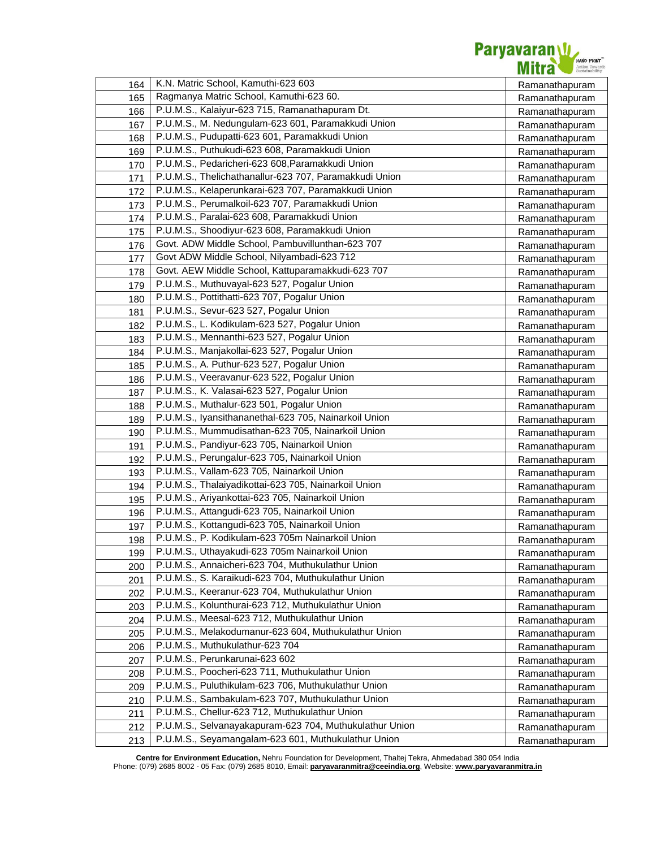

| 164        | K.N. Matric School, Kamuthi-623 603                               | Ramanathapuram |
|------------|-------------------------------------------------------------------|----------------|
| 165        | Ragmanya Matric School, Kamuthi-623 60.                           | Ramanathapuram |
| 166        | P.U.M.S., Kalaiyur-623 715, Ramanathapuram Dt.                    | Ramanathapuram |
| 167        | P.U.M.S., M. Nedungulam-623 601, Paramakkudi Union                | Ramanathapuram |
| 168        | P.U.M.S., Pudupatti-623 601, Paramakkudi Union                    | Ramanathapuram |
| 169        | P.U.M.S., Puthukudi-623 608, Paramakkudi Union                    | Ramanathapuram |
| 170        | P.U.M.S., Pedaricheri-623 608, Paramakkudi Union                  | Ramanathapuram |
| 171        | P.U.M.S., Thelichathanallur-623 707, Paramakkudi Union            | Ramanathapuram |
| 172        | P.U.M.S., Kelaperunkarai-623 707, Paramakkudi Union               | Ramanathapuram |
| 173        | P.U.M.S., Perumalkoil-623 707, Paramakkudi Union                  | Ramanathapuram |
| 174        | P.U.M.S., Paralai-623 608, Paramakkudi Union                      | Ramanathapuram |
| 175        | P.U.M.S., Shoodiyur-623 608, Paramakkudi Union                    | Ramanathapuram |
| 176        | Govt. ADW Middle School, Pambuvillunthan-623 707                  | Ramanathapuram |
| 177        | Govt ADW Middle School, Nilyambadi-623 712                        | Ramanathapuram |
| 178        | Govt. AEW Middle School, Kattuparamakkudi-623 707                 | Ramanathapuram |
| 179        | P.U.M.S., Muthuvayal-623 527, Pogalur Union                       | Ramanathapuram |
| 180        | P.U.M.S., Pottithatti-623 707, Pogalur Union                      | Ramanathapuram |
| 181        | P.U.M.S., Sevur-623 527, Pogalur Union                            | Ramanathapuram |
| 182        | P.U.M.S., L. Kodikulam-623 527, Pogalur Union                     | Ramanathapuram |
| 183        | P.U.M.S., Mennanthi-623 527, Pogalur Union                        | Ramanathapuram |
| 184        | P.U.M.S., Manjakollai-623 527, Pogalur Union                      | Ramanathapuram |
| 185        | P.U.M.S., A. Puthur-623 527, Pogalur Union                        | Ramanathapuram |
| 186        | P.U.M.S., Veeravanur-623 522, Pogalur Union                       | Ramanathapuram |
| 187        | P.U.M.S., K. Valasai-623 527, Pogalur Union                       | Ramanathapuram |
| 188        | P.U.M.S., Muthalur-623 501, Pogalur Union                         | Ramanathapuram |
| 189        | P.U.M.S., Iyansithananethal-623 705, Nainarkoil Union             | Ramanathapuram |
| 190        | P.U.M.S., Mummudisathan-623 705, Nainarkoil Union                 | Ramanathapuram |
| 191        | P.U.M.S., Pandiyur-623 705, Nainarkoil Union                      | Ramanathapuram |
| 192        | P.U.M.S., Perungalur-623 705, Nainarkoil Union                    | Ramanathapuram |
| 193        | P.U.M.S., Vallam-623 705, Nainarkoil Union                        | Ramanathapuram |
| 194        | P.U.M.S., Thalaiyadikottai-623 705, Nainarkoil Union              | Ramanathapuram |
| 195        | P.U.M.S., Ariyankottai-623 705, Nainarkoil Union                  | Ramanathapuram |
| 196        | P.U.M.S., Attangudi-623 705, Nainarkoil Union                     | Ramanathapuram |
| 197        | P.U.M.S., Kottangudi-623 705, Nainarkoil Union                    | Ramanathapuram |
| 198        | P.U.M.S., P. Kodikulam-623 705m Nainarkoil Union                  | Ramanathapuram |
| 199        | P.U.M.S., Uthayakudi-623 705m Nainarkoil Union                    | Ramanathapuram |
| 200        | P.U.M.S., Annaicheri-623 704, Muthukulathur Union                 | Ramanathapuram |
| 201        | P.U.M.S., S. Karaikudi-623 704, Muthukulathur Union               | Ramanathapuram |
| 202        | P.U.M.S., Keeranur-623 704, Muthukulathur Union                   | Ramanathapuram |
| 203        | P.U.M.S., Kolunthurai-623 712, Muthukulathur Union                | Ramanathapuram |
| 204        | P.U.M.S., Meesal-623 712, Muthukulathur Union                     | Ramanathapuram |
| 205        | P.U.M.S., Melakodumanur-623 604, Muthukulathur Union              | Ramanathapuram |
| 206        | P.U.M.S., Muthukulathur-623 704<br>P.U.M.S., Perunkarunai-623 602 | Ramanathapuram |
| 207        | P.U.M.S., Poocheri-623 711, Muthukulathur Union                   | Ramanathapuram |
| 208        | P.U.M.S., Puluthikulam-623 706, Muthukulathur Union               | Ramanathapuram |
| 209        | P.U.M.S., Sambakulam-623 707, Muthukulathur Union                 | Ramanathapuram |
| 210        | P.U.M.S., Chellur-623 712, Muthukulathur Union                    | Ramanathapuram |
| 211        | P.U.M.S., Selvanayakapuram-623 704, Muthukulathur Union           | Ramanathapuram |
| 212<br>213 | P.U.M.S., Seyamangalam-623 601, Muthukulathur Union               | Ramanathapuram |
|            |                                                                   | Ramanathapuram |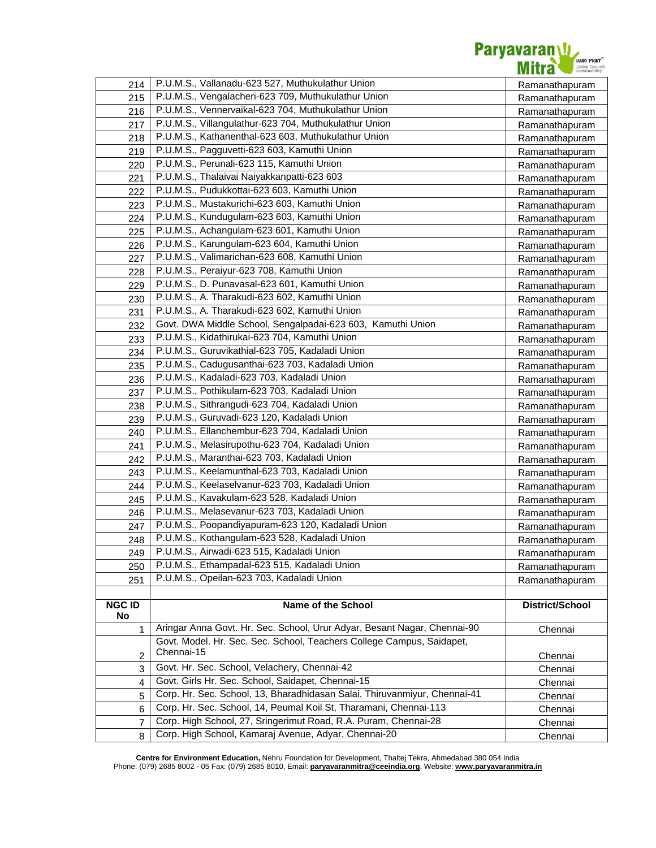

| 214           | P.U.M.S., Vallanadu-623 527, Muthukulathur Union                          | Ramanathapuram  |
|---------------|---------------------------------------------------------------------------|-----------------|
| 215           | P.U.M.S., Vengalacheri-623 709, Muthukulathur Union                       | Ramanathapuram  |
| 216           | P.U.M.S., Vennervaikal-623 704, Muthukulathur Union                       | Ramanathapuram  |
| 217           | P.U.M.S., Villangulathur-623 704, Muthukulathur Union                     | Ramanathapuram  |
| 218           | P.U.M.S., Kathanenthal-623 603, Muthukulathur Union                       | Ramanathapuram  |
| 219           | P.U.M.S., Pagguvetti-623 603, Kamuthi Union                               | Ramanathapuram  |
| 220           | P.U.M.S., Perunali-623 115, Kamuthi Union                                 | Ramanathapuram  |
| 221           | P.U.M.S., Thalaivai Naiyakkanpatti-623 603                                | Ramanathapuram  |
| 222           | P.U.M.S., Pudukkottai-623 603, Kamuthi Union                              | Ramanathapuram  |
| 223           | P.U.M.S., Mustakurichi-623 603, Kamuthi Union                             | Ramanathapuram  |
| 224           | P.U.M.S., Kundugulam-623 603, Kamuthi Union                               | Ramanathapuram  |
| 225           | P.U.M.S., Achangulam-623 601, Kamuthi Union                               | Ramanathapuram  |
| 226           | P.U.M.S., Karungulam-623 604, Kamuthi Union                               | Ramanathapuram  |
| 227           | P.U.M.S., Valimarichan-623 608, Kamuthi Union                             | Ramanathapuram  |
| 228           | P.U.M.S., Peraiyur-623 708, Kamuthi Union                                 | Ramanathapuram  |
| 229           | P.U.M.S., D. Punavasal-623 601, Kamuthi Union                             | Ramanathapuram  |
| 230           | P.U.M.S., A. Tharakudi-623 602, Kamuthi Union                             | Ramanathapuram  |
| 231           | P.U.M.S., A. Tharakudi-623 602, Kamuthi Union                             | Ramanathapuram  |
| 232           | Govt. DWA Middle School, Sengalpadai-623 603, Kamuthi Union               | Ramanathapuram  |
| 233           | P.U.M.S., Kidathirukai-623 704, Kamuthi Union                             | Ramanathapuram  |
| 234           | P.U.M.S., Guruvikathial-623 705, Kadaladi Union                           | Ramanathapuram  |
| 235           | P.U.M.S., Cadugusanthai-623 703, Kadaladi Union                           | Ramanathapuram  |
| 236           | P.U.M.S., Kadaladi-623 703, Kadaladi Union                                | Ramanathapuram  |
| 237           | P.U.M.S., Pothikulam-623 703, Kadaladi Union                              | Ramanathapuram  |
| 238           | P.U.M.S., Sithrangudi-623 704, Kadaladi Union                             | Ramanathapuram  |
| 239           | P.U.M.S., Guruvadi-623 120, Kadaladi Union                                | Ramanathapuram  |
| 240           | P.U.M.S., Ellanchembur-623 704, Kadaladi Union                            | Ramanathapuram  |
| 241           | P.U.M.S., Melasirupothu-623 704, Kadaladi Union                           | Ramanathapuram  |
| 242           | P.U.M.S., Maranthai-623 703, Kadaladi Union                               | Ramanathapuram  |
| 243           | P.U.M.S., Keelamunthal-623 703, Kadaladi Union                            | Ramanathapuram  |
| 244           | P.U.M.S., Keelaselvanur-623 703, Kadaladi Union                           | Ramanathapuram  |
| 245           | P.U.M.S., Kavakulam-623 528, Kadaladi Union                               | Ramanathapuram  |
| 246           | P.U.M.S., Melasevanur-623 703, Kadaladi Union                             | Ramanathapuram  |
| 247           | P.U.M.S., Poopandiyapuram-623 120, Kadaladi Union                         | Ramanathapuram  |
| 248           | P.U.M.S., Kothangulam-623 528, Kadaladi Union                             | Ramanathapuram  |
| 249           | P.U.M.S., Airwadi-623 515, Kadaladi Union                                 | Ramanathapuram  |
| 250           | P.U.M.S., Ethampadal-623 515, Kadaladi Union                              | Ramanathapuram  |
| 251           | P.U.M.S., Opeilan-623 703, Kadaladi Union                                 | Ramanathapuram  |
|               |                                                                           |                 |
| <b>NGC ID</b> | Name of the School                                                        | District/School |
| No            | Aringar Anna Govt. Hr. Sec. School, Urur Adyar, Besant Nagar, Chennai-90  |                 |
| 1             | Govt. Model. Hr. Sec. Sec. School, Teachers College Campus, Saidapet,     | Chennai         |
| 2             | Chennai-15                                                                | Chennai         |
| 3             | Govt. Hr. Sec. School, Velachery, Chennai-42                              | Chennai         |
| 4             | Govt. Girls Hr. Sec. School, Saidapet, Chennai-15                         | Chennai         |
| 5             | Corp. Hr. Sec. School, 13, Bharadhidasan Salai, Thiruvanmiyur, Chennai-41 | Chennai         |
| 6             | Corp. Hr. Sec. School, 14, Peumal Koil St, Tharamani, Chennai-113         | Chennai         |
| 7             | Corp. High School, 27, Sringerimut Road, R.A. Puram, Chennai-28           | Chennai         |
| 8             | Corp. High School, Kamaraj Avenue, Adyar, Chennai-20                      | Chennai         |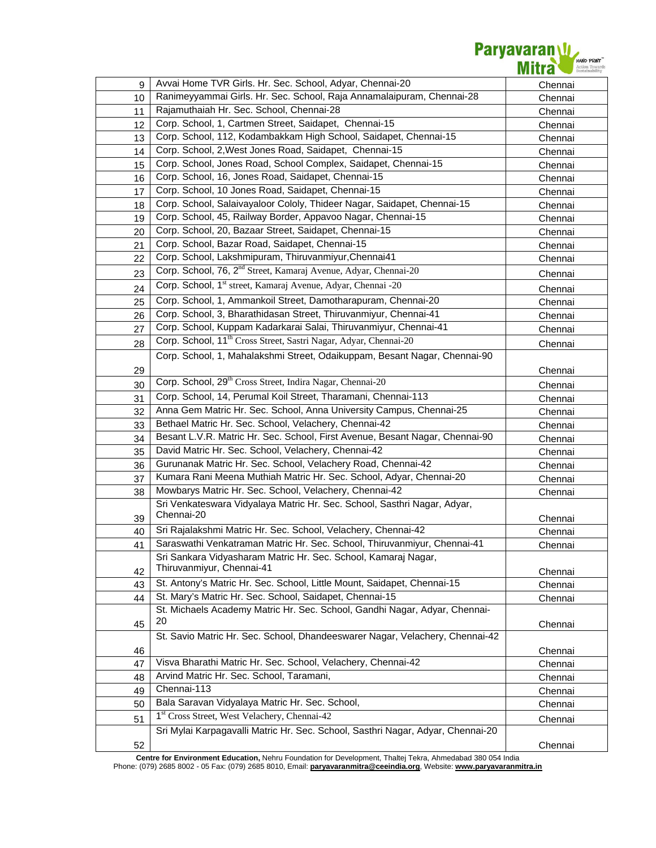

| 9  | Avvai Home TVR Girls. Hr. Sec. School, Adyar, Chennai-20                        | Chennai |
|----|---------------------------------------------------------------------------------|---------|
| 10 | Ranimeyyammai Girls. Hr. Sec. School, Raja Annamalaipuram, Chennai-28           | Chennai |
| 11 | Rajamuthaiah Hr. Sec. School, Chennai-28                                        | Chennai |
| 12 | Corp. School, 1, Cartmen Street, Saidapet, Chennai-15                           | Chennai |
| 13 | Corp. School, 112, Kodambakkam High School, Saidapet, Chennai-15                | Chennai |
| 14 | Corp. School, 2, West Jones Road, Saidapet, Chennai-15                          | Chennai |
| 15 | Corp. School, Jones Road, School Complex, Saidapet, Chennai-15                  | Chennai |
| 16 | Corp. School, 16, Jones Road, Saidapet, Chennai-15                              | Chennai |
| 17 | Corp. School, 10 Jones Road, Saidapet, Chennai-15                               | Chennai |
| 18 | Corp. School, Salaivayaloor Cololy, Thideer Nagar, Saidapet, Chennai-15         | Chennai |
| 19 | Corp. School, 45, Railway Border, Appavoo Nagar, Chennai-15                     | Chennai |
| 20 | Corp. School, 20, Bazaar Street, Saidapet, Chennai-15                           | Chennai |
| 21 | Corp. School, Bazar Road, Saidapet, Chennai-15                                  | Chennai |
| 22 | Corp. School, Lakshmipuram, Thiruvanmiyur, Chennai41                            | Chennai |
| 23 | Corp. School, 76, 2 <sup>nd</sup> Street, Kamaraj Avenue, Adyar, Chennai-20     | Chennai |
| 24 | Corp. School, 1 <sup>st</sup> street, Kamaraj Avenue, Adyar, Chennai -20        | Chennai |
| 25 | Corp. School, 1, Ammankoil Street, Damotharapuram, Chennai-20                   | Chennai |
| 26 | Corp. School, 3, Bharathidasan Street, Thiruvanmiyur, Chennai-41                | Chennai |
| 27 | Corp. School, Kuppam Kadarkarai Salai, Thiruvanmiyur, Chennai-41                | Chennai |
| 28 | Corp. School, 11 <sup>th</sup> Cross Street, Sastri Nagar, Adyar, Chennai-20    | Chennai |
|    | Corp. School, 1, Mahalakshmi Street, Odaikuppam, Besant Nagar, Chennai-90       |         |
| 29 |                                                                                 | Chennai |
|    | Corp. School, 29 <sup>th</sup> Cross Street, Indira Nagar, Chennai-20           |         |
| 30 | Corp. School, 14, Perumal Koil Street, Tharamani, Chennai-113                   | Chennai |
| 31 | Anna Gem Matric Hr. Sec. School, Anna University Campus, Chennai-25             | Chennai |
| 32 | Bethael Matric Hr. Sec. School, Velachery, Chennai-42                           | Chennai |
| 33 | Besant L.V.R. Matric Hr. Sec. School, First Avenue, Besant Nagar, Chennai-90    | Chennai |
| 34 | David Matric Hr. Sec. School, Velachery, Chennai-42                             | Chennai |
| 35 | Gurunanak Matric Hr. Sec. School, Velachery Road, Chennai-42                    | Chennai |
| 36 | Kumara Rani Meena Muthiah Matric Hr. Sec. School, Adyar, Chennai-20             | Chennai |
| 37 | Mowbarys Matric Hr. Sec. School, Velachery, Chennai-42                          | Chennai |
| 38 | Sri Venkateswara Vidyalaya Matric Hr. Sec. School, Sasthri Nagar, Adyar,        | Chennai |
| 39 | Chennai-20                                                                      | Chennai |
|    | Sri Rajalakshmi Matric Hr. Sec. School, Velachery, Chennai-42                   |         |
| 40 | Saraswathi Venkatraman Matric Hr. Sec. School, Thiruvanmiyur, Chennai-41        | Chennai |
| 41 | Sri Sankara Vidyasharam Matric Hr. Sec. School, Kamaraj Nagar,                  | Chennai |
| 42 | Thiruvanmiyur, Chennai-41                                                       | Chennai |
| 43 | St. Antony's Matric Hr. Sec. School, Little Mount, Saidapet, Chennai-15         | Chennai |
| 44 | St. Mary's Matric Hr. Sec. School, Saidapet, Chennai-15                         | Chennai |
|    | St. Michaels Academy Matric Hr. Sec. School, Gandhi Nagar, Adyar, Chennai-      |         |
| 45 | 20                                                                              | Chennai |
|    | St. Savio Matric Hr. Sec. School, Dhandeeswarer Nagar, Velachery, Chennai-42    |         |
| 46 |                                                                                 | Chennai |
| 47 | Visva Bharathi Matric Hr. Sec. School, Velachery, Chennai-42                    | Chennai |
| 48 | Arvind Matric Hr. Sec. School, Taramani,                                        | Chennai |
| 49 | Chennai-113                                                                     | Chennai |
| 50 | Bala Saravan Vidyalaya Matric Hr. Sec. School,                                  | Chennai |
| 51 | 1 <sup>st</sup> Cross Street, West Velachery, Chennai-42                        | Chennai |
|    | Sri Mylai Karpagavalli Matric Hr. Sec. School, Sasthri Nagar, Adyar, Chennai-20 |         |
| 52 |                                                                                 | Chennai |
|    |                                                                                 |         |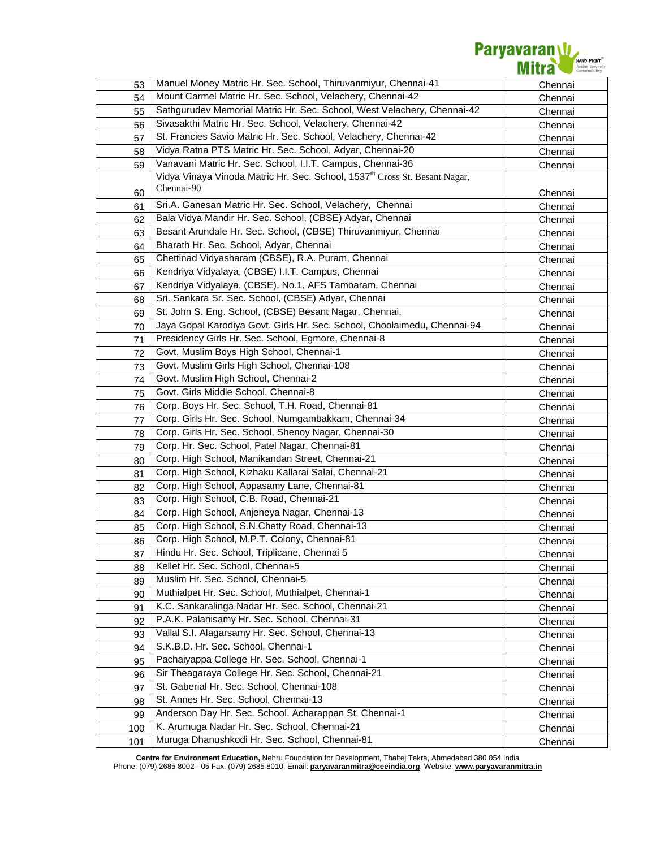Paryavaran W

| 53  | Manuel Money Matric Hr. Sec. School, Thiruvanmiyur, Chennai-41                         | Chennai |
|-----|----------------------------------------------------------------------------------------|---------|
| 54  | Mount Carmel Matric Hr. Sec. School, Velachery, Chennai-42                             | Chennai |
| 55  | Sathgurudev Memorial Matric Hr. Sec. School, West Velachery, Chennai-42                | Chennai |
| 56  | Sivasakthi Matric Hr. Sec. School, Velachery, Chennai-42                               | Chennai |
| 57  | St. Francies Savio Matric Hr. Sec. School, Velachery, Chennai-42                       | Chennai |
| 58  | Vidya Ratna PTS Matric Hr. Sec. School, Adyar, Chennai-20                              | Chennai |
| 59  | Vanavani Matric Hr. Sec. School, I.I.T. Campus, Chennai-36                             | Chennai |
|     | Vidya Vinaya Vinoda Matric Hr. Sec. School, 1537 <sup>th</sup> Cross St. Besant Nagar, |         |
| 60  | Chennai-90                                                                             | Chennai |
| 61  | Sri.A. Ganesan Matric Hr. Sec. School, Velachery, Chennai                              | Chennai |
| 62  | Bala Vidya Mandir Hr. Sec. School, (CBSE) Adyar, Chennai                               | Chennai |
| 63  | Besant Arundale Hr. Sec. School, (CBSE) Thiruvanmiyur, Chennai                         | Chennai |
| 64  | Bharath Hr. Sec. School, Adyar, Chennai                                                | Chennai |
| 65  | Chettinad Vidyasharam (CBSE), R.A. Puram, Chennai                                      | Chennai |
| 66  | Kendriya Vidyalaya, (CBSE) I.I.T. Campus, Chennai                                      | Chennai |
|     | Kendriya Vidyalaya, (CBSE), No.1, AFS Tambaram, Chennai                                |         |
| 67  | Sri. Sankara Sr. Sec. School, (CBSE) Adyar, Chennai                                    | Chennai |
| 68  | St. John S. Eng. School, (CBSE) Besant Nagar, Chennai.                                 | Chennai |
| 69  | Jaya Gopal Karodiya Govt. Girls Hr. Sec. School, Choolaimedu, Chennai-94               | Chennai |
| 70  | Presidency Girls Hr. Sec. School, Egmore, Chennai-8                                    | Chennai |
| 71  | Govt. Muslim Boys High School, Chennai-1                                               | Chennai |
| 72  | Govt. Muslim Girls High School, Chennai-108                                            | Chennai |
| 73  |                                                                                        | Chennai |
| 74  | Govt. Muslim High School, Chennai-2                                                    | Chennai |
| 75  | Govt. Girls Middle School, Chennai-8                                                   | Chennai |
| 76  | Corp. Boys Hr. Sec. School, T.H. Road, Chennai-81                                      | Chennai |
| 77  | Corp. Girls Hr. Sec. School, Numgambakkam, Chennai-34                                  | Chennai |
| 78  | Corp. Girls Hr. Sec. School, Shenoy Nagar, Chennai-30                                  | Chennai |
| 79  | Corp. Hr. Sec. School, Patel Nagar, Chennai-81                                         | Chennai |
| 80  | Corp. High School, Manikandan Street, Chennai-21                                       | Chennai |
| 81  | Corp. High School, Kizhaku Kallarai Salai, Chennai-21                                  | Chennai |
| 82  | Corp. High School, Appasamy Lane, Chennai-81                                           | Chennai |
| 83  | Corp. High School, C.B. Road, Chennai-21                                               | Chennai |
| 84  | Corp. High School, Anjeneya Nagar, Chennai-13                                          | Chennai |
| 85  | Corp. High School, S.N.Chetty Road, Chennai-13                                         | Chennai |
| 86  | Corp. High School, M.P.T. Colony, Chennai-81                                           | Chennai |
| 87  | Hindu Hr. Sec. School, Triplicane, Chennai 5                                           | Chennai |
| 88  | Kellet Hr. Sec. School, Chennai-5                                                      | Chennai |
| 89  | Muslim Hr. Sec. School, Chennai-5                                                      | Chennai |
| 90  | Muthialpet Hr. Sec. School, Muthialpet, Chennai-1                                      | Chennai |
| 91  | K.C. Sankaralinga Nadar Hr. Sec. School, Chennai-21                                    | Chennai |
| 92  | P.A.K. Palanisamy Hr. Sec. School, Chennai-31                                          | Chennai |
| 93  | Vallal S.I. Alagarsamy Hr. Sec. School, Chennai-13                                     | Chennai |
| 94  | S.K.B.D. Hr. Sec. School, Chennai-1                                                    | Chennai |
| 95  | Pachaiyappa College Hr. Sec. School, Chennai-1                                         | Chennai |
| 96  | Sir Theagaraya College Hr. Sec. School, Chennai-21                                     | Chennai |
| 97  | St. Gaberial Hr. Sec. School, Chennai-108                                              | Chennai |
| 98  | St. Annes Hr. Sec. School, Chennai-13                                                  | Chennai |
| 99  | Anderson Day Hr. Sec. School, Acharappan St, Chennai-1                                 | Chennai |
| 100 | K. Arumuga Nadar Hr. Sec. School, Chennai-21                                           | Chennai |
| 101 | Muruga Dhanushkodi Hr. Sec. School, Chennai-81                                         | Chennai |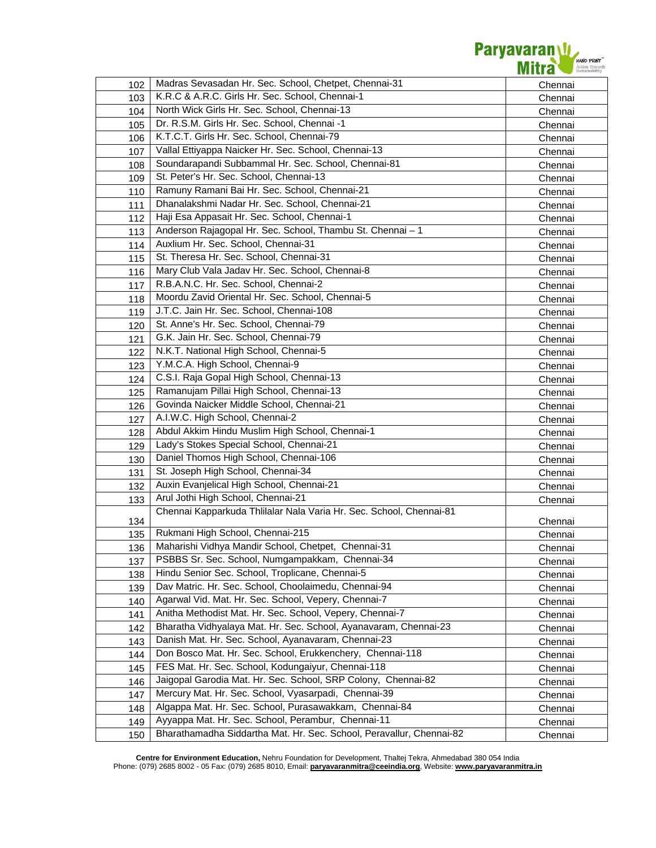

| 102        | Madras Sevasadan Hr. Sec. School, Chetpet, Chennai-31                | Chennai            |
|------------|----------------------------------------------------------------------|--------------------|
| 103        | K.R.C & A.R.C. Girls Hr. Sec. School, Chennai-1                      | Chennai            |
| 104        | North Wick Girls Hr. Sec. School, Chennai-13                         | Chennai            |
| 105        | Dr. R.S.M. Girls Hr. Sec. School, Chennai -1                         | Chennai            |
| 106        | K.T.C.T. Girls Hr. Sec. School, Chennai-79                           | Chennai            |
| 107        | Vallal Ettiyappa Naicker Hr. Sec. School, Chennai-13                 | Chennai            |
| 108        | Soundarapandi Subbammal Hr. Sec. School, Chennai-81                  | Chennai            |
| 109        | St. Peter's Hr. Sec. School, Chennai-13                              | Chennai            |
| 110        | Ramuny Ramani Bai Hr. Sec. School, Chennai-21                        | Chennai            |
| 111        | Dhanalakshmi Nadar Hr. Sec. School, Chennai-21                       | Chennai            |
| 112        | Haji Esa Appasait Hr. Sec. School, Chennai-1                         | Chennai            |
| 113        | Anderson Rajagopal Hr. Sec. School, Thambu St. Chennai - 1           | Chennai            |
| 114        | Auxlium Hr. Sec. School, Chennai-31                                  | Chennai            |
| 115        | St. Theresa Hr. Sec. School, Chennai-31                              | Chennai            |
| 116        | Mary Club Vala Jadav Hr. Sec. School, Chennai-8                      | Chennai            |
| 117        | R.B.A.N.C. Hr. Sec. School, Chennai-2                                | Chennai            |
| 118        | Moordu Zavid Oriental Hr. Sec. School, Chennai-5                     | Chennai            |
| 119        | J.T.C. Jain Hr. Sec. School, Chennai-108                             | Chennai            |
| 120        | St. Anne's Hr. Sec. School, Chennai-79                               | Chennai            |
| 121        | G.K. Jain Hr. Sec. School, Chennai-79                                | Chennai            |
| 122        | N.K.T. National High School, Chennai-5                               | Chennai            |
| 123        | Y.M.C.A. High School, Chennai-9                                      | Chennai            |
| 124        | C.S.I. Raja Gopal High School, Chennai-13                            | Chennai            |
| 125        | Ramanujam Pillai High School, Chennai-13                             | Chennai            |
| 126        | Govinda Naicker Middle School, Chennai-21                            | Chennai            |
| 127        | A.I.W.C. High School, Chennai-2                                      | Chennai            |
| 128        | Abdul Akkim Hindu Muslim High School, Chennai-1                      | Chennai            |
| 129        | Lady's Stokes Special School, Chennai-21                             | Chennai            |
| 130        | Daniel Thomos High School, Chennai-106                               | Chennai            |
| 131        | St. Joseph High School, Chennai-34                                   | Chennai            |
| 132        | Auxin Evanjelical High School, Chennai-21                            | Chennai            |
| 133        | Arul Jothi High School, Chennai-21                                   | Chennai            |
|            | Chennai Kapparkuda Thlilalar Nala Varia Hr. Sec. School, Chennai-81  |                    |
| 134        | Rukmani High School, Chennai-215                                     | Chennai            |
| 135        | Maharishi Vidhya Mandir School, Chetpet, Chennai-31                  | Chennai            |
| 136        | PSBBS Sr. Sec. School, Numgampakkam, Chennai-34                      | Chennai            |
| 137        | Hindu Senior Sec. School, Troplicane, Chennai-5                      | Chennai            |
| 138        | Dav Matric. Hr. Sec. School, Choolaimedu, Chennai-94                 | Chennai            |
| 139        | Agarwal Vid. Mat. Hr. Sec. School, Vepery, Chennai-7                 | Chennai            |
| 140        | Anitha Methodist Mat. Hr. Sec. School, Vepery, Chennai-7             | Chennai            |
| 141        | Bharatha Vidhyalaya Mat. Hr. Sec. School, Ayanavaram, Chennai-23     | Chennai            |
| 142        | Danish Mat. Hr. Sec. School, Ayanavaram, Chennai-23                  | Chennai            |
| 143<br>144 | Don Bosco Mat. Hr. Sec. School, Erukkenchery, Chennai-118            | Chennai            |
|            | FES Mat. Hr. Sec. School, Kodungaiyur, Chennai-118                   | Chennai            |
| 145        | Jaigopal Garodia Mat. Hr. Sec. School, SRP Colony, Chennai-82        | Chennai            |
| 146<br>147 | Mercury Mat. Hr. Sec. School, Vyasarpadi, Chennai-39                 | Chennai<br>Chennai |
| 148        | Algappa Mat. Hr. Sec. School, Purasawakkam, Chennai-84               | Chennai            |
| 149        | Ayyappa Mat. Hr. Sec. School, Perambur, Chennai-11                   | Chennai            |
| 150        | Bharathamadha Siddartha Mat. Hr. Sec. School, Peravallur, Chennai-82 | Chennai            |
|            |                                                                      |                    |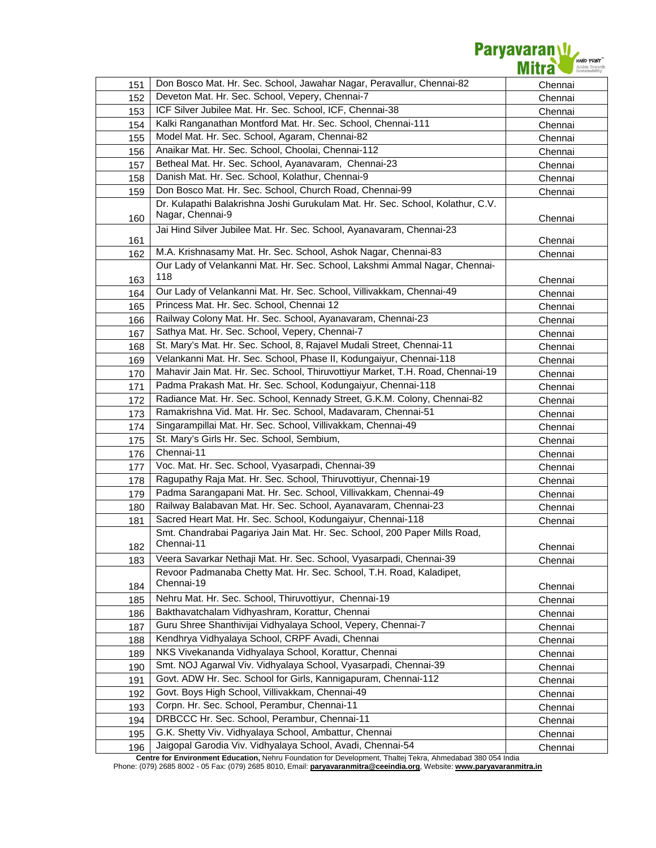

| 151 | Don Bosco Mat. Hr. Sec. School, Jawahar Nagar, Peravallur, Chennai-82                              | Chennai |
|-----|----------------------------------------------------------------------------------------------------|---------|
| 152 | Deveton Mat. Hr. Sec. School, Vepery, Chennai-7                                                    | Chennai |
| 153 | ICF Silver Jubilee Mat. Hr. Sec. School, ICF, Chennai-38                                           | Chennai |
| 154 | Kalki Ranganathan Montford Mat. Hr. Sec. School, Chennai-111                                       | Chennai |
| 155 | Model Mat. Hr. Sec. School, Agaram, Chennai-82                                                     | Chennai |
| 156 | Anaikar Mat. Hr. Sec. School, Choolai, Chennai-112                                                 | Chennai |
| 157 | Betheal Mat. Hr. Sec. School, Ayanavaram, Chennai-23                                               | Chennai |
| 158 | Danish Mat. Hr. Sec. School, Kolathur, Chennai-9                                                   | Chennai |
| 159 | Don Bosco Mat. Hr. Sec. School, Church Road, Chennai-99                                            | Chennai |
| 160 | Dr. Kulapathi Balakrishna Joshi Gurukulam Mat. Hr. Sec. School, Kolathur, C.V.<br>Nagar, Chennai-9 | Chennai |
| 161 | Jai Hind Silver Jubilee Mat. Hr. Sec. School, Ayanavaram, Chennai-23                               | Chennai |
| 162 | M.A. Krishnasamy Mat. Hr. Sec. School, Ashok Nagar, Chennai-83                                     | Chennai |
|     | Our Lady of Velankanni Mat. Hr. Sec. School, Lakshmi Ammal Nagar, Chennai-                         |         |
| 163 | 118                                                                                                | Chennai |
| 164 | Our Lady of Velankanni Mat. Hr. Sec. School, Villivakkam, Chennai-49                               | Chennai |
| 165 | Princess Mat. Hr. Sec. School, Chennai 12                                                          | Chennai |
| 166 | Railway Colony Mat. Hr. Sec. School, Ayanavaram, Chennai-23                                        | Chennai |
| 167 | Sathya Mat. Hr. Sec. School, Vepery, Chennai-7                                                     | Chennai |
| 168 | St. Mary's Mat. Hr. Sec. School, 8, Rajavel Mudali Street, Chennai-11                              | Chennai |
| 169 | Velankanni Mat. Hr. Sec. School, Phase II, Kodungaiyur, Chennai-118                                | Chennai |
| 170 | Mahavir Jain Mat. Hr. Sec. School, Thiruvottiyur Market, T.H. Road, Chennai-19                     | Chennai |
| 171 | Padma Prakash Mat. Hr. Sec. School, Kodungaiyur, Chennai-118                                       | Chennai |
| 172 | Radiance Mat. Hr. Sec. School, Kennady Street, G.K.M. Colony, Chennai-82                           | Chennai |
| 173 | Ramakrishna Vid. Mat. Hr. Sec. School, Madavaram, Chennai-51                                       | Chennai |
| 174 | Singarampillai Mat. Hr. Sec. School, Villivakkam, Chennai-49                                       | Chennai |
| 175 | St. Mary's Girls Hr. Sec. School, Sembium,                                                         | Chennai |
| 176 | Chennai-11                                                                                         | Chennai |
| 177 | Voc. Mat. Hr. Sec. School, Vyasarpadi, Chennai-39                                                  | Chennai |
| 178 | Ragupathy Raja Mat. Hr. Sec. School, Thiruvottiyur, Chennai-19                                     | Chennai |
| 179 | Padma Sarangapani Mat. Hr. Sec. School, Villivakkam, Chennai-49                                    | Chennai |
| 180 | Railway Balabavan Mat. Hr. Sec. School, Ayanavaram, Chennai-23                                     | Chennai |
| 181 | Sacred Heart Mat. Hr. Sec. School, Kodungaiyur, Chennai-118                                        | Chennai |
|     | Smt. Chandrabai Pagariya Jain Mat. Hr. Sec. School, 200 Paper Mills Road,                          |         |
| 182 | Chennai-11                                                                                         | Chennai |
| 183 | Veera Savarkar Nethaji Mat. Hr. Sec. School, Vyasarpadi, Chennai-39                                | Chennai |
| 184 | Revoor Padmanaba Chetty Mat. Hr. Sec. School, T.H. Road, Kaladipet,<br>Chennai-19                  | Chennai |
| 185 | Nehru Mat. Hr. Sec. School, Thiruvottiyur, Chennai-19                                              | Chennai |
| 186 | Bakthavatchalam Vidhyashram, Korattur, Chennai                                                     | Chennai |
| 187 | Guru Shree Shanthivijai Vidhyalaya School, Vepery, Chennai-7                                       | Chennai |
| 188 | Kendhrya Vidhyalaya School, CRPF Avadi, Chennai                                                    | Chennai |
| 189 | NKS Vivekananda Vidhyalaya School, Korattur, Chennai                                               | Chennai |
| 190 | Smt. NOJ Agarwal Viv. Vidhyalaya School, Vyasarpadi, Chennai-39                                    | Chennai |
| 191 | Govt. ADW Hr. Sec. School for Girls, Kannigapuram, Chennai-112                                     | Chennai |
| 192 | Govt. Boys High School, Villivakkam, Chennai-49                                                    | Chennai |
| 193 | Corpn. Hr. Sec. School, Perambur, Chennai-11                                                       | Chennai |
| 194 | DRBCCC Hr. Sec. School, Perambur, Chennai-11                                                       | Chennai |
| 195 | G.K. Shetty Viv. Vidhyalaya School, Ambattur, Chennai                                              | Chennai |
| 196 | Jaigopal Garodia Viv. Vidhyalaya School, Avadi, Chennai-54                                         | Chennai |

**Centre for Environment Education,** Nehru Foundation for Development, Thaltej Tekra, Ahmedabad 380 054 India

Phone: (079) 2685 8002 - 05 Fax: (079) 2685 8010, Email: **paryavaranmitra@ceeindia.org**, Website: **www.paryavaranmitra.in**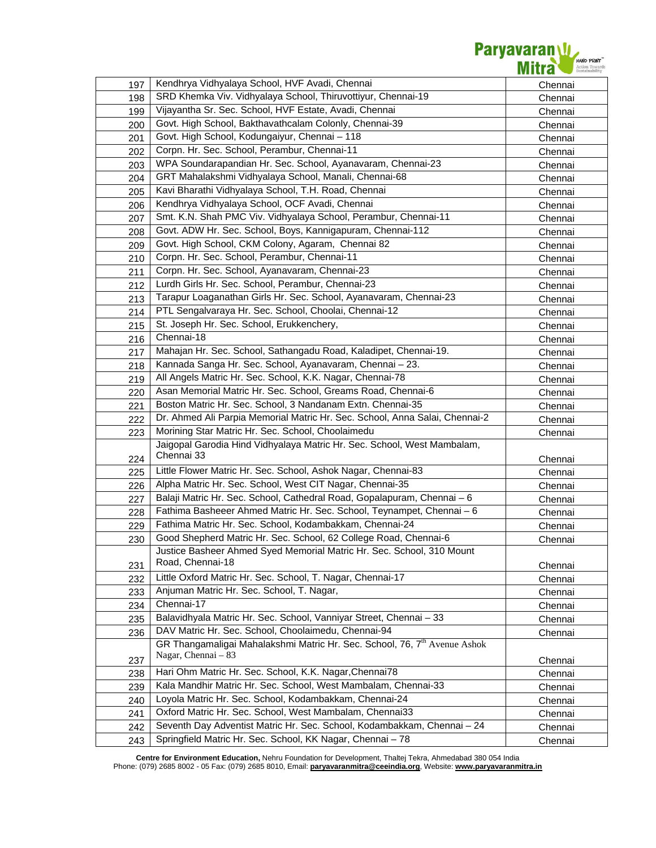

| 197 | Kendhrya Vidhyalaya School, HVF Avadi, Chennai                                        | Chennai |
|-----|---------------------------------------------------------------------------------------|---------|
| 198 | SRD Khemka Viv. Vidhyalaya School, Thiruvottiyur, Chennai-19                          | Chennai |
| 199 | Vijayantha Sr. Sec. School, HVF Estate, Avadi, Chennai                                | Chennai |
| 200 | Govt. High School, Bakthavathcalam Colonly, Chennai-39                                | Chennai |
| 201 | Govt. High School, Kodungaiyur, Chennai - 118                                         | Chennai |
| 202 | Corpn. Hr. Sec. School, Perambur, Chennai-11                                          | Chennai |
| 203 | WPA Soundarapandian Hr. Sec. School, Ayanavaram, Chennai-23                           | Chennai |
| 204 | GRT Mahalakshmi Vidhyalaya School, Manali, Chennai-68                                 | Chennai |
| 205 | Kavi Bharathi Vidhyalaya School, T.H. Road, Chennai                                   | Chennai |
| 206 | Kendhrya Vidhyalaya School, OCF Avadi, Chennai                                        | Chennai |
| 207 | Smt. K.N. Shah PMC Viv. Vidhyalaya School, Perambur, Chennai-11                       | Chennai |
| 208 | Govt. ADW Hr. Sec. School, Boys, Kannigapuram, Chennai-112                            | Chennai |
| 209 | Govt. High School, CKM Colony, Agaram, Chennai 82                                     | Chennai |
| 210 | Corpn. Hr. Sec. School, Perambur, Chennai-11                                          | Chennai |
| 211 | Corpn. Hr. Sec. School, Ayanavaram, Chennai-23                                        | Chennai |
| 212 | Lurdh Girls Hr. Sec. School, Perambur, Chennai-23                                     | Chennai |
| 213 | Tarapur Loaganathan Girls Hr. Sec. School, Ayanavaram, Chennai-23                     | Chennai |
| 214 | PTL Sengalvaraya Hr. Sec. School, Choolai, Chennai-12                                 | Chennai |
| 215 | St. Joseph Hr. Sec. School, Erukkenchery,                                             | Chennai |
| 216 | Chennai-18                                                                            | Chennai |
| 217 | Mahajan Hr. Sec. School, Sathangadu Road, Kaladipet, Chennai-19.                      | Chennai |
| 218 | Kannada Sanga Hr. Sec. School, Ayanavaram, Chennai - 23.                              | Chennai |
| 219 | All Angels Matric Hr. Sec. School, K.K. Nagar, Chennai-78                             | Chennai |
| 220 | Asan Memorial Matric Hr. Sec. School, Greams Road, Chennai-6                          | Chennai |
| 221 | Boston Matric Hr. Sec. School, 3 Nandanam Extn. Chennai-35                            | Chennai |
| 222 | Dr. Ahmed Ali Parpia Memorial Matric Hr. Sec. School, Anna Salai, Chennai-2           | Chennai |
| 223 | Morining Star Matric Hr. Sec. School, Choolaimedu                                     | Chennai |
|     | Jaigopal Garodia Hind Vidhyalaya Matric Hr. Sec. School, West Mambalam,               |         |
| 224 | Chennai 33                                                                            | Chennai |
| 225 | Little Flower Matric Hr. Sec. School, Ashok Nagar, Chennai-83                         | Chennai |
| 226 | Alpha Matric Hr. Sec. School, West CIT Nagar, Chennai-35                              | Chennai |
| 227 | Balaji Matric Hr. Sec. School, Cathedral Road, Gopalapuram, Chennai - 6               | Chennai |
| 228 | Fathima Basheeer Ahmed Matric Hr. Sec. School, Teynampet, Chennai - 6                 | Chennai |
| 229 | Fathima Matric Hr. Sec. School, Kodambakkam, Chennai-24                               | Chennai |
| 230 | Good Shepherd Matric Hr. Sec. School, 62 College Road, Chennai-6                      | Chennai |
|     | Justice Basheer Ahmed Syed Memorial Matric Hr. Sec. School, 310 Mount                 |         |
| 231 | Road, Chennai-18                                                                      | Chennai |
| 232 | Little Oxford Matric Hr. Sec. School, T. Nagar, Chennai-17                            | Chennai |
| 233 | Anjuman Matric Hr. Sec. School, T. Nagar,                                             | Chennai |
| 234 | Chennai-17                                                                            | Chennai |
| 235 | Balavidhyala Matric Hr. Sec. School, Vanniyar Street, Chennai - 33                    | Chennai |
| 236 | DAV Matric Hr. Sec. School, Choolaimedu, Chennai-94                                   | Chennai |
|     | GR Thangamaligai Mahalakshmi Matric Hr. Sec. School, 76, 7 <sup>th</sup> Avenue Ashok |         |
| 237 | Nagar, Chennai - 83                                                                   | Chennai |
| 238 | Hari Ohm Matric Hr. Sec. School, K.K. Nagar, Chennai78                                | Chennai |
| 239 | Kala Mandhir Matric Hr. Sec. School, West Mambalam, Chennai-33                        | Chennai |
| 240 | Loyola Matric Hr. Sec. School, Kodambakkam, Chennai-24                                | Chennai |
| 241 | Oxford Matric Hr. Sec. School, West Mambalam, Chennai33                               | Chennai |
| 242 | Seventh Day Adventist Matric Hr. Sec. School, Kodambakkam, Chennai - 24               | Chennai |
| 243 | Springfield Matric Hr. Sec. School, KK Nagar, Chennai - 78                            | Chennai |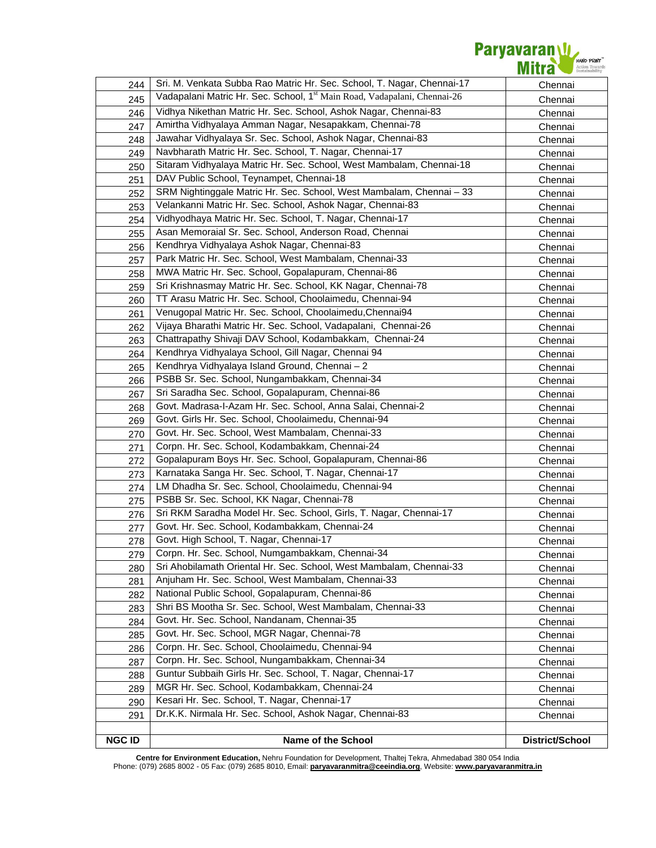

| 244           | Sri. M. Venkata Subba Rao Matric Hr. Sec. School, T. Nagar, Chennai-17               | Chennai         |
|---------------|--------------------------------------------------------------------------------------|-----------------|
| 245           | Vadapalani Matric Hr. Sec. School, 1 <sup>st</sup> Main Road, Vadapalani, Chennai-26 | Chennai         |
| 246           | Vidhya Nikethan Matric Hr. Sec. School, Ashok Nagar, Chennai-83                      | Chennai         |
| 247           | Amirtha Vidhyalaya Amman Nagar, Nesapakkam, Chennai-78                               | Chennai         |
| 248           | Jawahar Vidhyalaya Sr. Sec. School, Ashok Nagar, Chennai-83                          | Chennai         |
| 249           | Navbharath Matric Hr. Sec. School, T. Nagar, Chennai-17                              | Chennai         |
| 250           | Sitaram Vidhyalaya Matric Hr. Sec. School, West Mambalam, Chennai-18                 | Chennai         |
| 251           | DAV Public School, Teynampet, Chennai-18                                             | Chennai         |
| 252           | SRM Nightinggale Matric Hr. Sec. School, West Mambalam, Chennai - 33                 | Chennai         |
| 253           | Velankanni Matric Hr. Sec. School, Ashok Nagar, Chennai-83                           | Chennai         |
| 254           | Vidhyodhaya Matric Hr. Sec. School, T. Nagar, Chennai-17                             | Chennai         |
| 255           | Asan Memoraial Sr. Sec. School, Anderson Road, Chennai                               | Chennai         |
| 256           | Kendhrya Vidhyalaya Ashok Nagar, Chennai-83                                          | Chennai         |
| 257           | Park Matric Hr. Sec. School, West Mambalam, Chennai-33                               | Chennai         |
| 258           | MWA Matric Hr. Sec. School, Gopalapuram, Chennai-86                                  | Chennai         |
| 259           | Sri Krishnasmay Matric Hr. Sec. School, KK Nagar, Chennai-78                         | Chennai         |
| 260           | TT Arasu Matric Hr. Sec. School, Choolaimedu, Chennai-94                             | Chennai         |
| 261           | Venugopal Matric Hr. Sec. School, Choolaimedu, Chennai94                             | Chennai         |
| 262           | Vijaya Bharathi Matric Hr. Sec. School, Vadapalani, Chennai-26                       | Chennai         |
| 263           | Chattrapathy Shivaji DAV School, Kodambakkam, Chennai-24                             | Chennai         |
| 264           | Kendhrya Vidhyalaya School, Gill Nagar, Chennai 94                                   | Chennai         |
| 265           | Kendhrya Vidhyalaya Island Ground, Chennai - 2                                       | Chennai         |
| 266           | PSBB Sr. Sec. School, Nungambakkam, Chennai-34                                       | Chennai         |
| 267           | Sri Saradha Sec. School, Gopalapuram, Chennai-86                                     | Chennai         |
| 268           | Govt. Madrasa-I-Azam Hr. Sec. School, Anna Salai, Chennai-2                          | Chennai         |
| 269           | Govt. Girls Hr. Sec. School, Choolaimedu, Chennai-94                                 | Chennai         |
| 270           | Govt. Hr. Sec. School, West Mambalam, Chennai-33                                     | Chennai         |
| 271           | Corpn. Hr. Sec. School, Kodambakkam, Chennai-24                                      | Chennai         |
| 272           | Gopalapuram Boys Hr. Sec. School, Gopalapuram, Chennai-86                            | Chennai         |
| 273           | Karnataka Sanga Hr. Sec. School, T. Nagar, Chennai-17                                | Chennai         |
| 274           | LM Dhadha Sr. Sec. School, Choolaimedu, Chennai-94                                   | Chennai         |
| 275           | PSBB Sr. Sec. School, KK Nagar, Chennai-78                                           | Chennai         |
| 276           | Sri RKM Saradha Model Hr. Sec. School, Girls, T. Nagar, Chennai-17                   | Chennai         |
| 277           | Govt. Hr. Sec. School, Kodambakkam, Chennai-24                                       | Chennai         |
| 278           | Govt. High School, T. Nagar, Chennai-17                                              | Chennai         |
| 279           | Corpn. Hr. Sec. School, Numgambakkam, Chennai-34                                     | Chennai         |
| 280           | Sri Ahobilamath Oriental Hr. Sec. School, West Mambalam, Chennai-33                  | Chennai         |
| 281           | Anjuham Hr. Sec. School, West Mambalam, Chennai-33                                   | Chennai         |
| 282           | National Public School, Gopalapuram, Chennai-86                                      | Chennai         |
| 283           | Shri BS Mootha Sr. Sec. School, West Mambalam, Chennai-33                            | Chennai         |
| 284           | Govt. Hr. Sec. School, Nandanam, Chennai-35                                          | Chennai         |
| 285           | Govt. Hr. Sec. School, MGR Nagar, Chennai-78                                         | Chennai         |
| 286           | Corpn. Hr. Sec. School, Choolaimedu, Chennai-94                                      | Chennai         |
| 287           | Corpn. Hr. Sec. School, Nungambakkam, Chennai-34                                     | Chennai         |
| 288           | Guntur Subbaih Girls Hr. Sec. School, T. Nagar, Chennai-17                           | Chennai         |
| 289           | MGR Hr. Sec. School, Kodambakkam, Chennai-24                                         | Chennai         |
| 290           | Kesari Hr. Sec. School, T. Nagar, Chennai-17                                         | Chennai         |
| 291           | Dr.K.K. Nirmala Hr. Sec. School, Ashok Nagar, Chennai-83                             | Chennai         |
|               |                                                                                      |                 |
| <b>NGC ID</b> | Name of the School                                                                   | District/School |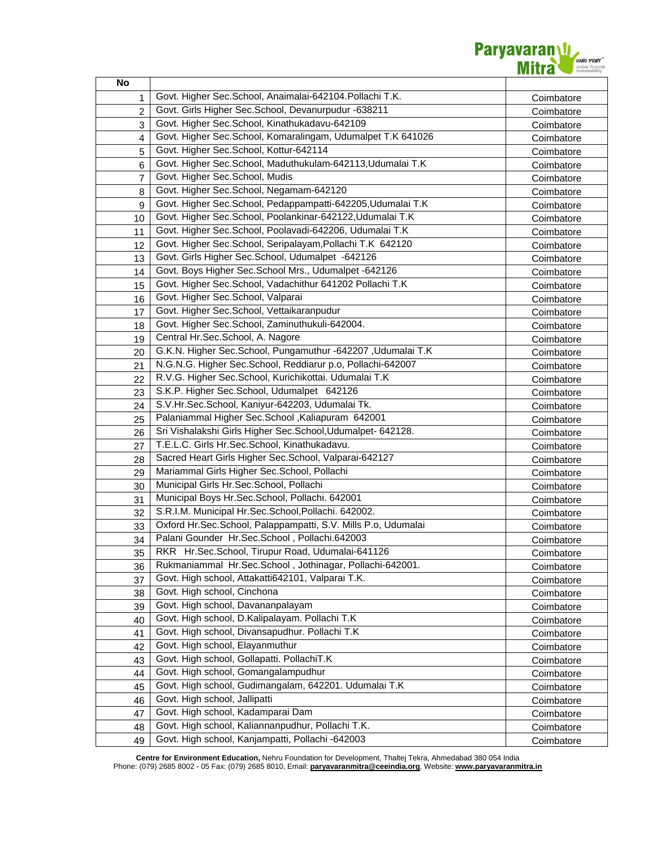

| No |                                                               |            |
|----|---------------------------------------------------------------|------------|
| 1  | Govt. Higher Sec.School, Anaimalai-642104.Pollachi T.K.       | Coimbatore |
| 2  | Govt. Girls Higher Sec. School, Devanurpudur -638211          | Coimbatore |
| 3  | Govt. Higher Sec.School, Kinathukadavu-642109                 | Coimbatore |
| 4  | Govt. Higher Sec.School, Komaralingam, Udumalpet T.K 641026   | Coimbatore |
| 5  | Govt. Higher Sec.School, Kottur-642114                        | Coimbatore |
| 6  | Govt. Higher Sec.School, Maduthukulam-642113, Udumalai T.K    | Coimbatore |
| 7  | Govt. Higher Sec.School, Mudis                                | Coimbatore |
| 8  | Govt. Higher Sec.School, Negamam-642120                       | Coimbatore |
| 9  | Govt. Higher Sec.School, Pedappampatti-642205, Udumalai T.K   | Coimbatore |
| 10 | Govt. Higher Sec.School, Poolankinar-642122, Udumalai T.K     | Coimbatore |
| 11 | Govt. Higher Sec.School, Poolavadi-642206, Udumalai T.K       | Coimbatore |
| 12 | Govt. Higher Sec.School, Seripalayam, Pollachi T.K 642120     | Coimbatore |
| 13 | Govt. Girls Higher Sec. School, Udumalpet -642126             | Coimbatore |
| 14 | Govt. Boys Higher Sec. School Mrs., Udumalpet -642126         | Coimbatore |
| 15 | Govt. Higher Sec.School, Vadachithur 641202 Pollachi T.K      | Coimbatore |
| 16 | Govt. Higher Sec.School, Valparai                             | Coimbatore |
| 17 | Govt. Higher Sec.School, Vettaikaranpudur                     | Coimbatore |
| 18 | Govt. Higher Sec.School, Zaminuthukuli-642004.                | Coimbatore |
| 19 | Central Hr.Sec.School, A. Nagore                              | Coimbatore |
| 20 | G.K.N. Higher Sec.School, Pungamuthur -642207, Udumalai T.K   | Coimbatore |
| 21 | N.G.N.G. Higher Sec.School, Reddiarur p.o, Pollachi-642007    | Coimbatore |
| 22 | R.V.G. Higher Sec.School, Kurichikottai. Udumalai T.K         | Coimbatore |
| 23 | S.K.P. Higher Sec.School, Udumalpet 642126                    | Coimbatore |
| 24 | S.V.Hr.Sec.School, Kaniyur-642203, Udumalai Tk.               | Coimbatore |
| 25 | Palaniammal Higher Sec.School, Kaliapuram 642001              | Coimbatore |
| 26 | Sri Vishalakshi Girls Higher Sec.School, Udumalpet- 642128.   | Coimbatore |
| 27 | T.E.L.C. Girls Hr.Sec.School, Kinathukadavu.                  | Coimbatore |
| 28 | Sacred Heart Girls Higher Sec. School, Valparai-642127        | Coimbatore |
| 29 | Mariammal Girls Higher Sec. School, Pollachi                  | Coimbatore |
| 30 | Municipal Girls Hr.Sec.School, Pollachi                       | Coimbatore |
| 31 | Municipal Boys Hr.Sec.School, Pollachi. 642001                | Coimbatore |
| 32 | S.R.I.M. Municipal Hr.Sec.School,Pollachi. 642002.            | Coimbatore |
| 33 | Oxford Hr.Sec.School, Palappampatti, S.V. Mills P.o, Udumalai | Coimbatore |
| 34 | Palani Gounder Hr.Sec.School, Pollachi.642003                 | Coimbatore |
| 35 | RKR Hr.Sec.School, Tirupur Road, Udumalai-641126              | Coimbatore |
| 36 | Rukmaniammal Hr.Sec.School, Jothinagar, Pollachi-642001.      | Coimbatore |
| 37 | Govt. High school, Attakatti642101, Valparai T.K.             | Coimbatore |
| 38 | Govt. High school, Cinchona                                   | Coimbatore |
| 39 | Govt. High school, Davananpalayam                             | Coimbatore |
| 40 | Govt. High school, D.Kalipalayam. Pollachi T.K                | Coimbatore |
| 41 | Govt. High school, Divansapudhur. Pollachi T.K                | Coimbatore |
| 42 | Govt. High school, Elayanmuthur                               | Coimbatore |
| 43 | Govt. High school, Gollapatti. PollachiT.K                    | Coimbatore |
| 44 | Govt. High school, Gomangalampudhur                           | Coimbatore |
| 45 | Govt. High school, Gudimangalam, 642201. Udumalai T.K.        | Coimbatore |
| 46 | Govt. High school, Jallipatti                                 | Coimbatore |
| 47 | Govt. High school, Kadamparai Dam                             | Coimbatore |
| 48 | Govt. High school, Kaliannanpudhur, Pollachi T.K.             | Coimbatore |
| 49 | Govt. High school, Kanjampatti, Pollachi -642003              | Coimbatore |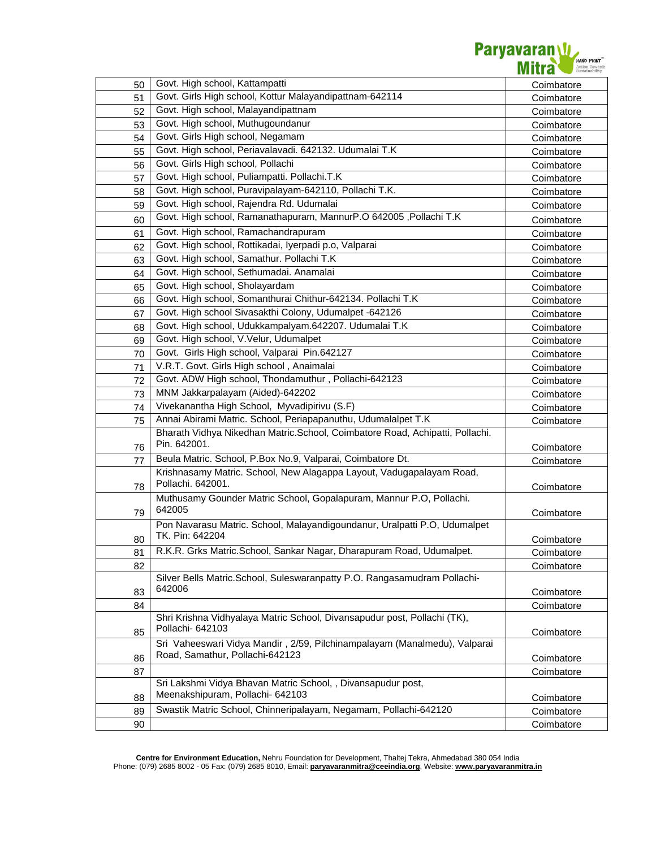

| 50 | Govt. High school, Kattampatti                                               | Coimbatore |
|----|------------------------------------------------------------------------------|------------|
| 51 | Govt. Girls High school, Kottur Malayandipattnam-642114                      | Coimbatore |
| 52 | Govt. High school, Malayandipattnam                                          | Coimbatore |
| 53 | Govt. High school, Muthugoundanur                                            | Coimbatore |
| 54 | Govt. Girls High school, Negamam                                             | Coimbatore |
| 55 | Govt. High school, Periavalavadi. 642132. Udumalai T.K                       | Coimbatore |
| 56 | Govt. Girls High school, Pollachi                                            | Coimbatore |
| 57 | Govt. High school, Puliampatti. Pollachi.T.K                                 | Coimbatore |
| 58 | Govt. High school, Puravipalayam-642110, Pollachi T.K.                       | Coimbatore |
| 59 | Govt. High school, Rajendra Rd. Udumalai                                     | Coimbatore |
| 60 | Govt. High school, Ramanathapuram, MannurP.O 642005, Pollachi T.K            | Coimbatore |
| 61 | Govt. High school, Ramachandrapuram                                          | Coimbatore |
| 62 | Govt. High school, Rottikadai, Iyerpadi p.o, Valparai                        | Coimbatore |
| 63 | Govt. High school, Samathur. Pollachi T.K                                    | Coimbatore |
| 64 | Govt. High school, Sethumadai. Anamalai                                      | Coimbatore |
| 65 | Govt. High school, Sholayardam                                               | Coimbatore |
| 66 | Govt. High school, Somanthurai Chithur-642134. Pollachi T.K                  | Coimbatore |
| 67 | Govt. High school Sivasakthi Colony, Udumalpet -642126                       | Coimbatore |
| 68 | Govt. High school, Udukkampalyam.642207. Udumalai T.K                        | Coimbatore |
| 69 | Govt. High school, V.Velur, Udumalpet                                        | Coimbatore |
| 70 | Govt. Girls High school, Valparai Pin.642127                                 | Coimbatore |
| 71 | V.R.T. Govt. Girls High school, Anaimalai                                    | Coimbatore |
| 72 | Govt. ADW High school, Thondamuthur, Pollachi-642123                         | Coimbatore |
| 73 | MNM Jakkarpalayam (Aided)-642202                                             | Coimbatore |
| 74 | Vivekanantha High School, Myvadipirivu (S.F)                                 | Coimbatore |
| 75 | Annai Abirami Matric. School, Periapapanuthu, Udumalalpet T.K                | Coimbatore |
|    | Bharath Vidhya Nikedhan Matric.School, Coimbatore Road, Achipatti, Pollachi. |            |
| 76 | Pin. 642001.                                                                 | Coimbatore |
| 77 | Beula Matric. School, P.Box No.9, Valparai, Coimbatore Dt.                   | Coimbatore |
|    | Krishnasamy Matric. School, New Alagappa Layout, Vadugapalayam Road,         |            |
| 78 | Pollachi. 642001.                                                            | Coimbatore |
|    | Muthusamy Gounder Matric School, Gopalapuram, Mannur P.O, Pollachi.          |            |
| 79 | 642005                                                                       | Coimbatore |
|    | Pon Navarasu Matric. School, Malayandigoundanur, Uralpatti P.O, Udumalpet    |            |
| 80 | TK. Pin: 642204                                                              | Coimbatore |
| 81 | R.K.R. Grks Matric.School, Sankar Nagar, Dharapuram Road, Udumalpet.         | Coimbatore |
| 82 |                                                                              | Coimbatore |
|    | Silver Bells Matric.School, Suleswaranpatty P.O. Rangasamudram Pollachi-     |            |
| 83 | 642006                                                                       | Coimbatore |
| 84 |                                                                              | Coimbatore |
|    | Shri Krishna Vidhyalaya Matric School, Divansapudur post, Pollachi (TK),     |            |
| 85 | Pollachi- 642103                                                             | Coimbatore |
|    | Sri Vaheeswari Vidya Mandir, 2/59, Pilchinampalayam (Manalmedu), Valparai    |            |
| 86 | Road, Samathur, Pollachi-642123                                              | Coimbatore |
| 87 |                                                                              | Coimbatore |
|    | Sri Lakshmi Vidya Bhavan Matric School, , Divansapudur post,                 |            |
| 88 | Meenakshipuram, Pollachi- 642103                                             | Coimbatore |
| 89 | Swastik Matric School, Chinneripalayam, Negamam, Pollachi-642120             | Coimbatore |
| 90 |                                                                              | Coimbatore |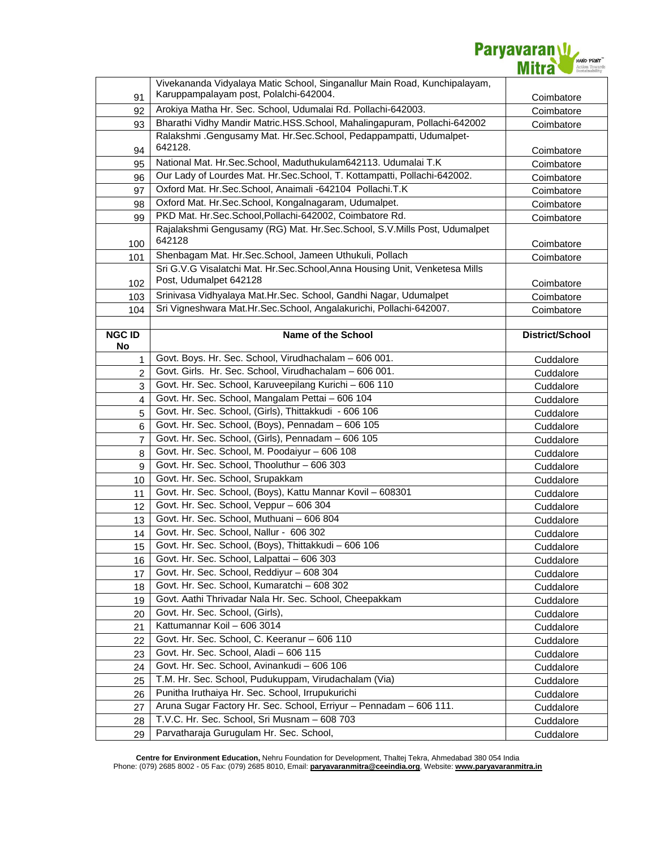

|                     | Vivekananda Vidyalaya Matic School, Singanallur Main Road, Kunchipalayam,               |                        |
|---------------------|-----------------------------------------------------------------------------------------|------------------------|
| 91                  | Karuppampalayam post, Polalchi-642004.                                                  | Coimbatore             |
| 92                  | Arokiya Matha Hr. Sec. School, Udumalai Rd. Pollachi-642003.                            | Coimbatore             |
| 93                  | Bharathi Vidhy Mandir Matric.HSS.School, Mahalingapuram, Pollachi-642002                | Coimbatore             |
|                     | Ralakshmi .Gengusamy Mat. Hr.Sec.School, Pedappampatti, Udumalpet-                      |                        |
| 94                  | 642128.                                                                                 | Coimbatore             |
| 95                  | National Mat. Hr.Sec.School, Maduthukulam642113. Udumalai T.K                           | Coimbatore             |
| 96                  | Our Lady of Lourdes Mat. Hr.Sec.School, T. Kottampatti, Pollachi-642002.                | Coimbatore             |
| 97                  | Oxford Mat. Hr.Sec.School, Anaimali -642104 Pollachi.T.K                                | Coimbatore             |
| 98                  | Oxford Mat. Hr.Sec.School, Kongalnagaram, Udumalpet.                                    | Coimbatore             |
| 99                  | PKD Mat. Hr.Sec.School,Pollachi-642002, Coimbatore Rd.                                  | Coimbatore             |
| 100                 | Rajalakshmi Gengusamy (RG) Mat. Hr.Sec.School, S.V.Mills Post, Udumalpet<br>642128      | Coimbatore             |
| 101                 | Shenbagam Mat. Hr.Sec.School, Jameen Uthukuli, Pollach                                  | Coimbatore             |
|                     | Sri G.V.G Visalatchi Mat. Hr.Sec.School, Anna Housing Unit, Venketesa Mills             |                        |
| 102                 | Post, Udumalpet 642128                                                                  | Coimbatore             |
| 103                 | Srinivasa Vidhyalaya Mat.Hr.Sec. School, Gandhi Nagar, Udumalpet                        | Coimbatore             |
| 104                 | Sri Vigneshwara Mat.Hr.Sec.School, Angalakurichi, Pollachi-642007.                      | Coimbatore             |
|                     |                                                                                         |                        |
| <b>NGC ID</b><br>No | <b>Name of the School</b>                                                               | District/School        |
| 1                   | Govt. Boys. Hr. Sec. School, Virudhachalam - 606 001.                                   | Cuddalore              |
| 2                   | Govt. Girls. Hr. Sec. School, Virudhachalam - 606 001.                                  | Cuddalore              |
| 3                   | Govt. Hr. Sec. School, Karuveepilang Kurichi - 606 110                                  | Cuddalore              |
| 4                   | Govt. Hr. Sec. School, Mangalam Pettai - 606 104                                        | Cuddalore              |
|                     | Govt. Hr. Sec. School, (Girls), Thittakkudi - 606 106                                   |                        |
| 5<br>6              | Govt. Hr. Sec. School, (Boys), Pennadam - 606 105                                       | Cuddalore<br>Cuddalore |
| 7                   | Govt. Hr. Sec. School, (Girls), Pennadam - 606 105                                      | Cuddalore              |
| 8                   | Govt. Hr. Sec. School, M. Poodaiyur - 606 108                                           |                        |
| 9                   | Govt. Hr. Sec. School, Thooluthur - 606 303                                             | Cuddalore<br>Cuddalore |
| 10                  | Govt. Hr. Sec. School, Srupakkam                                                        | Cuddalore              |
| 11                  | Govt. Hr. Sec. School, (Boys), Kattu Mannar Kovil - 608301                              |                        |
| 12                  | Govt. Hr. Sec. School, Veppur - 606 304                                                 | Cuddalore<br>Cuddalore |
| 13                  | Govt. Hr. Sec. School, Muthuani - 606 804                                               | Cuddalore              |
| 14                  | Govt. Hr. Sec. School, Nallur - 606 302                                                 |                        |
| 15                  | Govt. Hr. Sec. School, (Boys), Thittakkudi - 606 106                                    | Cuddalore<br>Cuddalore |
|                     | Govt. Hr. Sec. School, Lalpattai - 606 303                                              | Cuddalore              |
| 16<br>17            | Govt. Hr. Sec. School, Reddiyur - 608 304                                               | Cuddalore              |
| 18                  | Govt. Hr. Sec. School, Kumaratchi - 608 302                                             | Cuddalore              |
| 19                  | Govt. Aathi Thrivadar Nala Hr. Sec. School, Cheepakkam                                  | Cuddalore              |
| 20                  | Govt. Hr. Sec. School, (Girls),                                                         | Cuddalore              |
| 21                  | Kattumannar Koil - 606 3014                                                             | Cuddalore              |
| 22                  | Govt. Hr. Sec. School, C. Keeranur - 606 110                                            | Cuddalore              |
| 23                  | Govt. Hr. Sec. School, Aladi - 606 115                                                  | Cuddalore              |
| 24                  |                                                                                         |                        |
| 25                  |                                                                                         |                        |
|                     | Govt. Hr. Sec. School, Avinankudi - 606 106                                             | Cuddalore              |
|                     | T.M. Hr. Sec. School, Pudukuppam, Virudachalam (Via)                                    | Cuddalore              |
| 26                  | Punitha Iruthaiya Hr. Sec. School, Irrupukurichi                                        | Cuddalore              |
| 27                  | Aruna Sugar Factory Hr. Sec. School, Erriyur - Pennadam - 606 111.                      | Cuddalore              |
| 28<br>29            | T.V.C. Hr. Sec. School, Sri Musnam - 608 703<br>Parvatharaja Gurugulam Hr. Sec. School, | Cuddalore<br>Cuddalore |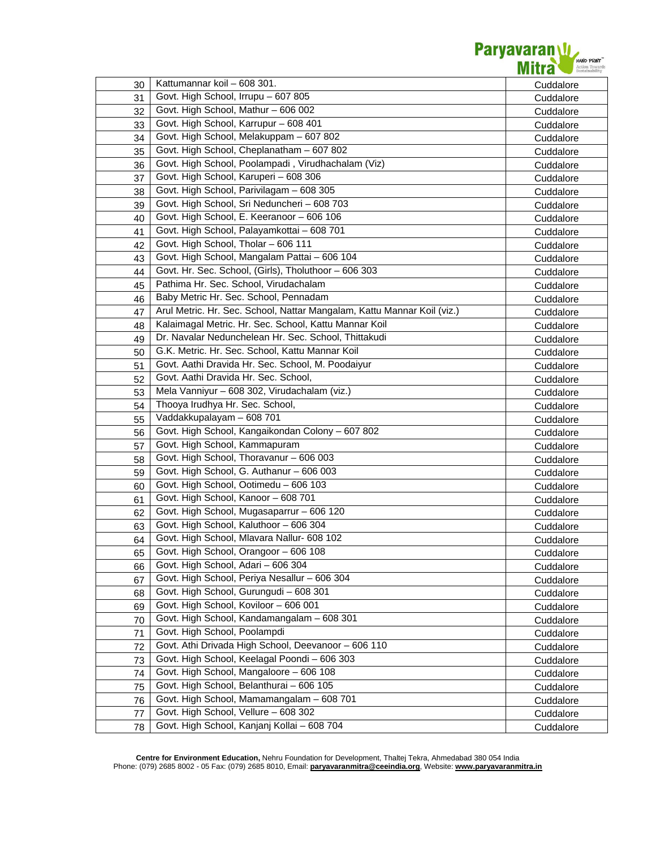

| 30 | Kattumannar koil - 608 301.                                             | Cuddalore |
|----|-------------------------------------------------------------------------|-----------|
| 31 | Govt. High School, Irrupu - 607 805                                     | Cuddalore |
| 32 | Govt. High School, Mathur - 606 002                                     | Cuddalore |
| 33 | Govt. High School, Karrupur - 608 401                                   | Cuddalore |
| 34 | Govt. High School, Melakuppam - 607 802                                 | Cuddalore |
| 35 | Govt. High School, Cheplanatham - 607 802                               | Cuddalore |
| 36 | Govt. High School, Poolampadi, Virudhachalam (Viz)                      | Cuddalore |
| 37 | Govt. High School, Karuperi - 608 306                                   | Cuddalore |
| 38 | Govt. High School, Parivilagam - 608 305                                | Cuddalore |
| 39 | Govt. High School, Sri Neduncheri - 608 703                             | Cuddalore |
| 40 | Govt. High School, E. Keeranoor - 606 106                               | Cuddalore |
| 41 | Govt. High School, Palayamkottai - 608 701                              | Cuddalore |
| 42 | Govt. High School, Tholar - 606 111                                     | Cuddalore |
| 43 | Govt. High School, Mangalam Pattai - 606 104                            | Cuddalore |
| 44 | Govt. Hr. Sec. School, (Girls), Tholuthoor - 606 303                    | Cuddalore |
| 45 | Pathima Hr. Sec. School, Virudachalam                                   | Cuddalore |
| 46 | Baby Metric Hr. Sec. School, Pennadam                                   | Cuddalore |
| 47 | Arul Metric. Hr. Sec. School, Nattar Mangalam, Kattu Mannar Koil (viz.) | Cuddalore |
| 48 | Kalaimagal Metric. Hr. Sec. School, Kattu Mannar Koil                   | Cuddalore |
| 49 | Dr. Navalar Nedunchelean Hr. Sec. School, Thittakudi                    | Cuddalore |
| 50 | G.K. Metric. Hr. Sec. School, Kattu Mannar Koil                         | Cuddalore |
| 51 | Govt. Aathi Dravida Hr. Sec. School, M. Poodaiyur                       | Cuddalore |
| 52 | Govt. Aathi Dravida Hr. Sec. School,                                    | Cuddalore |
| 53 | Mela Vanniyur - 608 302, Virudachalam (viz.)                            | Cuddalore |
| 54 | Thooya Irudhya Hr. Sec. School,                                         | Cuddalore |
| 55 | Vaddakkupalayam - 608 701                                               | Cuddalore |
| 56 | Govt. High School, Kangaikondan Colony - 607 802                        | Cuddalore |
| 57 | Govt. High School, Kammapuram                                           | Cuddalore |
| 58 | Govt. High School, Thoravanur - 606 003                                 | Cuddalore |
| 59 | Govt. High School, G. Authanur - 606 003                                | Cuddalore |
| 60 | Govt. High School, Ootimedu - 606 103                                   | Cuddalore |
| 61 | Govt. High School, Kanoor - 608 701                                     | Cuddalore |
| 62 | Govt. High School, Mugasaparrur - 606 120                               | Cuddalore |
| 63 | Govt. High School, Kaluthoor - 606 304                                  | Cuddalore |
| 64 | Govt. High School, Mlavara Nallur- 608 102                              | Cuddalore |
| 65 | Govt. High School, Orangoor - 606 108                                   | Cuddalore |
| 66 | Govt. High School, Adari - 606 304                                      | Cuddalore |
| 67 | Govt. High School, Periya Nesallur - 606 304                            | Cuddalore |
| 68 | Govt. High School, Gurungudi - 608 301                                  | Cuddalore |
| 69 | Govt. High School, Koviloor - 606 001                                   | Cuddalore |
| 70 | Govt. High School, Kandamangalam - 608 301                              | Cuddalore |
| 71 | Govt. High School, Poolampdi                                            | Cuddalore |
| 72 | Govt. Athi Drivada High School, Deevanoor - 606 110                     | Cuddalore |
| 73 | Govt. High School, Keelagal Poondi - 606 303                            | Cuddalore |
| 74 | Govt. High School, Mangaloore - 606 108                                 | Cuddalore |
| 75 | Govt. High School, Belanthurai - 606 105                                | Cuddalore |
| 76 | Govt. High School, Mamamangalam - 608 701                               | Cuddalore |
| 77 | Govt. High School, Vellure - 608 302                                    | Cuddalore |
| 78 | Govt. High School, Kanjanj Kollai - 608 704                             | Cuddalore |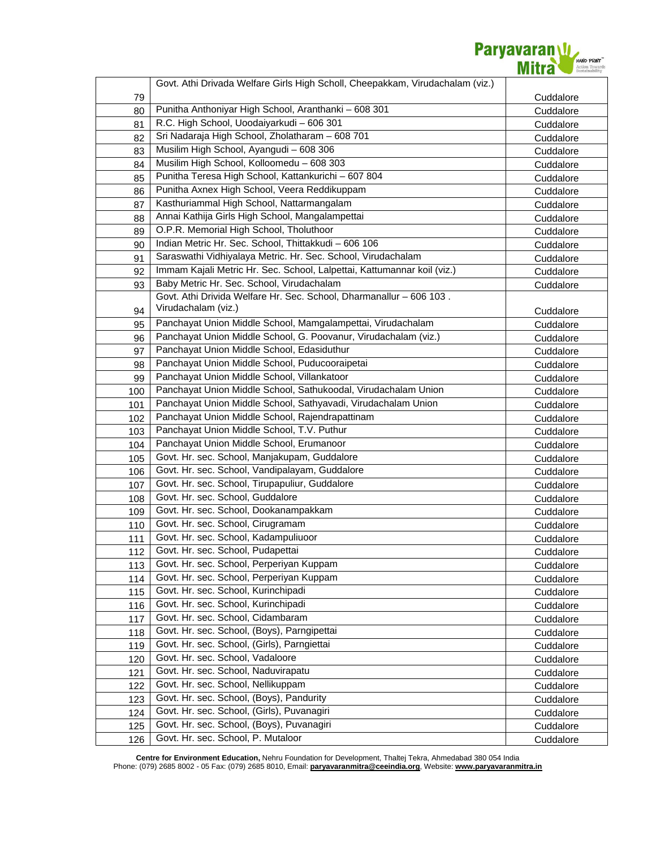

|     | Govt. Athi Drivada Welfare Girls High Scholl, Cheepakkam, Virudachalam (viz.) |           |
|-----|-------------------------------------------------------------------------------|-----------|
| 79  |                                                                               | Cuddalore |
| 80  | Punitha Anthoniyar High School, Aranthanki - 608 301                          | Cuddalore |
| 81  | R.C. High School, Uoodaiyarkudi - 606 301                                     | Cuddalore |
| 82  | Sri Nadaraja High School, Zholatharam - 608 701                               | Cuddalore |
| 83  | Musilim High School, Ayangudi - 608 306                                       | Cuddalore |
| 84  | Musilim High School, Kolloomedu - 608 303                                     | Cuddalore |
| 85  | Punitha Teresa High School, Kattankurichi - 607 804                           | Cuddalore |
| 86  | Punitha Axnex High School, Veera Reddikuppam                                  | Cuddalore |
| 87  | Kasthuriammal High School, Nattarmangalam                                     | Cuddalore |
| 88  | Annai Kathija Girls High School, Mangalampettai                               | Cuddalore |
| 89  | O.P.R. Memorial High School, Tholuthoor                                       | Cuddalore |
| 90  | Indian Metric Hr. Sec. School, Thittakkudi - 606 106                          | Cuddalore |
| 91  | Saraswathi Vidhiyalaya Metric. Hr. Sec. School, Virudachalam                  | Cuddalore |
| 92  | Immam Kajali Metric Hr. Sec. School, Lalpettai, Kattumannar koil (viz.)       | Cuddalore |
| 93  | Baby Metric Hr. Sec. School, Virudachalam                                     | Cuddalore |
|     | Govt. Athi Drivida Welfare Hr. Sec. School, Dharmanallur - 606 103.           |           |
| 94  | Virudachalam (viz.)                                                           | Cuddalore |
| 95  | Panchayat Union Middle School, Mamgalampettai, Virudachalam                   | Cuddalore |
| 96  | Panchayat Union Middle School, G. Poovanur, Virudachalam (viz.)               | Cuddalore |
| 97  | Panchayat Union Middle School, Edasiduthur                                    | Cuddalore |
| 98  | Panchayat Union Middle School, Puducooraipetai                                | Cuddalore |
| 99  | Panchayat Union Middle School, Villankatoor                                   | Cuddalore |
| 100 | Panchayat Union Middle School, Sathukoodal, Virudachalam Union                | Cuddalore |
| 101 | Panchayat Union Middle School, Sathyavadi, Virudachalam Union                 | Cuddalore |
| 102 | Panchayat Union Middle School, Rajendrapattinam                               | Cuddalore |
| 103 | Panchayat Union Middle School, T.V. Puthur                                    | Cuddalore |
| 104 | Panchayat Union Middle School, Erumanoor                                      | Cuddalore |
| 105 | Govt. Hr. sec. School, Manjakupam, Guddalore                                  | Cuddalore |
| 106 | Govt. Hr. sec. School, Vandipalayam, Guddalore                                | Cuddalore |
| 107 | Govt. Hr. sec. School, Tirupapuliur, Guddalore                                | Cuddalore |
| 108 | Govt. Hr. sec. School, Guddalore                                              | Cuddalore |
| 109 | Govt. Hr. sec. School, Dookanampakkam                                         | Cuddalore |
| 110 | Govt. Hr. sec. School, Cirugramam                                             | Cuddalore |
| 111 | Govt. Hr. sec. School, Kadampuliuoor                                          | Cuddalore |
| 112 | Govt. Hr. sec. School, Pudapettai                                             | Cuddalore |
| 113 | Govt. Hr. sec. School, Perperiyan Kuppam                                      | Cuddalore |
| 114 | Govt. Hr. sec. School, Perperiyan Kuppam                                      | Cuddalore |
| 115 | Govt. Hr. sec. School, Kurinchipadi                                           | Cuddalore |
| 116 | Govt. Hr. sec. School, Kurinchipadi                                           | Cuddalore |
| 117 | Govt. Hr. sec. School, Cidambaram                                             | Cuddalore |
| 118 | Govt. Hr. sec. School, (Boys), Parngipettai                                   | Cuddalore |
| 119 | Govt. Hr. sec. School, (Girls), Parngiettai                                   | Cuddalore |
| 120 | Govt. Hr. sec. School, Vadaloore                                              | Cuddalore |
| 121 | Govt. Hr. sec. School, Naduvirapatu                                           | Cuddalore |
| 122 | Govt. Hr. sec. School, Nellikuppam                                            | Cuddalore |
| 123 | Govt. Hr. sec. School, (Boys), Pandurity                                      | Cuddalore |
| 124 | Govt. Hr. sec. School, (Girls), Puvanagiri                                    | Cuddalore |
| 125 | Govt. Hr. sec. School, (Boys), Puvanagiri                                     | Cuddalore |
| 126 | Govt. Hr. sec. School, P. Mutaloor                                            | Cuddalore |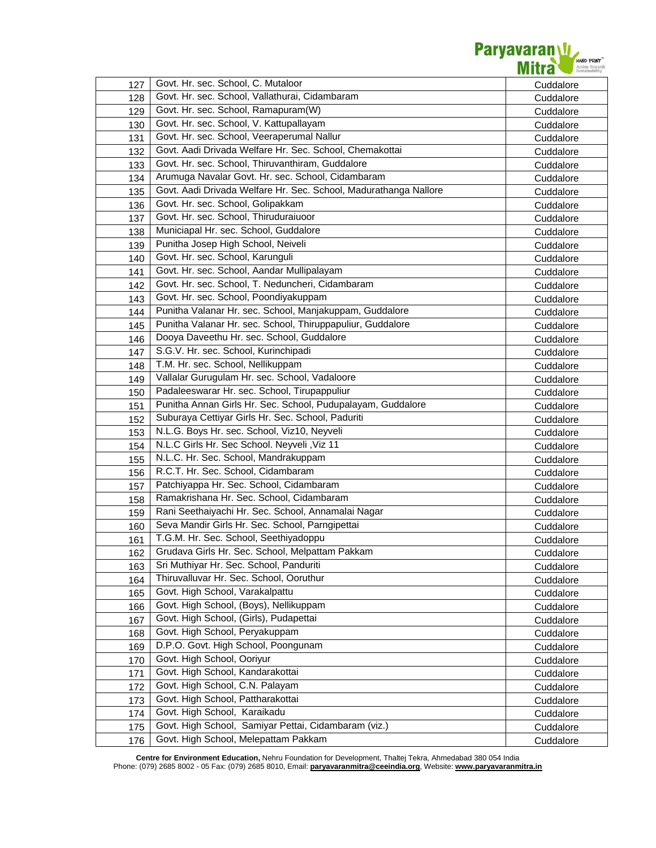

| 127 | Govt. Hr. sec. School, C. Mutaloor                               | Cuddalore |
|-----|------------------------------------------------------------------|-----------|
| 128 | Govt. Hr. sec. School, Vallathurai, Cidambaram                   | Cuddalore |
| 129 | Govt. Hr. sec. School, Ramapuram(W)                              | Cuddalore |
| 130 | Govt. Hr. sec. School, V. Kattupallayam                          | Cuddalore |
| 131 | Govt. Hr. sec. School, Veeraperumal Nallur                       | Cuddalore |
| 132 | Govt. Aadi Drivada Welfare Hr. Sec. School, Chemakottai          | Cuddalore |
| 133 | Govt. Hr. sec. School, Thiruvanthiram, Guddalore                 | Cuddalore |
| 134 | Arumuga Navalar Govt. Hr. sec. School, Cidambaram                | Cuddalore |
| 135 | Govt. Aadi Drivada Welfare Hr. Sec. School, Madurathanga Nallore | Cuddalore |
| 136 | Govt. Hr. sec. School, Golipakkam                                | Cuddalore |
| 137 | Govt. Hr. sec. School, Thiruduraiuoor                            | Cuddalore |
| 138 | Municiapal Hr. sec. School, Guddalore                            | Cuddalore |
| 139 | Punitha Josep High School, Neiveli                               | Cuddalore |
| 140 | Govt. Hr. sec. School, Karunguli                                 | Cuddalore |
| 141 | Govt. Hr. sec. School, Aandar Mullipalayam                       | Cuddalore |
| 142 | Govt. Hr. sec. School, T. Neduncheri, Cidambaram                 | Cuddalore |
| 143 | Govt. Hr. sec. School, Poondiyakuppam                            | Cuddalore |
| 144 | Punitha Valanar Hr. sec. School, Manjakuppam, Guddalore          | Cuddalore |
| 145 | Punitha Valanar Hr. sec. School, Thiruppapuliur, Guddalore       | Cuddalore |
| 146 | Dooya Daveethu Hr. sec. School, Guddalore                        | Cuddalore |
| 147 | S.G.V. Hr. sec. School, Kurinchipadi                             | Cuddalore |
| 148 | T.M. Hr. sec. School, Nellikuppam                                | Cuddalore |
| 149 | Vallalar Gurugulam Hr. sec. School, Vadaloore                    | Cuddalore |
| 150 | Padaleeswarar Hr. sec. School, Tirupappuliur                     | Cuddalore |
| 151 | Punitha Annan Girls Hr. Sec. School, Pudupalayam, Guddalore      | Cuddalore |
| 152 | Suburaya Cettiyar Girls Hr. Sec. School, Paduriti                | Cuddalore |
| 153 | N.L.G. Boys Hr. sec. School, Viz10, Neyveli                      | Cuddalore |
| 154 | N.L.C Girls Hr. Sec School. Neyveli, Viz 11                      | Cuddalore |
| 155 | N.L.C. Hr. Sec. School, Mandrakuppam                             | Cuddalore |
| 156 | R.C.T. Hr. Sec. School, Cidambaram                               | Cuddalore |
| 157 | Patchiyappa Hr. Sec. School, Cidambaram                          | Cuddalore |
| 158 | Ramakrishana Hr. Sec. School, Cidambaram                         | Cuddalore |
| 159 | Rani Seethaiyachi Hr. Sec. School, Annamalai Nagar               | Cuddalore |
| 160 | Seva Mandir Girls Hr. Sec. School, Parngipettai                  | Cuddalore |
| 161 | T.G.M. Hr. Sec. School, Seethiyadoppu                            | Cuddalore |
| 162 | Grudava Girls Hr. Sec. School, Melpattam Pakkam                  | Cuddalore |
| 163 | Sri Muthiyar Hr. Sec. School, Panduriti                          | Cuddalore |
| 164 | Thiruvalluvar Hr. Sec. School, Ooruthur                          | Cuddalore |
| 165 | Govt. High School, Varakalpattu                                  | Cuddalore |
| 166 | Govt. High School, (Boys), Nellikuppam                           | Cuddalore |
| 167 | Govt. High School, (Girls), Pudapettai                           | Cuddalore |
| 168 | Govt. High School, Peryakuppam                                   | Cuddalore |
| 169 | D.P.O. Govt. High School, Poongunam                              | Cuddalore |
| 170 | Govt. High School, Ooriyur                                       | Cuddalore |
| 171 | Govt. High School, Kandarakottai                                 | Cuddalore |
| 172 | Govt. High School, C.N. Palayam                                  | Cuddalore |
| 173 | Govt. High School, Pattharakottai                                | Cuddalore |
| 174 | Govt. High School, Karaikadu                                     | Cuddalore |
| 175 | Govt. High School, Samiyar Pettai, Cidambaram (viz.)             | Cuddalore |
| 176 | Govt. High School, Melepattam Pakkam                             | Cuddalore |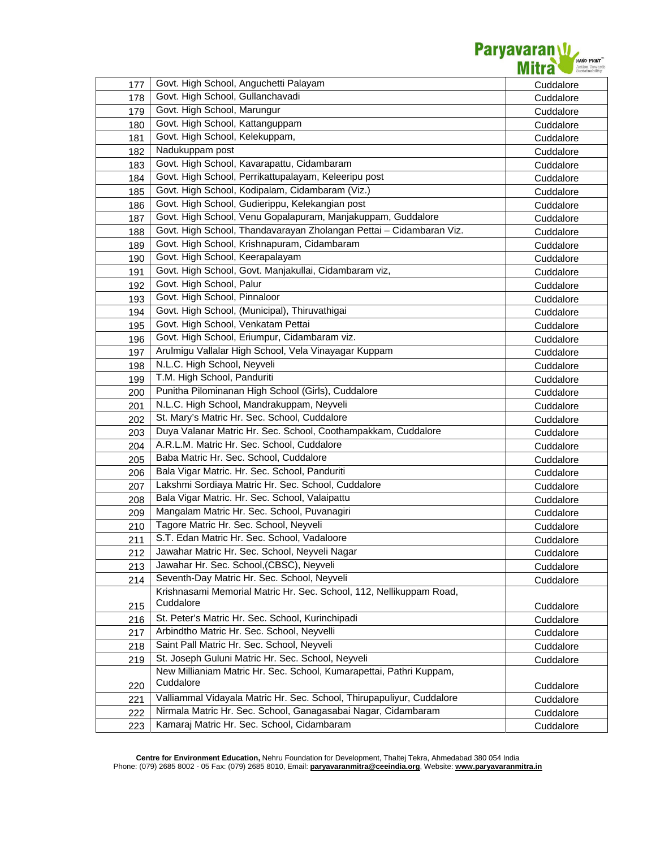

| 177 | Govt. High School, Anguchetti Palayam                                            | Cuddalore |
|-----|----------------------------------------------------------------------------------|-----------|
| 178 | Govt. High School, Gullanchavadi                                                 | Cuddalore |
| 179 | Govt. High School, Marungur                                                      | Cuddalore |
| 180 | Govt. High School, Kattanguppam                                                  | Cuddalore |
| 181 | Govt. High School, Kelekuppam,                                                   | Cuddalore |
| 182 | Nadukuppam post                                                                  | Cuddalore |
| 183 | Govt. High School, Kavarapattu, Cidambaram                                       | Cuddalore |
| 184 | Govt. High School, Perrikattupalayam, Keleeripu post                             | Cuddalore |
| 185 | Govt. High School, Kodipalam, Cidambaram (Viz.)                                  | Cuddalore |
| 186 | Govt. High School, Gudierippu, Kelekangian post                                  | Cuddalore |
| 187 | Govt. High School, Venu Gopalapuram, Manjakuppam, Guddalore                      | Cuddalore |
| 188 | Govt. High School, Thandavarayan Zholangan Pettai - Cidambaran Viz.              | Cuddalore |
| 189 | Govt. High School, Krishnapuram, Cidambaram                                      | Cuddalore |
| 190 | Govt. High School, Keerapalayam                                                  | Cuddalore |
| 191 | Govt. High School, Govt. Manjakullai, Cidambaram viz,                            | Cuddalore |
| 192 | Govt. High School, Palur                                                         | Cuddalore |
| 193 | Govt. High School, Pinnaloor                                                     | Cuddalore |
| 194 | Govt. High School, (Municipal), Thiruvathigai                                    | Cuddalore |
| 195 | Govt. High School, Venkatam Pettai                                               | Cuddalore |
| 196 | Govt. High School, Eriumpur, Cidambaram viz.                                     | Cuddalore |
| 197 | Arulmigu Vallalar High School, Vela Vinayagar Kuppam                             | Cuddalore |
| 198 | N.L.C. High School, Neyveli                                                      | Cuddalore |
| 199 | T.M. High School, Panduriti                                                      | Cuddalore |
| 200 | Punitha Pilominanan High School (Girls), Cuddalore                               | Cuddalore |
| 201 | N.L.C. High School, Mandrakuppam, Neyveli                                        | Cuddalore |
| 202 | St. Mary's Matric Hr. Sec. School, Cuddalore                                     | Cuddalore |
| 203 | Duya Valanar Matric Hr. Sec. School, Coothampakkam, Cuddalore                    | Cuddalore |
| 204 | A.R.L.M. Matric Hr. Sec. School, Cuddalore                                       | Cuddalore |
| 205 | Baba Matric Hr. Sec. School, Cuddalore                                           | Cuddalore |
| 206 | Bala Vigar Matric. Hr. Sec. School, Panduriti                                    | Cuddalore |
| 207 | Lakshmi Sordiaya Matric Hr. Sec. School, Cuddalore                               | Cuddalore |
| 208 | Bala Vigar Matric. Hr. Sec. School, Valaipattu                                   | Cuddalore |
| 209 | Mangalam Matric Hr. Sec. School, Puvanagiri                                      | Cuddalore |
| 210 | Tagore Matric Hr. Sec. School, Neyveli                                           | Cuddalore |
| 211 | S.T. Edan Matric Hr. Sec. School, Vadaloore                                      | Cuddalore |
| 212 | Jawahar Matric Hr. Sec. School, Neyveli Nagar                                    | Cuddalore |
| 213 | Jawahar Hr. Sec. School, (CBSC), Neyveli                                         | Cuddalore |
| 214 | Seventh-Day Matric Hr. Sec. School, Neyveli                                      | Cuddalore |
|     | Krishnasami Memorial Matric Hr. Sec. School, 112, Nellikuppam Road,              |           |
| 215 | Cuddalore                                                                        | Cuddalore |
| 216 | St. Peter's Matric Hr. Sec. School, Kurinchipadi                                 | Cuddalore |
| 217 | Arbindtho Matric Hr. Sec. School, Neyvelli                                       | Cuddalore |
| 218 | Saint Pall Matric Hr. Sec. School, Neyveli                                       | Cuddalore |
| 219 | St. Joseph Guluni Matric Hr. Sec. School, Neyveli                                | Cuddalore |
|     | New Millianiam Matric Hr. Sec. School, Kumarapettai, Pathri Kuppam,<br>Cuddalore |           |
| 220 |                                                                                  | Cuddalore |
| 221 | Valliammal Vidayala Matric Hr. Sec. School, Thirupapuliyur, Cuddalore            | Cuddalore |
| 222 | Nirmala Matric Hr. Sec. School, Ganagasabai Nagar, Cidambaram                    | Cuddalore |
| 223 | Kamaraj Matric Hr. Sec. School, Cidambaram                                       | Cuddalore |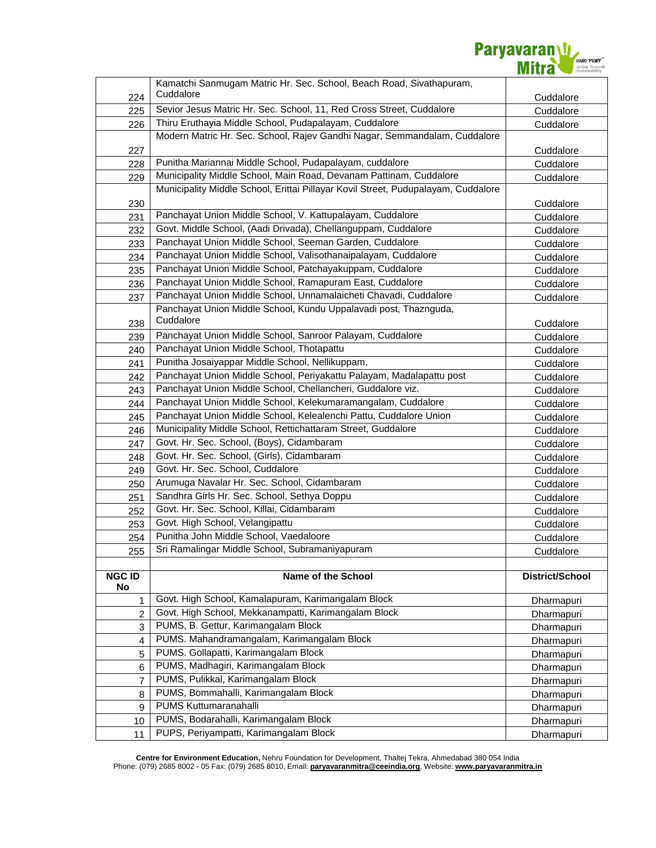

|                | Kamatchi Sanmugam Matric Hr. Sec. School, Beach Road, Sivathapuram,               |                 |
|----------------|-----------------------------------------------------------------------------------|-----------------|
| 224            | Cuddalore                                                                         | Cuddalore       |
| 225            | Sevior Jesus Matric Hr. Sec. School, 11, Red Cross Street, Cuddalore              | Cuddalore       |
| 226            | Thiru Eruthayia Middle School, Pudapalayam, Cuddalore                             | Cuddalore       |
|                | Modern Matric Hr. Sec. School, Rajev Gandhi Nagar, Semmandalam, Cuddalore         |                 |
| 227            |                                                                                   | Cuddalore       |
| 228            | Punitha Mariannai Middle School, Pudapalayam, cuddalore                           | Cuddalore       |
| 229            | Municipality Middle School, Main Road, Devanam Pattinam, Cuddalore                | Cuddalore       |
|                | Municipality Middle School, Erittai Pillayar Kovil Street, Pudupalayam, Cuddalore |                 |
| 230            |                                                                                   | Cuddalore       |
| 231            | Panchayat Union Middle School, V. Kattupalayam, Cuddalore                         | Cuddalore       |
| 232            | Govt. Middle School, (Aadi Drivada), Chellanguppam, Cuddalore                     | Cuddalore       |
| 233            | Panchayat Union Middle School, Seeman Garden, Cuddalore                           | Cuddalore       |
| 234            | Panchayat Union Middle School, Valisothanaipalayam, Cuddalore                     | Cuddalore       |
| 235            | Panchayat Union Middle School, Patchayakuppam, Cuddalore                          | Cuddalore       |
| 236            | Panchayat Union Middle School, Ramapuram East, Cuddalore                          | Cuddalore       |
| 237            | Panchayat Union Middle School, Unnamalaicheti Chavadi, Cuddalore                  | Cuddalore       |
|                | Panchayat Union Middle School, Kundu Uppalavadi post, Thaznguda,                  |                 |
| 238            | Cuddalore                                                                         | Cuddalore       |
| 239            | Panchayat Union Middle School, Sanroor Palayam, Cuddalore                         | Cuddalore       |
| 240            | Panchayat Union Middle School, Thotapattu                                         | Cuddalore       |
| 241            | Punitha Josaiyappar Middle School, Nellikuppam,                                   | Cuddalore       |
| 242            | Panchayat Union Middle School, Periyakattu Palayam, Madalapattu post              | Cuddalore       |
| 243            | Panchayat Union Middle School, Chellancheri, Guddalore viz.                       | Cuddalore       |
| 244            | Panchayat Union Middle School, Kelekumaramangalam, Cuddalore                      | Cuddalore       |
| 245            | Panchayat Union Middle School, Kelealenchi Pattu, Cuddalore Union                 | Cuddalore       |
| 246            | Municipality Middle School, Rettichattaram Street, Guddalore                      | Cuddalore       |
| 247            | Govt. Hr. Sec. School, (Boys), Cidambaram                                         | Cuddalore       |
| 248            | Govt. Hr. Sec. School, (Girls), Cidambaram                                        | Cuddalore       |
| 249            | Govt. Hr. Sec. School, Cuddalore                                                  | Cuddalore       |
| 250            | Arumuga Navalar Hr. Sec. School, Cidambaram                                       | Cuddalore       |
| 251            | Sandhra Girls Hr. Sec. School, Sethya Doppu                                       | Cuddalore       |
| 252            | Govt. Hr. Sec. School, Killai, Cidambaram                                         | Cuddalore       |
| 253            | Govt. High School, Velangipattu                                                   | Cuddalore       |
| 254            | Punitha John Middle School, Vaedaloore                                            | Cuddalore       |
| 255            | Sri Ramalingar Middle School, Subramaniyapuram                                    | Cuddalore       |
|                |                                                                                   |                 |
| <b>NGC ID</b>  | <b>Name of the School</b>                                                         | District/School |
| No             |                                                                                   |                 |
| 1              | Govt. High School, Kamalapuram, Karimangalam Block                                | Dharmapuri      |
| $\overline{2}$ | Govt. High School, Mekkanampatti, Karimangalam Block                              | Dharmapuri      |
| 3              | PUMS, B. Gettur, Karimangalam Block                                               | Dharmapuri      |
| 4              | PUMS. Mahandramangalam, Karimangalam Block                                        | Dharmapuri      |
| 5              | PUMS. Gollapatti, Karimangalam Block                                              | Dharmapuri      |
| 6              | PUMS, Madhagiri, Karimangalam Block                                               | Dharmapuri      |
| 7              | PUMS, Pulikkal, Karimangalam Block                                                | Dharmapuri      |
| 8              | PUMS, Bommahalli, Karimangalam Block                                              | Dharmapuri      |
| 9              | PUMS Kuttumaranahalli                                                             | Dharmapuri      |
| 10             | PUMS, Bodarahalli, Karimangalam Block                                             | Dharmapuri      |
| 11             | PUPS, Periyampatti, Karimangalam Block                                            | Dharmapuri      |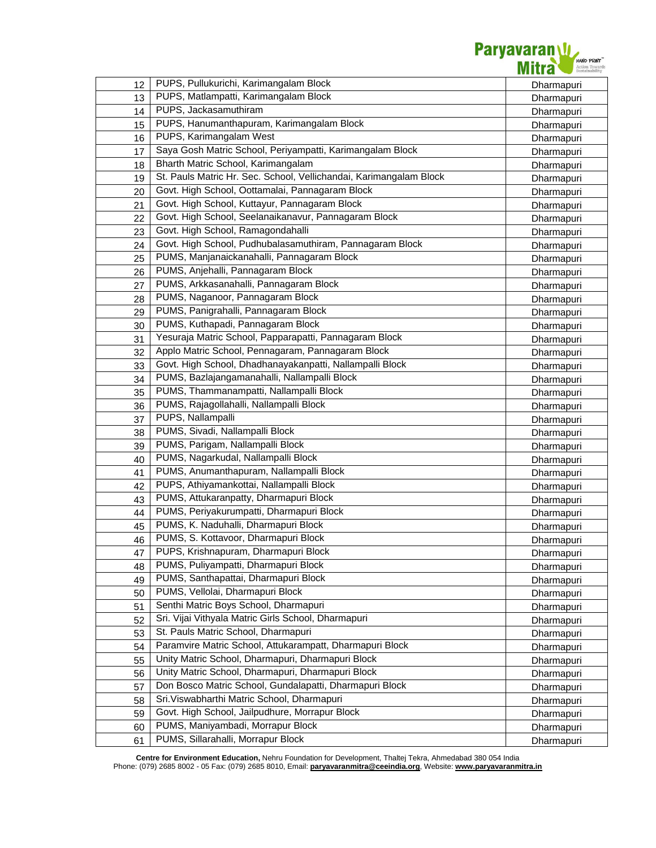

| 12 | PUPS, Pullukurichi, Karimangalam Block                             | Dharmapuri |
|----|--------------------------------------------------------------------|------------|
| 13 | PUPS, Matlampatti, Karimangalam Block                              | Dharmapuri |
| 14 | PUPS, Jackasamuthiram                                              | Dharmapuri |
| 15 | PUPS, Hanumanthapuram, Karimangalam Block                          | Dharmapuri |
| 16 | PUPS, Karimangalam West                                            | Dharmapuri |
| 17 | Saya Gosh Matric School, Periyampatti, Karimangalam Block          | Dharmapuri |
| 18 | Bharth Matric School, Karimangalam                                 | Dharmapuri |
| 19 | St. Pauls Matric Hr. Sec. School, Vellichandai, Karimangalam Block | Dharmapuri |
| 20 | Govt. High School, Oottamalai, Pannagaram Block                    | Dharmapuri |
| 21 | Govt. High School, Kuttayur, Pannagaram Block                      | Dharmapuri |
| 22 | Govt. High School, Seelanaikanavur, Pannagaram Block               | Dharmapuri |
| 23 | Govt. High School, Ramagondahalli                                  | Dharmapuri |
| 24 | Govt. High School, Pudhubalasamuthiram, Pannagaram Block           | Dharmapuri |
| 25 | PUMS, Manjanaickanahalli, Pannagaram Block                         | Dharmapuri |
| 26 | PUMS, Anjehalli, Pannagaram Block                                  | Dharmapuri |
| 27 | PUMS, Arkkasanahalli, Pannagaram Block                             | Dharmapuri |
| 28 | PUMS, Naganoor, Pannagaram Block                                   | Dharmapuri |
| 29 | PUMS, Panigrahalli, Pannagaram Block                               | Dharmapuri |
| 30 | PUMS, Kuthapadi, Pannagaram Block                                  | Dharmapuri |
| 31 | Yesuraja Matric School, Papparapatti, Pannagaram Block             | Dharmapuri |
| 32 | Applo Matric School, Pennagaram, Pannagaram Block                  | Dharmapuri |
| 33 | Govt. High School, Dhadhanayakanpatti, Nallampalli Block           | Dharmapuri |
| 34 | PUMS, Bazlajangamanahalli, Nallampalli Block                       | Dharmapuri |
| 35 | PUMS, Thammanampatti, Nallampalli Block                            | Dharmapuri |
| 36 | PUMS, Rajagollahalli, Nallampalli Block                            | Dharmapuri |
| 37 | PUPS, Nallampalli                                                  | Dharmapuri |
| 38 | PUMS, Sivadi, Nallampalli Block                                    | Dharmapuri |
| 39 | PUMS, Parigam, Nallampalli Block                                   | Dharmapuri |
| 40 | PUMS, Nagarkudal, Nallampalli Block                                | Dharmapuri |
| 41 | PUMS, Anumanthapuram, Nallampalli Block                            | Dharmapuri |
| 42 | PUPS, Athiyamankottai, Nallampalli Block                           | Dharmapuri |
| 43 | PUMS, Attukaranpatty, Dharmapuri Block                             | Dharmapuri |
| 44 | PUMS, Periyakurumpatti, Dharmapuri Block                           | Dharmapuri |
| 45 | PUMS, K. Naduhalli, Dharmapuri Block                               | Dharmapuri |
| 46 | PUMS, S. Kottavoor, Dharmapuri Block                               | Dharmapuri |
| 47 | PUPS, Krishnapuram, Dharmapuri Block                               | Dharmapuri |
| 48 | PUMS, Puliyampatti, Dharmapuri Block                               | Dharmapuri |
| 49 | PUMS, Santhapattai, Dharmapuri Block                               | Dharmapuri |
| 50 | PUMS, Vellolai, Dharmapuri Block                                   | Dharmapuri |
| 51 | Senthi Matric Boys School, Dharmapuri                              | Dharmapuri |
| 52 | Sri. Vijai Vithyala Matric Girls School, Dharmapuri                | Dharmapuri |
| 53 | St. Pauls Matric School, Dharmapuri                                | Dharmapuri |
| 54 | Paramvire Matric School, Attukarampatt, Dharmapuri Block           | Dharmapuri |
| 55 | Unity Matric School, Dharmapuri, Dharmapuri Block                  | Dharmapuri |
| 56 | Unity Matric School, Dharmapuri, Dharmapuri Block                  | Dharmapuri |
| 57 | Don Bosco Matric School, Gundalapatti, Dharmapuri Block            | Dharmapuri |
| 58 | Sri. Viswabharthi Matric School, Dharmapuri                        | Dharmapuri |
| 59 | Govt. High School, Jailpudhure, Morrapur Block                     | Dharmapuri |
| 60 | PUMS, Maniyambadi, Morrapur Block                                  | Dharmapuri |
| 61 | PUMS, Sillarahalli, Morrapur Block                                 | Dharmapuri |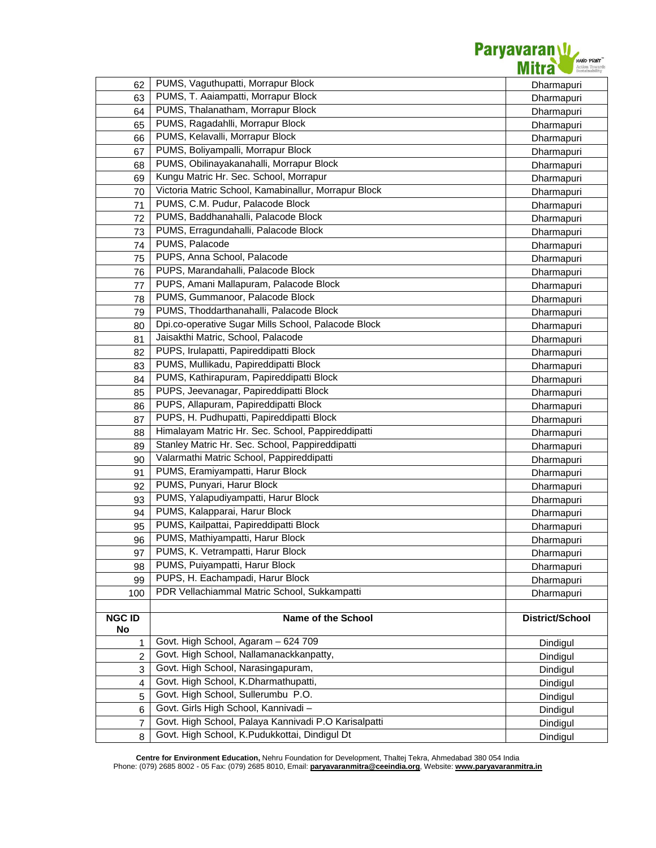

|                     | PUMS, Vaguthupatti, Morrapur Block                   |                 |
|---------------------|------------------------------------------------------|-----------------|
| 62                  | PUMS, T. Aaiampatti, Morrapur Block                  | Dharmapuri      |
| 63                  | PUMS, Thalanatham, Morrapur Block                    | Dharmapuri      |
| 64                  | PUMS, Ragadahlli, Morrapur Block                     | Dharmapuri      |
| 65                  | PUMS, Kelavalli, Morrapur Block                      | Dharmapuri      |
| 66                  | PUMS, Boliyampalli, Morrapur Block                   | Dharmapuri      |
| 67                  |                                                      | Dharmapuri      |
| 68                  | PUMS, Obilinayakanahalli, Morrapur Block             | Dharmapuri      |
| 69                  | Kungu Matric Hr. Sec. School, Morrapur               | Dharmapuri      |
| 70                  | Victoria Matric School, Kamabinallur, Morrapur Block | Dharmapuri      |
| 71                  | PUMS, C.M. Pudur, Palacode Block                     | Dharmapuri      |
| 72                  | PUMS, Baddhanahalli, Palacode Block                  | Dharmapuri      |
| 73                  | PUMS, Erragundahalli, Palacode Block                 | Dharmapuri      |
| 74                  | PUMS, Palacode                                       | Dharmapuri      |
| 75                  | PUPS, Anna School, Palacode                          | Dharmapuri      |
| 76                  | PUPS, Marandahalli, Palacode Block                   | Dharmapuri      |
| 77                  | PUPS, Amani Mallapuram, Palacode Block               | Dharmapuri      |
| 78                  | PUMS, Gummanoor, Palacode Block                      | Dharmapuri      |
| 79                  | PUMS, Thoddarthanahalli, Palacode Block              | Dharmapuri      |
| 80                  | Dpi.co-operative Sugar Mills School, Palacode Block  | Dharmapuri      |
| 81                  | Jaisakthi Matric, School, Palacode                   | Dharmapuri      |
| 82                  | PUPS, Irulapatti, Papireddipatti Block               | Dharmapuri      |
| 83                  | PUMS, Mullikadu, Papireddipatti Block                | Dharmapuri      |
| 84                  | PUMS, Kathirapuram, Papireddipatti Block             | Dharmapuri      |
| 85                  | PUPS, Jeevanagar, Papireddipatti Block               | Dharmapuri      |
| 86                  | PUPS, Allapuram, Papireddipatti Block                | Dharmapuri      |
| 87                  | PUPS, H. Pudhupatti, Papireddipatti Block            | Dharmapuri      |
| 88                  | Himalayam Matric Hr. Sec. School, Pappireddipatti    | Dharmapuri      |
| 89                  | Stanley Matric Hr. Sec. School, Pappireddipatti      | Dharmapuri      |
| 90                  | Valarmathi Matric School, Pappireddipatti            | Dharmapuri      |
| 91                  | PUMS, Eramiyampatti, Harur Block                     | Dharmapuri      |
| 92                  | PUMS, Punyari, Harur Block                           | Dharmapuri      |
| 93                  | PUMS, Yalapudiyampatti, Harur Block                  | Dharmapuri      |
| 94                  | PUMS, Kalapparai, Harur Block                        | Dharmapuri      |
| 95                  | PUMS, Kailpattai, Papireddipatti Block               | Dharmapuri      |
| 96                  | PUMS, Mathiyampatti, Harur Block                     | Dharmapuri      |
| 97                  | PUMS, K. Vetrampatti, Harur Block                    | Dharmapuri      |
| 98                  | PUMS, Puiyampatti, Harur Block                       | Dharmapuri      |
| 99                  | PUPS, H. Eachampadi, Harur Block                     | Dharmapuri      |
| 100                 | PDR Vellachiammal Matric School, Sukkampatti         | Dharmapuri      |
|                     |                                                      |                 |
| <b>NGC ID</b><br>No | Name of the School                                   | District/School |
| 1                   | Govt. High School, Agaram - 624 709                  | Dindigul        |
| 2                   | Govt. High School, Nallamanackkanpatty,              | Dindigul        |
| 3                   | Govt. High School, Narasingapuram,                   | Dindigul        |
| 4                   | Govt. High School, K.Dharmathupatti,                 | Dindigul        |
| 5                   | Govt. High School, Sullerumbu P.O.                   | Dindigul        |
| 6                   | Govt. Girls High School, Kannivadi-                  | Dindigul        |
| 7                   | Govt. High School, Palaya Kannivadi P.O Karisalpatti | Dindigul        |
|                     | Govt. High School, K.Pudukkottai, Dindigul Dt        | Dindigul        |
| 8                   |                                                      |                 |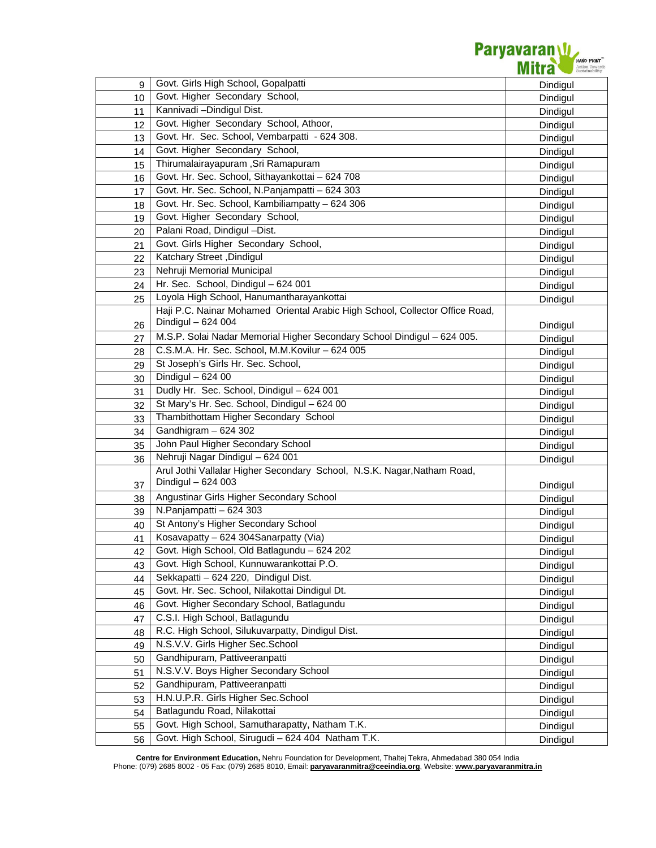

| 9  | Govt. Girls High School, Gopalpatti                                          | Dindigul             |
|----|------------------------------------------------------------------------------|----------------------|
| 10 | Govt. Higher Secondary School,                                               | Dindigul             |
| 11 | Kannivadi - Dindigul Dist.                                                   | Dindigul             |
| 12 | Govt. Higher Secondary School, Athoor,                                       | Dindigul             |
| 13 | Govt. Hr. Sec. School, Vembarpatti - 624 308.                                | Dindigul             |
| 14 | Govt. Higher Secondary School,                                               | Dindigul             |
| 15 | Thirumalairayapuram, Sri Ramapuram                                           | Dindigul             |
| 16 | Govt. Hr. Sec. School, Sithayankottai - 624 708                              | Dindigul             |
| 17 | Govt. Hr. Sec. School, N.Panjampatti - 624 303                               | Dindigul             |
| 18 | Govt. Hr. Sec. School, Kambiliampatty - 624 306                              | Dindigul             |
| 19 | Govt. Higher Secondary School,                                               | Dindigul             |
| 20 | Palani Road, Dindigul -Dist.                                                 | Dindigul             |
| 21 | Govt. Girls Higher Secondary School,                                         | Dindigul             |
| 22 | Katchary Street, Dindigul                                                    | Dindigul             |
| 23 | Nehruji Memorial Municipal                                                   | Dindigul             |
| 24 | Hr. Sec. School, Dindigul - 624 001                                          | Dindigul             |
| 25 | Loyola High School, Hanumantharayankottai                                    | Dindigul             |
|    | Haji P.C. Nainar Mohamed Oriental Arabic High School, Collector Office Road, |                      |
| 26 | Dindigul - 624 004                                                           | Dindigul             |
| 27 | M.S.P. Solai Nadar Memorial Higher Secondary School Dindigul - 624 005.      | Dindigul             |
| 28 | C.S.M.A. Hr. Sec. School, M.M.Kovilur - 624 005                              | Dindigul             |
| 29 | St Joseph's Girls Hr. Sec. School,                                           | Dindigul             |
| 30 | Dindigul $-62400$                                                            | Dindigul             |
| 31 | Dudly Hr. Sec. School, Dindigul - 624 001                                    | Dindigul             |
| 32 | St Mary's Hr. Sec. School, Dindigul - 624 00                                 | Dindigul             |
| 33 | Thambithottam Higher Secondary School                                        | Dindigul             |
| 34 | Gandhigram $-624302$                                                         | Dindigul             |
| 35 | John Paul Higher Secondary School                                            | Dindigul             |
| 36 | Nehruji Nagar Dindigul - 624 001                                             | Dindigul             |
|    | Arul Jothi Vallalar Higher Secondary School, N.S.K. Nagar, Natham Road,      |                      |
| 37 | Dindigul - 624 003                                                           |                      |
|    |                                                                              |                      |
| 38 | Angustinar Girls Higher Secondary School                                     | Dindigul             |
| 39 | N.Panjampatti - 624 303                                                      | Dindigul             |
| 40 | St Antony's Higher Secondary School                                          | Dindigul<br>Dindigul |
| 41 | Kosavapatty - 624 304Sanarpatty (Via)                                        |                      |
| 42 | Govt. High School, Old Batlagundu - 624 202                                  | Dindigul             |
| 43 | Govt. High School, Kunnuwarankottai P.O.                                     | Dindigul             |
| 44 | Sekkapatti - 624 220, Dindigul Dist.                                         | Dindigul<br>Dindigul |
| 45 | Govt. Hr. Sec. School, Nilakottai Dindigul Dt.                               |                      |
| 46 | Govt. Higher Secondary School, Batlagundu                                    | Dindigul             |
| 47 | C.S.I. High School, Batlagundu                                               | Dindigul<br>Dindigul |
| 48 | R.C. High School, Silukuvarpatty, Dindigul Dist.                             |                      |
| 49 | N.S.V.V. Girls Higher Sec.School                                             | Dindigul<br>Dindigul |
| 50 | Gandhipuram, Pattiveeranpatti                                                | Dindigul             |
| 51 | N.S.V.V. Boys Higher Secondary School                                        | Dindigul             |
| 52 | Gandhipuram, Pattiveeranpatti                                                | Dindigul             |
| 53 | H.N.U.P.R. Girls Higher Sec.School                                           | Dindigul             |
| 54 | Batlagundu Road, Nilakottai                                                  |                      |
| 55 | Govt. High School, Samutharapatty, Natham T.K.                               | Dindigul<br>Dindigul |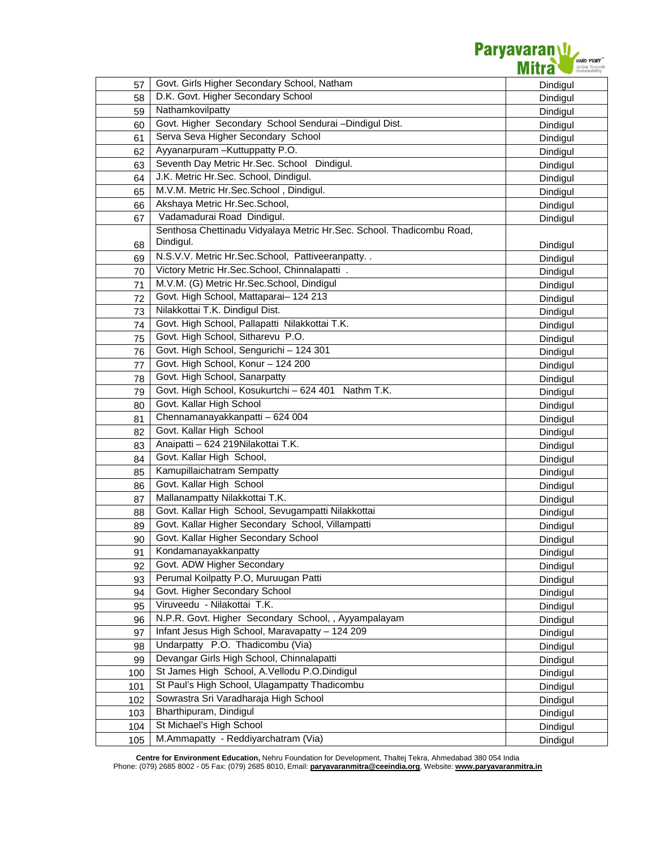| 57  | Govt. Girls Higher Secondary School, Natham                                        | Dindigul |
|-----|------------------------------------------------------------------------------------|----------|
| 58  | D.K. Govt. Higher Secondary School                                                 | Dindigul |
| 59  | Nathamkovilpatty                                                                   | Dindigul |
| 60  | Govt. Higher Secondary School Sendurai -Dindigul Dist.                             | Dindigul |
| 61  | Serva Seva Higher Secondary School                                                 | Dindigul |
| 62  | Ayyanarpuram - Kuttuppatty P.O.                                                    | Dindigul |
| 63  | Seventh Day Metric Hr.Sec. School Dindigul.                                        | Dindigul |
| 64  | J.K. Metric Hr.Sec. School, Dindigul.                                              | Dindigul |
| 65  | M.V.M. Metric Hr.Sec.School, Dindigul.                                             | Dindigul |
| 66  | Akshaya Metric Hr.Sec.School,                                                      | Dindigul |
| 67  | Vadamadurai Road Dindigul.                                                         | Dindigul |
| 68  | Senthosa Chettinadu Vidyalaya Metric Hr.Sec. School. Thadicombu Road,<br>Dindigul. | Dindigul |
| 69  | N.S.V.V. Metric Hr.Sec.School, Pattiveeranpatty                                    | Dindigul |
| 70  | Victory Metric Hr.Sec.School, Chinnalapatti .                                      | Dindigul |
| 71  | M.V.M. (G) Metric Hr.Sec.School, Dindigul                                          | Dindigul |
| 72  | Govt. High School, Mattaparai- 124 213                                             | Dindigul |
| 73  | Nilakkottai T.K. Dindigul Dist.                                                    | Dindigul |
| 74  | Govt. High School, Pallapatti Nilakkottai T.K.                                     | Dindigul |
| 75  | Govt. High School, Sitharevu P.O.                                                  | Dindigul |
| 76  | Govt. High School, Sengurichi - 124 301                                            | Dindigul |
| 77  | Govt. High School, Konur - 124 200                                                 | Dindigul |
| 78  | Govt. High School, Sanarpatty                                                      | Dindigul |
| 79  | Govt. High School, Kosukurtchi - 624 401 Nathm T.K.                                | Dindigul |
| 80  | Govt. Kallar High School                                                           | Dindigul |
| 81  | Chennamanayakkanpatti - 624 004                                                    | Dindigul |
| 82  | Govt. Kallar High School                                                           | Dindigul |
| 83  | Anaipatti - 624 219Nilakottai T.K.                                                 | Dindigul |
| 84  | Govt. Kallar High School,                                                          | Dindigul |
| 85  | Kamupillaichatram Sempatty                                                         | Dindigul |
| 86  | Govt. Kallar High School                                                           | Dindigul |
| 87  | Mallanampatty Nilakkottai T.K.                                                     | Dindigul |
| 88  | Govt. Kallar High School, Sevugampatti Nilakkottai                                 | Dindigul |
| 89  | Govt. Kallar Higher Secondary School, Villampatti                                  | Dindigul |
| 90  | Govt. Kallar Higher Secondary School                                               | Dindigul |
| 91  | Kondamanayakkanpatty                                                               | Dindigul |
| 92  | Govt. ADW Higher Secondary                                                         | Dindigul |
| 93  | Perumal Koilpatty P.O, Muruugan Patti                                              | Dindigul |
| 94  | Govt. Higher Secondary School                                                      | Dindigul |
| 95  | Viruveedu - Nilakottai T.K.                                                        | Dindigul |
| 96  | N.P.R. Govt. Higher Secondary School, , Ayyampalayam                               | Dindigul |
| 97  | Infant Jesus High School, Maravapatty - 124 209                                    | Dindigul |
| 98  | Undarpatty P.O. Thadicombu (Via)                                                   | Dindigul |
| 99  | Devangar Girls High School, Chinnalapatti                                          | Dindigul |
| 100 | St James High School, A.Vellodu P.O.Dindigul                                       | Dindigul |
| 101 | St Paul's High School, Ulagampatty Thadicombu                                      | Dindigul |
| 102 | Sowrastra Sri Varadharaja High School                                              | Dindigul |
| 103 | Bharthipuram, Dindigul                                                             | Dindigul |
| 104 | St Michael's High School                                                           | Dindigul |
| 105 | M.Ammapatty - Reddiyarchatram (Via)                                                | Dindigul |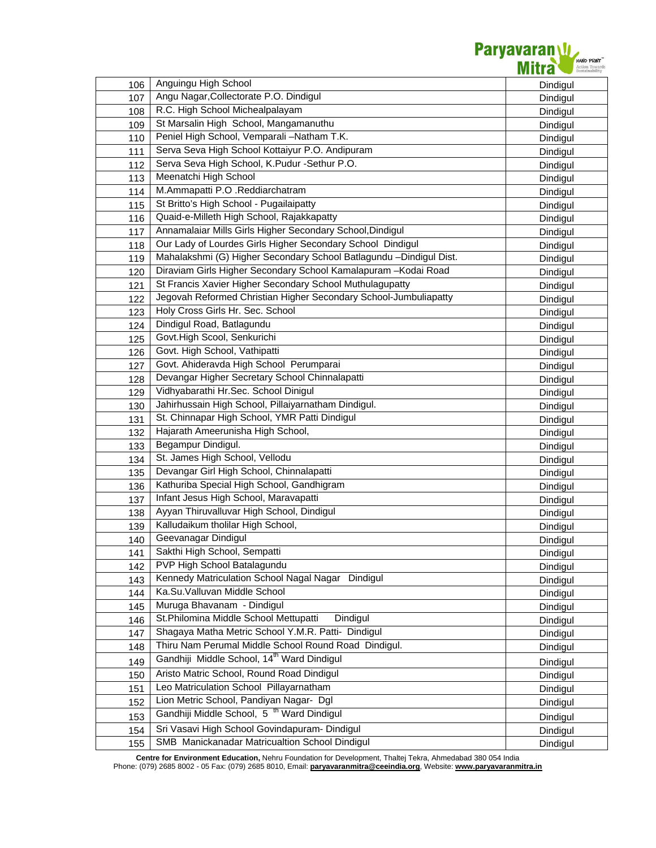

| 106 | Anguingu High School                                               | Dindigul |
|-----|--------------------------------------------------------------------|----------|
| 107 | Angu Nagar, Collectorate P.O. Dindigul                             | Dindigul |
| 108 | R.C. High School Michealpalayam                                    | Dindigul |
| 109 | St Marsalin High School, Mangamanuthu                              | Dindigul |
| 110 | Peniel High School, Vemparali-Natham T.K.                          | Dindigul |
| 111 | Serva Seva High School Kottaiyur P.O. Andipuram                    | Dindigul |
| 112 | Serva Seva High School, K.Pudur -Sethur P.O.                       | Dindigul |
| 113 | Meenatchi High School                                              | Dindigul |
| 114 | M.Ammapatti P.O .Reddiarchatram                                    | Dindigul |
| 115 | St Britto's High School - Pugailaipatty                            | Dindigul |
| 116 | Quaid-e-Milleth High School, Rajakkapatty                          | Dindigul |
| 117 | Annamalaiar Mills Girls Higher Secondary School, Dindigul          | Dindigul |
| 118 | Our Lady of Lourdes Girls Higher Secondary School Dindigul         | Dindigul |
| 119 | Mahalakshmi (G) Higher Secondary School Batlagundu -Dindigul Dist. | Dindigul |
| 120 | Diraviam Girls Higher Secondary School Kamalapuram - Kodai Road    | Dindigul |
| 121 | St Francis Xavier Higher Secondary School Muthulagupatty           | Dindigul |
| 122 | Jegovah Reformed Christian Higher Secondary School-Jumbuliapatty   | Dindigul |
| 123 | Holy Cross Girls Hr. Sec. School                                   | Dindigul |
| 124 | Dindigul Road, Batlagundu                                          | Dindigul |
| 125 | Govt.High Scool, Senkurichi                                        | Dindigul |
| 126 | Govt. High School, Vathipatti                                      | Dindigul |
| 127 | Govt. Ahideravda High School Perumparai                            | Dindigul |
| 128 | Devangar Higher Secretary School Chinnalapatti                     | Dindigul |
| 129 | Vidhyabarathi Hr.Sec. School Dinigul                               | Dindigul |
| 130 | Jahirhussain High School, Pillaiyarnatham Dindigul.                | Dindigul |
| 131 | St. Chinnapar High School, YMR Patti Dindigul                      | Dindigul |
| 132 | Hajarath Ameerunisha High School,                                  | Dindigul |
| 133 | Begampur Dindigul.                                                 | Dindigul |
| 134 | St. James High School, Vellodu                                     | Dindigul |
| 135 | Devangar Girl High School, Chinnalapatti                           | Dindigul |
| 136 | Kathuriba Special High School, Gandhigram                          | Dindigul |
| 137 | Infant Jesus High School, Maravapatti                              | Dindigul |
| 138 | Ayyan Thiruvalluvar High School, Dindigul                          | Dindigul |
| 139 | Kalludaikum tholilar High School,                                  | Dindigul |
| 140 | Geevanagar Dindigul                                                | Dindigul |
| 141 | Sakthi High School, Sempatti                                       | Dindigul |
| 142 | PVP High School Batalagundu                                        | Dindigul |
| 143 | Kennedy Matriculation School Nagal Nagar Dindigul                  | Dindigul |
| 144 | Ka.Su.Valluvan Middle School                                       | Dindigul |
| 145 | Muruga Bhavanam - Dindigul                                         | Dindigul |
| 146 | St.Philomina Middle School Mettupatti<br>Dindigul                  | Dindigul |
| 147 | Shagaya Matha Metric School Y.M.R. Patti- Dindigul                 | Dindigul |
| 148 | Thiru Nam Perumal Middle School Round Road Dindigul.               | Dindigul |
| 149 | Gandhiji Middle School, 14 <sup>th</sup> Ward Dindigul             | Dindigul |
| 150 | Aristo Matric School, Round Road Dindigul                          | Dindigul |
| 151 | Leo Matriculation School Pillayarnatham                            | Dindigul |
| 152 | Lion Metric School, Pandiyan Nagar- Dgl                            | Dindigul |
| 153 | Gandhiji Middle School, 5 <sup>th</sup> Ward Dindigul              | Dindigul |
| 154 | Sri Vasavi High School Govindapuram- Dindigul                      | Dindigul |
| 155 | SMB Manickanadar Matricualtion School Dindigul                     | Dindigul |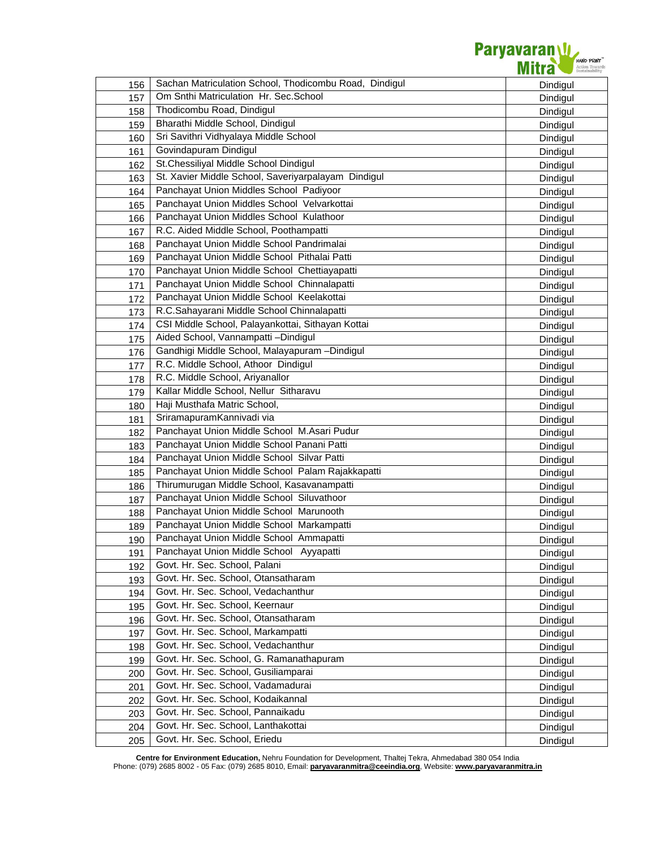| 156 | Sachan Matriculation School, Thodicombu Road, Dindigul | Dindigul |
|-----|--------------------------------------------------------|----------|
| 157 | Om Snthi Matriculation Hr. Sec. School                 | Dindigul |
| 158 | Thodicombu Road, Dindigul                              | Dindigul |
| 159 | Bharathi Middle School, Dindigul                       | Dindigul |
| 160 | Sri Savithri Vidhyalaya Middle School                  | Dindigul |
| 161 | Govindapuram Dindigul                                  | Dindigul |
| 162 | St.Chessiliyal Middle School Dindigul                  | Dindigul |
| 163 | St. Xavier Middle School, Saveriyarpalayam Dindigul    | Dindigul |
| 164 | Panchayat Union Middles School Padiyoor                | Dindigul |
| 165 | Panchayat Union Middles School Velvarkottai            | Dindigul |
| 166 | Panchayat Union Middles School Kulathoor               | Dindigul |
| 167 | R.C. Aided Middle School, Poothampatti                 | Dindigul |
| 168 | Panchayat Union Middle School Pandrimalai              | Dindigul |
| 169 | Panchayat Union Middle School Pithalai Patti           | Dindigul |
| 170 | Panchayat Union Middle School Chettiayapatti           | Dindigul |
| 171 | Panchayat Union Middle School Chinnalapatti            | Dindigul |
| 172 | Panchayat Union Middle School Keelakottai              | Dindigul |
| 173 | R.C.Sahayarani Middle School Chinnalapatti             | Dindigul |
| 174 | CSI Middle School, Palayankottai, Sithayan Kottai      | Dindigul |
| 175 | Aided School, Vannampatti -Dindigul                    | Dindigul |
| 176 | Gandhigi Middle School, Malayapuram -Dindigul          | Dindigul |
| 177 | R.C. Middle School, Athoor Dindigul                    | Dindigul |
| 178 | R.C. Middle School, Ariyanallor                        | Dindigul |
| 179 | Kallar Middle School, Nellur Sitharavu                 | Dindigul |
| 180 | Haji Musthafa Matric School,                           | Dindigul |
| 181 | SriramapuramKannivadi via                              | Dindigul |
| 182 | Panchayat Union Middle School M.Asari Pudur            | Dindigul |
| 183 | Panchayat Union Middle School Panani Patti             | Dindigul |
| 184 | Panchayat Union Middle School Silvar Patti             | Dindigul |
| 185 | Panchayat Union Middle School Palam Rajakkapatti       | Dindigul |
| 186 | Thirumurugan Middle School, Kasavanampatti             | Dindigul |
| 187 | Panchayat Union Middle School Siluvathoor              | Dindigul |
| 188 | Panchayat Union Middle School Marunooth                | Dindigul |
| 189 | Panchayat Union Middle School Markampatti              | Dindigul |
| 190 | Panchayat Union Middle School Ammapatti                | Dindigul |
| 191 | Panchayat Union Middle School Ayyapatti                | Dindigul |
| 192 | Govt. Hr. Sec. School, Palani                          | Dindigul |
| 193 | Govt. Hr. Sec. School, Otansatharam                    | Dindigul |
| 194 | Govt. Hr. Sec. School, Vedachanthur                    | Dindigul |
| 195 | Govt. Hr. Sec. School, Keernaur                        | Dindigul |
| 196 | Govt. Hr. Sec. School, Otansatharam                    | Dindigul |
| 197 | Govt. Hr. Sec. School, Markampatti                     | Dindigul |
| 198 | Govt. Hr. Sec. School, Vedachanthur                    | Dindigul |
| 199 | Govt. Hr. Sec. School, G. Ramanathapuram               | Dindigul |
| 200 | Govt. Hr. Sec. School, Gusiliamparai                   | Dindigul |
| 201 | Govt. Hr. Sec. School, Vadamadurai                     | Dindigul |
| 202 | Govt. Hr. Sec. School, Kodaikannal                     | Dindigul |
| 203 | Govt. Hr. Sec. School, Pannaikadu                      | Dindigul |
| 204 | Govt. Hr. Sec. School, Lanthakottai                    | Dindigul |
| 205 | Govt. Hr. Sec. School, Eriedu                          | Dindigul |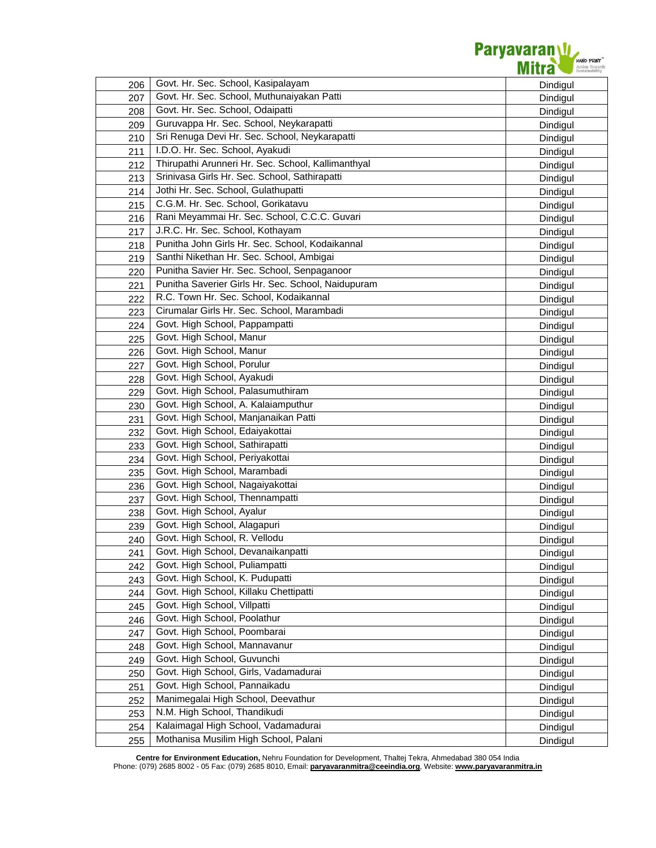

| 206 | Govt. Hr. Sec. School, Kasipalayam                 | Dindigul |
|-----|----------------------------------------------------|----------|
| 207 | Govt. Hr. Sec. School, Muthunaiyakan Patti         | Dindigul |
| 208 | Govt. Hr. Sec. School, Odaipatti                   | Dindigul |
| 209 | Guruvappa Hr. Sec. School, Neykarapatti            | Dindigul |
| 210 | Sri Renuga Devi Hr. Sec. School, Neykarapatti      | Dindigul |
| 211 | I.D.O. Hr. Sec. School, Ayakudi                    | Dindigul |
| 212 | Thirupathi Arunneri Hr. Sec. School, Kallimanthyal | Dindigul |
| 213 | Srinivasa Girls Hr. Sec. School, Sathirapatti      | Dindigul |
| 214 | Jothi Hr. Sec. School, Gulathupatti                | Dindigul |
| 215 | C.G.M. Hr. Sec. School, Gorikatavu                 | Dindigul |
| 216 | Rani Meyammai Hr. Sec. School, C.C.C. Guvari       | Dindigul |
| 217 | J.R.C. Hr. Sec. School, Kothayam                   | Dindigul |
| 218 | Punitha John Girls Hr. Sec. School, Kodaikannal    | Dindigul |
| 219 | Santhi Nikethan Hr. Sec. School, Ambigai           | Dindigul |
| 220 | Punitha Savier Hr. Sec. School, Senpaganoor        | Dindigul |
| 221 | Punitha Saverier Girls Hr. Sec. School, Naidupuram | Dindigul |
| 222 | R.C. Town Hr. Sec. School, Kodaikannal             | Dindigul |
| 223 | Cirumalar Girls Hr. Sec. School, Marambadi         | Dindigul |
| 224 | Govt. High School, Pappampatti                     | Dindigul |
| 225 | Govt. High School, Manur                           | Dindigul |
| 226 | Govt. High School, Manur                           | Dindigul |
| 227 | Govt. High School, Porulur                         | Dindigul |
| 228 | Govt. High School, Ayakudi                         | Dindigul |
| 229 | Govt. High School, Palasumuthiram                  | Dindigul |
| 230 | Govt. High School, A. Kalaiamputhur                | Dindigul |
| 231 | Govt. High School, Manjanaikan Patti               | Dindigul |
| 232 | Govt. High School, Edaiyakottai                    | Dindigul |
| 233 | Govt. High School, Sathirapatti                    | Dindigul |
| 234 | Govt. High School, Periyakottai                    | Dindigul |
| 235 | Govt. High School, Marambadi                       | Dindigul |
| 236 | Govt. High School, Nagaiyakottai                   | Dindigul |
| 237 | Govt. High School, Thennampatti                    | Dindigul |
| 238 | Govt. High School, Ayalur                          | Dindigul |
| 239 | Govt. High School, Alagapuri                       | Dindigul |
| 240 | Govt. High School, R. Vellodu                      | Dindigul |
| 241 | Govt. High School, Devanaikanpatti                 | Dindigul |
| 242 | Govt. High School, Puliampatti                     | Dindigul |
| 243 | Govt. High School, K. Pudupatti                    | Dindigul |
| 244 | Govt. High School, Killaku Chettipatti             | Dindigul |
| 245 | Govt. High School, Villpatti                       | Dindigul |
| 246 | Govt. High School, Poolathur                       | Dindigul |
| 247 | Govt. High School, Poombarai                       | Dindigul |
| 248 | Govt. High School, Mannavanur                      | Dindigul |
| 249 | Govt. High School, Guvunchi                        | Dindigul |
| 250 | Govt. High School, Girls, Vadamadurai              | Dindigul |
| 251 | Govt. High School, Pannaikadu                      | Dindigul |
| 252 | Manimegalai High School, Deevathur                 | Dindigul |
| 253 | N.M. High School, Thandikudi                       | Dindigul |
| 254 | Kalaimagal High School, Vadamadurai                | Dindigul |
| 255 | Mothanisa Musilim High School, Palani              | Dindigul |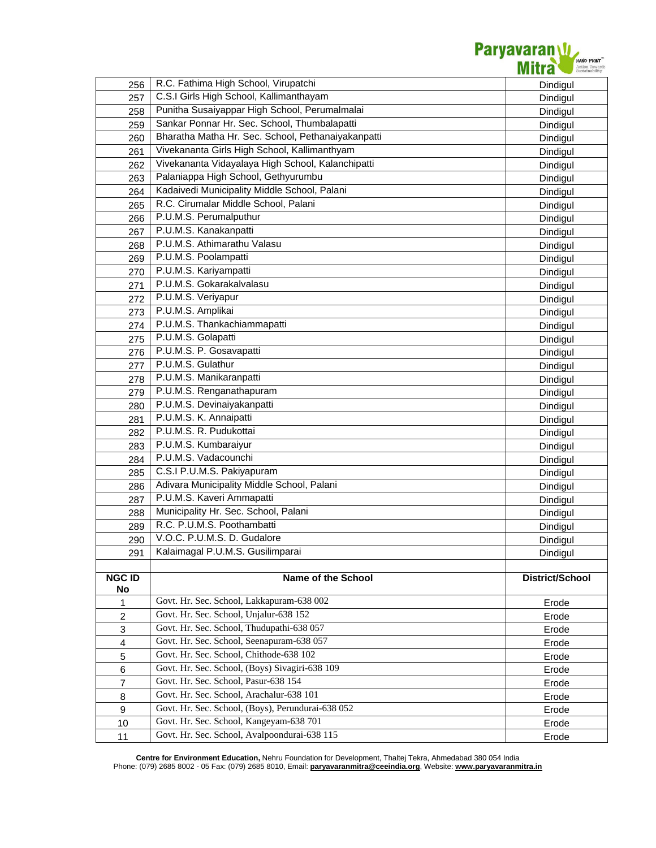

| 256                     | R.C. Fathima High School, Virupatchi               | Dindigul               |
|-------------------------|----------------------------------------------------|------------------------|
| 257                     | C.S.I Girls High School, Kallimanthayam            | Dindigul               |
| 258                     | Punitha Susaiyappar High School, Perumalmalai      | Dindigul               |
| 259                     | Sankar Ponnar Hr. Sec. School, Thumbalapatti       | Dindigul               |
| 260                     | Bharatha Matha Hr. Sec. School, Pethanaiyakanpatti | Dindigul               |
| 261                     | Vivekananta Girls High School, Kallimanthyam       | Dindigul               |
| 262                     | Vivekananta Vidayalaya High School, Kalanchipatti  | Dindigul               |
| 263                     | Palaniappa High School, Gethyurumbu                | Dindigul               |
| 264                     | Kadaivedi Municipality Middle School, Palani       | Dindigul               |
| 265                     | R.C. Cirumalar Middle School, Palani               | Dindigul               |
| 266                     | P.U.M.S. Perumalputhur                             | Dindigul               |
| 267                     | P.U.M.S. Kanakanpatti                              | Dindigul               |
| 268                     | P.U.M.S. Athimarathu Valasu                        | Dindigul               |
| 269                     | P.U.M.S. Poolampatti                               | Dindigul               |
| 270                     | P.U.M.S. Kariyampatti                              | Dindigul               |
| 271                     | P.U.M.S. Gokarakalvalasu                           | Dindigul               |
| 272                     | P.U.M.S. Veriyapur                                 | Dindigul               |
| 273                     | P.U.M.S. Amplikai                                  | Dindigul               |
| 274                     | P.U.M.S. Thankachiammapatti                        | Dindigul               |
| 275                     | P.U.M.S. Golapatti                                 | Dindigul               |
| 276                     | P.U.M.S. P. Gosavapatti                            |                        |
| 277                     | P.U.M.S. Gulathur                                  | Dindigul<br>Dindigul   |
| 278                     | P.U.M.S. Manikaranpatti                            |                        |
| 279                     | P.U.M.S. Renganathapuram                           | Dindigul               |
|                         | P.U.M.S. Devinaiyakanpatti                         | Dindigul               |
| 280                     | P.U.M.S. K. Annaipatti                             | Dindigul               |
| 281                     | P.U.M.S. R. Pudukottai                             | Dindigul               |
| 282                     | P.U.M.S. Kumbaraiyur                               | Dindigul               |
| 283                     | P.U.M.S. Vadacounchi                               | Dindigul               |
| 284                     | C.S.I P.U.M.S. Pakiyapuram                         | Dindigul               |
| 285                     | Adivara Municipality Middle School, Palani         | Dindigul               |
| 286                     | P.U.M.S. Kaveri Ammapatti                          | Dindigul               |
| 287                     | Municipality Hr. Sec. School, Palani               | Dindigul               |
| 288                     | R.C. P.U.M.S. Poothambatti                         | Dindigul               |
| 289                     | V.O.C. P.U.M.S. D. Gudalore                        | Dindigul               |
| 290                     | Kalaimagal P.U.M.S. Gusilimparai                   | Dindigul               |
| 291                     |                                                    | Dindigul               |
| <b>NGC ID</b>           | Name of the School                                 | <b>District/School</b> |
| No                      |                                                    |                        |
| $\mathbf{1}$            | Govt. Hr. Sec. School, Lakkapuram-638 002          | Erode                  |
| $\overline{c}$          | Govt. Hr. Sec. School, Unjalur-638 152             | Erode                  |
| 3                       | Govt. Hr. Sec. School, Thudupathi-638 057          | Erode                  |
| $\overline{\mathbf{4}}$ | Govt. Hr. Sec. School, Seenapuram-638 057          | Erode                  |
| 5                       | Govt. Hr. Sec. School, Chithode-638 102            | Erode                  |
| 6                       | Govt. Hr. Sec. School, (Boys) Sivagiri-638 109     | Erode                  |
| $\overline{7}$          | Govt. Hr. Sec. School, Pasur-638 154               | Erode                  |
| $\bf8$                  | Govt. Hr. Sec. School, Arachalur-638 101           | Erode                  |
| 9                       | Govt. Hr. Sec. School, (Boys), Perundurai-638 052  | Erode                  |
| 10                      | Govt. Hr. Sec. School, Kangeyam-638 701            | Erode                  |
| 11                      | Govt. Hr. Sec. School, Avalpoondurai-638 115       | Erode                  |
|                         |                                                    |                        |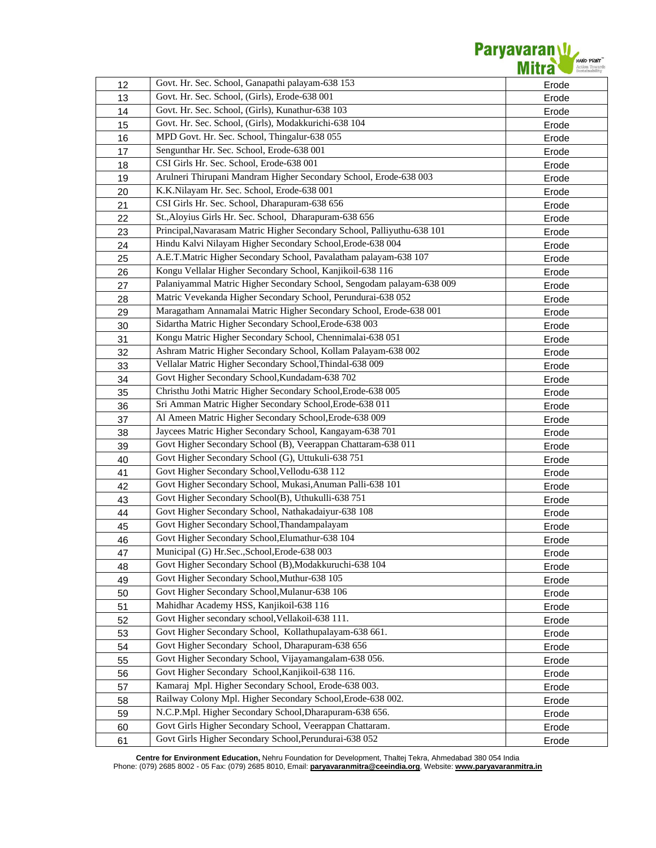

| 12 | Govt. Hr. Sec. School, Ganapathi palayam-638 153                        | Erode          |
|----|-------------------------------------------------------------------------|----------------|
| 13 | Govt. Hr. Sec. School, (Girls), Erode-638 001                           | Erode          |
| 14 | Govt. Hr. Sec. School, (Girls), Kunathur-638 103                        | Erode          |
| 15 | Govt. Hr. Sec. School, (Girls), Modakkurichi-638 104                    | Erode          |
| 16 | MPD Govt. Hr. Sec. School, Thingalur-638 055                            | Erode          |
| 17 | Sengunthar Hr. Sec. School, Erode-638 001                               | Erode          |
| 18 | CSI Girls Hr. Sec. School, Erode-638 001                                | Erode          |
| 19 | Arulneri Thirupani Mandram Higher Secondary School, Erode-638 003       | Erode          |
| 20 | K.K.Nilayam Hr. Sec. School, Erode-638 001                              | Erode          |
| 21 | CSI Girls Hr. Sec. School, Dharapuram-638 656                           | Erode          |
| 22 | St., Aloyius Girls Hr. Sec. School, Dharapuram-638 656                  | Erode          |
| 23 | Principal, Navarasam Matric Higher Secondary School, Palliyuthu-638 101 | Erode          |
| 24 | Hindu Kalvi Nilayam Higher Secondary School, Erode-638 004              | Erode          |
| 25 | A.E.T.Matric Higher Secondary School, Pavalatham palayam-638 107        | Erode          |
| 26 | Kongu Vellalar Higher Secondary School, Kanjikoil-638 116               | Erode          |
| 27 | Palaniyammal Matric Higher Secondary School, Sengodam palayam-638 009   | Erode          |
| 28 | Matric Vevekanda Higher Secondary School, Perundurai-638 052            | Erode          |
| 29 | Maragatham Annamalai Matric Higher Secondary School, Erode-638 001      | Erode          |
| 30 | Sidartha Matric Higher Secondary School, Erode-638 003                  | Erode          |
| 31 | Kongu Matric Higher Secondary School, Chennimalai-638 051               | Erode          |
| 32 | Ashram Matric Higher Secondary School, Kollam Palayam-638 002           | Erode          |
| 33 | Vellalar Matric Higher Secondary School, Thindal-638 009                | Erode          |
| 34 | Govt Higher Secondary School, Kundadam-638 702                          | Erode          |
| 35 | Christhu Jothi Matric Higher Secondary School, Erode-638 005            | Erode          |
| 36 | Sri Amman Matric Higher Secondary School, Erode-638 011                 | Erode          |
| 37 | Al Ameen Matric Higher Secondary School, Erode-638 009                  | Erode          |
| 38 | Jaycees Matric Higher Secondary School, Kangayam-638 701                | Erode          |
| 39 | Govt Higher Secondary School (B), Veerappan Chattaram-638 011           | Erode          |
| 40 | Govt Higher Secondary School (G), Uttukuli-638 751                      | Erode          |
| 41 | Govt Higher Secondary School, Vellodu-638 112                           | Erode          |
| 42 | Govt Higher Secondary School, Mukasi, Anuman Palli-638 101              | Erode          |
| 43 | Govt Higher Secondary School(B), Uthukulli-638 751                      | Erode          |
| 44 | Govt Higher Secondary School, Nathakadaiyur-638 108                     | Erode          |
| 45 | Govt Higher Secondary School, Thandampalayam                            | Erode          |
| 46 | Govt Higher Secondary School, Elumathur-638 104                         | Erode          |
| 47 | Municipal (G) Hr.Sec., School, Erode-638 003                            |                |
| 48 | Govt Higher Secondary School (B), Modakkuruchi-638 104                  | Erode<br>Erode |
| 49 | Govt Higher Secondary School, Muthur-638 105                            | Erode          |
| 50 | Govt Higher Secondary School, Mulanur-638 106                           | Erode          |
| 51 | Mahidhar Academy HSS, Kanjikoil-638 116                                 | Erode          |
| 52 | Govt Higher secondary school, Vellakoil-638 111.                        | Erode          |
| 53 | Govt Higher Secondary School, Kollathupalayam-638 661.                  | Erode          |
| 54 | Govt Higher Secondary School, Dharapuram-638 656                        | Erode          |
| 55 | Govt Higher Secondary School, Vijayamangalam-638 056.                   | Erode          |
| 56 | Govt Higher Secondary School, Kanjikoil-638 116.                        | Erode          |
| 57 | Kamaraj Mpl. Higher Secondary School, Erode-638 003.                    | Erode          |
| 58 | Railway Colony Mpl. Higher Secondary School, Erode-638 002.             | Erode          |
| 59 | N.C.P.Mpl. Higher Secondary School, Dharapuram-638 656.                 | Erode          |
| 60 | Govt Girls Higher Secondary School, Veerappan Chattaram.                | Erode          |
| 61 | Govt Girls Higher Secondary School, Perundurai-638 052                  | Erode          |
|    |                                                                         |                |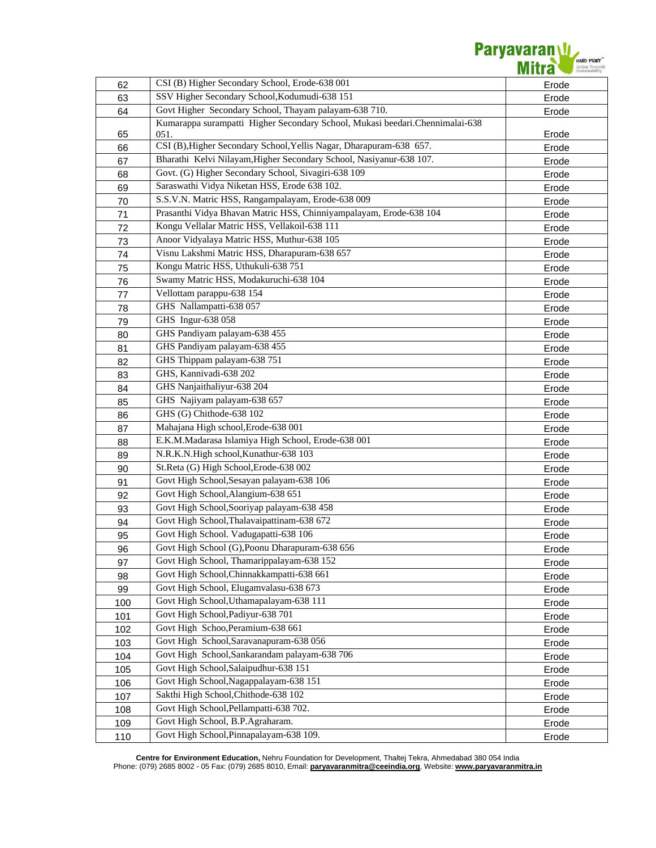| 62  | CSI (B) Higher Secondary School, Erode-638 001                               | Erode |
|-----|------------------------------------------------------------------------------|-------|
| 63  | SSV Higher Secondary School, Kodumudi-638 151                                | Erode |
| 64  | Govt Higher Secondary School, Thayam palayam-638 710.                        | Erode |
|     | Kumarappa surampatti Higher Secondary School, Mukasi beedari.Chennimalai-638 |       |
| 65  | 051.                                                                         | Erode |
| 66  | CSI (B), Higher Secondary School, Yellis Nagar, Dharapuram-638 657.          | Erode |
| 67  | Bharathi Kelvi Nilayam, Higher Secondary School, Nasiyanur-638 107.          | Erode |
| 68  | Govt. (G) Higher Secondary School, Sivagiri-638 109                          | Erode |
| 69  | Saraswathi Vidya Niketan HSS, Erode 638 102.                                 | Erode |
| 70  | S.S.V.N. Matric HSS, Rangampalayam, Erode-638 009                            | Erode |
| 71  | Prasanthi Vidya Bhavan Matric HSS, Chinniyampalayam, Erode-638 104           | Erode |
| 72  | Kongu Vellalar Matric HSS, Vellakoil-638 111                                 | Erode |
| 73  | Anoor Vidyalaya Matric HSS, Muthur-638 105                                   | Erode |
| 74  | Visnu Lakshmi Matric HSS, Dharapuram-638 657                                 | Erode |
| 75  | Kongu Matric HSS, Uthukuli-638 751                                           | Erode |
| 76  | Swamy Matric HSS, Modakuruchi-638 104                                        | Erode |
| 77  | Vellottam parappu-638 154                                                    | Erode |
| 78  | GHS Nallampatti-638 057                                                      | Erode |
| 79  | GHS Ingur-638 058                                                            | Erode |
| 80  | GHS Pandiyam palayam-638 455                                                 | Erode |
| 81  | GHS Pandiyam palayam-638 455                                                 | Erode |
| 82  | GHS Thippam palayam-638 751                                                  | Erode |
| 83  | GHS, Kannivadi-638 202                                                       | Erode |
| 84  | GHS Nanjaithaliyur-638 204                                                   | Erode |
| 85  | GHS Najiyam palayam-638 657                                                  | Erode |
| 86  | GHS (G) Chithode-638 102                                                     | Erode |
| 87  | Mahajana High school, Erode-638 001                                          | Erode |
| 88  | E.K.M.Madarasa Islamiya High School, Erode-638 001                           | Erode |
| 89  | N.R.K.N.High school, Kunathur-638 103                                        | Erode |
| 90  | St.Reta (G) High School, Erode-638 002                                       | Erode |
| 91  | Govt High School, Sesayan palayam-638 106                                    | Erode |
| 92  | Govt High School, Alangium-638 651                                           | Erode |
| 93  | Govt High School, Sooriyap palayam-638 458                                   | Erode |
|     | Govt High School, Thalavaipattinam-638 672                                   |       |
| 94  | Govt High School. Vadugapatti-638 106                                        | Erode |
| 95  | Govt High School (G), Poonu Dharapuram-638 656                               | Erode |
| 96  | Govt High School, Thamarippalayam-638 152                                    | Erode |
| 97  | Govt High School, Chinnakkampatti-638 661                                    | Erode |
| 98  | Govt High School, Elugamvalasu-638 673                                       | Erode |
| 99  |                                                                              | Erode |
| 100 | Govt High School, Uthamapalayam-638 111<br>Govt High School, Padiyur-638 701 | Erode |
| 101 | Govt High Schoo, Peramium-638 661                                            | Erode |
| 102 |                                                                              | Erode |
| 103 | Govt High School, Saravanapuram-638 056                                      | Erode |
| 104 | Govt High School, Sankarandam palayam-638 706                                | Erode |
| 105 | Govt High School, Salaipudhur-638 151                                        | Erode |
| 106 | Govt High School, Nagappalayam-638 151                                       | Erode |
| 107 | Sakthi High School, Chithode-638 102                                         | Erode |
| 108 | Govt High School, Pellampatti-638 702.                                       | Erode |
| 109 | Govt High School, B.P.Agraharam.                                             | Erode |
| 110 | Govt High School, Pinnapalayam-638 109.                                      | Erode |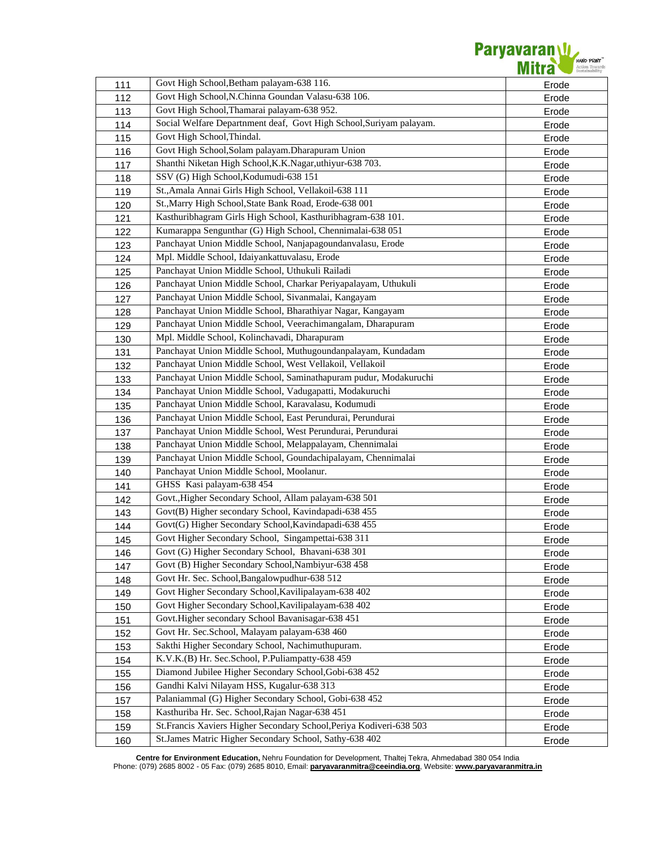| 111 | Govt High School, Betham palayam-638 116.                            | Erode |
|-----|----------------------------------------------------------------------|-------|
| 112 | Govt High School, N.Chinna Goundan Valasu-638 106.                   | Erode |
| 113 | Govt High School, Thamarai palayam-638 952.                          | Erode |
| 114 | Social Welfare Departnment deaf, Govt High School, Suriyam palayam.  | Erode |
| 115 | Govt High School, Thindal.                                           | Erode |
| 116 | Govt High School, Solam palayam. Dharapuram Union                    | Erode |
| 117 | Shanthi Niketan High School, K.K. Nagar, uthiyur-638 703.            | Erode |
| 118 | SSV (G) High School, Kodumudi-638 151                                | Erode |
| 119 | St., Amala Annai Girls High School, Vellakoil-638 111                | Erode |
| 120 | St., Marry High School, State Bank Road, Erode-638 001               | Erode |
| 121 | Kasthuribhagram Girls High School, Kasthuribhagram-638 101.          | Erode |
| 122 | Kumarappa Sengunthar (G) High School, Chennimalai-638 051            | Erode |
| 123 | Panchayat Union Middle School, Nanjapagoundanvalasu, Erode           | Erode |
| 124 | Mpl. Middle School, Idaiyankattuvalasu, Erode                        | Erode |
| 125 | Panchayat Union Middle School, Uthukuli Railadi                      | Erode |
| 126 | Panchayat Union Middle School, Charkar Periyapalayam, Uthukuli       | Erode |
| 127 | Panchayat Union Middle School, Sivanmalai, Kangayam                  | Erode |
| 128 | Panchayat Union Middle School, Bharathiyar Nagar, Kangayam           | Erode |
| 129 | Panchayat Union Middle School, Veerachimangalam, Dharapuram          | Erode |
| 130 | Mpl. Middle School, Kolinchavadi, Dharapuram                         | Erode |
| 131 | Panchayat Union Middle School, Muthugoundanpalayam, Kundadam         | Erode |
| 132 | Panchayat Union Middle School, West Vellakoil, Vellakoil             | Erode |
| 133 | Panchayat Union Middle School, Saminathapuram pudur, Modakuruchi     | Erode |
| 134 | Panchayat Union Middle School, Vadugapatti, Modakuruchi              | Erode |
| 135 | Panchayat Union Middle School, Karavalasu, Kodumudi                  | Erode |
| 136 | Panchayat Union Middle School, East Perundurai, Perundurai           | Erode |
| 137 | Panchayat Union Middle School, West Perundurai, Perundurai           | Erode |
| 138 | Panchayat Union Middle School, Melappalayam, Chennimalai             | Erode |
| 139 | Panchayat Union Middle School, Goundachipalayam, Chennimalai         | Erode |
| 140 | Panchayat Union Middle School, Moolanur.                             | Erode |
| 141 | GHSS Kasi palayam-638 454                                            | Erode |
| 142 | Govt., Higher Secondary School, Allam palayam-638 501                | Erode |
| 143 | Govt(B) Higher secondary School, Kavindapadi-638 455                 | Erode |
| 144 | Govt(G) Higher Secondary School, Kavindapadi-638 455                 | Erode |
| 145 | Govt Higher Secondary School, Singampettai-638 311                   | Erode |
| 146 | Govt (G) Higher Secondary School, Bhavani-638 301                    | Erode |
| 147 | Govt (B) Higher Secondary School, Nambiyur-638 458                   | Erode |
| 148 | Govt Hr. Sec. School, Bangalowpudhur-638 512                         | Erode |
| 149 | Govt Higher Secondary School, Kavilipalayam-638 402                  | Erode |
| 150 | Govt Higher Secondary School, Kavilipalayam-638 402                  | Erode |
| 151 | Govt.Higher secondary School Bavanisagar-638 451                     | Erode |
| 152 | Govt Hr. Sec.School, Malayam palayam-638 460                         | Erode |
| 153 | Sakthi Higher Secondary School, Nachimuthupuram.                     | Erode |
| 154 | K.V.K.(B) Hr. Sec.School, P.Puliampatty-638 459                      | Erode |
| 155 | Diamond Jubilee Higher Secondary School, Gobi-638 452                | Erode |
| 156 | Gandhi Kalvi Nilayam HSS, Kugalur-638 313                            | Erode |
| 157 | Palaniammal (G) Higher Secondary School, Gobi-638 452                | Erode |
| 158 | Kasthuriba Hr. Sec. School, Rajan Nagar-638 451                      | Erode |
| 159 | St. Francis Xaviers Higher Secondary School, Periya Kodiveri-638 503 | Erode |
| 160 | St.James Matric Higher Secondary School, Sathy-638 402               | Erode |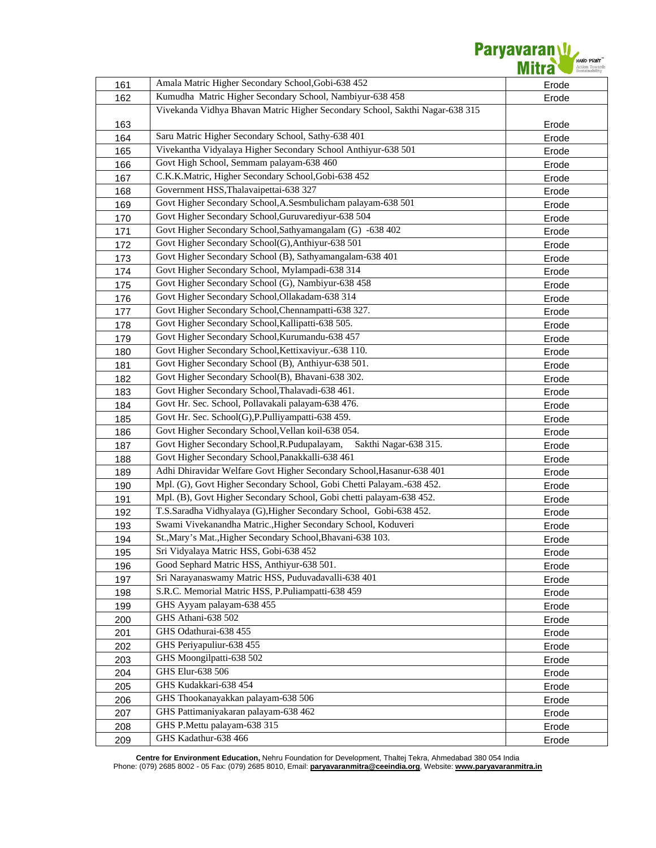| 161        | Amala Matric Higher Secondary School, Gobi-638 452                           | Erode          |
|------------|------------------------------------------------------------------------------|----------------|
| 162        | Kumudha Matric Higher Secondary School, Nambiyur-638 458                     | Erode          |
|            | Vivekanda Vidhya Bhavan Matric Higher Secondary School, Sakthi Nagar-638 315 |                |
| 163        |                                                                              | Erode          |
| 164        | Saru Matric Higher Secondary School, Sathy-638 401                           | Erode          |
| 165        | Vivekantha Vidyalaya Higher Secondary School Anthiyur-638 501                | Erode          |
| 166        | Govt High School, Semmam palayam-638 460                                     | Erode          |
| 167        | C.K.K.Matric, Higher Secondary School, Gobi-638 452                          | Erode          |
| 168        | Government HSS, Thalavaipettai-638 327                                       | Erode          |
| 169        | Govt Higher Secondary School, A.Sesmbulicham palayam-638 501                 | Erode          |
| 170        | Govt Higher Secondary School, Guruvarediyur-638 504                          | Erode          |
| 171        | Govt Higher Secondary School, Sathyamangalam (G) -638 402                    | Erode          |
| 172        | Govt Higher Secondary School(G), Anthiyur-638 501                            | Erode          |
| 173        | Govt Higher Secondary School (B), Sathyamangalam-638 401                     | Erode          |
| 174        | Govt Higher Secondary School, Mylampadi-638 314                              | Erode          |
| 175        | Govt Higher Secondary School (G), Nambiyur-638 458                           | Erode          |
| 176        | Govt Higher Secondary School, Ollakadam-638 314                              | Erode          |
| 177        | Govt Higher Secondary School, Chennampatti-638 327.                          | Erode          |
| 178        | Govt Higher Secondary School, Kallipatti-638 505.                            | Erode          |
| 179        | Govt Higher Secondary School, Kurumandu-638 457                              | Erode          |
| 180        | Govt Higher Secondary School, Kettixaviyur.-638 110.                         | Erode          |
| 181        | Govt Higher Secondary School (B), Anthiyur-638 501.                          | Erode          |
| 182        | Govt Higher Secondary School(B), Bhavani-638 302.                            | Erode          |
| 183        | Govt Higher Secondary School, Thalavadi-638 461.                             | Erode          |
| 184        | Govt Hr. Sec. School, Pollavakali palayam-638 476.                           | Erode          |
| 185        | Govt Hr. Sec. School(G), P. Pulliyampatti-638 459.                           | Erode          |
| 186        | Govt Higher Secondary School, Vellan koil-638 054.                           | Erode          |
|            | Govt Higher Secondary School, R. Pudupalayam,<br>Sakthi Nagar-638 315.       |                |
| 187        | Govt Higher Secondary School, Panakkalli-638 461                             | Erode          |
| 188<br>189 | Adhi Dhiravidar Welfare Govt Higher Secondary School, Hasanur-638 401        | Erode<br>Erode |
|            | Mpl. (G), Govt Higher Secondary School, Gobi Chetti Palayam.-638 452.        |                |
| 190        | Mpl. (B), Govt Higher Secondary School, Gobi chetti palayam-638 452.         | Erode          |
| 191        | T.S.Saradha Vidhyalaya (G), Higher Secondary School, Gobi-638 452.           | Erode          |
| 192        | Swami Vivekanandha Matric., Higher Secondary School, Koduveri                | Erode          |
| 193        | St., Mary's Mat., Higher Secondary School, Bhavani-638 103.                  | Erode          |
| 194        | Sri Vidyalaya Matric HSS, Gobi-638 452                                       | Erode          |
| 195        | Good Sephard Matric HSS, Anthiyur-638 501.                                   | Erode          |
| 196        | Sri Narayanaswamy Matric HSS, Puduvadavalli-638 401                          | Erode          |
| 197        | S.R.C. Memorial Matric HSS, P.Puliampatti-638 459                            | Erode          |
| 198        |                                                                              | Erode          |
| 199        | GHS Ayyam palayam-638 455<br>GHS Athani-638 502                              | Erode          |
| 200        | GHS Odathurai-638 455                                                        | Erode          |
| 201        |                                                                              | Erode          |
| 202        | GHS Periyapuliur-638 455<br>GHS Moongilpatti-638 502                         | Erode          |
| 203        |                                                                              | Erode          |
| 204        | GHS Elur-638 506                                                             | Erode          |
| 205        | GHS Kudakkari-638 454                                                        | Erode          |
| 206        | GHS Thookanayakkan palayam-638 506                                           | Erode          |
| 207        | GHS Pattimaniyakaran palayam-638 462                                         | Erode          |
| 208        | GHS P.Mettu palayam-638 315                                                  | Erode          |
| 209        | GHS Kadathur-638 466                                                         | Erode          |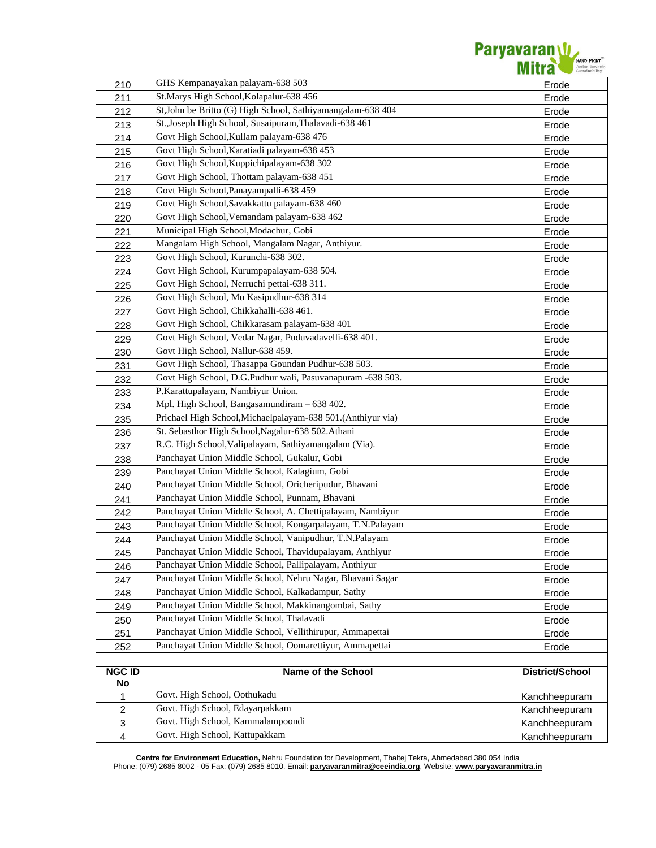

| 210                     | GHS Kempanayakan palayam-638 503                                     | Erode                  |
|-------------------------|----------------------------------------------------------------------|------------------------|
| 211                     | St.Marys High School, Kolapalur-638 456                              | Erode                  |
| 212                     | St, John be Britto (G) High School, Sathiyamangalam-638 404          | Erode                  |
| 213                     | St., Joseph High School, Susaipuram, Thalavadi-638 461               | Erode                  |
| 214                     | Govt High School, Kullam palayam-638 476                             | Erode                  |
| 215                     | Govt High School, Karatiadi palayam-638 453                          | Erode                  |
| 216                     | Govt High School, Kuppichipalayam-638 302                            | Erode                  |
| 217                     | Govt High School, Thottam palayam-638 451                            | Erode                  |
| 218                     | Govt High School, Panayampalli-638 459                               | Erode                  |
| 219                     | Govt High School, Savakkattu palayam-638 460                         | Erode                  |
| 220                     | Govt High School, Vemandam palayam-638 462                           | Erode                  |
| 221                     | Municipal High School, Modachur, Gobi                                | Erode                  |
| 222                     | Mangalam High School, Mangalam Nagar, Anthiyur.                      | Erode                  |
| 223                     | Govt High School, Kurunchi-638 302.                                  | Erode                  |
| 224                     | Govt High School, Kurumpapalayam-638 504.                            | Erode                  |
| 225                     | Govt High School, Nerruchi pettai-638 311.                           | Erode                  |
| 226                     | Govt High School, Mu Kasipudhur-638 314                              | Erode                  |
| 227                     | Govt High School, Chikkahalli-638 461.                               | Erode                  |
| 228                     | Govt High School, Chikkarasam palayam-638 401                        | Erode                  |
| 229                     | Govt High School, Vedar Nagar, Puduvadavelli-638 401.                | Erode                  |
| 230                     | Govt High School, Nallur-638 459.                                    | Erode                  |
| 231                     | Govt High School, Thasappa Goundan Pudhur-638 503.                   | Erode                  |
| 232                     | Govt High School, D.G.Pudhur wali, Pasuvanapuram -638 503.           | Erode                  |
| 233                     | P.Karattupalayam, Nambiyur Union.                                    | Erode                  |
| 234                     | Mpl. High School, Bangasamundiram - 638 402.                         | Erode                  |
| 235                     | Prichael High School, Michaelpalayam-638 501. (Anthiyur via)         | Erode                  |
| 236                     | St. Sebasthor High School, Nagalur-638 502. Athani                   | Erode                  |
| 237                     | R.C. High School, Valipalayam, Sathiyamangalam (Via).                | Erode                  |
| 238                     | Panchayat Union Middle School, Gukalur, Gobi                         | Erode                  |
| 239                     | Panchayat Union Middle School, Kalagium, Gobi                        | Erode                  |
| 240                     | Panchayat Union Middle School, Oricheripudur, Bhavani                | Erode                  |
| 241                     | Panchayat Union Middle School, Punnam, Bhavani                       | Erode                  |
| 242                     | Panchayat Union Middle School, A. Chettipalayam, Nambiyur            | Erode                  |
| 243                     | Panchayat Union Middle School, Kongarpalayam, T.N.Palayam            | Erode                  |
| 244                     | Panchayat Union Middle School, Vanipudhur, T.N.Palayam               | Erode                  |
| 245                     | Panchayat Union Middle School, Thavidupalayam, Anthiyur              | Erode                  |
| 246                     | Panchayat Union Middle School, Pallipalayam, Anthiyur                | Erode                  |
| 247                     | Panchayat Union Middle School, Nehru Nagar, Bhavani Sagar            | Erode                  |
| 248                     | Panchayat Union Middle School, Kalkadampur, Sathy                    | Erode                  |
| 249                     | Panchayat Union Middle School, Makkinangombai, Sathy                 | Erode                  |
| 250                     | Panchayat Union Middle School, Thalavadi                             | Erode                  |
| 251                     | Panchayat Union Middle School, Vellithirupur, Ammapettai             | Erode                  |
| 252                     | Panchayat Union Middle School, Oomarettiyur, Ammapettai              | Erode                  |
|                         |                                                                      |                        |
| <b>NGC ID</b>           | Name of the School                                                   | <b>District/School</b> |
| No                      |                                                                      |                        |
| 1                       | Govt. High School, Oothukadu                                         | Kanchheepuram          |
| $\overline{c}$          | Govt. High School, Edayarpakkam<br>Govt. High School, Kammalampoondi | Kanchheepuram          |
| 3                       | Govt. High School, Kattupakkam                                       | Kanchheepuram          |
| $\overline{\mathbf{4}}$ |                                                                      | Kanchheepuram          |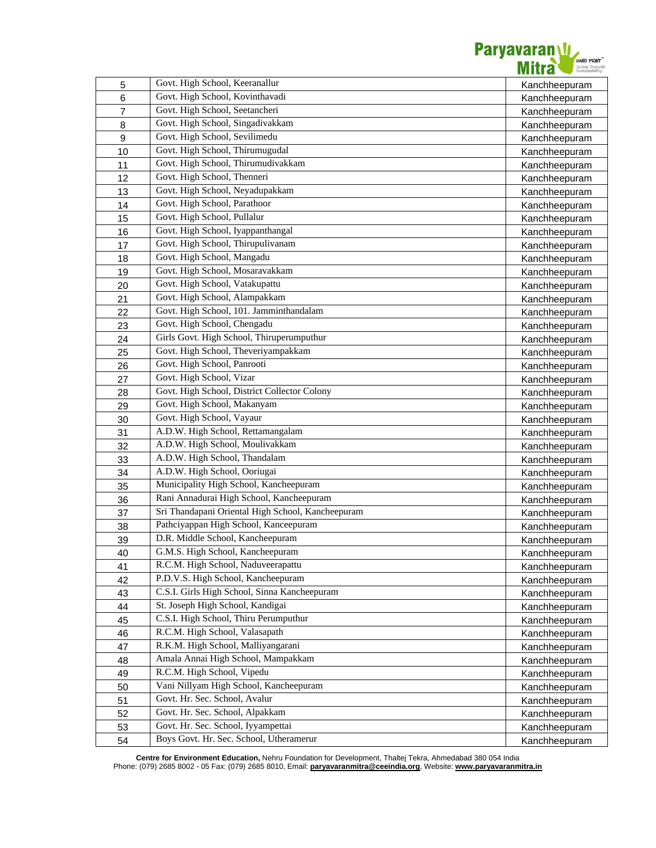

| $\sqrt{5}$     | Govt. High School, Keeranallur                    | Kanchheepuram |
|----------------|---------------------------------------------------|---------------|
| 6              | Govt. High School, Kovinthavadi                   | Kanchheepuram |
| $\overline{7}$ | Govt. High School, Seetancheri                    | Kanchheepuram |
| 8              | Govt. High School, Singadivakkam                  | Kanchheepuram |
| 9              | Govt. High School, Sevilimedu                     | Kanchheepuram |
| 10             | Govt. High School, Thirumugudal                   | Kanchheepuram |
| 11             | Govt. High School, Thirumudivakkam                | Kanchheepuram |
| 12             | Govt. High School, Thenneri                       | Kanchheepuram |
| 13             | Govt. High School, Neyadupakkam                   | Kanchheepuram |
| 14             | Govt. High School, Parathoor                      | Kanchheepuram |
| 15             | Govt. High School, Pullalur                       | Kanchheepuram |
| 16             | Govt. High School, Iyappanthangal                 | Kanchheepuram |
| 17             | Govt. High School, Thirupulivanam                 | Kanchheepuram |
| 18             | Govt. High School, Mangadu                        | Kanchheepuram |
| 19             | Govt. High School, Mosaravakkam                   | Kanchheepuram |
| 20             | Govt. High School, Vatakupattu                    | Kanchheepuram |
| 21             | Govt. High School, Alampakkam                     | Kanchheepuram |
| 22             | Govt. High School, 101. Jamminthandalam           | Kanchheepuram |
| 23             | Govt. High School, Chengadu                       | Kanchheepuram |
| 24             | Girls Govt. High School, Thiruperumputhur         | Kanchheepuram |
| 25             | Govt. High School, Theveriyampakkam               | Kanchheepuram |
| 26             | Govt. High School, Panrooti                       | Kanchheepuram |
| 27             | Govt. High School, Vizar                          | Kanchheepuram |
| 28             | Govt. High School, District Collector Colony      | Kanchheepuram |
| 29             | Govt. High School, Makanyam                       | Kanchheepuram |
| 30             | Govt. High School, Vayaur                         | Kanchheepuram |
| 31             | A.D.W. High School, Rettamangalam                 | Kanchheepuram |
| 32             | A.D.W. High School, Moulivakkam                   | Kanchheepuram |
| 33             | A.D.W. High School, Thandalam                     | Kanchheepuram |
| 34             | A.D.W. High School, Ooriugai                      | Kanchheepuram |
| 35             | Municipality High School, Kancheepuram            | Kanchheepuram |
| 36             | Rani Annadurai High School, Kancheepuram          | Kanchheepuram |
| 37             | Sri Thandapani Oriental High School, Kancheepuram | Kanchheepuram |
| 38             | Pathciyappan High School, Kanceepuram             | Kanchheepuram |
| 39             | D.R. Middle School, Kancheepuram                  | Kanchheepuram |
| 40             | G.M.S. High School, Kancheepuram                  | Kanchheepuram |
| 41             | R.C.M. High School, Naduveerapattu                | Kanchheepuram |
| 42             | P.D.V.S. High School, Kancheepuram                | Kanchheepuram |
| 43             | C.S.I. Girls High School, Sinna Kancheepuram      | Kanchheepuram |
| 44             | St. Joseph High School, Kandigai                  | Kanchheepuram |
| 45             | C.S.I. High School, Thiru Perumputhur             | Kanchheepuram |
| 46             | R.C.M. High School, Valasapath                    | Kanchheepuram |
| 47             | R.K.M. High School, Malliyangarani                | Kanchheepuram |
| 48             | Amala Annai High School, Mampakkam                | Kanchheepuram |
| 49             | R.C.M. High School, Vipedu                        | Kanchheepuram |
|                | Vani Nillyam High School, Kancheepuram            | Kanchheepuram |
| 50<br>51       | Govt. Hr. Sec. School, Avalur                     |               |
|                | Govt. Hr. Sec. School, Alpakkam                   | Kanchheepuram |
| 52             | Govt. Hr. Sec. School, Iyyampettai                | Kanchheepuram |
| 53             | Boys Govt. Hr. Sec. School, Utheramerur           | Kanchheepuram |
| 54             |                                                   | Kanchheepuram |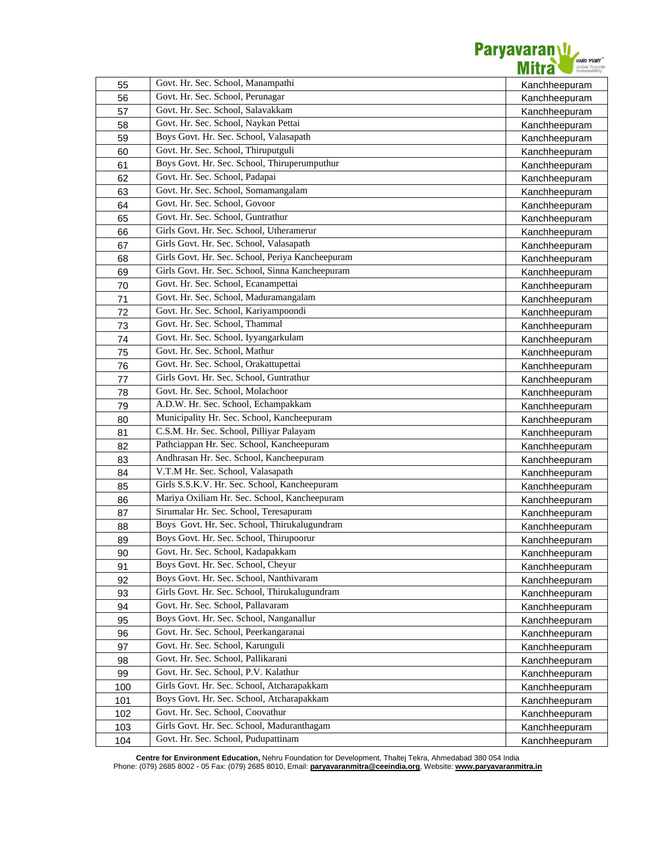

| 55  | Govt. Hr. Sec. School, Manampathi                | Kanchheepuram |
|-----|--------------------------------------------------|---------------|
| 56  | Govt. Hr. Sec. School, Perunagar                 | Kanchheepuram |
| 57  | Govt. Hr. Sec. School, Salavakkam                | Kanchheepuram |
| 58  | Govt. Hr. Sec. School, Naykan Pettai             | Kanchheepuram |
| 59  | Boys Govt. Hr. Sec. School, Valasapath           | Kanchheepuram |
| 60  | Govt. Hr. Sec. School, Thiruputguli              | Kanchheepuram |
| 61  | Boys Govt. Hr. Sec. School, Thiruperumputhur     | Kanchheepuram |
| 62  | Govt. Hr. Sec. School, Padapai                   | Kanchheepuram |
| 63  | Govt. Hr. Sec. School, Somamangalam              | Kanchheepuram |
| 64  | Govt. Hr. Sec. School, Govoor                    | Kanchheepuram |
| 65  | Govt. Hr. Sec. School, Guntrathur                | Kanchheepuram |
| 66  | Girls Govt. Hr. Sec. School, Utheramerur         | Kanchheepuram |
| 67  | Girls Govt. Hr. Sec. School, Valasapath          | Kanchheepuram |
| 68  | Girls Govt. Hr. Sec. School, Periya Kancheepuram | Kanchheepuram |
| 69  | Girls Govt. Hr. Sec. School, Sinna Kancheepuram  | Kanchheepuram |
| 70  | Govt. Hr. Sec. School, Ecanampettai              | Kanchheepuram |
| 71  | Govt. Hr. Sec. School, Maduramangalam            | Kanchheepuram |
| 72  | Govt. Hr. Sec. School, Kariyampoondi             | Kanchheepuram |
| 73  | Govt. Hr. Sec. School, Thammal                   | Kanchheepuram |
| 74  | Govt. Hr. Sec. School, Iyyangarkulam             | Kanchheepuram |
| 75  | Govt. Hr. Sec. School, Mathur                    | Kanchheepuram |
| 76  | Govt. Hr. Sec. School, Orakattupettai            | Kanchheepuram |
| 77  | Girls Govt. Hr. Sec. School, Guntrathur          | Kanchheepuram |
| 78  | Govt. Hr. Sec. School, Molachoor                 | Kanchheepuram |
| 79  | A.D.W. Hr. Sec. School, Echampakkam              | Kanchheepuram |
| 80  | Municipality Hr. Sec. School, Kancheepuram       | Kanchheepuram |
| 81  | C.S.M. Hr. Sec. School, Pilliyar Palayam         | Kanchheepuram |
| 82  | Pathciappan Hr. Sec. School, Kancheepuram        | Kanchheepuram |
| 83  | Andhrasan Hr. Sec. School, Kancheepuram          | Kanchheepuram |
| 84  | V.T.M Hr. Sec. School, Valasapath                | Kanchheepuram |
| 85  | Girls S.S.K.V. Hr. Sec. School, Kancheepuram     | Kanchheepuram |
| 86  | Mariya Oxiliam Hr. Sec. School, Kancheepuram     | Kanchheepuram |
| 87  | Sirumalar Hr. Sec. School, Teresapuram           | Kanchheepuram |
| 88  | Boys Govt. Hr. Sec. School, Thirukalugundram     | Kanchheepuram |
| 89  | Boys Govt. Hr. Sec. School, Thirupoorur          | Kanchheepuram |
| 90  | Govt. Hr. Sec. School, Kadapakkam                | Kanchheepuram |
| 91  | Boys Govt. Hr. Sec. School, Cheyur               | Kanchheepuram |
| 92  | Boys Govt. Hr. Sec. School, Nanthivaram          | Kanchheepuram |
| 93  | Girls Govt. Hr. Sec. School, Thirukalugundram    | Kanchheepuram |
| 94  | Govt. Hr. Sec. School, Pallavaram                | Kanchheepuram |
| 95  | Boys Govt. Hr. Sec. School, Nanganallur          | Kanchheepuram |
| 96  | Govt. Hr. Sec. School, Peerkangaranai            | Kanchheepuram |
| 97  | Govt. Hr. Sec. School, Karunguli                 | Kanchheepuram |
| 98  | Govt. Hr. Sec. School, Pallikarani               | Kanchheepuram |
| 99  | Govt. Hr. Sec. School, P.V. Kalathur             | Kanchheepuram |
| 100 | Girls Govt. Hr. Sec. School, Atcharapakkam       | Kanchheepuram |
| 101 | Boys Govt. Hr. Sec. School, Atcharapakkam        | Kanchheepuram |
| 102 | Govt. Hr. Sec. School, Coovathur                 | Kanchheepuram |
| 103 | Girls Govt. Hr. Sec. School, Maduranthagam       | Kanchheepuram |
| 104 | Govt. Hr. Sec. School, Pudupattinam              | Kanchheepuram |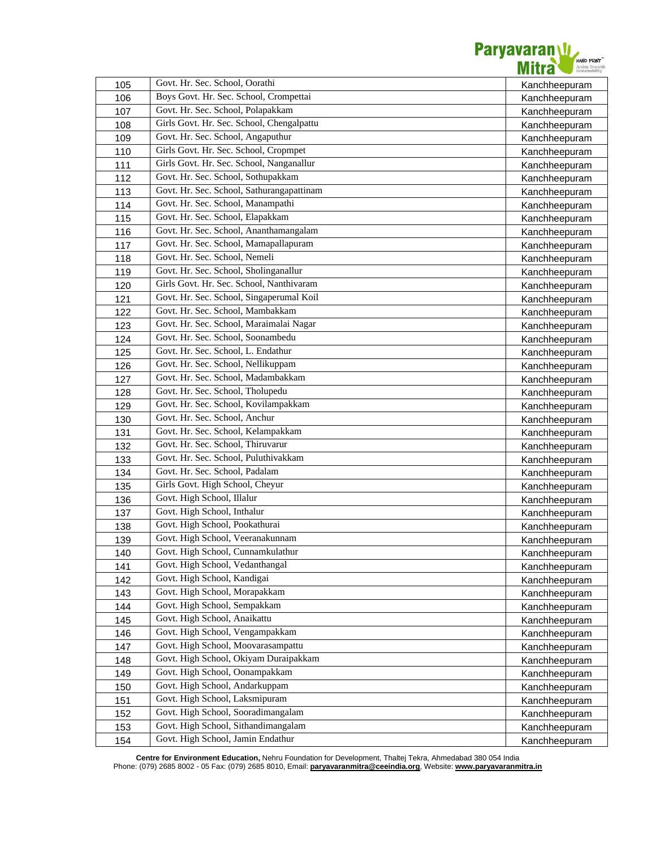

| 105 | Govt. Hr. Sec. School, Oorathi<br>Boys Govt. Hr. Sec. School, Crompettai | Kanchheepuram |
|-----|--------------------------------------------------------------------------|---------------|
| 106 |                                                                          | Kanchheepuram |
| 107 | Govt. Hr. Sec. School, Polapakkam                                        | Kanchheepuram |
| 108 | Girls Govt. Hr. Sec. School, Chengalpattu                                | Kanchheepuram |
| 109 | Govt. Hr. Sec. School, Angaputhur                                        | Kanchheepuram |
| 110 | Girls Govt. Hr. Sec. School, Cropmpet                                    | Kanchheepuram |
| 111 | Girls Govt. Hr. Sec. School, Nanganallur                                 | Kanchheepuram |
| 112 | Govt. Hr. Sec. School, Sothupakkam                                       | Kanchheepuram |
| 113 | Govt. Hr. Sec. School, Sathurangapattinam                                | Kanchheepuram |
| 114 | Govt. Hr. Sec. School, Manampathi                                        | Kanchheepuram |
| 115 | Govt. Hr. Sec. School, Elapakkam                                         | Kanchheepuram |
| 116 | Govt. Hr. Sec. School, Ananthamangalam                                   | Kanchheepuram |
| 117 | Govt. Hr. Sec. School, Mamapallapuram                                    | Kanchheepuram |
| 118 | Govt. Hr. Sec. School, Nemeli                                            | Kanchheepuram |
| 119 | Govt. Hr. Sec. School, Sholinganallur                                    | Kanchheepuram |
| 120 | Girls Govt. Hr. Sec. School, Nanthivaram                                 | Kanchheepuram |
| 121 | Govt. Hr. Sec. School, Singaperumal Koil                                 | Kanchheepuram |
| 122 | Govt. Hr. Sec. School, Mambakkam                                         | Kanchheepuram |
| 123 | Govt. Hr. Sec. School, Maraimalai Nagar                                  | Kanchheepuram |
| 124 | Govt. Hr. Sec. School, Soonambedu                                        | Kanchheepuram |
| 125 | Govt. Hr. Sec. School, L. Endathur                                       | Kanchheepuram |
| 126 | Govt. Hr. Sec. School, Nellikuppam                                       | Kanchheepuram |
| 127 | Govt. Hr. Sec. School, Madambakkam                                       | Kanchheepuram |
| 128 | Govt. Hr. Sec. School, Tholupedu                                         | Kanchheepuram |
| 129 | Govt. Hr. Sec. School, Kovilampakkam                                     | Kanchheepuram |
| 130 | Govt. Hr. Sec. School, Anchur                                            | Kanchheepuram |
| 131 | Govt. Hr. Sec. School, Kelampakkam                                       | Kanchheepuram |
| 132 | Govt. Hr. Sec. School, Thiruvarur                                        | Kanchheepuram |
| 133 | Govt. Hr. Sec. School, Puluthivakkam                                     | Kanchheepuram |
| 134 | Govt. Hr. Sec. School, Padalam                                           | Kanchheepuram |
| 135 | Girls Govt. High School, Cheyur                                          | Kanchheepuram |
| 136 | Govt. High School, Illalur                                               | Kanchheepuram |
| 137 | Govt. High School, Inthalur                                              | Kanchheepuram |
| 138 | Govt. High School, Pookathurai                                           | Kanchheepuram |
| 139 | Govt. High School, Veeranakunnam                                         | Kanchheepuram |
| 140 | Govt. High School, Cunnamkulathur                                        | Kanchheepuram |
| 141 | Govt. High School, Vedanthangal                                          | Kanchheepuram |
| 142 | Govt. High School, Kandigai                                              | Kanchheepuram |
| 143 | Govt. High School, Morapakkam                                            | Kanchheepuram |
| 144 | Govt. High School, Sempakkam                                             | Kanchheepuram |
| 145 | Govt. High School, Anaikattu                                             | Kanchheepuram |
| 146 | Govt. High School, Vengampakkam                                          | Kanchheepuram |
| 147 | Govt. High School, Moovarasampattu                                       | Kanchheepuram |
| 148 | Govt. High School, Okiyam Duraipakkam                                    | Kanchheepuram |
| 149 | Govt. High School, Oonampakkam                                           | Kanchheepuram |
| 150 | Govt. High School, Andarkuppam                                           | Kanchheepuram |
| 151 | Govt. High School, Laksmipuram                                           | Kanchheepuram |
| 152 | Govt. High School, Sooradimangalam                                       | Kanchheepuram |
| 153 | Govt. High School, Sithandimangalam                                      | Kanchheepuram |
| 154 | Govt. High School, Jamin Endathur                                        | Kanchheepuram |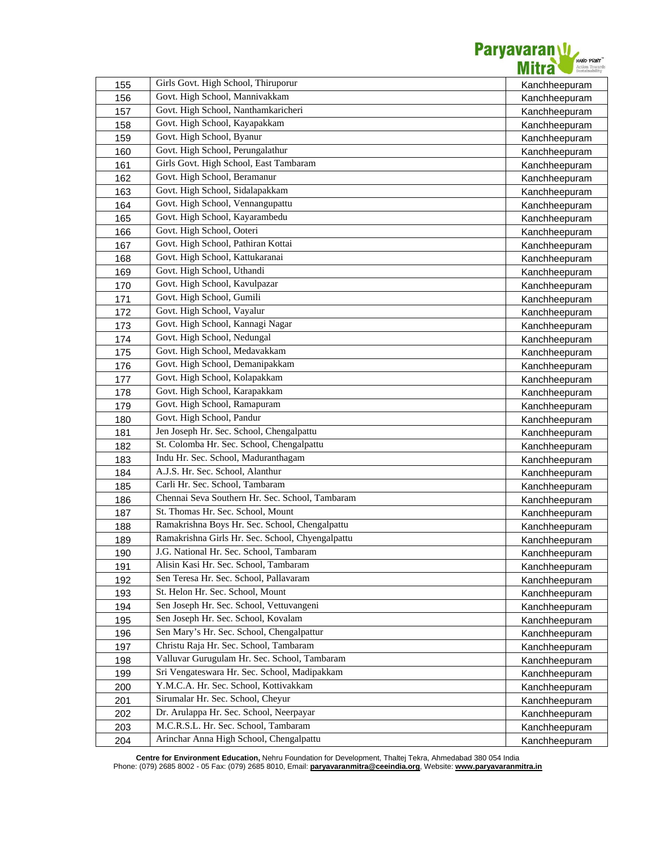

| 155 | Girls Govt. High School, Thiruporur              | Kanchheepuram |
|-----|--------------------------------------------------|---------------|
| 156 | Govt. High School, Mannivakkam                   | Kanchheepuram |
| 157 | Govt. High School, Nanthamkaricheri              | Kanchheepuram |
| 158 | Govt. High School, Kayapakkam                    | Kanchheepuram |
| 159 | Govt. High School, Byanur                        | Kanchheepuram |
| 160 | Govt. High School, Perungalathur                 | Kanchheepuram |
| 161 | Girls Govt. High School, East Tambaram           | Kanchheepuram |
| 162 | Govt. High School, Beramanur                     | Kanchheepuram |
| 163 | Govt. High School, Sidalapakkam                  | Kanchheepuram |
| 164 | Govt. High School, Vennangupattu                 | Kanchheepuram |
| 165 | Govt. High School, Kayarambedu                   | Kanchheepuram |
| 166 | Govt. High School, Ooteri                        | Kanchheepuram |
| 167 | Govt. High School, Pathiran Kottai               | Kanchheepuram |
| 168 | Govt. High School, Kattukaranai                  | Kanchheepuram |
| 169 | Govt. High School, Uthandi                       | Kanchheepuram |
| 170 | Govt. High School, Kavulpazar                    | Kanchheepuram |
| 171 | Govt. High School, Gumili                        | Kanchheepuram |
| 172 | Govt. High School, Vayalur                       | Kanchheepuram |
| 173 | Govt. High School, Kannagi Nagar                 | Kanchheepuram |
| 174 | Govt. High School, Nedungal                      | Kanchheepuram |
| 175 | Govt. High School, Medavakkam                    | Kanchheepuram |
| 176 | Govt. High School, Demanipakkam                  | Kanchheepuram |
| 177 | Govt. High School, Kolapakkam                    | Kanchheepuram |
| 178 | Govt. High School, Karapakkam                    | Kanchheepuram |
| 179 | Govt. High School, Ramapuram                     | Kanchheepuram |
| 180 | Govt. High School, Pandur                        | Kanchheepuram |
| 181 | Jen Joseph Hr. Sec. School, Chengalpattu         | Kanchheepuram |
| 182 | St. Colomba Hr. Sec. School, Chengalpattu        | Kanchheepuram |
| 183 | Indu Hr. Sec. School, Maduranthagam              | Kanchheepuram |
| 184 | A.J.S. Hr. Sec. School, Alanthur                 | Kanchheepuram |
| 185 | Carli Hr. Sec. School, Tambaram                  | Kanchheepuram |
| 186 | Chennai Seva Southern Hr. Sec. School, Tambaram  | Kanchheepuram |
| 187 | St. Thomas Hr. Sec. School, Mount                | Kanchheepuram |
| 188 | Ramakrishna Boys Hr. Sec. School, Chengalpattu   | Kanchheepuram |
| 189 | Ramakrishna Girls Hr. Sec. School, Chyengalpattu | Kanchheepuram |
| 190 | J.G. National Hr. Sec. School, Tambaram          | Kanchheepuram |
| 191 | Alisin Kasi Hr. Sec. School, Tambaram            | Kanchheepuram |
| 192 | Sen Teresa Hr. Sec. School, Pallavaram           | Kanchheepuram |
| 193 | St. Helon Hr. Sec. School, Mount                 | Kanchheepuram |
| 194 | Sen Joseph Hr. Sec. School, Vettuvangeni         | Kanchheepuram |
| 195 | Sen Joseph Hr. Sec. School, Kovalam              | Kanchheepuram |
| 196 | Sen Mary's Hr. Sec. School, Chengalpattur        | Kanchheepuram |
| 197 | Christu Raja Hr. Sec. School, Tambaram           | Kanchheepuram |
| 198 | Valluvar Gurugulam Hr. Sec. School, Tambaram     | Kanchheepuram |
| 199 | Sri Vengateswara Hr. Sec. School, Madipakkam     | Kanchheepuram |
| 200 | Y.M.C.A. Hr. Sec. School, Kottivakkam            | Kanchheepuram |
| 201 | Sirumalar Hr. Sec. School, Cheyur                | Kanchheepuram |
| 202 | Dr. Arulappa Hr. Sec. School, Neerpayar          | Kanchheepuram |
| 203 | M.C.R.S.L. Hr. Sec. School, Tambaram             | Kanchheepuram |
| 204 | Arinchar Anna High School, Chengalpattu          | Kanchheepuram |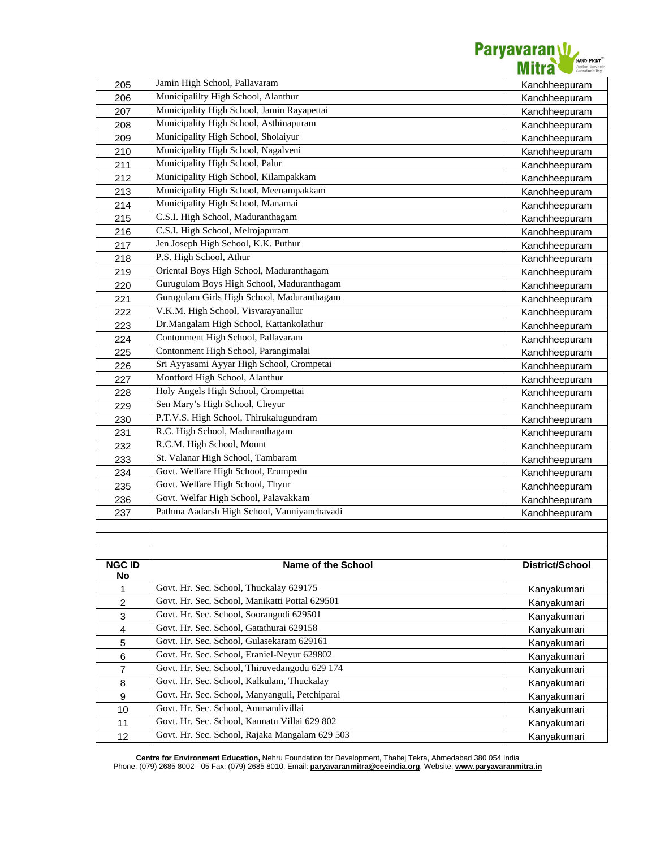

| 205                       | Jamin High School, Pallavaram                  | Kanchheepuram   |
|---------------------------|------------------------------------------------|-----------------|
| 206                       | Municipalilty High School, Alanthur            | Kanchheepuram   |
| 207                       | Municipality High School, Jamin Rayapettai     | Kanchheepuram   |
| 208                       | Municipality High School, Asthinapuram         | Kanchheepuram   |
| 209                       | Municipality High School, Sholaiyur            | Kanchheepuram   |
| 210                       | Municipality High School, Nagalveni            | Kanchheepuram   |
| 211                       | Municipality High School, Palur                | Kanchheepuram   |
| 212                       | Municipality High School, Kilampakkam          | Kanchheepuram   |
| 213                       | Municipality High School, Meenampakkam         | Kanchheepuram   |
| 214                       | Municipality High School, Manamai              | Kanchheepuram   |
| 215                       | C.S.I. High School, Maduranthagam              | Kanchheepuram   |
| 216                       | C.S.I. High School, Melrojapuram               | Kanchheepuram   |
| 217                       | Jen Joseph High School, K.K. Puthur            | Kanchheepuram   |
| 218                       | P.S. High School, Athur                        | Kanchheepuram   |
| 219                       | Oriental Boys High School, Maduranthagam       | Kanchheepuram   |
| 220                       | Gurugulam Boys High School, Maduranthagam      | Kanchheepuram   |
| 221                       | Gurugulam Girls High School, Maduranthagam     | Kanchheepuram   |
| 222                       | V.K.M. High School, Visvarayanallur            | Kanchheepuram   |
| 223                       | Dr.Mangalam High School, Kattankolathur        | Kanchheepuram   |
| 224                       | Contonment High School, Pallavaram             | Kanchheepuram   |
| 225                       | Contonment High School, Parangimalai           | Kanchheepuram   |
| 226                       | Sri Ayyasami Ayyar High School, Crompetai      | Kanchheepuram   |
| 227                       | Montford High School, Alanthur                 | Kanchheepuram   |
| 228                       | Holy Angels High School, Crompettai            | Kanchheepuram   |
| 229                       | Sen Mary's High School, Cheyur                 | Kanchheepuram   |
| 230                       | P.T.V.S. High School, Thirukalugundram         | Kanchheepuram   |
| 231                       | R.C. High School, Maduranthagam                | Kanchheepuram   |
| 232                       | R.C.M. High School, Mount                      | Kanchheepuram   |
| 233                       | St. Valanar High School, Tambaram              | Kanchheepuram   |
| 234                       | Govt. Welfare High School, Erumpedu            | Kanchheepuram   |
| 235                       | Govt. Welfare High School, Thyur               | Kanchheepuram   |
| 236                       | Govt. Welfar High School, Palavakkam           | Kanchheepuram   |
| 237                       | Pathma Aadarsh High School, Vanniyanchavadi    | Kanchheepuram   |
|                           |                                                |                 |
|                           |                                                |                 |
|                           |                                                |                 |
| <b>NGC ID</b><br>No       | <b>Name of the School</b>                      | District/School |
| 1                         | Govt. Hr. Sec. School, Thuckalay 629175        | Kanyakumari     |
| $\boldsymbol{2}$          | Govt. Hr. Sec. School, Manikatti Pottal 629501 | Kanyakumari     |
| $\ensuremath{\mathsf{3}}$ | Govt. Hr. Sec. School, Soorangudi 629501       | Kanyakumari     |
| $\overline{\mathbf{4}}$   | Govt. Hr. Sec. School, Gatathurai 629158       | Kanyakumari     |
| 5                         | Govt. Hr. Sec. School, Gulasekaram 629161      | Kanyakumari     |
| 6                         | Govt. Hr. Sec. School, Eraniel-Neyur 629802    | Kanyakumari     |
| 7                         | Govt. Hr. Sec. School, Thiruvedangodu 629 174  | Kanyakumari     |
| 8                         | Govt. Hr. Sec. School, Kalkulam, Thuckalay     | Kanyakumari     |
| 9                         | Govt. Hr. Sec. School, Manyanguli, Petchiparai | Kanyakumari     |
| 10                        | Govt. Hr. Sec. School, Ammandivillai           | Kanyakumari     |
| 11                        | Govt. Hr. Sec. School, Kannatu Villai 629 802  | Kanyakumari     |
| 12                        | Govt. Hr. Sec. School, Rajaka Mangalam 629 503 | Kanyakumari     |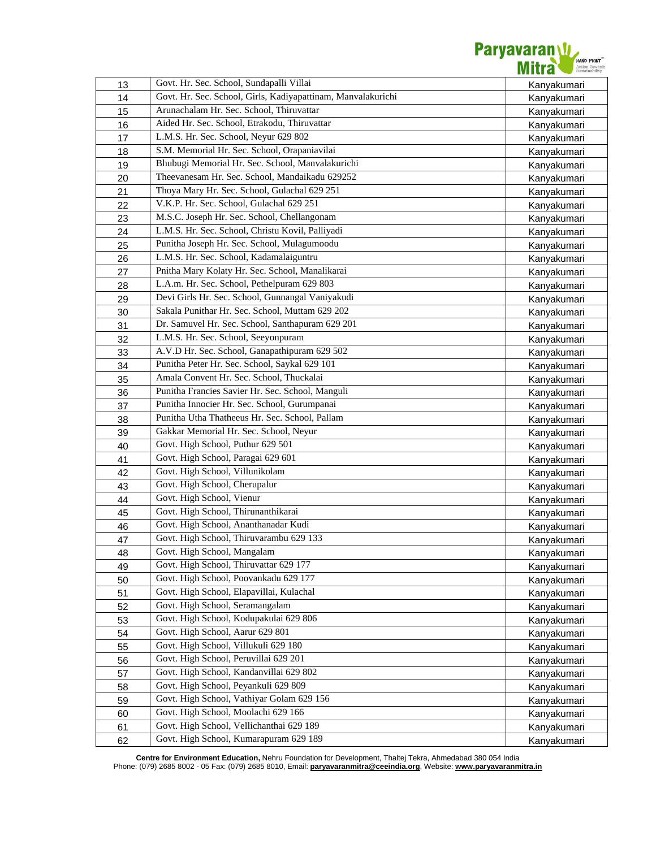

| 13 | Govt. Hr. Sec. School, Sundapalli Villai                     | Kanyakumari |
|----|--------------------------------------------------------------|-------------|
| 14 | Govt. Hr. Sec. School, Girls, Kadiyapattinam, Manvalakurichi | Kanyakumari |
| 15 | Arunachalam Hr. Sec. School, Thiruvattar                     | Kanyakumari |
| 16 | Aided Hr. Sec. School, Etrakodu, Thiruvattar                 | Kanyakumari |
| 17 | L.M.S. Hr. Sec. School, Neyur 629 802                        | Kanyakumari |
| 18 | S.M. Memorial Hr. Sec. School, Orapaniavilai                 | Kanyakumari |
| 19 | Bhubugi Memorial Hr. Sec. School, Manvalakurichi             | Kanyakumari |
| 20 | Theevanesam Hr. Sec. School, Mandaikadu 629252               | Kanyakumari |
| 21 | Thoya Mary Hr. Sec. School, Gulachal 629 251                 | Kanyakumari |
| 22 | V.K.P. Hr. Sec. School, Gulachal 629 251                     | Kanyakumari |
| 23 | M.S.C. Joseph Hr. Sec. School, Chellangonam                  | Kanyakumari |
| 24 | L.M.S. Hr. Sec. School, Christu Kovil, Palliyadi             | Kanyakumari |
| 25 | Punitha Joseph Hr. Sec. School, Mulagumoodu                  | Kanyakumari |
| 26 | L.M.S. Hr. Sec. School, Kadamalaiguntru                      | Kanyakumari |
| 27 | Pnitha Mary Kolaty Hr. Sec. School, Manalikarai              | Kanyakumari |
| 28 | L.A.m. Hr. Sec. School, Pethelpuram 629 803                  | Kanyakumari |
| 29 | Devi Girls Hr. Sec. School, Gunnangal Vaniyakudi             | Kanyakumari |
| 30 | Sakala Punithar Hr. Sec. School, Muttam 629 202              | Kanyakumari |
| 31 | Dr. Samuvel Hr. Sec. School, Santhapuram 629 201             | Kanyakumari |
| 32 | L.M.S. Hr. Sec. School, Seeyonpuram                          | Kanyakumari |
| 33 | A.V.D Hr. Sec. School, Ganapathipuram 629 502                | Kanyakumari |
| 34 | Punitha Peter Hr. Sec. School, Saykal 629 101                | Kanyakumari |
| 35 | Amala Convent Hr. Sec. School, Thuckalai                     | Kanyakumari |
| 36 | Punitha Francies Savier Hr. Sec. School, Manguli             | Kanyakumari |
| 37 | Punitha Innocier Hr. Sec. School, Gurumpanai                 | Kanyakumari |
| 38 | Punitha Utha Thatheeus Hr. Sec. School, Pallam               | Kanyakumari |
| 39 | Gakkar Memorial Hr. Sec. School, Neyur                       | Kanyakumari |
| 40 | Govt. High School, Puthur 629 501                            | Kanyakumari |
| 41 | Govt. High School, Paragai 629 601                           | Kanyakumari |
| 42 | Govt. High School, Villunikolam                              | Kanyakumari |
| 43 | Govt. High School, Cherupalur                                | Kanyakumari |
| 44 | Govt. High School, Vienur                                    | Kanyakumari |
| 45 | Govt. High School, Thirunanthikarai                          | Kanyakumari |
| 46 | Govt. High School, Ananthanadar Kudi                         | Kanyakumari |
| 47 | Govt. High School, Thiruvarambu 629 133                      | Kanyakumari |
| 48 | Govt. High School, Mangalam                                  | Kanyakumari |
| 49 | Govt. High School, Thiruvattar 629 177                       | Kanyakumari |
| 50 | Govt. High School, Poovankadu 629 177                        | Kanyakumari |
| 51 | Govt. High School, Elapavillai, Kulachal                     | Kanyakumari |
| 52 | Govt. High School, Seramangalam                              | Kanyakumari |
| 53 | Govt. High School, Kodupakulai 629 806                       | Kanyakumari |
| 54 | Govt. High School, Aarur 629 801                             | Kanyakumari |
| 55 | Govt. High School, Villukuli 629 180                         | Kanyakumari |
| 56 | Govt. High School, Peruvillai 629 201                        | Kanyakumari |
| 57 | Govt. High School, Kandanvillai 629 802                      | Kanyakumari |
| 58 | Govt. High School, Peyankuli 629 809                         | Kanyakumari |
| 59 | Govt. High School, Vathiyar Golam 629 156                    | Kanyakumari |
| 60 | Govt. High School, Moolachi 629 166                          | Kanyakumari |
| 61 | Govt. High School, Vellichanthai 629 189                     | Kanyakumari |
| 62 | Govt. High School, Kumarapuram 629 189                       | Kanyakumari |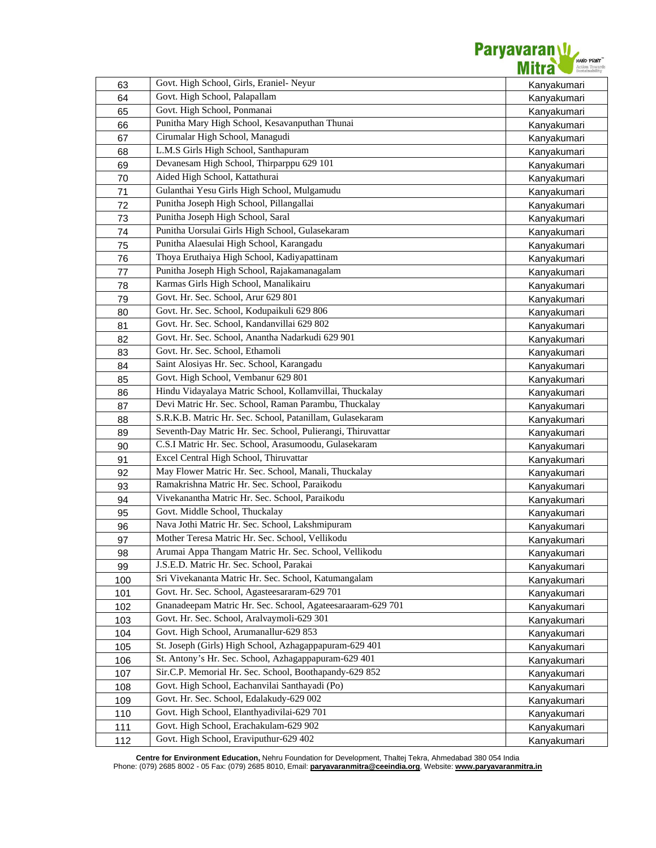

| 63  | Govt. High School, Girls, Eraniel- Neyur                    | Kanyakumari |
|-----|-------------------------------------------------------------|-------------|
| 64  | Govt. High School, Palapallam                               | Kanyakumari |
| 65  | Govt. High School, Ponmanai                                 | Kanyakumari |
| 66  | Punitha Mary High School, Kesavanputhan Thunai              | Kanyakumari |
| 67  | Cirumalar High School, Managudi                             | Kanyakumari |
| 68  | L.M.S Girls High School, Santhapuram                        | Kanyakumari |
| 69  | Devanesam High School, Thirparppu 629 101                   | Kanyakumari |
| 70  | Aided High School, Kattathurai                              | Kanyakumari |
| 71  | Gulanthai Yesu Girls High School, Mulgamudu                 | Kanyakumari |
| 72  | Punitha Joseph High School, Pillangallai                    | Kanyakumari |
| 73  | Punitha Joseph High School, Saral                           | Kanyakumari |
| 74  | Punitha Uorsulai Girls High School, Gulasekaram             | Kanyakumari |
| 75  | Punitha Alaesulai High School, Karangadu                    | Kanyakumari |
| 76  | Thoya Eruthaiya High School, Kadiyapattinam                 | Kanyakumari |
| 77  | Punitha Joseph High School, Rajakamanagalam                 | Kanyakumari |
| 78  | Karmas Girls High School, Manalikairu                       | Kanyakumari |
| 79  | Govt. Hr. Sec. School, Arur 629 801                         | Kanyakumari |
| 80  | Govt. Hr. Sec. School, Kodupaikuli 629 806                  | Kanyakumari |
| 81  | Govt. Hr. Sec. School, Kandanvillai 629 802                 | Kanyakumari |
| 82  | Govt. Hr. Sec. School, Anantha Nadarkudi 629 901            | Kanyakumari |
| 83  | Govt. Hr. Sec. School, Ethamoli                             | Kanyakumari |
| 84  | Saint Alosiyas Hr. Sec. School, Karangadu                   | Kanyakumari |
| 85  | Govt. High School, Vembanur 629 801                         | Kanyakumari |
| 86  | Hindu Vidayalaya Matric School, Kollamvillai, Thuckalay     | Kanyakumari |
| 87  | Devi Matric Hr. Sec. School, Raman Parambu, Thuckalay       | Kanyakumari |
| 88  | S.R.K.B. Matric Hr. Sec. School, Patanillam, Gulasekaram    | Kanyakumari |
| 89  | Seventh-Day Matric Hr. Sec. School, Pulierangi, Thiruvattar | Kanyakumari |
| 90  | C.S.I Matric Hr. Sec. School, Arasumoodu, Gulasekaram       | Kanyakumari |
| 91  | Excel Central High School, Thiruvattar                      | Kanyakumari |
| 92  | May Flower Matric Hr. Sec. School, Manali, Thuckalay        | Kanyakumari |
| 93  | Ramakrishna Matric Hr. Sec. School, Paraikodu               | Kanyakumari |
| 94  | Vivekanantha Matric Hr. Sec. School, Paraikodu              | Kanyakumari |
| 95  | Govt. Middle School, Thuckalay                              | Kanyakumari |
| 96  | Nava Jothi Matric Hr. Sec. School, Lakshmipuram             | Kanyakumari |
| 97  | Mother Teresa Matric Hr. Sec. School, Vellikodu             | Kanyakumari |
| 98  | Arumai Appa Thangam Matric Hr. Sec. School, Vellikodu       | Kanyakumari |
| 99  | J.S.E.D. Matric Hr. Sec. School, Parakai                    | Kanyakumari |
| 100 | Sri Vivekananta Matric Hr. Sec. School, Katumangalam        | Kanyakumari |
| 101 | Govt. Hr. Sec. School, Agasteesararam-629 701               | Kanyakumari |
| 102 | Gnanadeepam Matric Hr. Sec. School, Agateesaraaram-629 701  | Kanyakumari |
| 103 | Govt. Hr. Sec. School, Aralvaymoli-629 301                  | Kanyakumari |
| 104 | Govt. High School, Arumanallur-629 853                      | Kanyakumari |
| 105 | St. Joseph (Girls) High School, Azhagappapuram-629 401      | Kanyakumari |
| 106 | St. Antony's Hr. Sec. School, Azhagappapuram-629 401        | Kanyakumari |
| 107 | Sir.C.P. Memorial Hr. Sec. School, Boothapandy-629 852      | Kanyakumari |
| 108 | Govt. High School, Eachanvilai Santhayadi (Po)              | Kanyakumari |
| 109 | Govt. Hr. Sec. School, Edalakudy-629 002                    | Kanyakumari |
| 110 | Govt. High School, Elanthyadivilai-629 701                  | Kanyakumari |
| 111 | Govt. High School, Erachakulam-629 902                      | Kanyakumari |
| 112 | Govt. High School, Eraviputhur-629 402                      | Kanyakumari |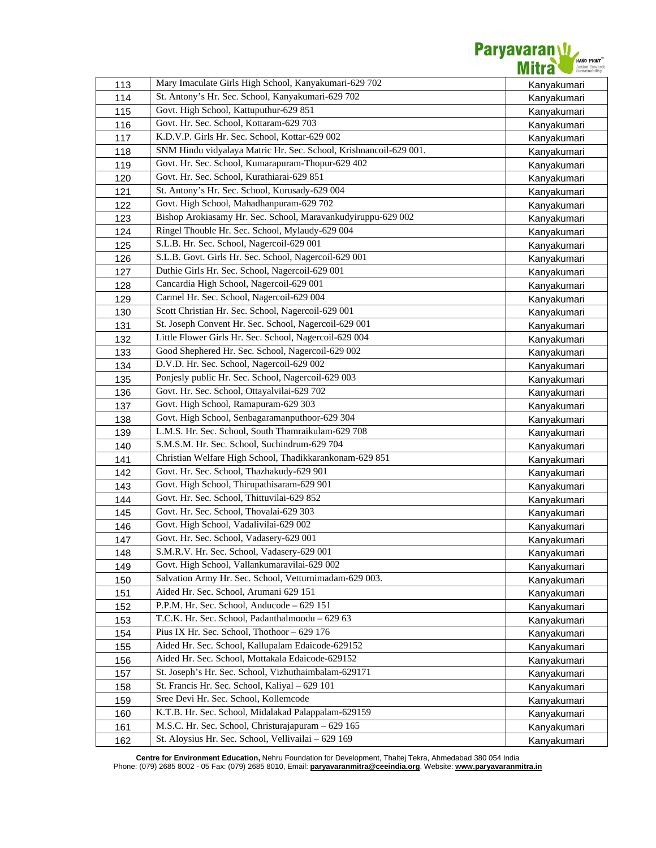

| 113 | Mary Imaculate Girls High School, Kanyakumari-629 702             | Kanyakumari |
|-----|-------------------------------------------------------------------|-------------|
| 114 | St. Antony's Hr. Sec. School, Kanyakumari-629 702                 | Kanyakumari |
| 115 | Govt. High School, Kattuputhur-629 851                            | Kanyakumari |
| 116 | Govt. Hr. Sec. School, Kottaram-629 703                           | Kanyakumari |
| 117 | K.D.V.P. Girls Hr. Sec. School, Kottar-629 002                    | Kanyakumari |
| 118 | SNM Hindu vidyalaya Matric Hr. Sec. School, Krishnancoil-629 001. | Kanyakumari |
| 119 | Govt. Hr. Sec. School, Kumarapuram-Thopur-629 402                 | Kanyakumari |
| 120 | Govt. Hr. Sec. School, Kurathiarai-629 851                        | Kanyakumari |
| 121 | St. Antony's Hr. Sec. School, Kurusady-629 004                    | Kanyakumari |
| 122 | Govt. High School, Mahadhanpuram-629 702                          | Kanyakumari |
| 123 | Bishop Arokiasamy Hr. Sec. School, Maravankudyiruppu-629 002      | Kanyakumari |
| 124 | Ringel Thouble Hr. Sec. School, Mylaudy-629 004                   | Kanyakumari |
| 125 | S.L.B. Hr. Sec. School, Nagercoil-629 001                         | Kanyakumari |
| 126 | S.L.B. Govt. Girls Hr. Sec. School, Nagercoil-629 001             | Kanyakumari |
| 127 | Duthie Girls Hr. Sec. School, Nagercoil-629 001                   | Kanyakumari |
| 128 | Cancardia High School, Nagercoil-629 001                          | Kanyakumari |
| 129 | Carmel Hr. Sec. School, Nagercoil-629 004                         | Kanyakumari |
| 130 | Scott Christian Hr. Sec. School, Nagercoil-629 001                | Kanyakumari |
| 131 | St. Joseph Convent Hr. Sec. School, Nagercoil-629 001             | Kanyakumari |
| 132 | Little Flower Girls Hr. Sec. School, Nagercoil-629 004            | Kanyakumari |
| 133 | Good Shephered Hr. Sec. School, Nagercoil-629 002                 | Kanyakumari |
| 134 | D.V.D. Hr. Sec. School, Nagercoil-629 002                         | Kanyakumari |
| 135 | Ponjesly public Hr. Sec. School, Nagercoil-629 003                | Kanyakumari |
| 136 | Govt. Hr. Sec. School, Ottayalvilai-629 702                       | Kanyakumari |
| 137 | Govt. High School, Ramapuram-629 303                              | Kanyakumari |
| 138 | Govt. High School, Senbagaramanputhoor-629 304                    | Kanyakumari |
| 139 | L.M.S. Hr. Sec. School, South Thamraikulam-629 708                | Kanyakumari |
| 140 | S.M.S.M. Hr. Sec. School, Suchindrum-629 704                      | Kanyakumari |
| 141 | Christian Welfare High School, Thadikkarankonam-629 851           | Kanyakumari |
| 142 | Govt. Hr. Sec. School, Thazhakudy-629 901                         | Kanyakumari |
| 143 | Govt. High School, Thirupathisaram-629 901                        | Kanyakumari |
| 144 | Govt. Hr. Sec. School, Thittuvilai-629 852                        | Kanyakumari |
| 145 | Govt. Hr. Sec. School, Thovalai-629 303                           | Kanyakumari |
| 146 | Govt. High School, Vadalivilai-629 002                            | Kanyakumari |
| 147 | Govt. Hr. Sec. School, Vadasery-629 001                           | Kanyakumari |
| 148 | S.M.R.V. Hr. Sec. School, Vadasery-629 001                        | Kanyakumari |
| 149 | Govt. High School, Vallankumaravilai-629 002                      | Kanyakumari |
| 150 | Salvation Army Hr. Sec. School, Vetturnimadam-629 003.            | Kanyakumari |
| 151 | Aided Hr. Sec. School, Arumani 629 151                            | Kanyakumari |
| 152 | P.P.M. Hr. Sec. School, Anducode - 629 151                        | Kanyakumari |
| 153 | T.C.K. Hr. Sec. School, Padanthalmoodu - 629 63                   | Kanyakumari |
| 154 | Pius IX Hr. Sec. School, Thothoor - 629 176                       | Kanyakumari |
| 155 | Aided Hr. Sec. School, Kallupalam Edaicode-629152                 | Kanyakumari |
| 156 | Aided Hr. Sec. School, Mottakala Edaicode-629152                  | Kanyakumari |
| 157 | St. Joseph's Hr. Sec. School, Vizhuthaimbalam-629171              | Kanyakumari |
| 158 | St. Francis Hr. Sec. School, Kaliyal - 629 101                    | Kanyakumari |
| 159 | Sree Devi Hr. Sec. School, Kollemcode                             | Kanyakumari |
| 160 | K.T.B. Hr. Sec. School, Midalakad Palappalam-629159               | Kanyakumari |
| 161 | M.S.C. Hr. Sec. School, Christurajapuram - 629 165                | Kanyakumari |
| 162 | St. Aloysius Hr. Sec. School, Vellivailai - 629 169               | Kanyakumari |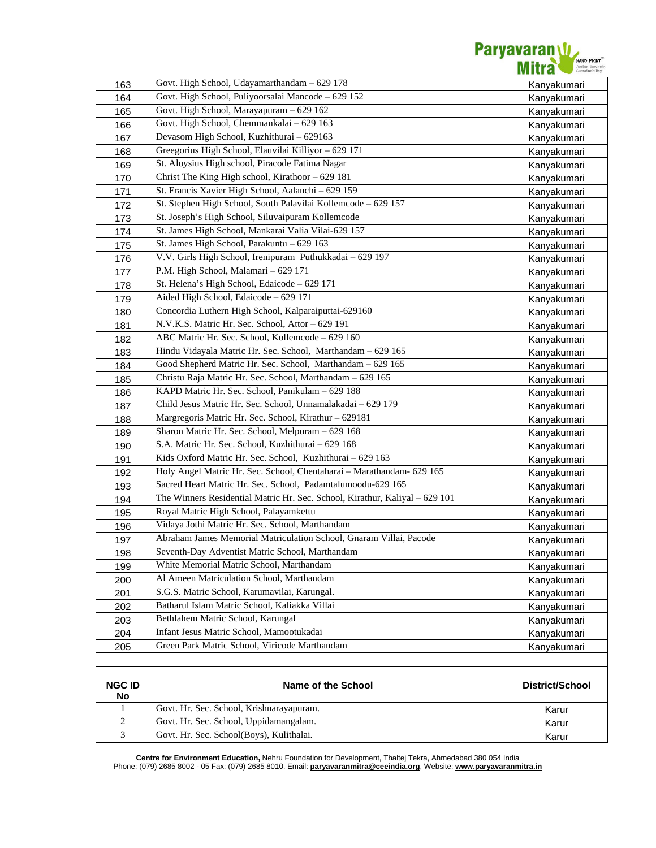

| 163           | Govt. High School, Udayamarthandam - 629 178                                | Kanyakumari            |
|---------------|-----------------------------------------------------------------------------|------------------------|
| 164           | Govt. High School, Puliyoorsalai Mancode - 629 152                          | Kanyakumari            |
| 165           | Govt. High School, Marayapuram - 629 162                                    | Kanyakumari            |
| 166           | Govt. High School, Chemmankalai - 629 163                                   | Kanyakumari            |
| 167           | Devasom High School, Kuzhithurai - 629163                                   | Kanyakumari            |
| 168           | Greegorius High School, Elauvilai Killiyor - 629 171                        | Kanyakumari            |
| 169           | St. Aloysius High school, Piracode Fatima Nagar                             | Kanyakumari            |
| 170           | Christ The King High school, Kirathoor - 629 181                            | Kanyakumari            |
| 171           | St. Francis Xavier High School, Aalanchi - 629 159                          | Kanyakumari            |
| 172           | St. Stephen High School, South Palavilai Kollemcode - 629 157               | Kanyakumari            |
| 173           | St. Joseph's High School, Siluvaipuram Kollemcode                           | Kanyakumari            |
| 174           | St. James High School, Mankarai Valia Vilai-629 157                         | Kanyakumari            |
| 175           | St. James High School, Parakuntu - 629 163                                  | Kanyakumari            |
| 176           | V.V. Girls High School, Irenipuram Puthukkadai - 629 197                    | Kanyakumari            |
| 177           | P.M. High School, Malamari - 629 171                                        | Kanyakumari            |
| 178           | St. Helena's High School, Edaicode - 629 171                                | Kanyakumari            |
| 179           | Aided High School, Edaicode - 629 171                                       | Kanyakumari            |
| 180           | Concordia Luthern High School, Kalparaiputtai-629160                        | Kanyakumari            |
| 181           | N.V.K.S. Matric Hr. Sec. School, Attor - 629 191                            | Kanyakumari            |
| 182           | ABC Matric Hr. Sec. School, Kollemcode - 629 160                            | Kanyakumari            |
| 183           | Hindu Vidayala Matric Hr. Sec. School, Marthandam - 629 165                 | Kanyakumari            |
| 184           | Good Shepherd Matric Hr. Sec. School, Marthandam - 629 165                  | Kanyakumari            |
| 185           | Christu Raja Matric Hr. Sec. School, Marthandam - 629 165                   | Kanyakumari            |
| 186           | KAPD Matric Hr. Sec. School, Panikulam - 629 188                            | Kanyakumari            |
| 187           | Child Jesus Matric Hr. Sec. School, Unnamalakadai - 629 179                 | Kanyakumari            |
| 188           | Margregoris Matric Hr. Sec. School, Kirathur - 629181                       | Kanyakumari            |
| 189           | Sharon Matric Hr. Sec. School, Melpuram - 629 168                           | Kanyakumari            |
| 190           | S.A. Matric Hr. Sec. School, Kuzhithurai - 629 168                          | Kanyakumari            |
| 191           | Kids Oxford Matric Hr. Sec. School, Kuzhithurai - 629 163                   | Kanyakumari            |
| 192           | Holy Angel Matric Hr. Sec. School, Chentaharai - Marathandam- 629 165       | Kanyakumari            |
| 193           | Sacred Heart Matric Hr. Sec. School, Padamtalumoodu-629 165                 | Kanyakumari            |
| 194           | The Winners Residential Matric Hr. Sec. School, Kirathur, Kaliyal - 629 101 | Kanyakumari            |
| 195           | Royal Matric High School, Palayamkettu                                      | Kanyakumari            |
| 196           | Vidaya Jothi Matric Hr. Sec. School, Marthandam                             | Kanyakumari            |
| 197           | Abraham James Memorial Matriculation School, Gnaram Villai, Pacode          | Kanyakumari            |
| 198           | Seventh-Day Adventist Matric School, Marthandam                             | Kanyakumari            |
| 199           | White Memorial Matric School, Marthandam                                    | Kanyakumari            |
| 200           | Al Ameen Matriculation School, Marthandam                                   | Kanyakumari            |
| 201           | S.G.S. Matric School, Karumavilai, Karungal.                                | Kanyakumari            |
| 202           | Batharul Islam Matric School, Kaliakka Villai                               | Kanyakumari            |
| 203           | Bethlahem Matric School, Karungal                                           | Kanyakumari            |
| 204           | Infant Jesus Matric School, Mamootukadai                                    | Kanyakumari            |
| 205           | Green Park Matric School, Viricode Marthandam                               | Kanyakumari            |
|               |                                                                             |                        |
|               |                                                                             |                        |
| <b>NGC ID</b> | Name of the School                                                          | <b>District/School</b> |
| No<br>1       | Govt. Hr. Sec. School, Krishnarayapuram.                                    |                        |
| $\sqrt{2}$    | Govt. Hr. Sec. School, Uppidamangalam.                                      | Karur<br>Karur         |
| 3             | Govt. Hr. Sec. School(Boys), Kulithalai.                                    | Karur                  |
|               |                                                                             |                        |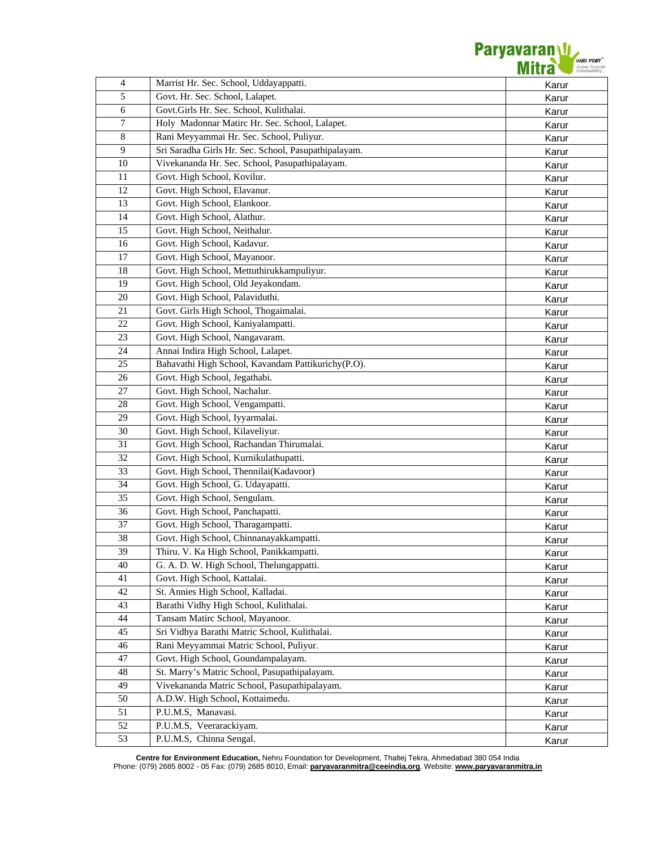

| $\overline{4}$  | Marrist Hr. Sec. School, Uddayappatti.               | Karur |
|-----------------|------------------------------------------------------|-------|
| 5               | Govt. Hr. Sec. School, Lalapet.                      | Karur |
| 6               | Govt.Girls Hr. Sec. School, Kulithalai.              | Karur |
| $\tau$          | Holy Madonnar Matirc Hr. Sec. School, Lalapet.       | Karur |
| $\overline{8}$  | Rani Meyyammai Hr. Sec. School, Puliyur.             | Karur |
| $\overline{9}$  | Sri Saradha Girls Hr. Sec. School, Pasupathipalayam. | Karur |
| 10              | Vivekananda Hr. Sec. School, Pasupathipalayam.       | Karur |
| 11              | Govt. High School, Kovilur.                          | Karur |
| 12              | Govt. High School, Elavanur.                         | Karur |
| 13              | Govt. High School, Elankoor.                         | Karur |
| 14              | Govt. High School, Alathur.                          | Karur |
| 15              | Govt. High School, Neithalur.                        | Karur |
| 16              | Govt. High School, Kadavur.                          | Karur |
| 17              | Govt. High School, Mayanoor.                         | Karur |
| 18              | Govt. High School, Mettuthirukkampuliyur.            | Karur |
| 19              | Govt. High School, Old Jeyakondam.                   | Karur |
| 20              | Govt. High School, Palaviduthi.                      | Karur |
| 21              | Govt. Girls High School, Thogaimalai.                | Karur |
| 22              | Govt. High School, Kaniyalampatti.                   | Karur |
| 23              | Govt. High School, Nangavaram.                       | Karur |
| 24              | Annai Indira High School, Lalapet.                   | Karur |
| 25              | Bahavathi High School, Kavandam Pattikurichy(P.O).   | Karur |
| 26              | Govt. High School, Jegathabi.                        | Karur |
| 27              | Govt. High School, Nachalur.                         | Karur |
| 28              | Govt. High School, Vengampatti.                      | Karur |
| 29              | Govt. High School, Iyyarmalai.                       | Karur |
| 30              | Govt. High School, Kilaveliyur.                      | Karur |
| 31              | Govt. High School, Rachandan Thirumalai.             | Karur |
| 32              | Govt. High School, Kurnikulathupatti.                | Karur |
| 33              | Govt. High School, Thennilai(Kadavoor)               | Karur |
| $\overline{34}$ | Govt. High School, G. Udayapatti.                    | Karur |
| 35              | Govt. High School, Sengulam.                         | Karur |
| 36              | Govt. High School, Panchapatti.                      | Karur |
| $\overline{37}$ | Govt. High School, Tharagampatti.                    | Karur |
| 38              | Govt. High School, Chinnanayakkampatti.              | Karur |
| 39              | Thiru. V. Ka High School, Panikkampatti.             | Karur |
| 40              | G. A. D. W. High School, Thelungappatti.             | Karur |
| 41              | Govt. High School, Kattalai.                         | Karur |
| 42              | St. Annies High School, Kalladai.                    | Karur |
| 43              | Barathi Vidhy High School, Kulithalai.               | Karur |
| 44              | Tansam Matirc School, Mayanoor.                      | Karur |
| 45              | Sri Vidhya Barathi Matric School, Kulithalai.        | Karur |
| 46              | Rani Meyyammai Matric School, Puliyur.               | Karur |
| 47              | Govt. High School, Goundampalayam.                   | Karur |
| 48              | St. Marry's Matric School, Pasupathipalayam.         | Karur |
| 49              | Vivekananda Matric School, Pasupathipalayam.         | Karur |
| 50              | A.D.W. High School, Kottaimedu.                      | Karur |
| 51              | P.U.M.S, Manavasi.                                   | Karur |
| 52              | P.U.M.S, Veerarackiyam.                              | Karur |
| 53              | P.U.M.S, Chinna Sengal.                              | Karur |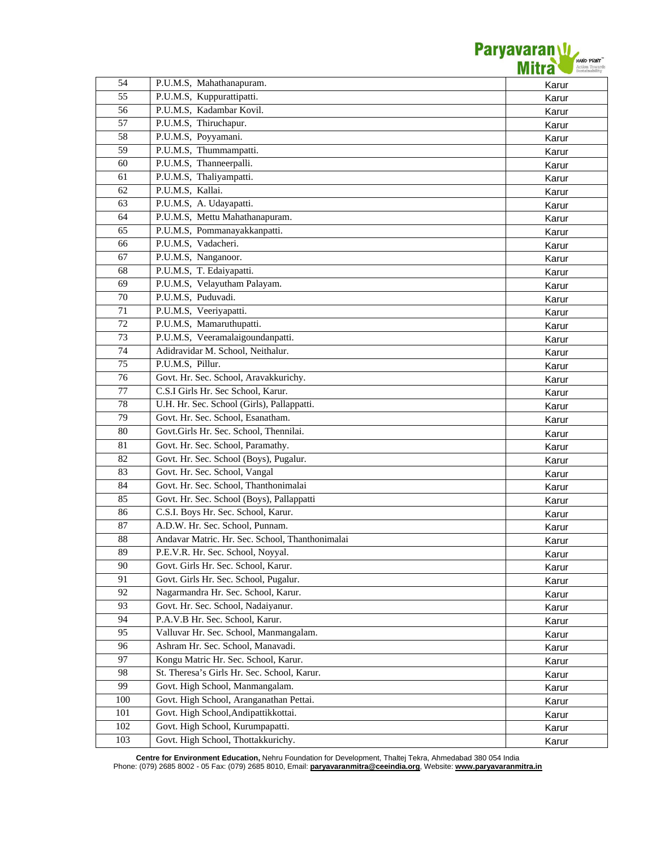

| 54              | P.U.M.S, Mahathanapuram.                        | Karur          |
|-----------------|-------------------------------------------------|----------------|
| 55              | P.U.M.S, Kuppurattipatti.                       | Karur          |
| 56              | P.U.M.S, Kadambar Kovil.                        | Karur          |
| 57              | P.U.M.S, Thiruchapur.                           | Karur          |
| 58              | P.U.M.S, Poyyamani.                             | Karur          |
| 59              | P.U.M.S, Thummampatti.                          | Karur          |
| 60              | P.U.M.S, Thanneerpalli.                         | Karur          |
| 61              | P.U.M.S, Thaliyampatti.                         | Karur          |
| 62              | P.U.M.S, Kallai.                                | Karur          |
| 63              | P.U.M.S, A. Udayapatti.                         | Karur          |
| 64              | P.U.M.S, Mettu Mahathanapuram.                  | Karur          |
| 65              | P.U.M.S, Pommanayakkanpatti.                    | Karur          |
| 66              | P.U.M.S, Vadacheri.                             | Karur          |
| 67              | P.U.M.S, Nanganoor.                             | Karur          |
| 68              | P.U.M.S, T. Edaiyapatti.                        | Karur          |
| 69              | P.U.M.S, Velayutham Palayam.                    | Karur          |
| 70              | P.U.M.S, Puduvadi.                              | Karur          |
| 71              | P.U.M.S, Veeriyapatti.                          | Karur          |
| 72              | P.U.M.S, Mamaruthupatti.                        | Karur          |
| 73              | P.U.M.S, Veeramalaigoundanpatti.                | Karur          |
| 74              | Adidravidar M. School, Neithalur.               |                |
| 75              | P.U.M.S, Pillur.                                | Karur<br>Karur |
| 76              | Govt. Hr. Sec. School, Aravakkurichy.           |                |
| 77              | C.S.I Girls Hr. Sec School, Karur.              | Karur          |
| 78              | U.H. Hr. Sec. School (Girls), Pallappatti.      | Karur          |
| 79              | Govt. Hr. Sec. School, Esanatham.               | Karur          |
| 80              | Govt.Girls Hr. Sec. School, Thennilai.          | Karur          |
| 81              |                                                 | Karur          |
| $\overline{82}$ | Govt. Hr. Sec. School, Paramathy.               | Karur          |
|                 | Govt. Hr. Sec. School (Boys), Pugalur.          | Karur          |
| 83              | Govt. Hr. Sec. School, Vangal                   | Karur          |
| 84              | Govt. Hr. Sec. School, Thanthonimalai           | Karur          |
| 85              | Govt. Hr. Sec. School (Boys), Pallappatti       | Karur          |
| 86              | C.S.I. Boys Hr. Sec. School, Karur.             | Karur          |
| 87              | A.D.W. Hr. Sec. School, Punnam.                 | Karur          |
| 88              | Andavar Matric. Hr. Sec. School, Thanthonimalai | Karur          |
| 89              | P.E.V.R. Hr. Sec. School, Noyyal.               | Karur          |
| 90              | Govt. Girls Hr. Sec. School, Karur.             | Karur          |
| 91              | Govt. Girls Hr. Sec. School, Pugalur.           | Karur          |
| 92              | Nagarmandra Hr. Sec. School, Karur.             | Karur          |
| 93              | Govt. Hr. Sec. School, Nadaiyanur.              | Karur          |
| 94              | P.A.V.B Hr. Sec. School, Karur.                 | Karur          |
| 95              | Valluvar Hr. Sec. School, Manmangalam.          | Karur          |
| 96              | Ashram Hr. Sec. School, Manavadi.               | Karur          |
| 97              | Kongu Matric Hr. Sec. School, Karur.            | Karur          |
| 98              | St. Theresa's Girls Hr. Sec. School, Karur.     | Karur          |
| 99              | Govt. High School, Manmangalam.                 | Karur          |
| 100             | Govt. High School, Aranganathan Pettai.         | Karur          |
| 101             | Govt. High School, Andipattikkottai.            | Karur          |
| 102             | Govt. High School, Kurumpapatti.                | Karur          |
| 103             | Govt. High School, Thottakkurichy.              | Karur          |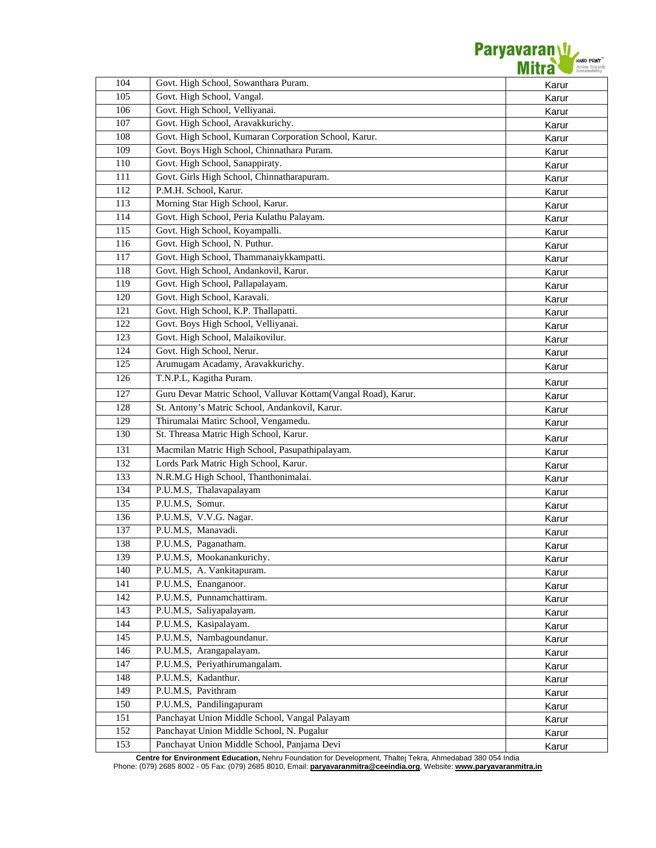

| 104 | Govt. High School, Sowanthara Puram.                           | Karur |
|-----|----------------------------------------------------------------|-------|
| 105 | Govt. High School, Vangal.                                     | Karur |
| 106 | Govt. High School, Velliyanai.                                 | Karur |
| 107 | Govt. High School, Aravakkurichy.                              | Karur |
| 108 | Govt. High School, Kumaran Corporation School, Karur.          | Karur |
| 109 | Govt. Boys High School, Chinnathara Puram.                     | Karur |
| 110 | Govt. High School, Sanappiraty.                                | Karur |
| 111 | Govt. Girls High School, Chinnatharapuram.                     | Karur |
| 112 | P.M.H. School, Karur.                                          | Karur |
| 113 | Morning Star High School, Karur.                               | Karur |
| 114 | Govt. High School, Peria Kulathu Palayam.                      | Karur |
| 115 | Govt. High School, Koyampalli.                                 | Karur |
| 116 | Govt. High School, N. Puthur.                                  | Karur |
| 117 | Govt. High School, Thammanaiykkampatti.                        | Karur |
| 118 | Govt. High School, Andankovil, Karur.                          | Karur |
| 119 | Govt. High School, Pallapalayam.                               | Karur |
| 120 | Govt. High School, Karavali.                                   | Karur |
| 121 | Govt. High School, K.P. Thallapatti.                           | Karur |
| 122 | Govt. Boys High School, Velliyanai.                            | Karur |
| 123 | Govt. High School, Malaikovilur.                               | Karur |
| 124 | Govt. High School, Nerur.                                      | Karur |
| 125 | Arumugam Acadamy, Aravakkurichy.                               | Karur |
| 126 | T.N.P.L, Kagitha Puram.                                        | Karur |
| 127 | Guru Devar Matric School, Valluvar Kottam(Vangal Road), Karur. | Karur |
| 128 | St. Antony's Matric School, Andankovil, Karur.                 | Karur |
| 129 | Thirumalai Matirc School, Vengamedu.                           | Karur |
| 130 | St. Threasa Matric High School, Karur.                         | Karur |
| 131 | Macmilan Matric High School, Pasupathipalayam.                 | Karur |
| 132 | Lords Park Matric High School, Karur.                          | Karur |
| 133 | N.R.M.G High School, Thanthonimalai.                           | Karur |
| 134 | P.U.M.S, Thalavapalayam                                        | Karur |
| 135 | P.U.M.S, Somur.                                                | Karur |
| 136 | P.U.M.S, V.V.G. Nagar.                                         | Karur |
| 137 | P.U.M.S, Manavadi.                                             | Karur |
| 138 | P.U.M.S, Paganatham.                                           | Karur |
| 139 | P.U.M.S, Mookanankurichy.                                      | Karur |
| 140 | P.U.M.S, A. Vankitapuram.                                      | Karur |
| 141 | P.U.M.S, Enanganoor.                                           | Karur |
| 142 | P.U.M.S, Punnamchattiram.                                      | Karur |
| 143 | P.U.M.S, Saliyapalayam.                                        | Karur |
| 144 | P.U.M.S, Kasipalayam.                                          | Karur |
| 145 | P.U.M.S, Nambagoundanur.                                       | Karur |
| 146 | P.U.M.S, Arangapalayam.                                        | Karur |
| 147 | P.U.M.S, Periyathirumangalam.                                  | Karur |
| 148 | P.U.M.S, Kadanthur.                                            | Karur |
| 149 | P.U.M.S, Pavithram                                             | Karur |
| 150 | P.U.M.S, Pandilingapuram                                       | Karur |
| 151 | Panchayat Union Middle School, Vangal Palayam                  | Karur |
| 152 | Panchayat Union Middle School, N. Pugalur                      | Karur |
| 153 | Panchayat Union Middle School, Panjama Devi                    | Karur |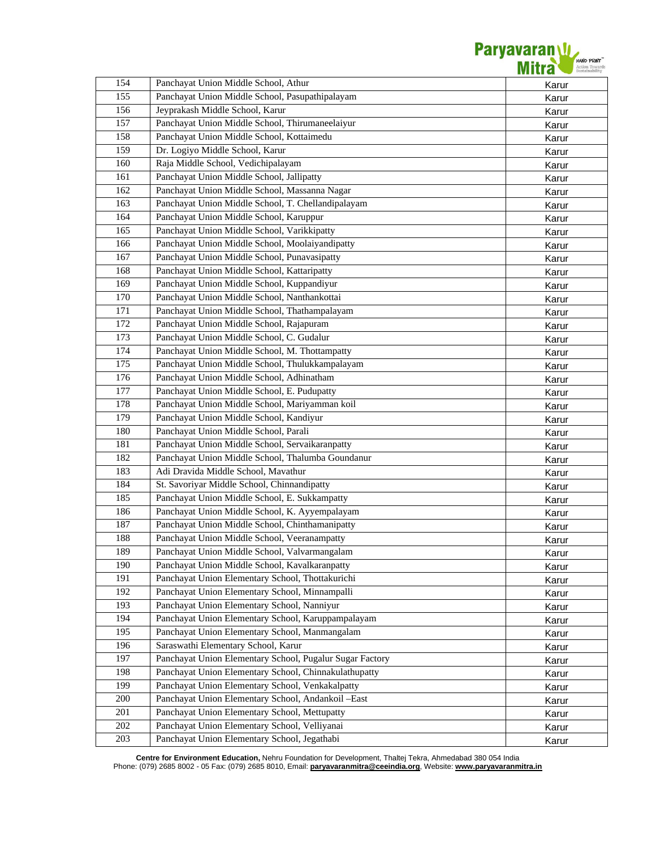

| Panchayat Union Middle School, Athur<br>154                                                                  | Karur          |
|--------------------------------------------------------------------------------------------------------------|----------------|
| Panchayat Union Middle School, Pasupathipalayam<br>155                                                       | Karur          |
| 156<br>Jeyprakash Middle School, Karur                                                                       | Karur          |
| 157<br>Panchayat Union Middle School, Thirumaneelaiyur                                                       | Karur          |
| Panchayat Union Middle School, Kottaimedu<br>158                                                             | Karur          |
| Dr. Logiyo Middle School, Karur<br>159                                                                       | Karur          |
| Raja Middle School, Vedichipalayam<br>160                                                                    | Karur          |
| Panchayat Union Middle School, Jallipatty<br>161                                                             | Karur          |
| 162<br>Panchayat Union Middle School, Massanna Nagar                                                         | Karur          |
| Panchayat Union Middle School, T. Chellandipalayam<br>163                                                    | Karur          |
| Panchayat Union Middle School, Karuppur<br>164                                                               | Karur          |
| Panchayat Union Middle School, Varikkipatty<br>165                                                           | Karur          |
| Panchayat Union Middle School, Moolaiyandipatty<br>166                                                       | Karur          |
| 167<br>Panchayat Union Middle School, Punavasipatty                                                          | Karur          |
| 168<br>Panchayat Union Middle School, Kattaripatty                                                           | Karur          |
| Panchayat Union Middle School, Kuppandiyur<br>169                                                            | Karur          |
| 170<br>Panchayat Union Middle School, Nanthankottai                                                          | Karur          |
| 171<br>Panchayat Union Middle School, Thathampalayam                                                         | Karur          |
| 172<br>Panchayat Union Middle School, Rajapuram                                                              | Karur          |
| 173<br>Panchayat Union Middle School, C. Gudalur                                                             | Karur          |
| 174<br>Panchayat Union Middle School, M. Thottampatty                                                        | Karur          |
| 175<br>Panchayat Union Middle School, Thulukkampalayam                                                       | Karur          |
| Panchayat Union Middle School, Adhinatham<br>176                                                             | Karur          |
| 177<br>Panchayat Union Middle School, E. Pudupatty                                                           | Karur          |
| Panchayat Union Middle School, Mariyamman koil<br>178                                                        | Karur          |
| 179<br>Panchayat Union Middle School, Kandiyur                                                               | Karur          |
| Panchayat Union Middle School, Parali<br>180                                                                 | Karur          |
| Panchayat Union Middle School, Servaikaranpatty<br>181                                                       | Karur          |
| 182<br>Panchayat Union Middle School, Thalumba Goundanur                                                     | Karur          |
| 183<br>Adi Dravida Middle School, Mavathur                                                                   | Karur          |
| 184<br>St. Savoriyar Middle School, Chinnandipatty                                                           | Karur          |
| Panchayat Union Middle School, E. Sukkampatty<br>185                                                         | Karur          |
| 186<br>Panchayat Union Middle School, K. Ayyempalayam                                                        | Karur          |
| Panchayat Union Middle School, Chinthamanipatty<br>187                                                       | Karur          |
| Panchayat Union Middle School, Veeranampatty<br>188                                                          | Karur          |
| Panchayat Union Middle School, Valvarmangalam<br>189                                                         | Karur          |
| Panchayat Union Middle School, Kavalkaranpatty<br>190                                                        | Karur          |
| Panchayat Union Elementary School, Thottakurichi<br>191                                                      | Karur          |
| 192<br>Panchayat Union Elementary School, Minnampalli                                                        | Karur          |
| Panchayat Union Elementary School, Nanniyur<br>193                                                           | Karur          |
| Panchayat Union Elementary School, Karuppampalayam<br>194                                                    | Karur          |
| Panchayat Union Elementary School, Manmangalam<br>195                                                        | Karur          |
| 196<br>Saraswathi Elementary School, Karur                                                                   | Karur          |
| 197<br>Panchayat Union Elementary School, Pugalur Sugar Factory                                              | Karur          |
| 198<br>Panchayat Union Elementary School, Chinnakulathupatty                                                 | Karur          |
| Panchayat Union Elementary School, Venkakalpatty<br>199                                                      | Karur          |
| Panchayat Union Elementary School, Andankoil -East<br>200                                                    |                |
|                                                                                                              |                |
|                                                                                                              | Karur          |
| Panchayat Union Elementary School, Mettupatty<br>201<br>Panchayat Union Elementary School, Velliyanai<br>202 | Karur<br>Karur |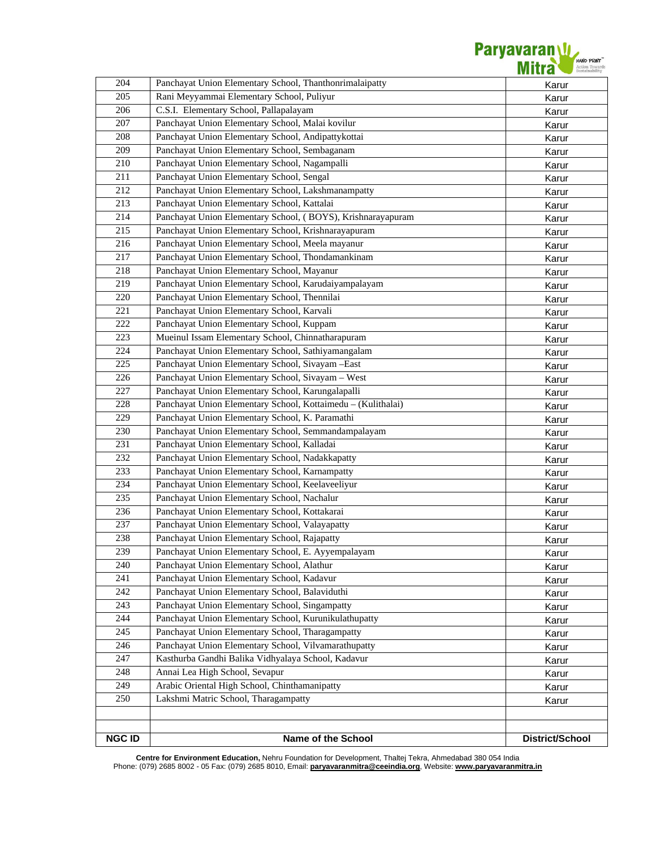| <b>NGC ID</b> | Name of the School                                                                                      | District/School |
|---------------|---------------------------------------------------------------------------------------------------------|-----------------|
|               |                                                                                                         |                 |
|               |                                                                                                         |                 |
| 250           | Lakshmi Matric School, Tharagampatty                                                                    | Karur           |
| 249           | Arabic Oriental High School, Chinthamanipatty                                                           | Karur           |
| 248           | Annai Lea High School, Sevapur                                                                          | Karur           |
| 247           | Kasthurba Gandhi Balika Vidhyalaya School, Kadavur                                                      | Karur           |
| 246           | Panchayat Union Elementary School, Vilvamarathupatty                                                    | Karur           |
| 245           | Panchayat Union Elementary School, Tharagampatty                                                        | Karur           |
| 244           | Panchayat Union Elementary School, Kurunikulathupatty                                                   | Karur           |
| 243           | Panchayat Union Elementary School, Singampatty                                                          | Karur           |
| 242           | Panchayat Union Elementary School, Balaviduthi                                                          | Karur           |
| 241           | Panchayat Union Elementary School, Kadavur                                                              | Karur           |
| 240           | Panchayat Union Elementary School, Alathur                                                              | Karur<br>Karur  |
| 239           | Panchayat Union Elementary School, E. Ayyempalayam                                                      | Karur           |
| 238           | Panchayat Union Elementary School, Rajapatty                                                            | Karur           |
| 237           | Panchayat Union Elementary School, Valayapatty                                                          | Karur           |
| 236           | Panchayat Union Elementary School, Kottakarai                                                           | Karur           |
| 235           | Panchayat Union Elementary School, Nachalur                                                             |                 |
| 234           | Panchayat Union Elementary School, Keelaveeliyur                                                        | Karur<br>Karur  |
| 233           | Panchayat Union Elementary School, Karnampatty                                                          | Karur           |
| 232           | Panchayat Union Elementary School, Nadakkapatty                                                         | Karur           |
| 231           | Panchayat Union Elementary School, Kalladai                                                             | Karur           |
| 230           | Panchayat Union Elementary School, Semmandampalayam                                                     | Karur           |
| 229           | Panchayat Union Elementary School, K. Paramathi                                                         | Karur           |
| 228           | Panchayat Union Elementary School, Kottaimedu - (Kulithalai)                                            | Karur           |
| 227           | Panchayat Union Elementary School, Karungalapalli                                                       | Karur           |
| 226           | Panchayat Union Elementary School, Sivayam - West                                                       | Karur           |
| 225           | Panchayat Union Elementary School, Sivayam -East                                                        | Karur           |
| 223<br>224    | Mueinul Issam Elementary School, Chinnatharapuram<br>Panchayat Union Elementary School, Sathiyamangalam | Karur           |
| 222           | Panchayat Union Elementary School, Kuppam                                                               | Karur           |
| 221           | Panchayat Union Elementary School, Karvali                                                              | Karur           |
| 220           | Panchayat Union Elementary School, Thennilai                                                            | Karur           |
| 219           | Panchayat Union Elementary School, Karudaiyampalayam                                                    | Karur           |
| 218           | Panchayat Union Elementary School, Mayanur                                                              | Karur           |
| 217           | Panchayat Union Elementary School, Thondamankinam                                                       | Karur           |
| 216           | Panchayat Union Elementary School, Meela mayanur                                                        | Karur           |
| 215           | Panchayat Union Elementary School, Krishnarayapuram                                                     | Karur           |
| 214           | Panchayat Union Elementary School, (BOYS), Krishnarayapuram                                             | Karur           |
| 213           | Panchayat Union Elementary School, Kattalai                                                             | Karur           |
| 212           | Panchayat Union Elementary School, Lakshmanampatty                                                      | Karur           |
| 211           | Panchayat Union Elementary School, Sengal                                                               | Karur           |
| 210           | Panchayat Union Elementary School, Nagampalli                                                           | Karur           |
| 209           | Panchayat Union Elementary School, Sembaganam                                                           | Karur           |
| 208           | Panchayat Union Elementary School, Andipattykottai                                                      | Karur           |
| 207           | Panchayat Union Elementary School, Malai kovilur                                                        | Karur           |
| 206           | C.S.I. Elementary School, Pallapalayam                                                                  | Karur           |
| 205           | Rani Meyyammai Elementary School, Puliyur                                                               | Karur           |
| 204           | Panchayat Union Elementary School, Thanthonrimalaipatty                                                 | Karur           |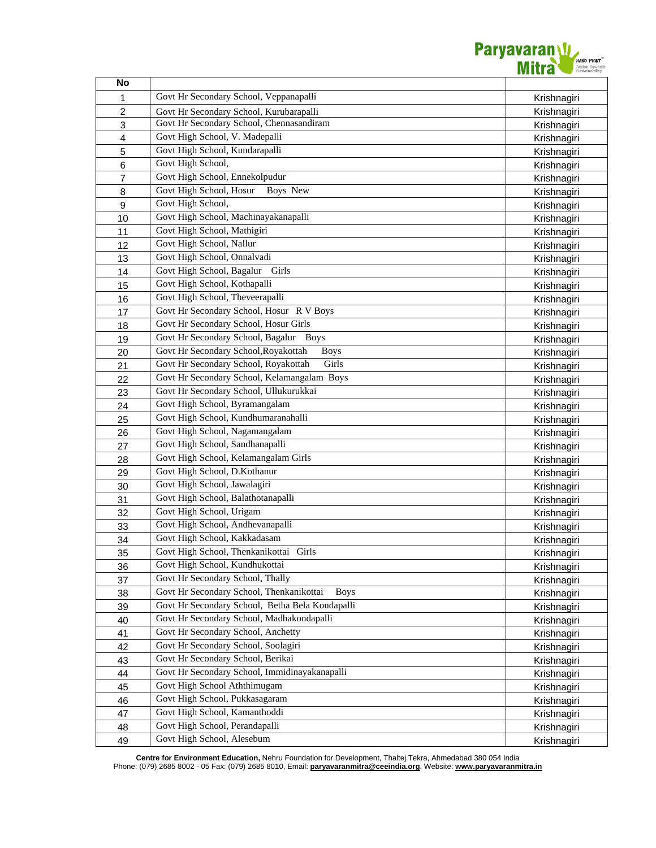

| No                      |                                                         |             |
|-------------------------|---------------------------------------------------------|-------------|
| 1                       | Govt Hr Secondary School, Veppanapalli                  | Krishnagiri |
| 2                       | Govt Hr Secondary School, Kurubarapalli                 | Krishnagiri |
| $\mathbf{3}$            | Govt Hr Secondary School, Chennasandiram                | Krishnagiri |
| $\overline{\mathbf{4}}$ | Govt High School, V. Madepalli                          | Krishnagiri |
| 5                       | Govt High School, Kundarapalli                          | Krishnagiri |
| $\,6$                   | Govt High School,                                       | Krishnagiri |
| $\overline{7}$          | Govt High School, Ennekolpudur                          | Krishnagiri |
| 8                       | Govt High School, Hosur<br>Boys New                     | Krishnagiri |
| $\boldsymbol{9}$        | Govt High School,                                       | Krishnagiri |
| 10                      | Govt High School, Machinayakanapalli                    | Krishnagiri |
| 11                      | Govt High School, Mathigiri                             | Krishnagiri |
| 12                      | Govt High School, Nallur                                | Krishnagiri |
| 13                      | Govt High School, Onnalvadi                             | Krishnagiri |
| 14                      | Govt High School, Bagalur<br>Girls                      | Krishnagiri |
| 15                      | Govt High School, Kothapalli                            | Krishnagiri |
| 16                      | Govt High School, Theveerapalli                         | Krishnagiri |
| 17                      | Govt Hr Secondary School, Hosur R V Boys                | Krishnagiri |
| 18                      | Govt Hr Secondary School, Hosur Girls                   | Krishnagiri |
| 19                      | Govt Hr Secondary School, Bagalur Boys                  | Krishnagiri |
| 20                      | Govt Hr Secondary School, Royakottah<br><b>Boys</b>     | Krishnagiri |
| 21                      | Govt Hr Secondary School, Royakottah<br>Girls           | Krishnagiri |
| 22                      | Govt Hr Secondary School, Kelamangalam Boys             | Krishnagiri |
| 23                      | Govt Hr Secondary School, Ullukurukkai                  | Krishnagiri |
| 24                      | Govt High School, Byramangalam                          | Krishnagiri |
| 25                      | Govt High School, Kundhumaranahalli                     | Krishnagiri |
| 26                      | Govt High School, Nagamangalam                          | Krishnagiri |
| 27                      | Govt High School, Sandhanapalli                         | Krishnagiri |
| 28                      | Govt High School, Kelamangalam Girls                    | Krishnagiri |
| 29                      | Govt High School, D.Kothanur                            | Krishnagiri |
| 30                      | Govt High School, Jawalagiri                            | Krishnagiri |
| 31                      | Govt High School, Balathotanapalli                      | Krishnagiri |
| 32                      | Govt High School, Urigam                                | Krishnagiri |
| 33                      | Govt High School, Andhevanapalli                        | Krishnagiri |
| 34                      | Govt High School, Kakkadasam                            | Krishnagiri |
| 35                      | Govt High School, Thenkanikottai Girls                  | Krishnagiri |
| 36                      | Govt High School, Kundhukottai                          | Krishnagiri |
| 37                      | Govt Hr Secondary School, Thally                        | Krishnagiri |
| 38                      | Govt Hr Secondary School, Thenkanikottai<br><b>Boys</b> | Krishnagiri |
| 39                      | Govt Hr Secondary School, Betha Bela Kondapalli         | Krishnagiri |
| 40                      | Govt Hr Secondary School, Madhakondapalli               | Krishnagiri |
| 41                      | Govt Hr Secondary School, Anchetty                      | Krishnagiri |
| 42                      | Govt Hr Secondary School, Soolagiri                     | Krishnagiri |
| 43                      | Govt Hr Secondary School, Berikai                       | Krishnagiri |
| 44                      | Govt Hr Secondary School, Immidinayakanapalli           | Krishnagiri |
| 45                      | Govt High School Aththimugam                            | Krishnagiri |
| 46                      | Govt High School, Pukkasagaram                          | Krishnagiri |
| 47                      | Govt High School, Kamanthoddi                           | Krishnagiri |
| 48                      | Govt High School, Perandapalli                          | Krishnagiri |
| 49                      | Govt High School, Alesebum                              | Krishnagiri |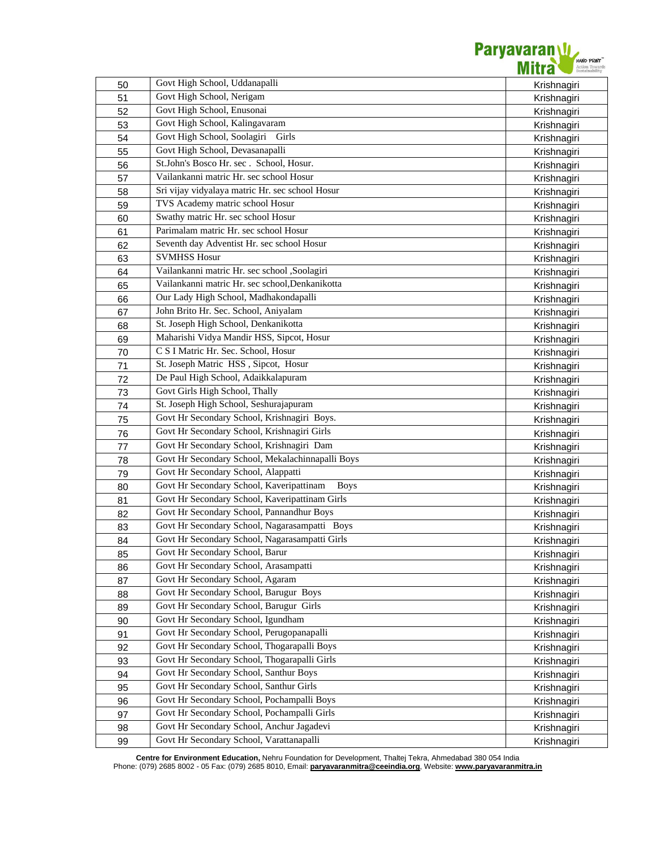

| 50 | Govt High School, Uddanapalli                           | Krishnagiri |
|----|---------------------------------------------------------|-------------|
| 51 | Govt High School, Nerigam                               | Krishnagiri |
| 52 | Govt High School, Enusonai                              | Krishnagiri |
| 53 | Govt High School, Kalingavaram                          | Krishnagiri |
| 54 | Govt High School, Soolagiri Girls                       | Krishnagiri |
| 55 | Govt High School, Devasanapalli                         | Krishnagiri |
| 56 | St.John's Bosco Hr. sec. School, Hosur.                 | Krishnagiri |
| 57 | Vailankanni matric Hr. sec school Hosur                 | Krishnagiri |
| 58 | Sri vijay vidyalaya matric Hr. sec school Hosur         | Krishnagiri |
| 59 | TVS Academy matric school Hosur                         | Krishnagiri |
| 60 | Swathy matric Hr. sec school Hosur                      | Krishnagiri |
| 61 | Parimalam matric Hr. sec school Hosur                   | Krishnagiri |
| 62 | Seventh day Adventist Hr. sec school Hosur              | Krishnagiri |
| 63 | <b>SVMHSS Hosur</b>                                     | Krishnagiri |
| 64 | Vailankanni matric Hr. sec school ,Soolagiri            | Krishnagiri |
| 65 | Vailankanni matric Hr. sec school, Denkanikotta         | Krishnagiri |
| 66 | Our Lady High School, Madhakondapalli                   | Krishnagiri |
| 67 | John Brito Hr. Sec. School, Aniyalam                    | Krishnagiri |
| 68 | St. Joseph High School, Denkanikotta                    |             |
| 69 | Maharishi Vidya Mandir HSS, Sipcot, Hosur               | Krishnagiri |
| 70 | C S I Matric Hr. Sec. School, Hosur                     | Krishnagiri |
| 71 | St. Joseph Matric HSS, Sipcot, Hosur                    | Krishnagiri |
|    | De Paul High School, Adaikkalapuram                     | Krishnagiri |
| 72 | Govt Girls High School, Thally                          | Krishnagiri |
| 73 | St. Joseph High School, Seshurajapuram                  | Krishnagiri |
| 74 | Govt Hr Secondary School, Krishnagiri Boys.             | Krishnagiri |
| 75 |                                                         | Krishnagiri |
| 76 | Govt Hr Secondary School, Krishnagiri Girls             | Krishnagiri |
| 77 | Govt Hr Secondary School, Krishnagiri Dam               | Krishnagiri |
| 78 | Govt Hr Secondary School, Mekalachinnapalli Boys        | Krishnagiri |
| 79 | Govt Hr Secondary School, Alappatti                     | Krishnagiri |
| 80 | Govt Hr Secondary School, Kaveripattinam<br><b>Boys</b> | Krishnagiri |
| 81 | Govt Hr Secondary School, Kaveripattinam Girls          | Krishnagiri |
| 82 | Govt Hr Secondary School, Pannandhur Boys               | Krishnagiri |
| 83 | Govt Hr Secondary School, Nagarasampatti Boys           | Krishnagiri |
| 84 | Govt Hr Secondary School, Nagarasampatti Girls          | Krishnagiri |
| 85 | Govt Hr Secondary School, Barur                         | Krishnagiri |
| 86 | Govt Hr Secondary School, Arasampatti                   | Krishnagiri |
| 87 | Govt Hr Secondary School, Agaram                        | Krishnagiri |
| 88 | Govt Hr Secondary School, Barugur Boys                  | Krishnagiri |
| 89 | Govt Hr Secondary School, Barugur Girls                 | Krishnagiri |
| 90 | Govt Hr Secondary School, Igundham                      | Krishnagiri |
| 91 | Govt Hr Secondary School, Perugopanapalli               | Krishnagiri |
| 92 | Govt Hr Secondary School, Thogarapalli Boys             | Krishnagiri |
| 93 | Govt Hr Secondary School, Thogarapalli Girls            | Krishnagiri |
| 94 | Govt Hr Secondary School, Santhur Boys                  | Krishnagiri |
| 95 | Govt Hr Secondary School, Santhur Girls                 | Krishnagiri |
| 96 | Govt Hr Secondary School, Pochampalli Boys              | Krishnagiri |
| 97 | Govt Hr Secondary School, Pochampalli Girls             | Krishnagiri |
| 98 | Govt Hr Secondary School, Anchur Jagadevi               | Krishnagiri |
| 99 | Govt Hr Secondary School, Varattanapalli                | Krishnagiri |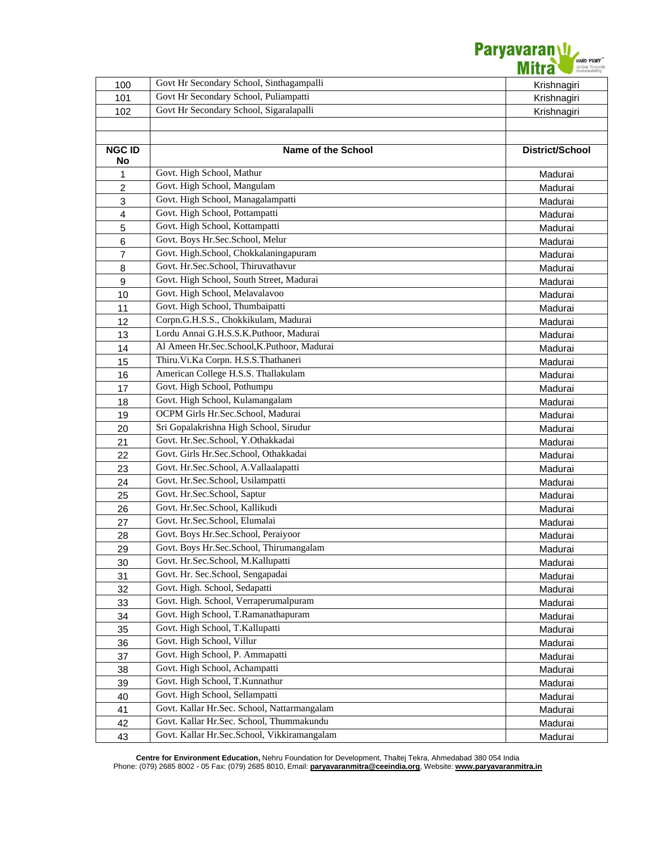

| 100                 | Govt Hr Secondary School, Sinthagampalli    | Krishnagiri     |
|---------------------|---------------------------------------------|-----------------|
| 101                 | Govt Hr Secondary School, Puliampatti       | Krishnagiri     |
| 102                 | Govt Hr Secondary School, Sigaralapalli     | Krishnagiri     |
|                     |                                             |                 |
|                     |                                             |                 |
| <b>NGC ID</b><br>No | Name of the School                          | District/School |
| 1                   | Govt. High School, Mathur                   | Madurai         |
| 2                   | Govt. High School, Mangulam                 | Madurai         |
| 3                   | Govt. High School, Managalampatti           | Madurai         |
| $\overline{4}$      | Govt. High School, Pottampatti              | Madurai         |
| 5                   | Govt. High School, Kottampatti              | Madurai         |
| 6                   | Govt. Boys Hr.Sec.School, Melur             | Madurai         |
| $\overline{7}$      | Govt. High.School, Chokkalaningapuram       | Madurai         |
| 8                   | Govt. Hr.Sec.School, Thiruvathavur          | Madurai         |
| 9                   | Govt. High School, South Street, Madurai    | Madurai         |
| 10                  | Govt. High School, Melavalavoo              | Madurai         |
| 11                  | Govt. High School, Thumbaipatti             | Madurai         |
| 12                  | Corpn.G.H.S.S., Chokkikulam, Madurai        | Madurai         |
| 13                  | Lordu Annai G.H.S.S.K.Puthoor, Madurai      | Madurai         |
| 14                  | Al Ameen Hr.Sec.School, K.Puthoor, Madurai  | Madurai         |
| 15                  | Thiru.Vi.Ka Corpn. H.S.S.Thathaneri         | Madurai         |
| 16                  | American College H.S.S. Thallakulam         | Madurai         |
| 17                  | Govt. High School, Pothumpu                 | Madurai         |
| 18                  | Govt. High School, Kulamangalam             | Madurai         |
| 19                  | OCPM Girls Hr.Sec.School, Madurai           | Madurai         |
| 20                  | Sri Gopalakrishna High School, Sirudur      | Madurai         |
| 21                  | Govt. Hr.Sec.School, Y.Othakkadai           | Madurai         |
| 22                  | Govt. Girls Hr.Sec.School, Othakkadai       | Madurai         |
| 23                  | Govt. Hr.Sec.School, A.Vallaalapatti        | Madurai         |
| 24                  | Govt. Hr.Sec.School, Usilampatti            | Madurai         |
| 25                  | Govt. Hr.Sec.School, Saptur                 | Madurai         |
| 26                  | Govt. Hr.Sec.School, Kallikudi              | Madurai         |
| 27                  | Govt. Hr.Sec.School, Elumalai               | Madurai         |
| 28                  | Govt. Boys Hr.Sec.School, Peraiyoor         | Madurai         |
| 29                  | Govt. Boys Hr.Sec.School, Thirumangalam     | Madurai         |
| 30                  | Govt. Hr.Sec.School, M.Kallupatti           | Madurai         |
| 31                  | Govt. Hr. Sec.School, Sengapadai            | Madurai         |
| 32                  | Govt. High. School, Sedapatti               | Madurai         |
| 33                  | Govt. High. School, Verraperumalpuram       | Madurai         |
| 34                  | Govt. High School, T.Ramanathapuram         | Madurai         |
| 35                  | Govt. High School, T.Kallupatti             | Madurai         |
| 36                  | Govt. High School, Villur                   | Madurai         |
| 37                  | Govt. High School, P. Ammapatti             | Madurai         |
| 38                  | Govt. High School, Achampatti               | Madurai         |
| 39                  | Govt. High School, T.Kunnathur              | Madurai         |
| 40                  | Govt. High School, Sellampatti              | Madurai         |
| 41                  | Govt. Kallar Hr.Sec. School, Nattarmangalam | Madurai         |
| 42                  | Govt. Kallar Hr.Sec. School, Thummakundu    | Madurai         |
| 43                  | Govt. Kallar Hr.Sec.School, Vikkiramangalam | Madurai         |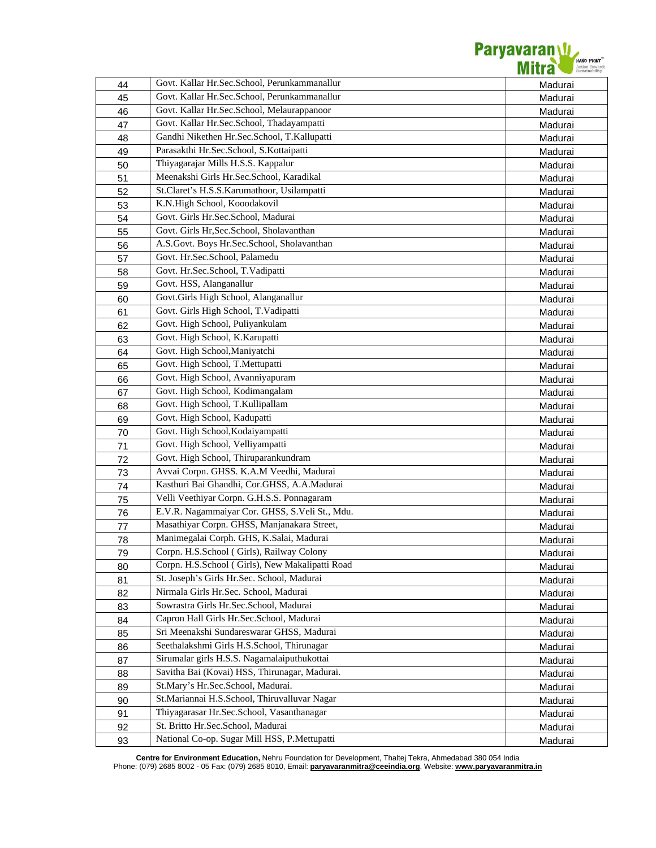

| 44 | Govt. Kallar Hr.Sec.School, Perunkammanallur    | Madurai |
|----|-------------------------------------------------|---------|
| 45 | Govt. Kallar Hr.Sec.School, Perunkammanallur    | Madurai |
| 46 | Govt. Kallar Hr.Sec.School, Melaurappanoor      | Madurai |
| 47 | Govt. Kallar Hr.Sec.School, Thadayampatti       | Madurai |
| 48 | Gandhi Nikethen Hr.Sec.School, T.Kallupatti     | Madurai |
| 49 | Parasakthi Hr.Sec.School, S.Kottaipatti         | Madurai |
| 50 | Thiyagarajar Mills H.S.S. Kappalur              | Madurai |
| 51 | Meenakshi Girls Hr.Sec.School, Karadikal        | Madurai |
| 52 | St.Claret's H.S.S.Karumathoor, Usilampatti      | Madurai |
| 53 | K.N.High School, Kooodakovil                    | Madurai |
| 54 | Govt. Girls Hr.Sec.School, Madurai              | Madurai |
| 55 | Govt. Girls Hr, Sec. School, Sholavanthan       | Madurai |
| 56 | A.S.Govt. Boys Hr.Sec.School, Sholavanthan      | Madurai |
| 57 | Govt. Hr.Sec.School, Palamedu                   | Madurai |
| 58 | Govt. Hr.Sec.School, T.Vadipatti                | Madurai |
| 59 | Govt. HSS, Alanganallur                         | Madurai |
| 60 | Govt.Girls High School, Alanganallur            | Madurai |
| 61 | Govt. Girls High School, T.Vadipatti            | Madurai |
| 62 | Govt. High School, Puliyankulam                 | Madurai |
| 63 | Govt. High School, K.Karupatti                  | Madurai |
| 64 | Govt. High School, Maniyatchi                   | Madurai |
| 65 | Govt. High School, T.Mettupatti                 | Madurai |
| 66 | Govt. High School, Avanniyapuram                | Madurai |
| 67 | Govt. High School, Kodimangalam                 | Madurai |
| 68 | Govt. High School, T.Kullipallam                | Madurai |
| 69 | Govt. High School, Kadupatti                    | Madurai |
| 70 | Govt. High School, Kodaiyampatti                | Madurai |
| 71 | Govt. High School, Velliyampatti                | Madurai |
| 72 | Govt. High School, Thiruparankundram            | Madurai |
| 73 | Avvai Corpn. GHSS. K.A.M Veedhi, Madurai        | Madurai |
| 74 | Kasthuri Bai Ghandhi, Cor.GHSS, A.A.Madurai     | Madurai |
| 75 | Velli Veethiyar Corpn. G.H.S.S. Ponnagaram      | Madurai |
| 76 | E.V.R. Nagammaiyar Cor. GHSS, S.Veli St., Mdu.  | Madurai |
| 77 | Masathiyar Corpn. GHSS, Manjanakara Street,     | Madurai |
| 78 | Manimegalai Corph. GHS, K.Salai, Madurai        | Madurai |
| 79 | Corpn. H.S.School (Girls), Railway Colony       | Madurai |
| 80 | Corpn. H.S.School (Girls), New Makalipatti Road | Madurai |
| 81 | St. Joseph's Girls Hr.Sec. School, Madurai      | Madurai |
| 82 | Nirmala Girls Hr.Sec. School, Madurai           | Madurai |
| 83 | Sowrastra Girls Hr.Sec.School, Madurai          | Madurai |
| 84 | Capron Hall Girls Hr.Sec.School, Madurai        | Madurai |
| 85 | Sri Meenakshi Sundareswarar GHSS, Madurai       | Madurai |
| 86 | Seethalakshmi Girls H.S.School, Thirunagar      | Madurai |
| 87 | Sirumalar girls H.S.S. Nagamalaiputhukottai     | Madurai |
| 88 | Savitha Bai (Kovai) HSS, Thirunagar, Madurai.   | Madurai |
| 89 | St.Mary's Hr.Sec.School, Madurai.               | Madurai |
| 90 | St.Mariannai H.S.School, Thiruvalluvar Nagar    | Madurai |
| 91 | Thiyagarasar Hr.Sec.School, Vasanthanagar       | Madurai |
| 92 | St. Britto Hr.Sec.School, Madurai               | Madurai |
| 93 | National Co-op. Sugar Mill HSS, P.Mettupatti    | Madurai |
|    |                                                 |         |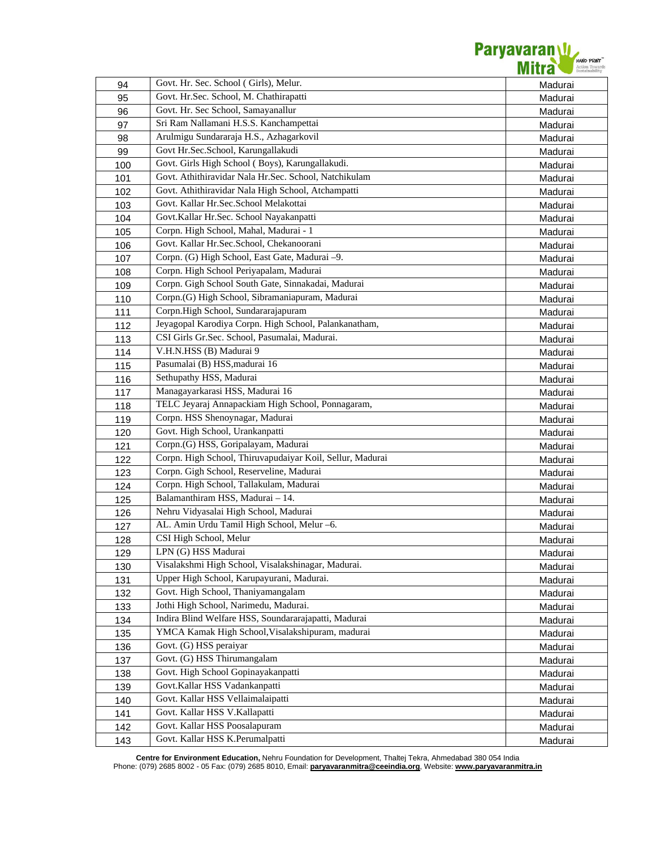

| 94  | Govt. Hr. Sec. School (Girls), Melur.                            | Madurai |
|-----|------------------------------------------------------------------|---------|
| 95  | Govt. Hr.Sec. School, M. Chathirapatti                           | Madurai |
| 96  | Govt. Hr. Sec School, Samayanallur                               | Madurai |
| 97  | Sri Ram Nallamani H.S.S. Kanchampettai                           | Madurai |
| 98  | Arulmigu Sundararaja H.S., Azhagarkovil                          | Madurai |
| 99  | Govt Hr.Sec.School, Karungallakudi                               | Madurai |
| 100 | Govt. Girls High School (Boys), Karungallakudi.                  | Madurai |
| 101 | Govt. Athithiravidar Nala Hr.Sec. School, Natchikulam            | Madurai |
| 102 | Govt. Athithiravidar Nala High School, Atchampatti               | Madurai |
| 103 | Govt. Kallar Hr.Sec.School Melakottai                            | Madurai |
| 104 | Govt.Kallar Hr.Sec. School Nayakanpatti                          | Madurai |
| 105 | Corpn. High School, Mahal, Madurai - 1                           | Madurai |
| 106 | Govt. Kallar Hr.Sec.School, Chekanoorani                         | Madurai |
| 107 | Corpn. (G) High School, East Gate, Madurai -9.                   | Madurai |
| 108 | Corpn. High School Periyapalam, Madurai                          | Madurai |
| 109 | Corpn. Gigh School South Gate, Sinnakadai, Madurai               | Madurai |
| 110 | Corpn.(G) High School, Sibramaniapuram, Madurai                  | Madurai |
| 111 | Corpn.High School, Sundararajapuram                              | Madurai |
| 112 | Jeyagopal Karodiya Corpn. High School, Palankanatham,            | Madurai |
| 113 | CSI Girls Gr.Sec. School, Pasumalai, Madurai.                    | Madurai |
| 114 | V.H.N.HSS (B) Madurai 9                                          | Madurai |
| 115 | Pasumalai (B) HSS, madurai 16                                    | Madurai |
| 116 | Sethupathy HSS, Madurai                                          | Madurai |
| 117 | Managayarkarasi HSS, Madurai 16                                  | Madurai |
| 118 | TELC Jeyaraj Annapackiam High School, Ponnagaram,                | Madurai |
| 119 | Corpn. HSS Shenoynagar, Madurai                                  | Madurai |
| 120 | Govt. High School, Urankanpatti                                  | Madurai |
| 121 | Corpn.(G) HSS, Goripalayam, Madurai                              | Madurai |
| 122 | Corpn. High School, Thiruvapudaiyar Koil, Sellur, Madurai        | Madurai |
| 123 | Corpn. Gigh School, Reserveline, Madurai                         | Madurai |
| 124 | Corpn. High School, Tallakulam, Madurai                          | Madurai |
| 125 | Balamanthiram HSS, Madurai - 14.                                 | Madurai |
| 126 | Nehru Vidyasalai High School, Madurai                            | Madurai |
| 127 | AL. Amin Urdu Tamil High School, Melur -6.                       | Madurai |
| 128 | CSI High School, Melur                                           | Madurai |
| 129 | LPN (G) HSS Madurai                                              | Madurai |
| 130 | Visalakshmi High School, Visalakshinagar, Madurai.               | Madurai |
| 131 | Upper High School, Karupayurani, Madurai.                        | Madurai |
| 132 | Govt. High School, Thaniyamangalam                               | Madurai |
| 133 | Jothi High School, Narimedu, Madurai.                            | Madurai |
| 134 | Indira Blind Welfare HSS, Soundararajapatti, Madurai             | Madurai |
| 135 | YMCA Kamak High School, Visalakshipuram, madurai                 | Madurai |
| 136 | Govt. (G) HSS peraiyar                                           | Madurai |
| 137 | Govt. (G) HSS Thirumangalam                                      | Madurai |
| 138 | Govt. High School Gopinayakanpatti                               | Madurai |
| 139 |                                                                  |         |
|     | Govt.Kallar HSS Vadankanpatti                                    | Madurai |
| 140 | Govt. Kallar HSS Vellaimalaipatti                                | Madurai |
| 141 | Govt. Kallar HSS V. Kallapatti                                   | Madurai |
| 142 | Govt. Kallar HSS Poosalapuram<br>Govt. Kallar HSS K.Perumalpatti | Madurai |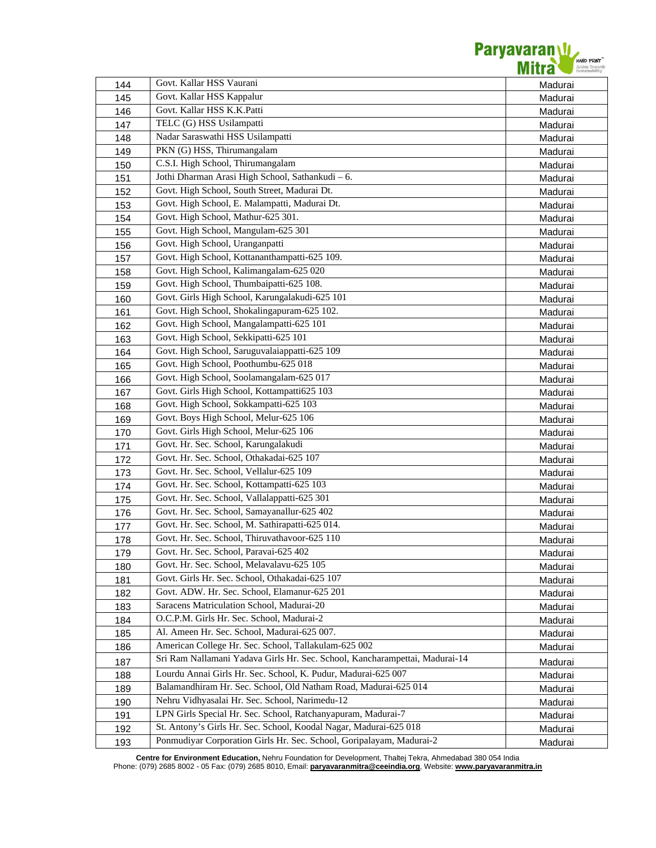

| 144 | Govt. Kallar HSS Vaurani                                                    | Madurai |
|-----|-----------------------------------------------------------------------------|---------|
| 145 | Govt. Kallar HSS Kappalur                                                   | Madurai |
| 146 | Govt. Kallar HSS K.K.Patti                                                  | Madurai |
| 147 | TELC (G) HSS Usilampatti                                                    | Madurai |
| 148 | Nadar Saraswathi HSS Usilampatti                                            | Madurai |
| 149 | PKN (G) HSS, Thirumangalam                                                  | Madurai |
| 150 | C.S.I. High School, Thirumangalam                                           | Madurai |
| 151 | Jothi Dharman Arasi High School, Sathankudi - 6.                            | Madurai |
| 152 | Govt. High School, South Street, Madurai Dt.                                | Madurai |
| 153 | Govt. High School, E. Malampatti, Madurai Dt.                               | Madurai |
| 154 | Govt. High School, Mathur-625 301.                                          | Madurai |
| 155 | Govt. High School, Mangulam-625 301                                         | Madurai |
| 156 | Govt. High School, Uranganpatti                                             | Madurai |
| 157 | Govt. High School, Kottananthampatti-625 109.                               | Madurai |
| 158 | Govt. High School, Kalimangalam-625 020                                     | Madurai |
| 159 | Govt. High School, Thumbaipatti-625 108.                                    | Madurai |
| 160 | Govt. Girls High School, Karungalakudi-625 101                              | Madurai |
| 161 | Govt. High School, Shokalingapuram-625 102.                                 | Madurai |
| 162 | Govt. High School, Mangalampatti-625 101                                    | Madurai |
| 163 | Govt. High School, Sekkipatti-625 101                                       | Madurai |
| 164 | Govt. High School, Saruguvalaiappatti-625 109                               | Madurai |
| 165 | Govt. High School, Poothumbu-625 018                                        | Madurai |
| 166 | Govt. High School, Soolamangalam-625 017                                    | Madurai |
| 167 | Govt. Girls High School, Kottampatti625 103                                 | Madurai |
| 168 | Govt. High School, Sokkampatti-625 103                                      | Madurai |
| 169 | Govt. Boys High School, Melur-625 106                                       | Madurai |
| 170 | Govt. Girls High School, Melur-625 106                                      | Madurai |
| 171 | Govt. Hr. Sec. School, Karungalakudi                                        | Madurai |
| 172 | Govt. Hr. Sec. School, Othakadai-625 107                                    | Madurai |
| 173 | Govt. Hr. Sec. School, Vellalur-625 109                                     | Madurai |
| 174 | Govt. Hr. Sec. School, Kottampatti-625 103                                  | Madurai |
| 175 | Govt. Hr. Sec. School, Vallalappatti-625 301                                | Madurai |
| 176 | Govt. Hr. Sec. School, Samayanallur-625 402                                 | Madurai |
| 177 | Govt. Hr. Sec. School, M. Sathirapatti-625 014.                             | Madurai |
| 178 | Govt. Hr. Sec. School, Thiruvathavoor-625 110                               | Madurai |
| 179 | Govt. Hr. Sec. School, Paravai-625 402                                      | Madurai |
| 180 | Govt. Hr. Sec. School, Melavalavu-625 105                                   | Madurai |
| 181 | Govt. Girls Hr. Sec. School, Othakadai-625 107                              | Madurai |
| 182 | Govt. ADW. Hr. Sec. School, Elamanur-625 201                                | Madurai |
| 183 | Saracens Matriculation School, Madurai-20                                   | Madurai |
| 184 | O.C.P.M. Girls Hr. Sec. School, Madurai-2                                   | Madurai |
| 185 | Al. Ameen Hr. Sec. School, Madurai-625 007.                                 | Madurai |
| 186 | American College Hr. Sec. School, Tallakulam-625 002                        | Madurai |
|     | Sri Ram Nallamani Yadava Girls Hr. Sec. School, Kancharampettai, Madurai-14 |         |
| 187 | Lourdu Annai Girls Hr. Sec. School, K. Pudur, Madurai-625 007               | Madurai |
| 188 | Balamandhiram Hr. Sec. School, Old Natham Road, Madurai-625 014             | Madurai |
| 189 | Nehru Vidhyasalai Hr. Sec. School, Narimedu-12                              | Madurai |
| 190 | LPN Girls Special Hr. Sec. School, Ratchanyapuram, Madurai-7                | Madurai |
| 191 | St. Antony's Girls Hr. Sec. School, Koodal Nagar, Madurai-625 018           | Madurai |
| 192 | Ponmudiyar Corporation Girls Hr. Sec. School, Goripalayam, Madurai-2        | Madurai |
| 193 |                                                                             | Madurai |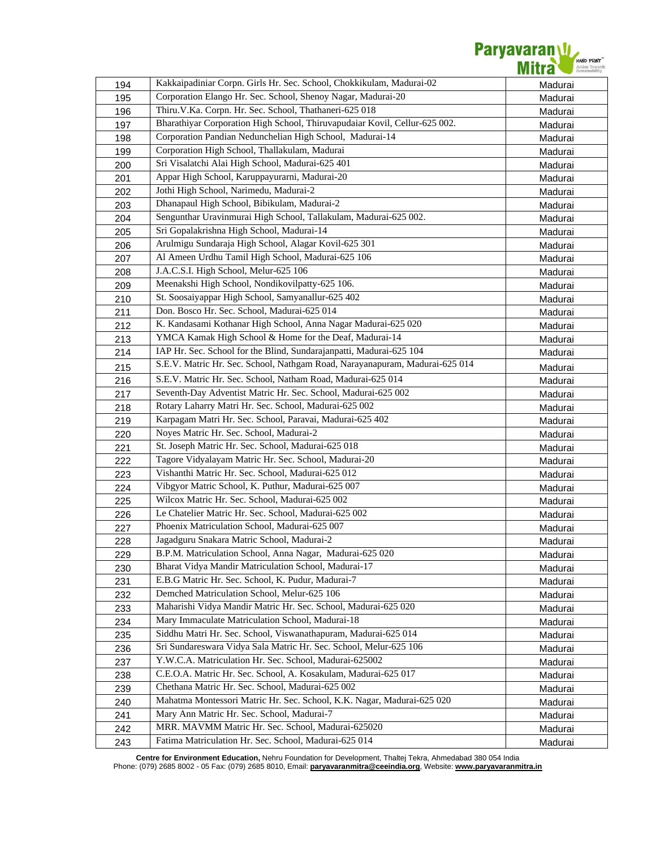

| 194 | Kakkaipadiniar Corpn. Girls Hr. Sec. School, Chokkikulam, Madurai-02        | Madurai |
|-----|-----------------------------------------------------------------------------|---------|
| 195 | Corporation Elango Hr. Sec. School, Shenoy Nagar, Madurai-20                | Madurai |
| 196 | Thiru.V.Ka. Corpn. Hr. Sec. School, Thathaneri-625 018                      | Madurai |
| 197 | Bharathiyar Corporation High School, Thiruvapudaiar Kovil, Cellur-625 002.  | Madurai |
| 198 | Corporation Pandian Nedunchelian High School, Madurai-14                    | Madurai |
| 199 | Corporation High School, Thallakulam, Madurai                               | Madurai |
| 200 | Sri Visalatchi Alai High School, Madurai-625 401                            | Madurai |
| 201 | Appar High School, Karuppayurarni, Madurai-20                               | Madurai |
| 202 | Jothi High School, Narimedu, Madurai-2                                      | Madurai |
| 203 | Dhanapaul High School, Bibikulam, Madurai-2                                 | Madurai |
| 204 | Sengunthar Uravinmurai High School, Tallakulam, Madurai-625 002.            | Madurai |
| 205 | Sri Gopalakrishna High School, Madurai-14                                   | Madurai |
| 206 | Arulmigu Sundaraja High School, Alagar Kovil-625 301                        | Madurai |
| 207 | Al Ameen Urdhu Tamil High School, Madurai-625 106                           | Madurai |
| 208 | J.A.C.S.I. High School, Melur-625 106                                       | Madurai |
| 209 | Meenakshi High School, Nondikovilpatty-625 106.                             | Madurai |
| 210 | St. Soosaiyappar High School, Samyanallur-625 402                           | Madurai |
| 211 | Don. Bosco Hr. Sec. School, Madurai-625 014                                 | Madurai |
| 212 | K. Kandasami Kothanar High School, Anna Nagar Madurai-625 020               | Madurai |
| 213 | YMCA Kamak High School & Home for the Deaf, Madurai-14                      | Madurai |
| 214 | IAP Hr. Sec. School for the Blind, Sundarajanpatti, Madurai-625 104         | Madurai |
| 215 | S.E.V. Matric Hr. Sec. School, Nathgam Road, Narayanapuram, Madurai-625 014 | Madurai |
| 216 | S.E.V. Matric Hr. Sec. School, Natham Road, Madurai-625 014                 | Madurai |
| 217 | Seventh-Day Adventist Matric Hr. Sec. School, Madurai-625 002               | Madurai |
| 218 | Rotary Laharry Matri Hr. Sec. School, Madurai-625 002                       | Madurai |
| 219 | Karpagam Matri Hr. Sec. School, Paravai, Madurai-625 402                    | Madurai |
| 220 | Noyes Matric Hr. Sec. School, Madurai-2                                     | Madurai |
| 221 | St. Joseph Matric Hr. Sec. School, Madurai-625 018                          | Madurai |
| 222 | Tagore Vidyalayam Matric Hr. Sec. School, Madurai-20                        | Madurai |
| 223 | Vishanthi Matric Hr. Sec. School, Madurai-625 012                           | Madurai |
| 224 | Vibgyor Matric School, K. Puthur, Madurai-625 007                           | Madurai |
| 225 | Wilcox Matric Hr. Sec. School, Madurai-625 002                              | Madurai |
| 226 | Le Chatelier Matric Hr. Sec. School, Madurai-625 002                        | Madurai |
| 227 | Phoenix Matriculation School, Madurai-625 007                               | Madurai |
| 228 | Jagadguru Snakara Matric School, Madurai-2                                  | Madurai |
| 229 | B.P.M. Matriculation School, Anna Nagar, Madurai-625 020                    | Madurai |
| 230 | Bharat Vidya Mandir Matriculation School, Madurai-17                        | Madurai |
| 231 | E.B.G Matric Hr. Sec. School, K. Pudur, Madurai-7                           | Madurai |
| 232 | Demched Matriculation School, Melur-625 106                                 | Madurai |
| 233 | Maharishi Vidya Mandir Matric Hr. Sec. School, Madurai-625 020              | Madurai |
| 234 | Mary Immaculate Matriculation School, Madurai-18                            | Madurai |
| 235 | Siddhu Matri Hr. Sec. School, Viswanathapuram, Madurai-625 014              | Madurai |
| 236 | Sri Sundareswara Vidya Sala Matric Hr. Sec. School, Melur-625 106           | Madurai |
| 237 | Y.W.C.A. Matriculation Hr. Sec. School, Madurai-625002                      | Madurai |
| 238 | C.E.O.A. Matric Hr. Sec. School, A. Kosakulam, Madurai-625 017              | Madurai |
| 239 | Chethana Matric Hr. Sec. School, Madurai-625 002                            | Madurai |
| 240 | Mahatma Montessori Matric Hr. Sec. School, K.K. Nagar, Madurai-625 020      | Madurai |
| 241 | Mary Ann Matric Hr. Sec. School, Madurai-7                                  | Madurai |
| 242 | MRR. MAVMM Matric Hr. Sec. School, Madurai-625020                           | Madurai |
| 243 | Fatima Matriculation Hr. Sec. School, Madurai-625 014                       | Madurai |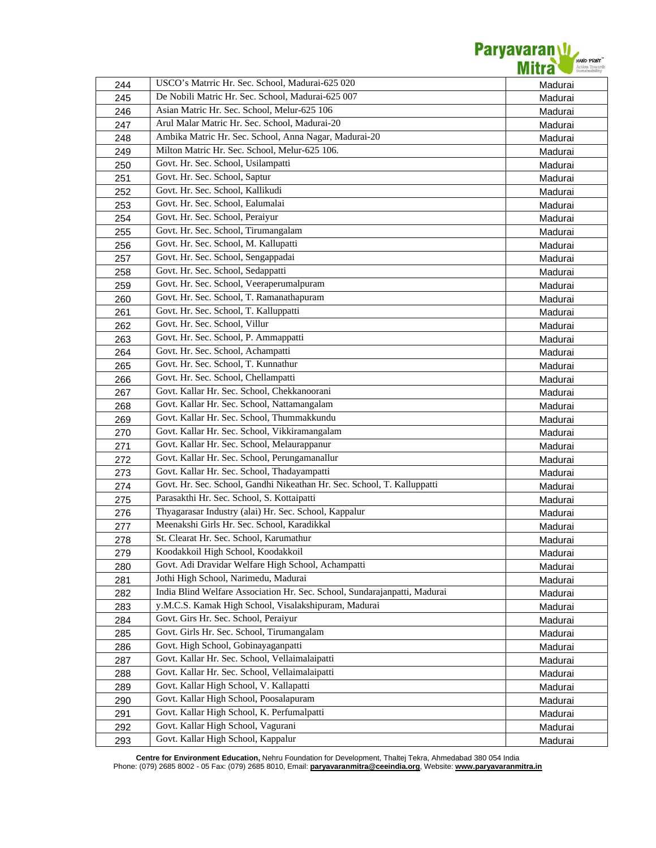

| 244 | USCO's Matrric Hr. Sec. School, Madurai-625 020                           | Madurai |
|-----|---------------------------------------------------------------------------|---------|
| 245 | De Nobili Matric Hr. Sec. School, Madurai-625 007                         | Madurai |
| 246 | Asian Matric Hr. Sec. School, Melur-625 106                               | Madurai |
| 247 | Arul Malar Matric Hr. Sec. School, Madurai-20                             | Madurai |
| 248 | Ambika Matric Hr. Sec. School, Anna Nagar, Madurai-20                     | Madurai |
| 249 | Milton Matric Hr. Sec. School, Melur-625 106.                             | Madurai |
| 250 | Govt. Hr. Sec. School, Usilampatti                                        | Madurai |
| 251 | Govt. Hr. Sec. School, Saptur                                             | Madurai |
| 252 | Govt. Hr. Sec. School, Kallikudi                                          | Madurai |
| 253 | Govt. Hr. Sec. School, Ealumalai                                          | Madurai |
| 254 | Govt. Hr. Sec. School, Peraiyur                                           | Madurai |
| 255 | Govt. Hr. Sec. School, Tirumangalam                                       | Madurai |
| 256 | Govt. Hr. Sec. School, M. Kallupatti                                      | Madurai |
| 257 | Govt. Hr. Sec. School, Sengappadai                                        | Madurai |
| 258 | Govt. Hr. Sec. School, Sedappatti                                         | Madurai |
| 259 | Govt. Hr. Sec. School, Veeraperumalpuram                                  | Madurai |
| 260 | Govt. Hr. Sec. School, T. Ramanathapuram                                  | Madurai |
| 261 | Govt. Hr. Sec. School, T. Kalluppatti                                     | Madurai |
| 262 | Govt. Hr. Sec. School, Villur                                             | Madurai |
| 263 | Govt. Hr. Sec. School, P. Ammappatti                                      | Madurai |
| 264 | Govt. Hr. Sec. School, Achampatti                                         | Madurai |
| 265 | Govt. Hr. Sec. School, T. Kunnathur                                       | Madurai |
| 266 | Govt. Hr. Sec. School, Chellampatti                                       | Madurai |
| 267 | Govt. Kallar Hr. Sec. School, Chekkanoorani                               | Madurai |
| 268 | Govt. Kallar Hr. Sec. School, Nattamangalam                               | Madurai |
| 269 | Govt. Kallar Hr. Sec. School, Thummakkundu                                | Madurai |
| 270 | Govt. Kallar Hr. Sec. School, Vikkiramangalam                             | Madurai |
| 271 | Govt. Kallar Hr. Sec. School, Melaurappanur                               | Madurai |
| 272 | Govt. Kallar Hr. Sec. School, Perungamanallur                             | Madurai |
| 273 | Govt. Kallar Hr. Sec. School, Thadayampatti                               | Madurai |
| 274 | Govt. Hr. Sec. School, Gandhi Nikeathan Hr. Sec. School, T. Kalluppatti   | Madurai |
| 275 | Parasakthi Hr. Sec. School, S. Kottaipatti                                | Madurai |
| 276 | Thyagarasar Industry (alai) Hr. Sec. School, Kappalur                     | Madurai |
| 277 | Meenakshi Girls Hr. Sec. School, Karadikkal                               | Madurai |
| 278 | St. Clearat Hr. Sec. School, Karumathur                                   | Madurai |
| 279 | Koodakkoil High School, Koodakkoil                                        | Madurai |
| 280 | Govt. Adi Dravidar Welfare High School, Achampatti                        | Madurai |
| 281 | Jothi High School, Narimedu, Madurai                                      | Madurai |
| 282 | India Blind Welfare Association Hr. Sec. School, Sundarajanpatti, Madurai | Madurai |
| 283 | y.M.C.S. Kamak High School, Visalakshipuram, Madurai                      | Madurai |
| 284 | Govt. Girs Hr. Sec. School, Peraiyur                                      | Madurai |
| 285 | Govt. Girls Hr. Sec. School, Tirumangalam                                 | Madurai |
| 286 | Govt. High School, Gobinayaganpatti                                       | Madurai |
| 287 | Govt. Kallar Hr. Sec. School, Vellaimalaipatti                            | Madurai |
| 288 | Govt. Kallar Hr. Sec. School, Vellaimalaipatti                            | Madurai |
| 289 | Govt. Kallar High School, V. Kallapatti                                   | Madurai |
| 290 | Govt. Kallar High School, Poosalapuram                                    | Madurai |
| 291 | Govt. Kallar High School, K. Perfumalpatti                                | Madurai |
| 292 | Govt. Kallar High School, Vagurani                                        | Madurai |
| 293 | Govt. Kallar High School, Kappalur                                        | Madurai |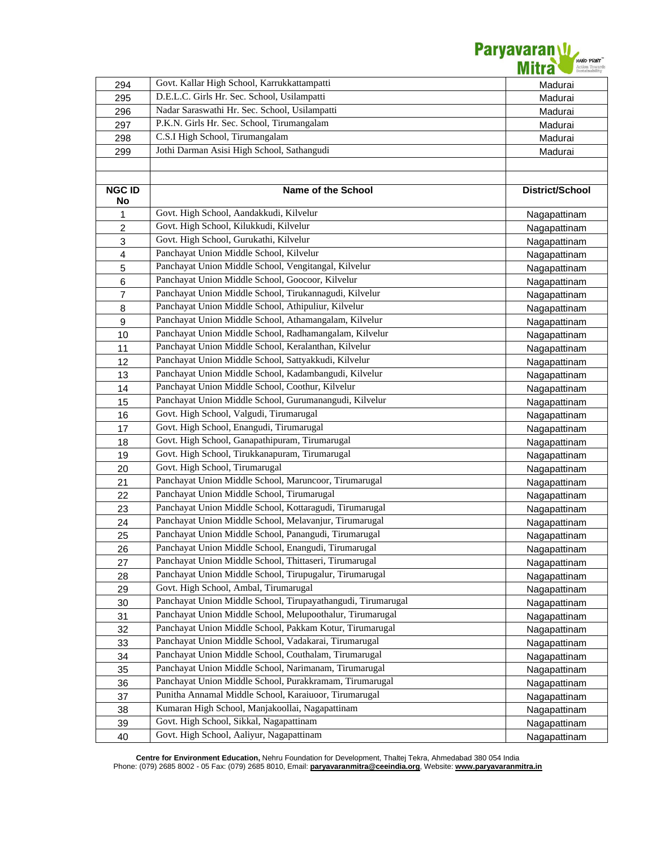

| 294              | Govt. Kallar High School, Karrukkattampatti                  | Madurai         |
|------------------|--------------------------------------------------------------|-----------------|
| 295              | D.E.L.C. Girls Hr. Sec. School, Usilampatti                  | Madurai         |
| 296              | Nadar Saraswathi Hr. Sec. School, Usilampatti                | Madurai         |
| 297              | P.K.N. Girls Hr. Sec. School, Tirumangalam                   | Madurai         |
| 298              | C.S.I High School, Tirumangalam                              | Madurai         |
| 299              | Jothi Darman Asisi High School, Sathangudi                   | Madurai         |
|                  |                                                              |                 |
|                  |                                                              |                 |
| <b>NGC ID</b>    | <b>Name of the School</b>                                    | District/School |
| No               |                                                              |                 |
| 1                | Govt. High School, Aandakkudi, Kilvelur                      | Nagapattinam    |
| $\overline{c}$   | Govt. High School, Kilukkudi, Kilvelur                       | Nagapattinam    |
| $\mathbf 3$      | Govt. High School, Gurukathi, Kilvelur                       | Nagapattinam    |
| $\overline{4}$   | Panchayat Union Middle School, Kilvelur                      | Nagapattinam    |
| 5                | Panchayat Union Middle School, Vengitangal, Kilvelur         | Nagapattinam    |
| $\,6$            | Panchayat Union Middle School, Goocoor, Kilvelur             | Nagapattinam    |
| $\overline{7}$   | Panchayat Union Middle School, Tirukannagudi, Kilvelur       | Nagapattinam    |
| 8                | Panchayat Union Middle School, Athipuliur, Kilvelur          | Nagapattinam    |
| $\boldsymbol{9}$ | Panchayat Union Middle School, Athamangalam, Kilvelur        | Nagapattinam    |
| 10               | Panchayat Union Middle School, Radhamangalam, Kilvelur       | Nagapattinam    |
| 11               | Panchayat Union Middle School, Keralanthan, Kilvelur         | Nagapattinam    |
| 12               | Panchayat Union Middle School, Sattyakkudi, Kilvelur         | Nagapattinam    |
| 13               | Panchayat Union Middle School, Kadambangudi, Kilvelur        | Nagapattinam    |
| 14               | Panchayat Union Middle School, Coothur, Kilvelur             | Nagapattinam    |
| 15               | Panchayat Union Middle School, Gurumanangudi, Kilvelur       | Nagapattinam    |
| 16               | Govt. High School, Valgudi, Tirumarugal                      | Nagapattinam    |
| 17               | Govt. High School, Enangudi, Tirumarugal                     | Nagapattinam    |
| 18               | Govt. High School, Ganapathipuram, Tirumarugal               | Nagapattinam    |
| 19               | Govt. High School, Tirukkanapuram, Tirumarugal               | Nagapattinam    |
| 20               | Govt. High School, Tirumarugal                               | Nagapattinam    |
| 21               | Panchayat Union Middle School, Maruncoor, Tirumarugal        | Nagapattinam    |
| 22               | Panchayat Union Middle School, Tirumarugal                   | Nagapattinam    |
| 23               | Panchayat Union Middle School, Kottaragudi, Tirumarugal      | Nagapattinam    |
| 24               | Panchayat Union Middle School, Melavanjur, Tirumarugal       | Nagapattinam    |
| 25               | Panchayat Union Middle School, Panangudi, Tirumarugal        | Nagapattinam    |
| 26               | Panchayat Union Middle School, Enangudi, Tirumarugal         | Nagapattinam    |
| 27               | Panchayat Union Middle School, Thittaseri, Tirumarugal       | Nagapattinam    |
| 28               | Panchayat Union Middle School, Tirupugalur, Tirumarugal      | Nagapattinam    |
| 29               | Govt. High School, Ambal, Tirumarugal                        | Nagapattinam    |
| 30               | Panchayat Union Middle School, Tirupayathangudi, Tirumarugal | Nagapattinam    |
| 31               | Panchayat Union Middle School, Melupoothalur, Tirumarugal    | Nagapattinam    |
| 32               | Panchayat Union Middle School, Pakkam Kotur, Tirumarugal     | Nagapattinam    |
| 33               | Panchayat Union Middle School, Vadakarai, Tirumarugal        | Nagapattinam    |
| 34               | Panchayat Union Middle School, Couthalam, Tirumarugal        | Nagapattinam    |
| 35               | Panchayat Union Middle School, Narimanam, Tirumarugal        | Nagapattinam    |
| 36               | Panchayat Union Middle School, Purakkramam, Tirumarugal      | Nagapattinam    |
| 37               | Punitha Annamal Middle School, Karaiuoor, Tirumarugal        | Nagapattinam    |
| 38               | Kumaran High School, Manjakoollai, Nagapattinam              | Nagapattinam    |
| 39               | Govt. High School, Sikkal, Nagapattinam                      | Nagapattinam    |
| 40               | Govt. High School, Aaliyur, Nagapattinam                     | Nagapattinam    |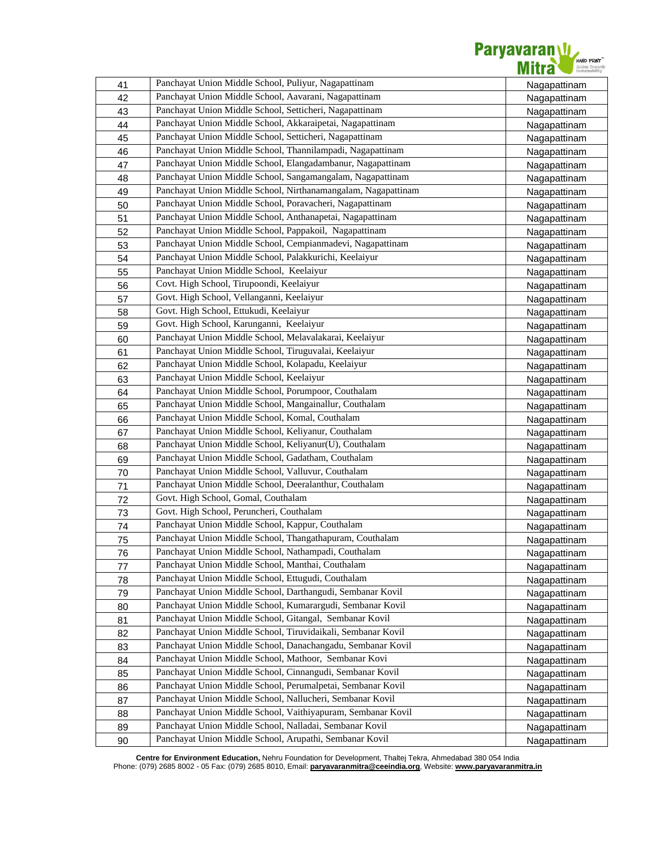

| 41       | Panchayat Union Middle School, Puliyur, Nagapattinam          | Nagapattinam |
|----------|---------------------------------------------------------------|--------------|
| 42       | Panchayat Union Middle School, Aavarani, Nagapattinam         | Nagapattinam |
| 43       | Panchayat Union Middle School, Setticheri, Nagapattinam       | Nagapattinam |
| 44       | Panchayat Union Middle School, Akkaraipetai, Nagapattinam     | Nagapattinam |
| 45       | Panchayat Union Middle School, Setticheri, Nagapattinam       | Nagapattinam |
| 46       | Panchayat Union Middle School, Thannilampadi, Nagapattinam    | Nagapattinam |
| 47       | Panchayat Union Middle School, Elangadambanur, Nagapattinam   | Nagapattinam |
| 48       | Panchayat Union Middle School, Sangamangalam, Nagapattinam    | Nagapattinam |
| 49       | Panchayat Union Middle School, Nirthanamangalam, Nagapattinam | Nagapattinam |
| 50       | Panchayat Union Middle School, Poravacheri, Nagapattinam      | Nagapattinam |
| 51       | Panchayat Union Middle School, Anthanapetai, Nagapattinam     | Nagapattinam |
| 52       | Panchayat Union Middle School, Pappakoil, Nagapattinam        | Nagapattinam |
| 53       | Panchayat Union Middle School, Cempianmadevi, Nagapattinam    | Nagapattinam |
| 54       | Panchayat Union Middle School, Palakkurichi, Keelaiyur        | Nagapattinam |
| 55       | Panchayat Union Middle School, Keelaiyur                      | Nagapattinam |
| 56       | Covt. High School, Tirupoondi, Keelaiyur                      | Nagapattinam |
| 57       | Govt. High School, Vellanganni, Keelaiyur                     | Nagapattinam |
| 58       | Govt. High School, Ettukudi, Keelaiyur                        | Nagapattinam |
| 59       | Govt. High School, Karunganni, Keelaiyur                      | Nagapattinam |
| 60       | Panchayat Union Middle School, Melavalakarai, Keelaiyur       | Nagapattinam |
| 61       | Panchayat Union Middle School, Tiruguvalai, Keelaiyur         | Nagapattinam |
| 62       | Panchayat Union Middle School, Kolapadu, Keelaiyur            | Nagapattinam |
| 63       | Panchayat Union Middle School, Keelaiyur                      | Nagapattinam |
| 64       | Panchayat Union Middle School, Porumpoor, Couthalam           | Nagapattinam |
| 65       | Panchayat Union Middle School, Mangainallur, Couthalam        | Nagapattinam |
| 66       | Panchayat Union Middle School, Komal, Couthalam               | Nagapattinam |
| 67       | Panchayat Union Middle School, Keliyanur, Couthalam           | Nagapattinam |
| 68       | Panchayat Union Middle School, Keliyanur(U), Couthalam        |              |
| 69       | Panchayat Union Middle School, Gadatham, Couthalam            | Nagapattinam |
|          | Panchayat Union Middle School, Valluvur, Couthalam            | Nagapattinam |
| 70<br>71 | Panchayat Union Middle School, Deeralanthur, Couthalam        | Nagapattinam |
| 72       | Govt. High School, Gomal, Couthalam                           | Nagapattinam |
|          | Govt. High School, Peruncheri, Couthalam                      | Nagapattinam |
| 73       | Panchayat Union Middle School, Kappur, Couthalam              | Nagapattinam |
| 74       | Panchayat Union Middle School, Thangathapuram, Couthalam      | Nagapattinam |
| 75       | Panchayat Union Middle School, Nathampadi, Couthalam          | Nagapattinam |
| 76       | Panchayat Union Middle School, Manthai, Couthalam             | Nagapattinam |
| 77       | Panchayat Union Middle School, Ettugudi, Couthalam            | Nagapattinam |
| 78       | Panchayat Union Middle School, Darthangudi, Sembanar Kovil    | Nagapattinam |
| 79       | Panchayat Union Middle School, Kumarargudi, Sembanar Kovil    | Nagapattinam |
| 80       | Panchayat Union Middle School, Gitangal, Sembanar Kovil       | Nagapattinam |
| 81       | Panchayat Union Middle School, Tiruvidaikali, Sembanar Kovil  | Nagapattinam |
| 82       | Panchayat Union Middle School, Danachangadu, Sembanar Kovil   | Nagapattinam |
| 83       |                                                               | Nagapattinam |
| 84       | Panchayat Union Middle School, Mathoor, Sembanar Kovi         | Nagapattinam |
| 85       | Panchayat Union Middle School, Cinnangudi, Sembanar Kovil     | Nagapattinam |
| 86       | Panchayat Union Middle School, Perumalpetai, Sembanar Kovil   | Nagapattinam |
| 87       | Panchayat Union Middle School, Nallucheri, Sembanar Kovil     | Nagapattinam |
| 88       | Panchayat Union Middle School, Vaithiyapuram, Sembanar Kovil  | Nagapattinam |
| 89       | Panchayat Union Middle School, Nalladai, Sembanar Kovil       | Nagapattinam |
| 90       | Panchayat Union Middle School, Arupathi, Sembanar Kovil       | Nagapattinam |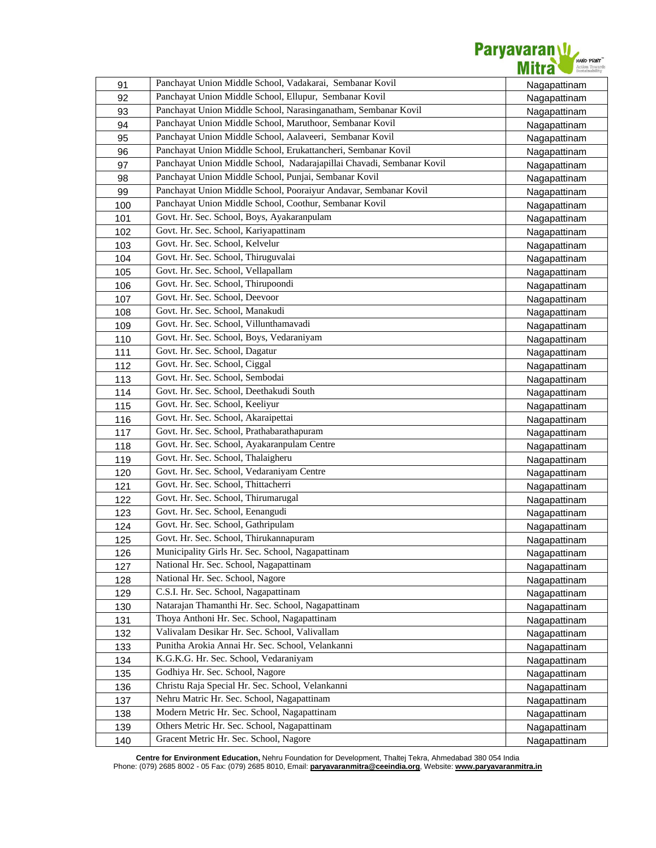

| 91  | Panchayat Union Middle School, Vadakarai, Sembanar Kovil              | Nagapattinam |
|-----|-----------------------------------------------------------------------|--------------|
| 92  | Panchayat Union Middle School, Ellupur, Sembanar Kovil                | Nagapattinam |
| 93  | Panchayat Union Middle School, Narasinganatham, Sembanar Kovil        | Nagapattinam |
| 94  | Panchayat Union Middle School, Maruthoor, Sembanar Kovil              | Nagapattinam |
| 95  | Panchayat Union Middle School, Aalaveeri, Sembanar Kovil              | Nagapattinam |
| 96  | Panchayat Union Middle School, Erukattancheri, Sembanar Kovil         | Nagapattinam |
| 97  | Panchayat Union Middle School, Nadarajapillai Chavadi, Sembanar Kovil | Nagapattinam |
| 98  | Panchayat Union Middle School, Punjai, Sembanar Kovil                 | Nagapattinam |
| 99  | Panchayat Union Middle School, Pooraiyur Andavar, Sembanar Kovil      | Nagapattinam |
| 100 | Panchayat Union Middle School, Coothur, Sembanar Kovil                | Nagapattinam |
| 101 | Govt. Hr. Sec. School, Boys, Ayakaranpulam                            | Nagapattinam |
| 102 | Govt. Hr. Sec. School, Kariyapattinam                                 | Nagapattinam |
| 103 | Govt. Hr. Sec. School, Kelvelur                                       | Nagapattinam |
| 104 | Govt. Hr. Sec. School, Thiruguvalai                                   | Nagapattinam |
| 105 | Govt. Hr. Sec. School, Vellapallam                                    | Nagapattinam |
| 106 | Govt. Hr. Sec. School, Thirupoondi                                    | Nagapattinam |
| 107 | Govt. Hr. Sec. School, Deevoor                                        | Nagapattinam |
| 108 | Govt. Hr. Sec. School, Manakudi                                       | Nagapattinam |
| 109 | Govt. Hr. Sec. School, Villunthamavadi                                | Nagapattinam |
| 110 | Govt. Hr. Sec. School, Boys, Vedaraniyam                              | Nagapattinam |
| 111 | Govt. Hr. Sec. School, Dagatur                                        | Nagapattinam |
| 112 | Govt. Hr. Sec. School, Ciggal                                         | Nagapattinam |
| 113 | Govt. Hr. Sec. School, Sembodai                                       | Nagapattinam |
| 114 | Govt. Hr. Sec. School, Deethakudi South                               | Nagapattinam |
| 115 | Govt. Hr. Sec. School, Keeliyur                                       | Nagapattinam |
| 116 | Govt. Hr. Sec. School, Akaraipettai                                   | Nagapattinam |
| 117 | Govt. Hr. Sec. School, Prathabarathapuram                             | Nagapattinam |
| 118 | Govt. Hr. Sec. School, Ayakaranpulam Centre                           | Nagapattinam |
| 119 | Govt. Hr. Sec. School, Thalaigheru                                    | Nagapattinam |
| 120 | Govt. Hr. Sec. School, Vedaraniyam Centre                             | Nagapattinam |
| 121 | Govt. Hr. Sec. School, Thittacherri                                   | Nagapattinam |
| 122 | Govt. Hr. Sec. School, Thirumarugal                                   | Nagapattinam |
| 123 | Govt. Hr. Sec. School, Eenangudi                                      | Nagapattinam |
| 124 | Govt. Hr. Sec. School, Gathripulam                                    | Nagapattinam |
| 125 | Govt. Hr. Sec. School, Thirukannapuram                                | Nagapattinam |
| 126 | Municipality Girls Hr. Sec. School, Nagapattinam                      | Nagapattinam |
| 127 | National Hr. Sec. School, Nagapattinam                                | Nagapattinam |
| 128 | National Hr. Sec. School, Nagore                                      | Nagapattinam |
| 129 | C.S.I. Hr. Sec. School, Nagapattinam                                  | Nagapattinam |
| 130 | Natarajan Thamanthi Hr. Sec. School, Nagapattinam                     | Nagapattinam |
| 131 | Thoya Anthoni Hr. Sec. School, Nagapattinam                           | Nagapattinam |
| 132 | Valivalam Desikar Hr. Sec. School, Valivallam                         | Nagapattinam |
| 133 | Punitha Arokia Annai Hr. Sec. School, Velankanni                      | Nagapattinam |
| 134 | K.G.K.G. Hr. Sec. School, Vedaraniyam                                 | Nagapattinam |
| 135 | Godhiya Hr. Sec. School, Nagore                                       | Nagapattinam |
| 136 | Christu Raja Special Hr. Sec. School, Velankanni                      | Nagapattinam |
| 137 | Nehru Matric Hr. Sec. School, Nagapattinam                            | Nagapattinam |
| 138 | Modern Metric Hr. Sec. School, Nagapattinam                           | Nagapattinam |
| 139 | Others Metric Hr. Sec. School, Nagapattinam                           | Nagapattinam |
| 140 | Gracent Metric Hr. Sec. School, Nagore                                | Nagapattinam |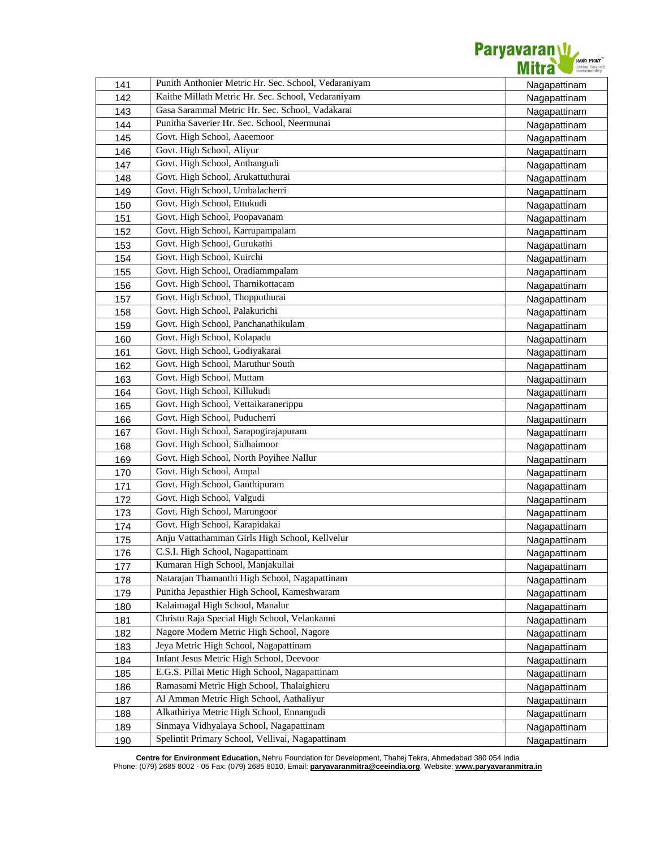

|            | Punith Anthonier Metric Hr. Sec. School, Vedaraniyam             |                              |
|------------|------------------------------------------------------------------|------------------------------|
| 141<br>142 | Kaithe Millath Metric Hr. Sec. School, Vedaraniyam               | Nagapattinam<br>Nagapattinam |
| 143        | Gasa Sarammal Metric Hr. Sec. School, Vadakarai                  | Nagapattinam                 |
| 144        | Punitha Saverier Hr. Sec. School, Neermunai                      |                              |
|            | Govt. High School, Aaeemoor                                      | Nagapattinam                 |
| 145        | Govt. High School, Aliyur                                        | Nagapattinam                 |
| 146        | Govt. High School, Anthangudi                                    | Nagapattinam                 |
| 147        | Govt. High School, Arukattuthurai                                | Nagapattinam                 |
| 148        | Govt. High School, Umbalacherri                                  | Nagapattinam                 |
| 149        | Govt. High School, Ettukudi                                      | Nagapattinam                 |
| 150        | Govt. High School, Poopavanam                                    | Nagapattinam                 |
| 151        |                                                                  | Nagapattinam                 |
| 152        | Govt. High School, Karrupampalam<br>Govt. High School, Gurukathi | Nagapattinam                 |
| 153        | Govt. High School, Kuirchi                                       | Nagapattinam                 |
| 154        |                                                                  | Nagapattinam                 |
| 155        | Govt. High School, Oradiammpalam                                 | Nagapattinam                 |
| 156        | Govt. High School, Tharnikottacam                                | Nagapattinam                 |
| 157        | Govt. High School, Thopputhurai                                  | Nagapattinam                 |
| 158        | Govt. High School, Palakurichi                                   | Nagapattinam                 |
| 159        | Govt. High School, Panchanathikulam                              | Nagapattinam                 |
| 160        | Govt. High School, Kolapadu                                      | Nagapattinam                 |
| 161        | Govt. High School, Godiyakarai                                   | Nagapattinam                 |
| 162        | Govt. High School, Maruthur South                                | Nagapattinam                 |
| 163        | Govt. High School, Muttam                                        | Nagapattinam                 |
| 164        | Govt. High School, Killukudi                                     | Nagapattinam                 |
| 165        | Govt. High School, Vettaikaranerippu                             | Nagapattinam                 |
| 166        | Govt. High School, Puducherri                                    | Nagapattinam                 |
| 167        | Govt. High School, Sarapogirajapuram                             | Nagapattinam                 |
| 168        | Govt. High School, Sidhaimoor                                    | Nagapattinam                 |
| 169        | Govt. High School, North Poyihee Nallur                          | Nagapattinam                 |
| 170        | Govt. High School, Ampal                                         | Nagapattinam                 |
| 171        | Govt. High School, Ganthipuram                                   | Nagapattinam                 |
| 172        | Govt. High School, Valgudi                                       | Nagapattinam                 |
| 173        | Govt. High School, Marungoor                                     | Nagapattinam                 |
| 174        | Govt. High School, Karapidakai                                   | Nagapattinam                 |
| 175        | Anju Vattathamman Girls High School, Kellvelur                   | Nagapattinam                 |
| 176        | C.S.I. High School, Nagapattinam                                 | <b>Nagapattinam</b>          |
| 177        | Kumaran High School, Manjakullai                                 | Nagapattinam                 |
| 178        | Natarajan Thamanthi High School, Nagapattinam                    | Nagapattinam                 |
| 179        | Punitha Jepasthier High School, Kameshwaram                      | Nagapattinam                 |
| 180        | Kalaimagal High School, Manalur                                  | Nagapattinam                 |
| 181        | Christu Raja Special High School, Velankanni                     | Nagapattinam                 |
| 182        | Nagore Modern Metric High School, Nagore                         | Nagapattinam                 |
| 183        | Jeya Metric High School, Nagapattinam                            | Nagapattinam                 |
| 184        | Infant Jesus Metric High School, Deevoor                         | Nagapattinam                 |
| 185        | E.G.S. Pillai Metic High School, Nagapattinam                    | Nagapattinam                 |
| 186        | Ramasami Metric High School, Thalaighieru                        | Nagapattinam                 |
| 187        | Al Amman Metric High School, Aathaliyur                          | Nagapattinam                 |
| 188        | Alkathiriya Metric High School, Ennangudi                        | Nagapattinam                 |
| 189        | Sinmaya Vidhyalaya School, Nagapattinam                          | Nagapattinam                 |
| 190        | Spelintit Primary School, Vellivai, Nagapattinam                 | Nagapattinam                 |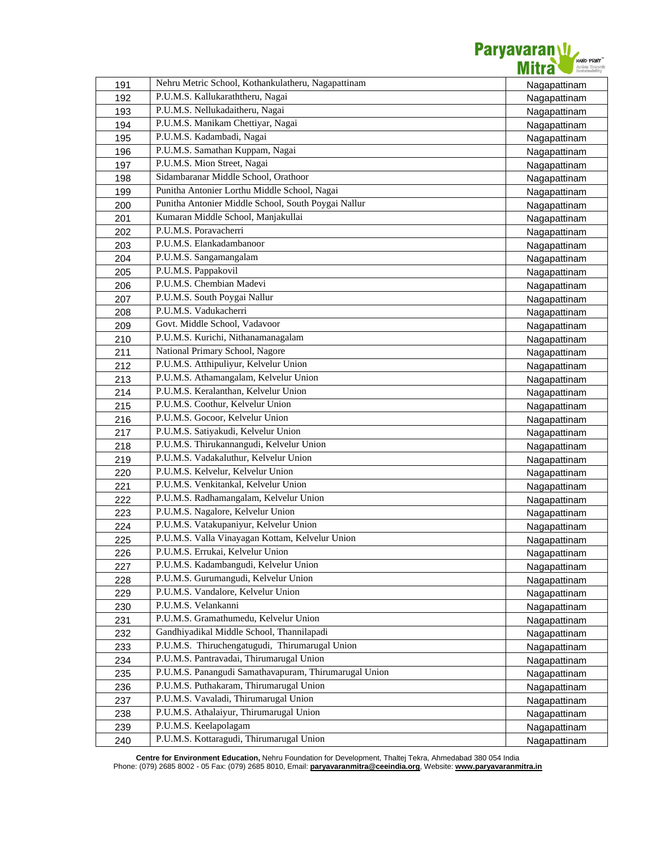

| 191 | Nehru Metric School, Kothankulatheru, Nagapattinam    | Nagapattinam        |
|-----|-------------------------------------------------------|---------------------|
| 192 | P.U.M.S. Kallukaraththeru, Nagai                      | Nagapattinam        |
| 193 | P.U.M.S. Nellukadaitheru, Nagai                       | Nagapattinam        |
| 194 | P.U.M.S. Manikam Chettiyar, Nagai                     | Nagapattinam        |
| 195 | P.U.M.S. Kadambadi, Nagai                             | Nagapattinam        |
| 196 | P.U.M.S. Samathan Kuppam, Nagai                       | Nagapattinam        |
| 197 | P.U.M.S. Mion Street, Nagai                           | Nagapattinam        |
| 198 | Sidambaranar Middle School, Orathoor                  | Nagapattinam        |
| 199 | Punitha Antonier Lorthu Middle School, Nagai          | Nagapattinam        |
| 200 | Punitha Antonier Middle School, South Poygai Nallur   | Nagapattinam        |
| 201 | Kumaran Middle School, Manjakullai                    | Nagapattinam        |
| 202 | P.U.M.S. Poravacherri                                 | Nagapattinam        |
| 203 | P.U.M.S. Elankadambanoor                              | Nagapattinam        |
| 204 | P.U.M.S. Sangamangalam                                | Nagapattinam        |
| 205 | P.U.M.S. Pappakovil                                   | Nagapattinam        |
| 206 | P.U.M.S. Chembian Madevi                              | Nagapattinam        |
| 207 | P.U.M.S. South Poygai Nallur                          | Nagapattinam        |
| 208 | P.U.M.S. Vadukacherri                                 | Nagapattinam        |
| 209 | Govt. Middle School, Vadavoor                         | Nagapattinam        |
| 210 | P.U.M.S. Kurichi, Nithanamanagalam                    | Nagapattinam        |
| 211 | National Primary School, Nagore                       | Nagapattinam        |
| 212 | P.U.M.S. Atthipuliyur, Kelvelur Union                 | Nagapattinam        |
| 213 | P.U.M.S. Athamangalam, Kelvelur Union                 | Nagapattinam        |
| 214 | P.U.M.S. Keralanthan, Kelvelur Union                  | Nagapattinam        |
| 215 | P.U.M.S. Coothur, Kelvelur Union                      | Nagapattinam        |
| 216 | P.U.M.S. Gocoor, Kelvelur Union                       | Nagapattinam        |
| 217 | P.U.M.S. Satiyakudi, Kelvelur Union                   | Nagapattinam        |
| 218 | P.U.M.S. Thirukannangudi, Kelvelur Union              | Nagapattinam        |
| 219 | P.U.M.S. Vadakaluthur, Kelvelur Union                 | Nagapattinam        |
| 220 | P.U.M.S. Kelvelur, Kelvelur Union                     | Nagapattinam        |
| 221 | P.U.M.S. Venkitankal, Kelvelur Union                  | Nagapattinam        |
| 222 | P.U.M.S. Radhamangalam, Kelvelur Union                | Nagapattinam        |
| 223 | P.U.M.S. Nagalore, Kelvelur Union                     | Nagapattinam        |
| 224 | P.U.M.S. Vatakupaniyur, Kelvelur Union                | Nagapattinam        |
| 225 | P.U.M.S. Valla Vinayagan Kottam, Kelvelur Union       | Nagapattinam        |
| 226 | P.U.M.S. Errukai, Kelvelur Union                      | <b>Nagapattinam</b> |
| 227 | P.U.M.S. Kadambangudi, Kelvelur Union                 | Nagapattinam        |
| 228 | P.U.M.S. Gurumangudi, Kelvelur Union                  | Nagapattinam        |
| 229 | P.U.M.S. Vandalore, Kelvelur Union                    | Nagapattinam        |
| 230 | P.U.M.S. Velankanni                                   | Nagapattinam        |
| 231 | P.U.M.S. Gramathumedu, Kelvelur Union                 | Nagapattinam        |
| 232 | Gandhiyadikal Middle School, Thannilapadi             | Nagapattinam        |
| 233 | P.U.M.S. Thiruchengatugudi, Thirumarugal Union        | Nagapattinam        |
| 234 | P.U.M.S. Pantravadai, Thirumarugal Union              | Nagapattinam        |
| 235 | P.U.M.S. Panangudi Samathavapuram, Thirumarugal Union | Nagapattinam        |
| 236 | P.U.M.S. Puthakaram, Thirumarugal Union               | Nagapattinam        |
| 237 | P.U.M.S. Vavaladi, Thirumarugal Union                 | Nagapattinam        |
| 238 | P.U.M.S. Athalaiyur, Thirumarugal Union               | Nagapattinam        |
| 239 | P.U.M.S. Keelapolagam                                 | Nagapattinam        |
| 240 | P.U.M.S. Kottaragudi, Thirumarugal Union              | Nagapattinam        |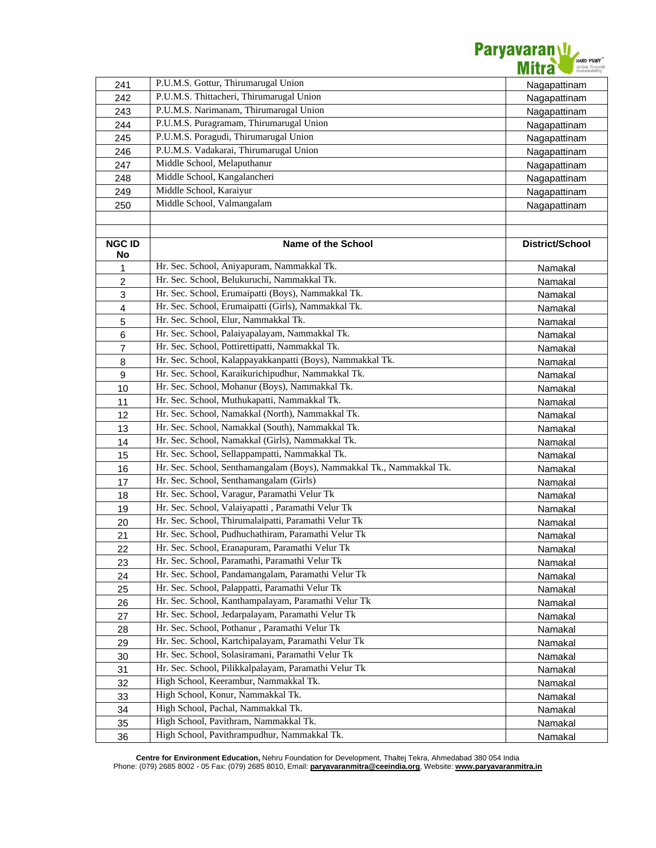

| 241                 | P.U.M.S. Gottur, Thirumarugal Union                                  | Nagapattinam    |
|---------------------|----------------------------------------------------------------------|-----------------|
| 242                 | P.U.M.S. Thittacheri, Thirumarugal Union                             | Nagapattinam    |
| 243                 | P.U.M.S. Narimanam, Thirumarugal Union                               | Nagapattinam    |
| 244                 | P.U.M.S. Puragramam, Thirumarugal Union                              | Nagapattinam    |
| 245                 | P.U.M.S. Poragudi, Thirumarugal Union                                | Nagapattinam    |
| 246                 | P.U.M.S. Vadakarai, Thirumarugal Union                               | Nagapattinam    |
| 247                 | Middle School, Melaputhanur                                          | Nagapattinam    |
| 248                 | Middle School, Kangalancheri                                         | Nagapattinam    |
| 249                 | Middle School, Karaiyur                                              | Nagapattinam    |
| 250                 | Middle School, Valmangalam                                           | Nagapattinam    |
|                     |                                                                      |                 |
|                     |                                                                      |                 |
| <b>NGC ID</b><br>No | <b>Name of the School</b>                                            | District/School |
| 1                   | Hr. Sec. School, Aniyapuram, Nammakkal Tk.                           | Namakal         |
| $\overline{c}$      | Hr. Sec. School, Belukuruchi, Nammakkal Tk.                          | Namakal         |
| 3                   | Hr. Sec. School, Erumaipatti (Boys), Nammakkal Tk.                   | Namakal         |
| $\overline{4}$      | Hr. Sec. School, Erumaipatti (Girls), Nammakkal Tk.                  | Namakal         |
| $\mathbf 5$         | Hr. Sec. School, Elur, Nammakkal Tk.                                 | Namakal         |
| 6                   | Hr. Sec. School, Palaiyapalayam, Nammakkal Tk.                       | Namakal         |
| $\overline{7}$      | Hr. Sec. School, Pottirettipatti, Nammakkal Tk.                      | Namakal         |
| 8                   | Hr. Sec. School, Kalappayakkanpatti (Boys), Nammakkal Tk.            | Namakal         |
| $\boldsymbol{9}$    | Hr. Sec. School, Karaikurichipudhur, Nammakkal Tk.                   | Namakal         |
| 10                  | Hr. Sec. School, Mohanur (Boys), Nammakkal Tk.                       | Namakal         |
| 11                  | Hr. Sec. School, Muthukapatti, Nammakkal Tk.                         | Namakal         |
| 12                  | Hr. Sec. School, Namakkal (North), Nammakkal Tk.                     | Namakal         |
| 13                  | Hr. Sec. School, Namakkal (South), Nammakkal Tk.                     | Namakal         |
| 14                  | Hr. Sec. School, Namakkal (Girls), Nammakkal Tk.                     | Namakal         |
| 15                  | Hr. Sec. School, Sellappampatti, Nammakkal Tk.                       | Namakal         |
| 16                  | Hr. Sec. School, Senthamangalam (Boys), Nammakkal Tk., Nammakkal Tk. | Namakal         |
| 17                  | Hr. Sec. School, Senthamangalam (Girls)                              | Namakal         |
| 18                  | Hr. Sec. School, Varagur, Paramathi Velur Tk                         | Namakal         |
| 19                  | Hr. Sec. School, Valaiyapatti , Paramathi Velur Tk                   | Namakal         |
| 20                  | Hr. Sec. School, Thirumalaipatti, Paramathi Velur Tk                 | Namakal         |
| 21                  | Hr. Sec. School, Pudhuchathiram, Paramathi Velur Tk                  | Namakal         |
| 22                  | Hr. Sec. School, Eranapuram, Paramathi Velur Tk                      | Namakal         |
| 23                  | Hr. Sec. School, Paramathi, Paramathi Velur Tk                       | Namakal         |
| 24                  | Hr. Sec. School, Pandamangalam, Paramathi Velur Tk                   | Namakal         |
| 25                  | Hr. Sec. School, Palappatti, Paramathi Velur Tk                      | Namakal         |
| 26                  | Hr. Sec. School, Kanthampalayam, Paramathi Velur Tk                  | Namakal         |
| 27                  | Hr. Sec. School, Jedarpalayam, Paramathi Velur Tk                    | Namakal         |
| 28                  | Hr. Sec. School, Pothanur, Paramathi Velur Tk                        | Namakal         |
| 29                  | Hr. Sec. School, Kartchipalayam, Paramathi Velur Tk                  | Namakal         |
| 30                  | Hr. Sec. School, Solasiramani, Paramathi Velur Tk                    | Namakal         |
| 31                  | Hr. Sec. School, Pilikkalpalayam, Paramathi Velur Tk                 | Namakal         |
| 32                  | High School, Keerambur, Nammakkal Tk.                                | Namakal         |
| 33                  | High School, Konur, Nammakkal Tk.                                    | Namakal         |
| 34                  | High School, Pachal, Nammakkal Tk.                                   | Namakal         |
| 35                  | High School, Pavithram, Nammakkal Tk.                                | Namakal         |
| 36                  | High School, Pavithrampudhur, Nammakkal Tk.                          | Namakal         |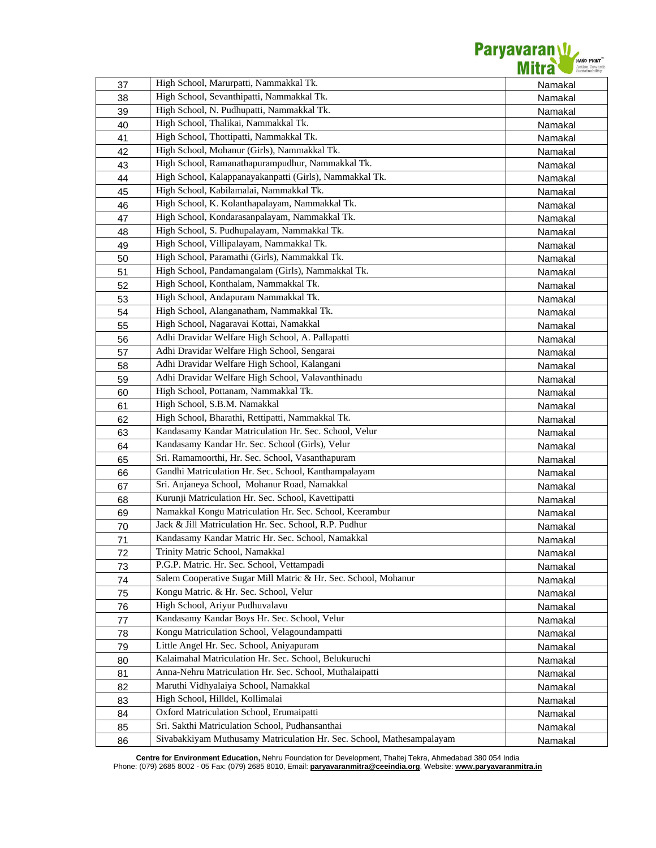

| 37 | High School, Marurpatti, Nammakkal Tk.                                | Namakal |
|----|-----------------------------------------------------------------------|---------|
| 38 | High School, Sevanthipatti, Nammakkal Tk.                             | Namakal |
| 39 | High School, N. Pudhupatti, Nammakkal Tk.                             | Namakal |
| 40 | High School, Thalikai, Nammakkal Tk.                                  | Namakal |
| 41 | High School, Thottipatti, Nammakkal Tk.                               | Namakal |
| 42 | High School, Mohanur (Girls), Nammakkal Tk.                           | Namakal |
| 43 | High School, Ramanathapurampudhur, Nammakkal Tk.                      | Namakal |
| 44 | High School, Kalappanayakanpatti (Girls), Nammakkal Tk.               | Namakal |
| 45 | High School, Kabilamalai, Nammakkal Tk.                               | Namakal |
| 46 | High School, K. Kolanthapalayam, Nammakkal Tk.                        | Namakal |
| 47 | High School, Kondarasanpalayam, Nammakkal Tk.                         | Namakal |
| 48 | High School, S. Pudhupalayam, Nammakkal Tk.                           | Namakal |
| 49 | High School, Villipalayam, Nammakkal Tk.                              | Namakal |
| 50 | High School, Paramathi (Girls), Nammakkal Tk.                         | Namakal |
| 51 | High School, Pandamangalam (Girls), Nammakkal Tk.                     | Namakal |
| 52 | High School, Konthalam, Nammakkal Tk.                                 | Namakal |
| 53 | High School, Andapuram Nammakkal Tk.                                  | Namakal |
| 54 | High School, Alanganatham, Nammakkal Tk.                              | Namakal |
| 55 | High School, Nagaravai Kottai, Namakkal                               | Namakal |
| 56 | Adhi Dravidar Welfare High School, A. Pallapatti                      | Namakal |
| 57 | Adhi Dravidar Welfare High School, Sengarai                           | Namakal |
| 58 | Adhi Dravidar Welfare High School, Kalangani                          | Namakal |
| 59 | Adhi Dravidar Welfare High School, Valavanthinadu                     | Namakal |
| 60 | High School, Pottanam, Nammakkal Tk.                                  | Namakal |
| 61 | High School, S.B.M. Namakkal                                          | Namakal |
| 62 | High School, Bharathi, Rettipatti, Nammakkal Tk.                      | Namakal |
| 63 | Kandasamy Kandar Matriculation Hr. Sec. School, Velur                 | Namakal |
| 64 | Kandasamy Kandar Hr. Sec. School (Girls), Velur                       | Namakal |
| 65 | Sri. Ramamoorthi, Hr. Sec. School, Vasanthapuram                      | Namakal |
| 66 | Gandhi Matriculation Hr. Sec. School, Kanthampalayam                  | Namakal |
| 67 | Sri. Anjaneya School, Mohanur Road, Namakkal                          | Namakal |
| 68 | Kurunji Matriculation Hr. Sec. School, Kavettipatti                   | Namakal |
| 69 | Namakkal Kongu Matriculation Hr. Sec. School, Keerambur               | Namakal |
| 70 | Jack & Jill Matriculation Hr. Sec. School, R.P. Pudhur                | Namakal |
| 71 | Kandasamy Kandar Matric Hr. Sec. School, Namakkal                     | Namakal |
| 72 | Trinity Matric School, Namakkal                                       | Namakal |
| 73 | P.G.P. Matric. Hr. Sec. School, Vettampadi                            | Namakal |
| 74 | Salem Cooperative Sugar Mill Matric & Hr. Sec. School, Mohanur        | Namakal |
| 75 | Kongu Matric. & Hr. Sec. School, Velur                                | Namakal |
| 76 | High School, Ariyur Pudhuvalavu                                       | Namakal |
| 77 | Kandasamy Kandar Boys Hr. Sec. School, Velur                          | Namakal |
| 78 | Kongu Matriculation School, Velagoundampatti                          | Namakal |
| 79 | Little Angel Hr. Sec. School, Aniyapuram                              | Namakal |
| 80 | Kalaimahal Matriculation Hr. Sec. School, Belukuruchi                 | Namakal |
| 81 | Anna-Nehru Matriculation Hr. Sec. School, Muthalaipatti               | Namakal |
| 82 | Maruthi Vidhyalaiya School, Namakkal                                  | Namakal |
| 83 | High School, Hilldel, Kollimalai                                      | Namakal |
| 84 | Oxford Matriculation School, Erumaipatti                              | Namakal |
| 85 | Sri. Sakthi Matriculation School, Pudhansanthai                       | Namakal |
| 86 | Sivabakkiyam Muthusamy Matriculation Hr. Sec. School, Mathesampalayam | Namakal |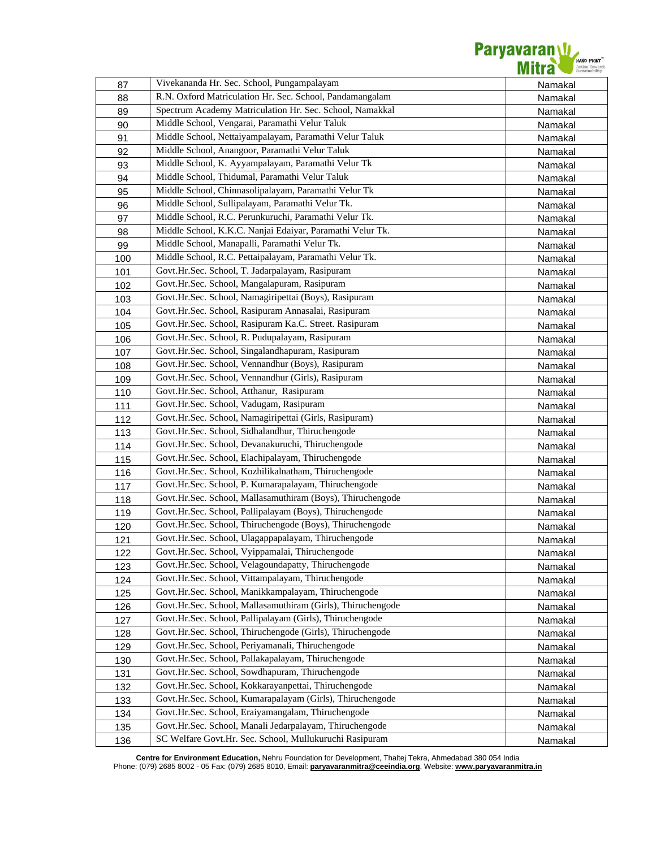

| 87  | Vivekananda Hr. Sec. School, Pungampalayam                  | Namakal |
|-----|-------------------------------------------------------------|---------|
| 88  | R.N. Oxford Matriculation Hr. Sec. School, Pandamangalam    | Namakal |
| 89  | Spectrum Academy Matriculation Hr. Sec. School, Namakkal    | Namakal |
| 90  | Middle School, Vengarai, Paramathi Velur Taluk              | Namakal |
| 91  | Middle School, Nettaiyampalayam, Paramathi Velur Taluk      | Namakal |
| 92  | Middle School, Anangoor, Paramathi Velur Taluk              | Namakal |
| 93  | Middle School, K. Ayyampalayam, Paramathi Velur Tk          | Namakal |
| 94  | Middle School, Thidumal, Paramathi Velur Taluk              | Namakal |
| 95  | Middle School, Chinnasolipalayam, Paramathi Velur Tk        | Namakal |
| 96  | Middle School, Sullipalayam, Paramathi Velur Tk.            | Namakal |
| 97  | Middle School, R.C. Perunkuruchi, Paramathi Velur Tk.       | Namakal |
| 98  | Middle School, K.K.C. Nanjai Edaiyar, Paramathi Velur Tk.   | Namakal |
| 99  | Middle School, Manapalli, Paramathi Velur Tk.               | Namakal |
| 100 | Middle School, R.C. Pettaipalayam, Paramathi Velur Tk.      | Namakal |
| 101 | Govt.Hr.Sec. School, T. Jadarpalayam, Rasipuram             | Namakal |
| 102 | Govt.Hr.Sec. School, Mangalapuram, Rasipuram                | Namakal |
| 103 | Govt.Hr.Sec. School, Namagiripettai (Boys), Rasipuram       | Namakal |
| 104 | Govt.Hr.Sec. School, Rasipuram Annasalai, Rasipuram         | Namakal |
| 105 | Govt.Hr.Sec. School, Rasipuram Ka.C. Street. Rasipuram      | Namakal |
| 106 | Govt.Hr.Sec. School, R. Pudupalayam, Rasipuram              | Namakal |
| 107 | Govt.Hr.Sec. School, Singalandhapuram, Rasipuram            | Namakal |
| 108 | Govt.Hr.Sec. School, Vennandhur (Boys), Rasipuram           | Namakal |
| 109 | Govt.Hr.Sec. School, Vennandhur (Girls), Rasipuram          | Namakal |
| 110 | Govt.Hr.Sec. School, Atthanur, Rasipuram                    | Namakal |
| 111 | Govt.Hr.Sec. School, Vadugam, Rasipuram                     | Namakal |
| 112 | Govt.Hr.Sec. School, Namagiripettai (Girls, Rasipuram)      | Namakal |
| 113 | Govt.Hr.Sec. School, Sidhalandhur, Thiruchengode            | Namakal |
| 114 | Govt.Hr.Sec. School, Devanakuruchi, Thiruchengode           | Namakal |
| 115 | Govt.Hr.Sec. School, Elachipalayam, Thiruchengode           | Namakal |
| 116 | Govt.Hr.Sec. School, Kozhilikalnatham, Thiruchengode        | Namakal |
| 117 | Govt.Hr.Sec. School, P. Kumarapalayam, Thiruchengode        | Namakal |
| 118 | Govt.Hr.Sec. School, Mallasamuthiram (Boys), Thiruchengode  | Namakal |
| 119 | Govt.Hr.Sec. School, Pallipalayam (Boys), Thiruchengode     | Namakal |
| 120 | Govt.Hr.Sec. School, Thiruchengode (Boys), Thiruchengode    | Namakal |
| 121 | Govt.Hr.Sec. School, Ulagappapalayam, Thiruchengode         | Namakal |
| 122 | Govt.Hr.Sec. School, Vyippamalai, Thiruchengode             | Namakal |
| 123 | Govt.Hr.Sec. School, Velagoundapatty, Thiruchengode         | Namakal |
| 124 | Govt.Hr.Sec. School, Vittampalayam, Thiruchengode           | Namakal |
| 125 | Govt.Hr.Sec. School, Manikkampalayam, Thiruchengode         | Namakal |
| 126 | Govt.Hr.Sec. School, Mallasamuthiram (Girls), Thiruchengode | Namakal |
| 127 | Govt.Hr.Sec. School, Pallipalayam (Girls), Thiruchengode    | Namakal |
| 128 | Govt.Hr.Sec. School, Thiruchengode (Girls), Thiruchengode   | Namakal |
| 129 | Govt.Hr.Sec. School, Periyamanali, Thiruchengode            | Namakal |
| 130 | Govt.Hr.Sec. School, Pallakapalayam, Thiruchengode          | Namakal |
| 131 | Govt.Hr.Sec. School, Sowdhapuram, Thiruchengode             | Namakal |
| 132 | Govt.Hr.Sec. School, Kokkarayanpettai, Thiruchengode        | Namakal |
| 133 | Govt.Hr.Sec. School, Kumarapalayam (Girls), Thiruchengode   | Namakal |
| 134 | Govt.Hr.Sec. School, Eraiyamangalam, Thiruchengode          | Namakal |
| 135 | Govt.Hr.Sec. School, Manali Jedarpalayam, Thiruchengode     | Namakal |
| 136 | SC Welfare Govt.Hr. Sec. School, Mullukuruchi Rasipuram     | Namakal |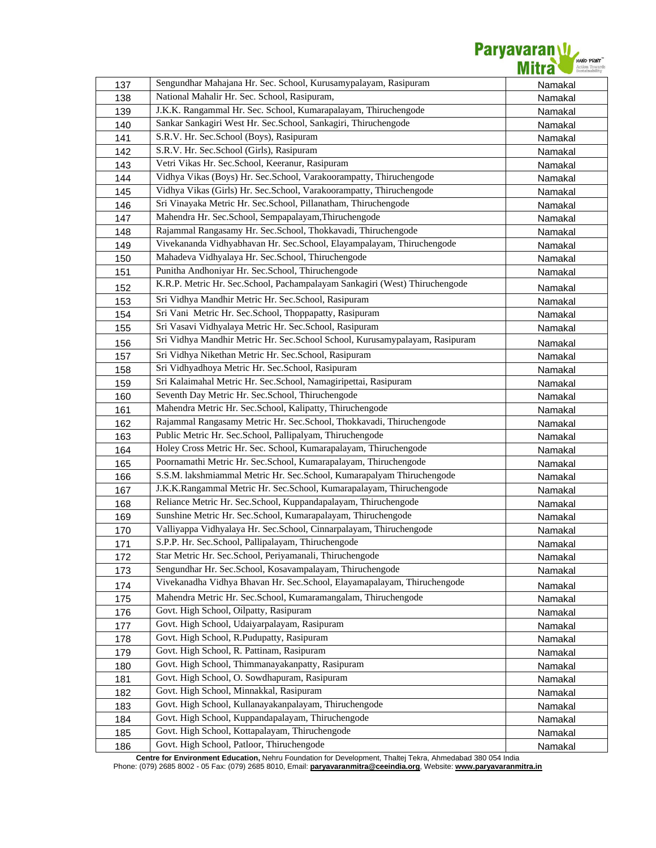

| 137 | Sengundhar Mahajana Hr. Sec. School, Kurusamypalayam, Rasipuram             | Namakal |
|-----|-----------------------------------------------------------------------------|---------|
| 138 | National Mahalir Hr. Sec. School, Rasipuram,                                | Namakal |
| 139 | J.K.K. Rangammal Hr. Sec. School, Kumarapalayam, Thiruchengode              | Namakal |
| 140 | Sankar Sankagiri West Hr. Sec.School, Sankagiri, Thiruchengode              | Namakal |
| 141 | S.R.V. Hr. Sec.School (Boys), Rasipuram                                     | Namakal |
| 142 | S.R.V. Hr. Sec.School (Girls), Rasipuram                                    | Namakal |
| 143 | Vetri Vikas Hr. Sec.School, Keeranur, Rasipuram                             | Namakal |
| 144 | Vidhya Vikas (Boys) Hr. Sec.School, Varakoorampatty, Thiruchengode          | Namakal |
| 145 | Vidhya Vikas (Girls) Hr. Sec.School, Varakoorampatty, Thiruchengode         | Namakal |
| 146 | Sri Vinayaka Metric Hr. Sec.School, Pillanatham, Thiruchengode              | Namakal |
| 147 | Mahendra Hr. Sec.School, Sempapalayam, Thiruchengode                        | Namakal |
| 148 | Rajammal Rangasamy Hr. Sec.School, Thokkavadi, Thiruchengode                | Namakal |
| 149 | Vivekananda Vidhyabhavan Hr. Sec.School, Elayampalayam, Thiruchengode       | Namakal |
| 150 | Mahadeva Vidhyalaya Hr. Sec.School, Thiruchengode                           | Namakal |
| 151 | Punitha Andhoniyar Hr. Sec.School, Thiruchengode                            | Namakal |
| 152 | K.R.P. Metric Hr. Sec.School, Pachampalayam Sankagiri (West) Thiruchengode  | Namakal |
| 153 | Sri Vidhya Mandhir Metric Hr. Sec.School, Rasipuram                         | Namakal |
| 154 | Sri Vani Metric Hr. Sec.School, Thoppapatty, Rasipuram                      | Namakal |
| 155 | Sri Vasavi Vidhyalaya Metric Hr. Sec.School, Rasipuram                      | Namakal |
| 156 | Sri Vidhya Mandhir Metric Hr. Sec.School School, Kurusamypalayam, Rasipuram | Namakal |
| 157 | Sri Vidhya Nikethan Metric Hr. Sec.School, Rasipuram                        | Namakal |
| 158 | Sri Vidhyadhoya Metric Hr. Sec.School, Rasipuram                            | Namakal |
| 159 | Sri Kalaimahal Metric Hr. Sec.School, Namagiripettai, Rasipuram             | Namakal |
| 160 | Seventh Day Metric Hr. Sec.School, Thiruchengode                            | Namakal |
| 161 | Mahendra Metric Hr. Sec.School, Kalipatty, Thiruchengode                    | Namakal |
| 162 | Rajammal Rangasamy Metric Hr. Sec.School, Thokkavadi, Thiruchengode         | Namakal |
| 163 | Public Metric Hr. Sec.School, Pallipalyam, Thiruchengode                    | Namakal |
| 164 | Holey Cross Metric Hr. Sec. School, Kumarapalayam, Thiruchengode            | Namakal |
| 165 | Poornamathi Metric Hr. Sec.School, Kumarapalayam, Thiruchengode             | Namakal |
| 166 | S.S.M. lakshmiammal Metric Hr. Sec.School, Kumarapalyam Thiruchengode       | Namakal |
| 167 | J.K.K.Rangammal Metric Hr. Sec.School, Kumarapalayam, Thiruchengode         | Namakal |
| 168 | Reliance Metric Hr. Sec.School, Kuppandapalayam, Thiruchengode              | Namakal |
| 169 | Sunshine Metric Hr. Sec.School, Kumarapalayam, Thiruchengode                | Namakal |
| 170 | Valliyappa Vidhyalaya Hr. Sec.School, Cinnarpalayam, Thiruchengode          | Namakal |
| 171 | S.P.P. Hr. Sec.School, Pallipalayam, Thiruchengode                          | Namakal |
| 172 | Star Metric Hr. Sec.School, Periyamanali, Thiruchengode                     | Namakal |
| 173 | Sengundhar Hr. Sec.School, Kosavampalayam, Thiruchengode                    | Namakal |
| 174 | Vivekanadha Vidhya Bhavan Hr. Sec.School, Elayamapalayam, Thiruchengode     | Namakal |
| 175 | Mahendra Metric Hr. Sec.School, Kumaramangalam, Thiruchengode               | Namakal |
| 176 | Govt. High School, Oilpatty, Rasipuram                                      | Namakal |
| 177 | Govt. High School, Udaiyarpalayam, Rasipuram                                | Namakal |
| 178 | Govt. High School, R.Pudupatty, Rasipuram                                   | Namakal |
| 179 | Govt. High School, R. Pattinam, Rasipuram                                   | Namakal |
| 180 | Govt. High School, Thimmanayakanpatty, Rasipuram                            | Namakal |
| 181 | Govt. High School, O. Sowdhapuram, Rasipuram                                | Namakal |
| 182 | Govt. High School, Minnakkal, Rasipuram                                     | Namakal |
| 183 | Govt. High School, Kullanayakanpalayam, Thiruchengode                       | Namakal |
| 184 | Govt. High School, Kuppandapalayam, Thiruchengode                           | Namakal |
| 185 | Govt. High School, Kottapalayam, Thiruchengode                              | Namakal |
| 186 | Govt. High School, Patloor, Thiruchengode                                   | Namakal |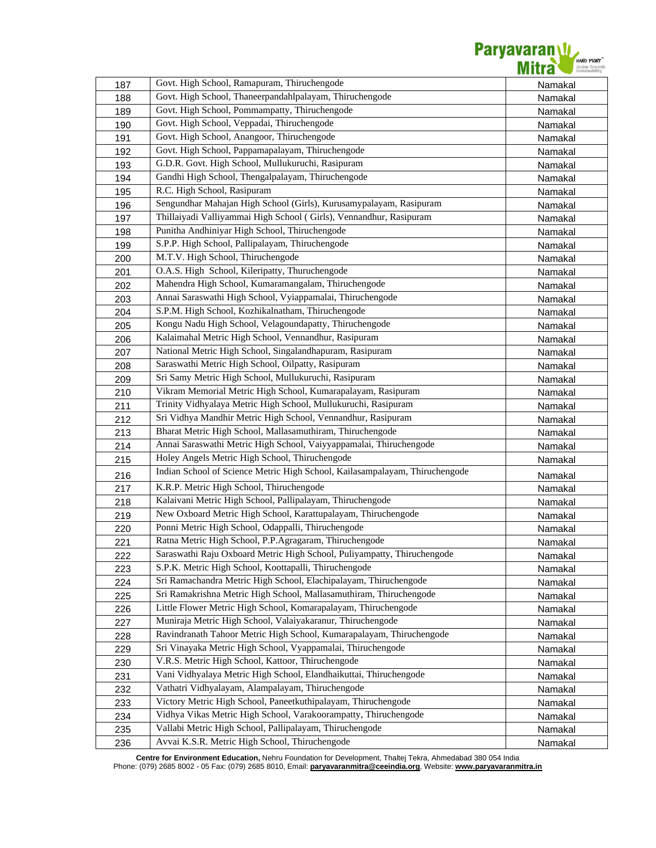

| 187 | Govt. High School, Ramapuram, Thiruchengode                                                                                         | Namakal |
|-----|-------------------------------------------------------------------------------------------------------------------------------------|---------|
| 188 | Govt. High School, Thaneerpandahlpalayam, Thiruchengode                                                                             | Namakal |
| 189 | Govt. High School, Pommampatty, Thiruchengode                                                                                       | Namakal |
| 190 | Govt. High School, Veppadai, Thiruchengode                                                                                          | Namakal |
| 191 | Govt. High School, Anangoor, Thiruchengode                                                                                          | Namakal |
| 192 | Govt. High School, Pappamapalayam, Thiruchengode                                                                                    | Namakal |
| 193 | G.D.R. Govt. High School, Mullukuruchi, Rasipuram                                                                                   | Namakal |
| 194 | Gandhi High School, Thengalpalayam, Thiruchengode                                                                                   | Namakal |
| 195 | R.C. High School, Rasipuram                                                                                                         | Namakal |
| 196 | Sengundhar Mahajan High School (Girls), Kurusamypalayam, Rasipuram                                                                  | Namakal |
| 197 | Thillaiyadi Valliyammai High School (Girls), Vennandhur, Rasipuram                                                                  | Namakal |
| 198 | Punitha Andhiniyar High School, Thiruchengode                                                                                       | Namakal |
| 199 | S.P.P. High School, Pallipalayam, Thiruchengode                                                                                     | Namakal |
| 200 | M.T.V. High School, Thiruchengode                                                                                                   | Namakal |
| 201 | O.A.S. High School, Kileripatty, Thuruchengode                                                                                      | Namakal |
| 202 | Mahendra High School, Kumaramangalam, Thiruchengode                                                                                 | Namakal |
| 203 | Annai Saraswathi High School, Vyiappamalai, Thiruchengode                                                                           | Namakal |
| 204 | S.P.M. High School, Kozhikalnatham, Thiruchengode                                                                                   | Namakal |
| 205 | Kongu Nadu High School, Velagoundapatty, Thiruchengode                                                                              | Namakal |
| 206 | Kalaimahal Metric High School, Vennandhur, Rasipuram                                                                                | Namakal |
| 207 | National Metric High School, Singalandhapuram, Rasipuram                                                                            | Namakal |
| 208 | Saraswathi Metric High School, Oilpatty, Rasipuram                                                                                  | Namakal |
| 209 | Sri Samy Metric High School, Mullukuruchi, Rasipuram                                                                                | Namakal |
| 210 | Vikram Memorial Metric High School, Kumarapalayam, Rasipuram                                                                        | Namakal |
| 211 | Trinity Vidhyalaya Metric High School, Mullukuruchi, Rasipuram                                                                      | Namakal |
| 212 | Sri Vidhya Mandhir Metric High School, Vennandhur, Rasipuram                                                                        | Namakal |
| 213 | Bharat Metric High School, Mallasamuthiram, Thiruchengode                                                                           | Namakal |
| 214 | Annai Saraswathi Metric High School, Vaiyyappamalai, Thiruchengode                                                                  | Namakal |
| 215 | Holey Angels Metric High School, Thiruchengode                                                                                      | Namakal |
|     | Indian School of Science Metric High School, Kailasampalayam, Thiruchengode                                                         |         |
| 216 | K.R.P. Metric High School, Thiruchengode                                                                                            | Namakal |
| 217 | Kalaivani Metric High School, Pallipalayam, Thiruchengode                                                                           | Namakal |
| 218 | New Oxboard Metric High School, Karattupalayam, Thiruchengode                                                                       | Namakal |
| 219 | Ponni Metric High School, Odappalli, Thiruchengode                                                                                  | Namakal |
| 220 | Ratna Metric High School, P.P.Agragaram, Thiruchengode                                                                              | Namakal |
| 221 | Saraswathi Raju Oxboard Metric High School, Puliyampatty, Thiruchengode                                                             | Namakal |
| 222 | S.P.K. Metric High School, Koottapalli, Thiruchengode                                                                               | Namakal |
| 223 | Sri Ramachandra Metric High School, Elachipalayam, Thiruchengode                                                                    | Namakal |
| 224 | Sri Ramakrishna Metric High School, Mallasamuthiram, Thiruchengode                                                                  | Namakal |
| 225 | Little Flower Metric High School, Komarapalayam, Thiruchengode                                                                      | Namakal |
| 226 |                                                                                                                                     | Namakal |
| 227 | Muniraja Metric High School, Valaiyakaranur, Thiruchengode                                                                          | Namakal |
| 228 | Ravindranath Tahoor Metric High School, Kumarapalayam, Thiruchengode<br>Sri Vinayaka Metric High School, Vyappamalai, Thiruchengode | Namakal |
| 229 | V.R.S. Metric High School, Kattoor, Thiruchengode                                                                                   | Namakal |
| 230 |                                                                                                                                     | Namakal |
| 231 | Vani Vidhyalaya Metric High School, Elandhaikuttai, Thiruchengode                                                                   | Namakal |
| 232 | Vathatri Vidhyalayam, Alampalayam, Thiruchengode                                                                                    | Namakal |
| 233 | Victory Metric High School, Paneetkuthipalayam, Thiruchengode                                                                       | Namakal |
| 234 | Vidhya Vikas Metric High School, Varakoorampatty, Thiruchengode                                                                     | Namakal |
| 235 | Vallabi Metric High School, Pallipalayam, Thiruchengode                                                                             | Namakal |
| 236 | Avvai K.S.R. Metric High School, Thiruchengode                                                                                      | Namakal |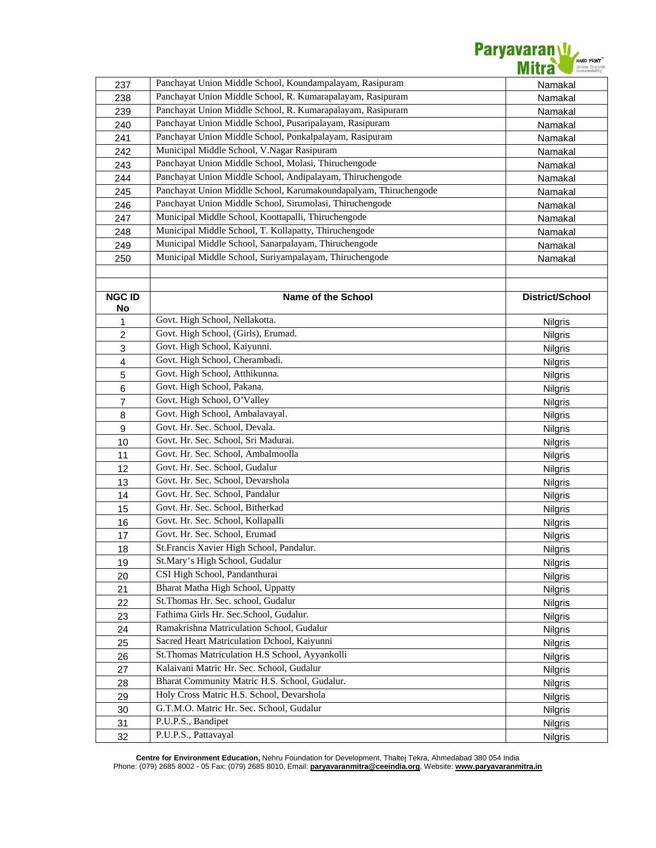

| 237                       | Panchayat Union Middle School, Koundampalayam, Rasipuram         | Namakal         |
|---------------------------|------------------------------------------------------------------|-----------------|
| 238                       | Panchayat Union Middle School, R. Kumarapalayam, Rasipuram       | Namakal         |
| 239                       | Panchayat Union Middle School, R. Kumarapalayam, Rasipuram       | Namakal         |
| 240                       | Panchayat Union Middle School, Pusaripalayam, Rasipuram          | Namakal         |
| 241                       | Panchayat Union Middle School, Ponkalpalayam, Rasipuram          | Namakal         |
| 242                       | Municipal Middle School, V.Nagar Rasipuram                       | Namakal         |
| 243                       | Panchayat Union Middle School, Molasi, Thiruchengode             | Namakal         |
| 244                       | Panchayat Union Middle School, Andipalayam, Thiruchengode        | Namakal         |
| 245                       | Panchayat Union Middle School, Karumakoundapalyam, Thiruchengode | Namakal         |
| 246                       | Panchayat Union Middle School, Sirumolasi, Thiruchengode         | Namakal         |
| 247                       | Municipal Middle School, Koottapalli, Thiruchengode              | Namakal         |
| 248                       | Municipal Middle School, T. Kollapatty, Thiruchengode            | Namakal         |
| 249                       | Municipal Middle School, Sanarpalayam, Thiruchengode             | Namakal         |
| 250                       | Municipal Middle School, Suriyampalayam, Thiruchengode           | Namakal         |
|                           |                                                                  |                 |
|                           |                                                                  |                 |
| <b>NGC ID</b>             | Name of the School                                               | District/School |
| No                        |                                                                  |                 |
| 1                         | Govt. High School, Nellakotta.                                   | Nilgris         |
| $\overline{c}$            | Govt. High School, (Girls), Erumad.                              | <b>Nilgris</b>  |
| $\ensuremath{\mathsf{3}}$ | Govt. High School, Kaiyunni.                                     | <b>Nilgris</b>  |
| $\overline{4}$            | Govt. High School, Cherambadi.                                   | Nilgris         |
| 5                         | Govt. High School, Atthikunna.                                   | <b>Nilgris</b>  |
| 6                         | Govt. High School, Pakana.                                       | <b>Nilgris</b>  |
| $\overline{7}$            | Govt. High School, O'Valley                                      | Nilgris         |
| 8                         | Govt. High School, Ambalavayal.                                  | <b>Nilgris</b>  |
| $\boldsymbol{9}$          | Govt. Hr. Sec. School, Devala.                                   | <b>Nilgris</b>  |
| 10                        | Govt. Hr. Sec. School, Sri Madurai.                              | <b>Nilgris</b>  |
| 11                        | Govt. Hr. Sec. School, Ambalmoolla                               | Nilgris         |
| 12                        | Govt. Hr. Sec. School, Gudalur                                   | Nilgris         |
| 13                        | Govt. Hr. Sec. School, Devarshola                                | <b>Nilgris</b>  |
| 14                        | Govt. Hr. Sec. School, Pandalur                                  | <b>Nilgris</b>  |
| 15                        | Govt. Hr. Sec. School, Bitherkad                                 | <b>Nilgris</b>  |
| 16                        | Govt. Hr. Sec. School, Kollapalli                                | Nilgris         |
| 17                        | Govt. Hr. Sec. School, Erumad                                    | <b>Nilgris</b>  |
| 18                        | St. Francis Xavier High School, Pandalur.                        | Nilgris         |
| 19                        | St.Mary's High School, Gudalur                                   | <b>Nilgris</b>  |
| 20                        | CSI High School, Pandanthurai                                    | <b>Nilgris</b>  |
| 21                        | Bharat Matha High School, Uppatty                                | <b>Nilgris</b>  |
| 22                        | St.Thomas Hr. Sec. school, Gudalur                               | <b>Nilgris</b>  |
| 23                        | Fathima Girls Hr. Sec.School, Gudalur.                           | <b>Nilgris</b>  |
| 24                        | Ramakrishna Matriculation School, Gudalur                        | <b>Nilgris</b>  |
| 25                        | Sacred Heart Matriculation Dchool, Kaiyunni                      | <b>Nilgris</b>  |
| 26                        | St. Thomas Matriculation H.S School, Ayyankolli                  | <b>Nilgris</b>  |
| 27                        | Kalaivani Matric Hr. Sec. School, Gudalur                        | <b>Nilgris</b>  |
| 28                        | Bharat Community Matric H.S. School, Gudalur.                    | Nilgris         |
| 29                        | Holy Cross Matric H.S. School, Devarshola                        | <b>Nilgris</b>  |
| 30                        | G.T.M.O. Matric Hr. Sec. School, Gudalur                         | <b>Nilgris</b>  |
| 31                        | P.U.P.S., Bandipet                                               | <b>Nilgris</b>  |
| 32                        | P.U.P.S., Pattavayal                                             | <b>Nilgris</b>  |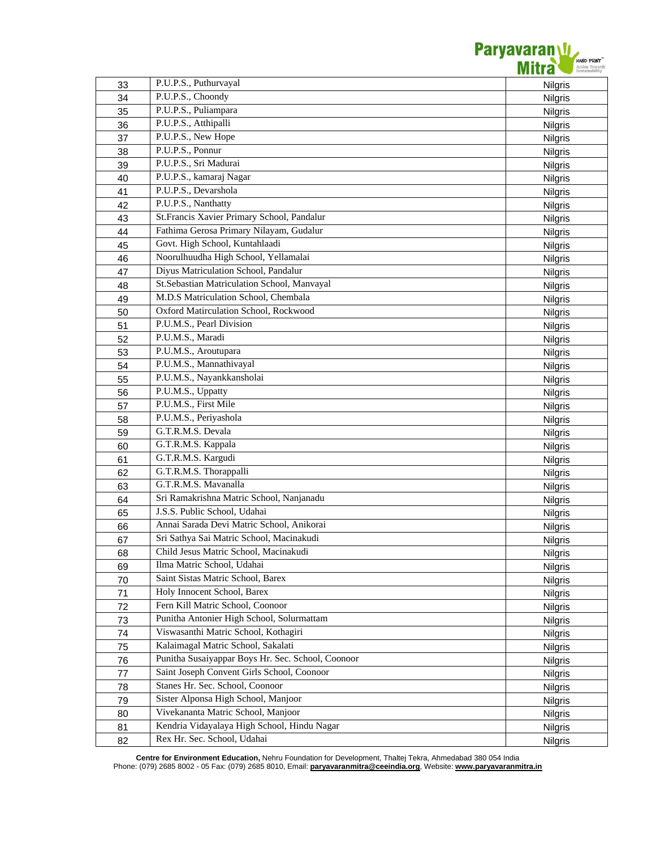

| 33 | P.U.P.S., Puthurvayal                             | <b>Nilgris</b>     |
|----|---------------------------------------------------|--------------------|
| 34 | P.U.P.S., Choondy                                 | Nilgris            |
| 35 | P.U.P.S., Puliampara                              | Nilgris            |
| 36 | P.U.P.S., Atthipalli                              | Nilgris            |
| 37 | P.U.P.S., New Hope                                | <b>Nilgris</b>     |
| 38 | P.U.P.S., Ponnur                                  | <b>Nilgris</b>     |
| 39 | P.U.P.S., Sri Madurai                             | <b>Nilgris</b>     |
| 40 | P.U.P.S., kamaraj Nagar                           | <b>Nilgris</b>     |
| 41 | P.U.P.S., Devarshola                              | Nilgris            |
| 42 | P.U.P.S., Nanthatty                               | <b>Nilgris</b>     |
| 43 | St.Francis Xavier Primary School, Pandalur        | Nilgris            |
| 44 | Fathima Gerosa Primary Nilayam, Gudalur           | <b>Nilgris</b>     |
| 45 | Govt. High School, Kuntahlaadi                    | <b>Nilgris</b>     |
| 46 | Noorulhuudha High School, Yellamalai              | <b>Nilgris</b>     |
| 47 | Diyus Matriculation School, Pandalur              | Nilgris            |
| 48 | St.Sebastian Matriculation School, Manvayal       | Nilgris            |
| 49 | M.D.S Matriculation School, Chembala              | <b>Nilgris</b>     |
| 50 | Oxford Matirculation School, Rockwood             | <b>Nilgris</b>     |
| 51 | P.U.M.S., Pearl Division                          | <b>Nilgris</b>     |
| 52 | P.U.M.S., Maradi                                  | <b>Nilgris</b>     |
| 53 | P.U.M.S., Aroutupara                              | Nilgris            |
| 54 | P.U.M.S., Mannathivayal                           | Nilgris            |
| 55 | P.U.M.S., Nayankkansholai                         | <b>Nilgris</b>     |
| 56 | P.U.M.S., Uppatty                                 | Nilgris            |
| 57 | P.U.M.S., First Mile                              | Nilgris            |
| 58 | P.U.M.S., Periyashola                             | Nilgris            |
| 59 | G.T.R.M.S. Devala                                 | Nilgris            |
| 60 | G.T.R.M.S. Kappala                                | <b>Nilgris</b>     |
| 61 | G.T.R.M.S. Kargudi                                | Nilgris            |
| 62 | G.T.R.M.S. Thorappalli                            | Nilgris            |
| 63 | G.T.R.M.S. Mavanalla                              | <b>Nilgris</b>     |
| 64 | Sri Ramakrishna Matric School, Nanjanadu          | Nilgris            |
| 65 | J.S.S. Public School, Udahai                      |                    |
| 66 | Annai Sarada Devi Matric School, Anikorai         | Nilgris            |
| 67 | Sri Sathya Sai Matric School, Macinakudi          | Nilgris<br>Nilgris |
| 68 | Child Jesus Matric School, Macinakudi             |                    |
| 69 | Ilma Matric School, Udahai                        | Nilgris            |
| 70 | Saint Sistas Matric School, Barex                 | <b>Nilgris</b>     |
|    | Holy Innocent School, Barex                       | <b>Nilgris</b>     |
| 71 | Fern Kill Matric School, Coonoor                  | <b>Nilgris</b>     |
| 72 | Punitha Antonier High School, Solurmattam         | <b>Nilgris</b>     |
| 73 | Viswasanthi Matric School, Kothagiri              | <b>Nilgris</b>     |
| 74 | Kalaimagal Matric School, Sakalati                | <b>Nilgris</b>     |
| 75 | Punitha Susaiyappar Boys Hr. Sec. School, Coonoor | <b>Nilgris</b>     |
| 76 | Saint Joseph Convent Girls School, Coonoor        | <b>Nilgris</b>     |
| 77 | Stanes Hr. Sec. School, Coonoor                   | <b>Nilgris</b>     |
| 78 | Sister Alponsa High School, Manjoor               | <b>Nilgris</b>     |
| 79 |                                                   | <b>Nilgris</b>     |
| 80 | Vivekananta Matric School, Manjoor                | <b>Nilgris</b>     |
| 81 | Kendria Vidayalaya High School, Hindu Nagar       | <b>Nilgris</b>     |
| 82 | Rex Hr. Sec. School, Udahai                       | Nilgris            |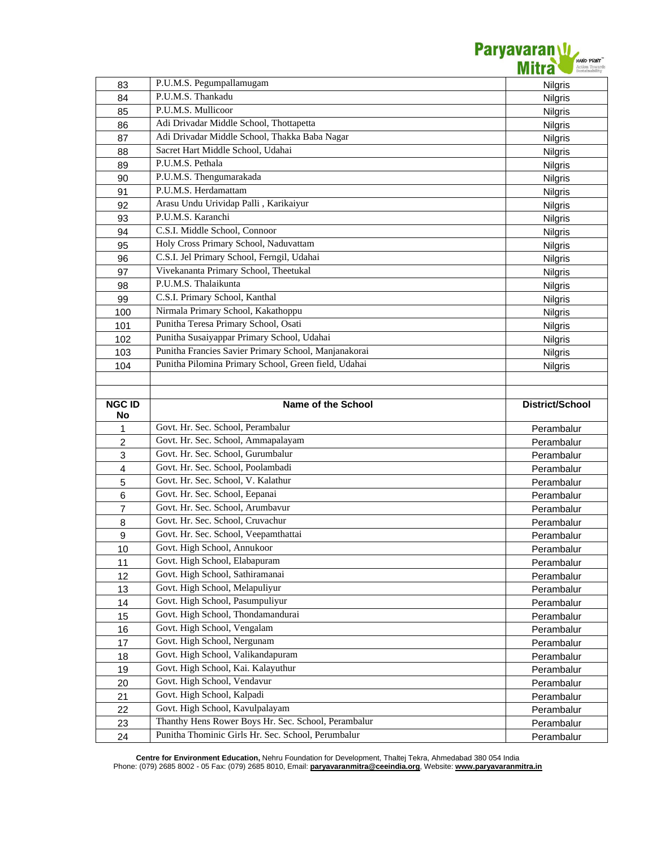

| 83             | P.U.M.S. Pegumpallamugam                                                                                  | Nilgris                |
|----------------|-----------------------------------------------------------------------------------------------------------|------------------------|
| 84             | P.U.M.S. Thankadu                                                                                         | Nilgris                |
| 85             | P.U.M.S. Mullicoor                                                                                        | Nilgris                |
| 86             | Adi Drivadar Middle School, Thottapetta                                                                   | Nilgris                |
| 87             | Adi Drivadar Middle School, Thakka Baba Nagar                                                             | Nilgris                |
| 88             | Sacret Hart Middle School, Udahai                                                                         | <b>Nilgris</b>         |
| 89             | P.U.M.S. Pethala                                                                                          | <b>Nilgris</b>         |
| 90             | P.U.M.S. Thengumarakada                                                                                   | <b>Nilgris</b>         |
| 91             | P.U.M.S. Herdamattam                                                                                      | <b>Nilgris</b>         |
| 92             | Arasu Undu Urividap Palli, Karikaiyur                                                                     | <b>Nilgris</b>         |
| 93             | P.U.M.S. Karanchi                                                                                         | Nilgris                |
| 94             | C.S.I. Middle School, Connoor                                                                             | <b>Nilgris</b>         |
| 95             | Holy Cross Primary School, Naduvattam                                                                     | Nilgris                |
| 96             | C.S.I. Jel Primary School, Ferngil, Udahai                                                                | Nilgris                |
| 97             | Vivekananta Primary School, Theetukal                                                                     | Nilgris                |
| 98             | P.U.M.S. Thalaikunta                                                                                      | Nilgris                |
| 99             | C.S.I. Primary School, Kanthal                                                                            | Nilgris                |
| 100            | Nirmala Primary School, Kakathoppu                                                                        | <b>Nilgris</b>         |
| 101            | Punitha Teresa Primary School, Osati                                                                      | <b>Nilgris</b>         |
| 102            | Punitha Susaiyappar Primary School, Udahai                                                                | <b>Nilgris</b>         |
| 103            | Punitha Francies Savier Primary School, Manjanakorai                                                      | <b>Nilgris</b>         |
| 104            | Punitha Pilomina Primary School, Green field, Udahai                                                      | Nilgris                |
|                |                                                                                                           |                        |
|                |                                                                                                           |                        |
| <b>NGC ID</b>  | Name of the School                                                                                        | <b>District/School</b> |
|                |                                                                                                           |                        |
| No             |                                                                                                           |                        |
| $\mathbf{1}$   | Govt. Hr. Sec. School, Perambalur                                                                         | Perambalur             |
| $\overline{c}$ | Govt. Hr. Sec. School, Ammapalayam                                                                        | Perambalur             |
| $\mathsf 3$    | Govt. Hr. Sec. School, Gurumbalur                                                                         | Perambalur             |
| $\overline{4}$ | Govt. Hr. Sec. School, Poolambadi                                                                         | Perambalur             |
| 5              | Govt. Hr. Sec. School, V. Kalathur                                                                        | Perambalur             |
| 6              | Govt. Hr. Sec. School, Eepanai                                                                            | Perambalur             |
| $\overline{7}$ | Govt. Hr. Sec. School, Arumbavur                                                                          | Perambalur             |
| 8              | Govt. Hr. Sec. School, Cruvachur                                                                          | Perambalur             |
| 9              | Govt. Hr. Sec. School, Veepamthattai                                                                      | Perambalur             |
| 10             | Govt. High School, Annukoor                                                                               | Perambalur             |
| 11             | Govt. High School, Elabapuram                                                                             | Perambalur             |
| 12             | Govt. High School, Sathiramanai                                                                           | Perambalur             |
| 13             | Govt. High School, Melapuliyur                                                                            | Perambalur             |
| 14             | Govt. High School, Pasumpuliyur                                                                           | Perambalur             |
| 15             | Govt. High School, Thondamandurai                                                                         | Perambalur             |
| 16             | Govt. High School, Vengalam                                                                               | Perambalur             |
| 17             | Govt. High School, Nergunam                                                                               | Perambalur             |
| 18             | Govt. High School, Valikandapuram                                                                         | Perambalur             |
| 19             | Govt. High School, Kai. Kalayuthur                                                                        | Perambalur             |
| 20             | Govt. High School, Vendavur                                                                               | Perambalur             |
| 21             | Govt. High School, Kalpadi                                                                                | Perambalur             |
| 22             | Govt. High School, Kavulpalayam                                                                           | Perambalur             |
| 23             | Thanthy Hens Rower Boys Hr. Sec. School, Perambalur<br>Punitha Thominic Girls Hr. Sec. School, Perumbalur | Perambalur             |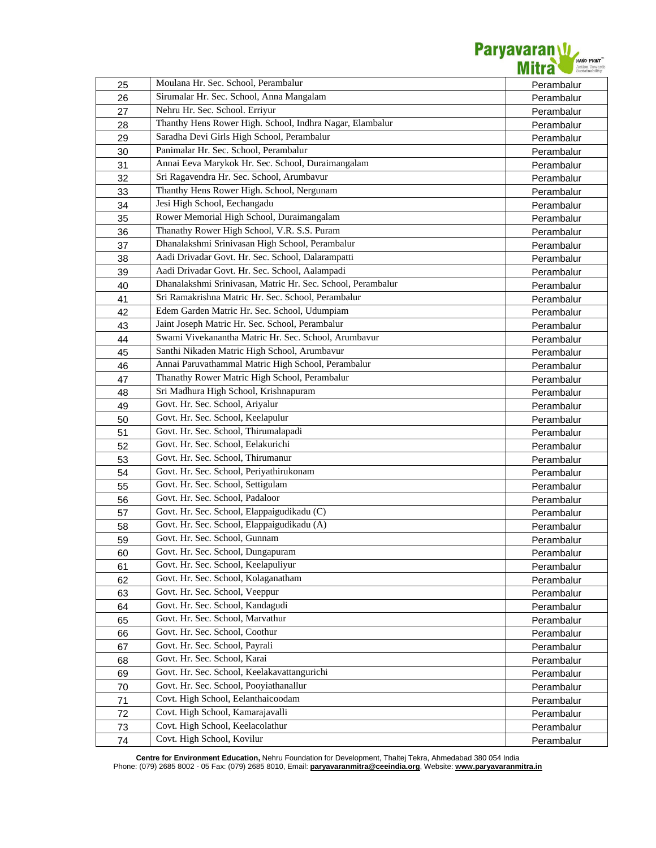

| 25 | Moulana Hr. Sec. School, Perambalur                         | Perambalur |
|----|-------------------------------------------------------------|------------|
| 26 | Sirumalar Hr. Sec. School, Anna Mangalam                    | Perambalur |
| 27 | Nehru Hr. Sec. School. Erriyur                              | Perambalur |
| 28 | Thanthy Hens Rower High. School, Indhra Nagar, Elambalur    | Perambalur |
| 29 | Saradha Devi Girls High School, Perambalur                  | Perambalur |
| 30 | Panimalar Hr. Sec. School, Perambalur                       | Perambalur |
| 31 | Annai Eeva Marykok Hr. Sec. School, Duraimangalam           | Perambalur |
| 32 | Sri Ragavendra Hr. Sec. School, Arumbavur                   | Perambalur |
| 33 | Thanthy Hens Rower High. School, Nergunam                   | Perambalur |
| 34 | Jesi High School, Eechangadu                                | Perambalur |
| 35 | Rower Memorial High School, Duraimangalam                   | Perambalur |
| 36 | Thanathy Rower High School, V.R. S.S. Puram                 | Perambalur |
| 37 | Dhanalakshmi Srinivasan High School, Perambalur             | Perambalur |
| 38 | Aadi Drivadar Govt. Hr. Sec. School, Dalarampatti           | Perambalur |
| 39 | Aadi Drivadar Govt. Hr. Sec. School, Aalampadi              | Perambalur |
| 40 | Dhanalakshmi Srinivasan, Matric Hr. Sec. School, Perambalur | Perambalur |
| 41 | Sri Ramakrishna Matric Hr. Sec. School, Perambalur          | Perambalur |
| 42 | Edem Garden Matric Hr. Sec. School, Udumpiam                | Perambalur |
| 43 | Jaint Joseph Matric Hr. Sec. School, Perambalur             | Perambalur |
| 44 | Swami Vivekanantha Matric Hr. Sec. School, Arumbavur        | Perambalur |
| 45 | Santhi Nikaden Matric High School, Arumbavur                | Perambalur |
| 46 | Annai Paruvathammal Matric High School, Perambalur          | Perambalur |
| 47 | Thanathy Rower Matric High School, Perambalur               | Perambalur |
| 48 | Sri Madhura High School, Krishnapuram                       | Perambalur |
| 49 | Govt. Hr. Sec. School, Ariyalur                             | Perambalur |
| 50 | Govt. Hr. Sec. School, Keelapulur                           | Perambalur |
| 51 | Govt. Hr. Sec. School, Thirumalapadi                        | Perambalur |
| 52 | Govt. Hr. Sec. School, Eelakurichi                          | Perambalur |
| 53 | Govt. Hr. Sec. School, Thirumanur                           | Perambalur |
| 54 | Govt. Hr. Sec. School, Periyathirukonam                     | Perambalur |
| 55 | Govt. Hr. Sec. School, Settigulam                           | Perambalur |
| 56 | Govt. Hr. Sec. School, Padaloor                             | Perambalur |
| 57 | Govt. Hr. Sec. School, Elappaigudikadu (C)                  | Perambalur |
| 58 | Govt. Hr. Sec. School, Elappaigudikadu (A)                  | Perambalur |
| 59 | Govt. Hr. Sec. School, Gunnam                               | Perambalur |
| 60 | Govt. Hr. Sec. School, Dungapuram                           | Perambalur |
| 61 | Govt. Hr. Sec. School, Keelapuliyur                         | Perambalur |
| 62 | Govt. Hr. Sec. School, Kolaganatham                         | Perambalur |
| 63 | Govt. Hr. Sec. School, Veeppur                              | Perambalur |
| 64 | Govt. Hr. Sec. School, Kandagudi                            | Perambalur |
| 65 | Govt. Hr. Sec. School, Marvathur                            | Perambalur |
| 66 | Govt. Hr. Sec. School, Coothur                              | Perambalur |
| 67 | Govt. Hr. Sec. School, Payrali                              | Perambalur |
| 68 | Govt. Hr. Sec. School, Karai                                | Perambalur |
| 69 | Govt. Hr. Sec. School, Keelakavattangurichi                 | Perambalur |
| 70 | Govt. Hr. Sec. School, Pooyiathanallur                      | Perambalur |
| 71 | Covt. High School, Eelanthaicoodam                          | Perambalur |
| 72 | Covt. High School, Kamarajavalli                            | Perambalur |
| 73 | Covt. High School, Keelacolathur                            | Perambalur |
| 74 | Covt. High School, Kovilur                                  | Perambalur |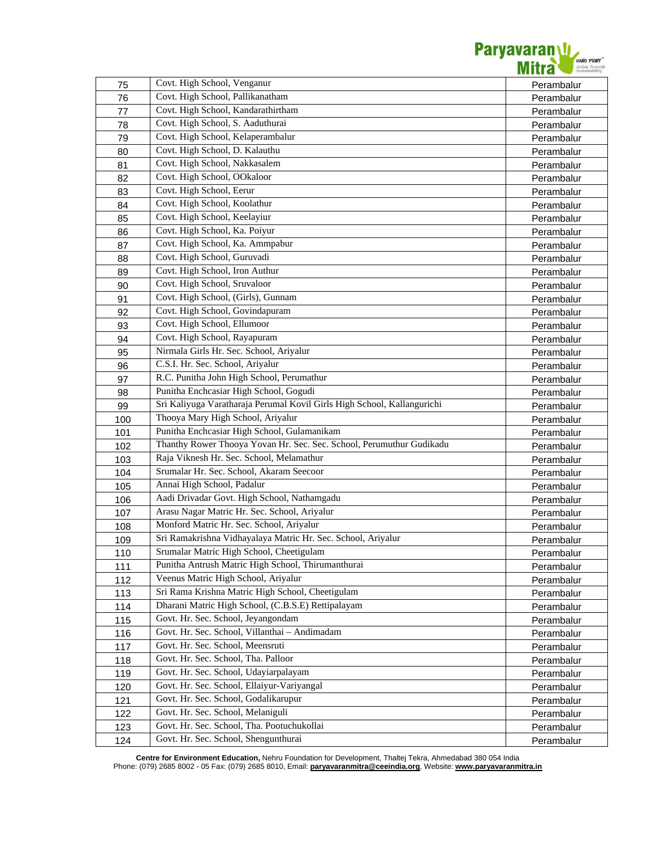

| 75  | Covt. High School, Venganur                                             | Perambalur |
|-----|-------------------------------------------------------------------------|------------|
| 76  | Covt. High School, Pallikanatham                                        | Perambalur |
| 77  | Covt. High School, Kandarathirtham                                      | Perambalur |
| 78  | Covt. High School, S. Aaduthurai                                        | Perambalur |
| 79  | Covt. High School, Kelaperambalur                                       | Perambalur |
| 80  | Covt. High School, D. Kalauthu                                          | Perambalur |
| 81  | Covt. High School, Nakkasalem                                           |            |
| 82  | Covt. High School, OOkaloor                                             | Perambalur |
|     | Covt. High School, Eerur                                                | Perambalur |
| 83  | Covt. High School, Koolathur                                            | Perambalur |
| 84  | Covt. High School, Keelayiur                                            | Perambalur |
| 85  | Covt. High School, Ka. Poiyur                                           | Perambalur |
| 86  | Covt. High School, Ka. Ammpabur                                         | Perambalur |
| 87  | Covt. High School, Guruvadi                                             | Perambalur |
| 88  | Covt. High School, Iron Authur                                          | Perambalur |
| 89  | Covt. High School, Sruvaloor                                            | Perambalur |
| 90  | Covt. High School, (Girls), Gunnam                                      | Perambalur |
| 91  |                                                                         | Perambalur |
| 92  | Covt. High School, Govindapuram                                         | Perambalur |
| 93  | Covt. High School, Ellumoor                                             | Perambalur |
| 94  | Covt. High School, Rayapuram                                            | Perambalur |
| 95  | Nirmala Girls Hr. Sec. School, Ariyalur                                 | Perambalur |
| 96  | C.S.I. Hr. Sec. School, Ariyalur                                        | Perambalur |
| 97  | R.C. Punitha John High School, Perumathur                               | Perambalur |
| 98  | Punitha Enchcasiar High School, Gogudi                                  | Perambalur |
| 99  | Sri Kaliyuga Varatharaja Perumal Kovil Girls High School, Kallangurichi | Perambalur |
| 100 | Thooya Mary High School, Ariyalur                                       | Perambalur |
| 101 | Punitha Enchcasiar High School, Gulamanikam                             | Perambalur |
| 102 | Thanthy Rower Thooya Yovan Hr. Sec. Sec. School, Perumuthur Gudikadu    | Perambalur |
| 103 | Raja Viknesh Hr. Sec. School, Melamathur                                | Perambalur |
| 104 | Srumalar Hr. Sec. School, Akaram Seecoor                                | Perambalur |
| 105 | Annai High School, Padalur                                              | Perambalur |
| 106 | Aadi Drivadar Govt. High School, Nathamgadu                             | Perambalur |
| 107 | Arasu Nagar Matric Hr. Sec. School, Ariyalur                            | Perambalur |
| 108 | Monford Matric Hr. Sec. School, Ariyalur                                | Perambalur |
| 109 | Sri Ramakrishna Vidhayalaya Matric Hr. Sec. School, Ariyalur            | Perambalur |
| 110 | Srumalar Matric High School, Cheetigulam                                | Perambalur |
| 111 | Punitha Antrush Matric High School, Thirumanthurai                      | Perambalur |
| 112 | Veenus Matric High School, Ariyalur                                     | Perambalur |
| 113 | Sri Rama Krishna Matric High School, Cheetigulam                        | Perambalur |
| 114 | Dharani Matric High School, (C.B.S.E) Rettipalayam                      | Perambalur |
| 115 | Govt. Hr. Sec. School, Jeyangondam                                      | Perambalur |
| 116 | Govt. Hr. Sec. School, Villanthai - Andimadam                           | Perambalur |
| 117 | Govt. Hr. Sec. School, Meensruti                                        | Perambalur |
| 118 | Govt. Hr. Sec. School, Tha. Palloor                                     | Perambalur |
| 119 | Govt. Hr. Sec. School, Udayiarpalayam                                   | Perambalur |
| 120 | Govt. Hr. Sec. School, Ellaiyur-Variyangal                              | Perambalur |
| 121 | Govt. Hr. Sec. School, Godalikarupur                                    | Perambalur |
| 122 | Govt. Hr. Sec. School, Melaniguli                                       | Perambalur |
| 123 | Govt. Hr. Sec. School, Tha. Pootuchukollai                              | Perambalur |
| 124 | Govt. Hr. Sec. School, Shengunthurai                                    | Perambalur |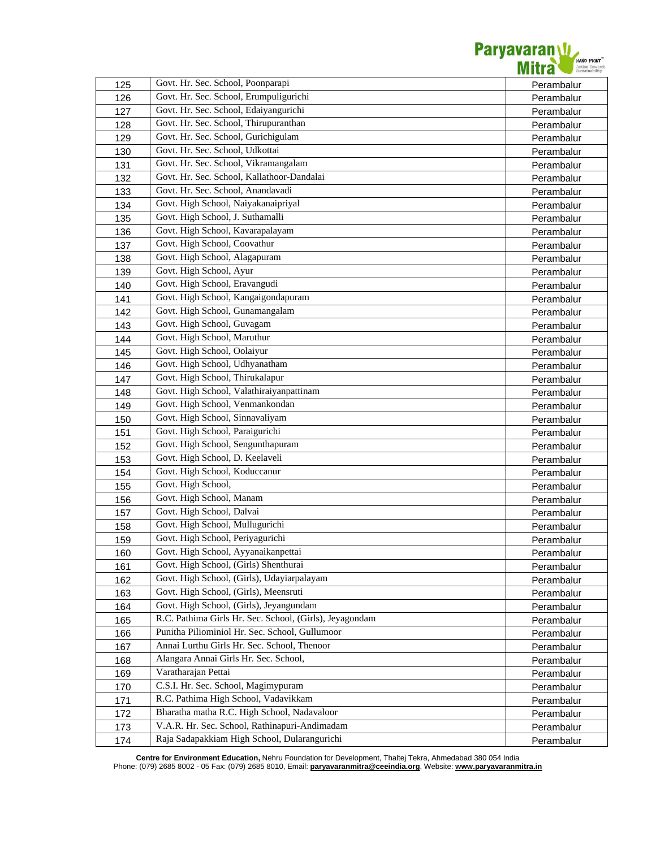

| 125 | Govt. Hr. Sec. School, Poonparapi                       | Perambalur |
|-----|---------------------------------------------------------|------------|
| 126 | Govt. Hr. Sec. School, Erumpuligurichi                  | Perambalur |
| 127 | Govt. Hr. Sec. School, Edaiyangurichi                   | Perambalur |
| 128 | Govt. Hr. Sec. School, Thirupuranthan                   | Perambalur |
| 129 | Govt. Hr. Sec. School, Gurichigulam                     | Perambalur |
| 130 | Govt. Hr. Sec. School, Udkottai                         | Perambalur |
| 131 | Govt. Hr. Sec. School, Vikramangalam                    | Perambalur |
| 132 | Govt. Hr. Sec. School, Kallathoor-Dandalai              | Perambalur |
| 133 | Govt. Hr. Sec. School, Anandavadi                       | Perambalur |
| 134 | Govt. High School, Naiyakanaipriyal                     | Perambalur |
| 135 | Govt. High School, J. Suthamalli                        | Perambalur |
| 136 | Govt. High School, Kavarapalayam                        | Perambalur |
| 137 | Govt. High School, Coovathur                            | Perambalur |
| 138 | Govt. High School, Alagapuram                           | Perambalur |
| 139 | Govt. High School, Ayur                                 | Perambalur |
| 140 | Govt. High School, Eravangudi                           | Perambalur |
| 141 | Govt. High School, Kangaigondapuram                     | Perambalur |
| 142 | Govt. High School, Gunamangalam                         | Perambalur |
| 143 | Govt. High School, Guvagam                              | Perambalur |
| 144 | Govt. High School, Maruthur                             | Perambalur |
| 145 | Govt. High School, Oolaiyur                             | Perambalur |
| 146 | Govt. High School, Udhyanatham                          | Perambalur |
| 147 | Govt. High School, Thirukalapur                         | Perambalur |
| 148 | Govt. High School, Valathiraiyanpattinam                | Perambalur |
| 149 | Govt. High School, Venmankondan                         | Perambalur |
| 150 | Govt. High School, Sinnavaliyam                         | Perambalur |
| 151 | Govt. High School, Paraigurichi                         | Perambalur |
| 152 | Govt. High School, Sengunthapuram                       | Perambalur |
| 153 | Govt. High School, D. Keelaveli                         | Perambalur |
| 154 | Govt. High School, Koduccanur                           | Perambalur |
| 155 | Govt. High School,                                      | Perambalur |
| 156 | Govt. High School, Manam                                | Perambalur |
| 157 | Govt. High School, Dalvai                               | Perambalur |
| 158 | Govt. High School, Mullugurichi                         | Perambalur |
| 159 | Govt. High School, Periyagurichi                        | Perambalur |
| 160 | Govt. High School, Ayyanaikanpettai                     | Perambalur |
| 161 | Govt. High School, (Girls) Shenthurai                   | Perambalur |
| 162 | Govt. High School, (Girls), Udayiarpalayam              | Perambalur |
| 163 | Govt. High School, (Girls), Meensruti                   | Perambalur |
| 164 | Govt. High School, (Girls), Jeyangundam                 | Perambalur |
| 165 | R.C. Pathima Girls Hr. Sec. School, (Girls), Jeyagondam | Perambalur |
| 166 | Punitha Piliominiol Hr. Sec. School, Gullumoor          | Perambalur |
| 167 | Annai Lurthu Girls Hr. Sec. School, Thenoor             | Perambalur |
| 168 | Alangara Annai Girls Hr. Sec. School,                   | Perambalur |
| 169 | Varatharajan Pettai                                     | Perambalur |
| 170 | C.S.I. Hr. Sec. School, Magimypuram                     | Perambalur |
| 171 | R.C. Pathima High School, Vadavikkam                    | Perambalur |
| 172 | Bharatha matha R.C. High School, Nadavaloor             | Perambalur |
| 173 | V.A.R. Hr. Sec. School, Rathinapuri-Andimadam           | Perambalur |
| 174 | Raja Sadapakkiam High School, Dularangurichi            | Perambalur |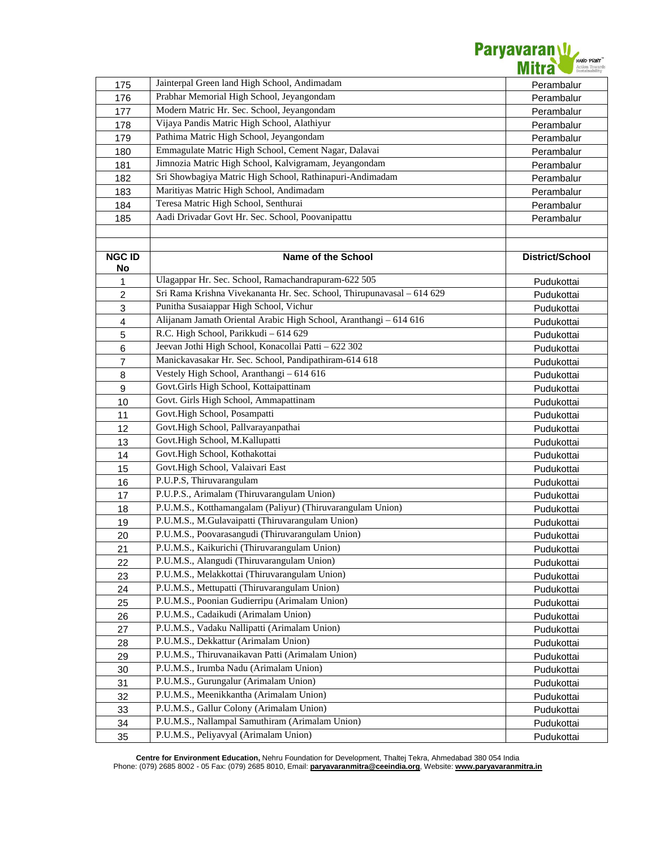

| 175                       | Jainterpal Green land High School, Andimadam                           | Perambalur      |
|---------------------------|------------------------------------------------------------------------|-----------------|
| 176                       | Prabhar Memorial High School, Jeyangondam                              | Perambalur      |
| 177                       | Modern Matric Hr. Sec. School, Jeyangondam                             | Perambalur      |
| 178                       | Vijaya Pandis Matric High School, Alathiyur                            | Perambalur      |
| 179                       | Pathima Matric High School, Jeyangondam                                | Perambalur      |
| 180                       | Emmagulate Matric High School, Cement Nagar, Dalavai                   | Perambalur      |
| 181                       | Jimnozia Matric High School, Kalvigramam, Jeyangondam                  | Perambalur      |
| 182                       | Sri Showbagiya Matric High School, Rathinapuri-Andimadam               | Perambalur      |
| 183                       | Maritiyas Matric High School, Andimadam                                | Perambalur      |
| 184                       | Teresa Matric High School, Senthurai                                   | Perambalur      |
| 185                       | Aadi Drivadar Govt Hr. Sec. School, Poovanipattu                       | Perambalur      |
|                           |                                                                        |                 |
|                           |                                                                        |                 |
| <b>NGC ID</b>             | <b>Name of the School</b>                                              | District/School |
| No                        |                                                                        |                 |
| 1                         | Ulagappar Hr. Sec. School, Ramachandrapuram-622 505                    | Pudukottai      |
| $\overline{c}$            | Sri Rama Krishna Vivekananta Hr. Sec. School, Thirupunavasal - 614 629 | Pudukottai      |
| $\ensuremath{\mathsf{3}}$ | Punitha Susaiappar High School, Vichur                                 | Pudukottai      |
| $\overline{\mathbf{4}}$   | Alijanam Jamath Oriental Arabic High School, Aranthangi - 614 616      | Pudukottai      |
| $\sqrt{5}$                | R.C. High School, Parikkudi - 614 629                                  | Pudukottai      |
| 6                         | Jeevan Jothi High School, Konacollai Patti - 622 302                   | Pudukottai      |
| $\overline{7}$            | Manickavasakar Hr. Sec. School, Pandipathiram-614 618                  | Pudukottai      |
| 8                         | Vestely High School, Aranthangi - 614 616                              | Pudukottai      |
| 9                         | Govt.Girls High School, Kottaipattinam                                 | Pudukottai      |
| 10                        | Govt. Girls High School, Ammapattinam                                  | Pudukottai      |
| 11                        | Govt.High School, Posampatti                                           | Pudukottai      |
| 12                        | Govt.High School, Pallvarayanpathai                                    | Pudukottai      |
| 13                        | Govt.High School, M.Kallupatti                                         | Pudukottai      |
| 14                        | Govt.High School, Kothakottai                                          | Pudukottai      |
| 15                        | Govt.High School, Valaivari East                                       | Pudukottai      |
| 16                        | P.U.P.S, Thiruvarangulam                                               | Pudukottai      |
| 17                        | P.U.P.S., Arimalam (Thiruvarangulam Union)                             | Pudukottai      |
| 18                        | P.U.M.S., Kotthamangalam (Paliyur) (Thiruvarangulam Union)             | Pudukottai      |
| 19                        | P.U.M.S., M.Gulavaipatti (Thiruvarangulam Union)                       | Pudukottai      |
| 20                        | P.U.M.S., Poovarasangudi (Thiruvarangulam Union)                       | Pudukottai      |
| 21                        | P.U.M.S., Kaikurichi (Thiruvarangulam Union)                           | Pudukottai      |
| 22                        | P.U.M.S., Alangudi (Thiruvarangulam Union)                             | Pudukottai      |
| 23                        | P.U.M.S., Melakkottai (Thiruvarangulam Union)                          | Pudukottai      |
| 24                        | P.U.M.S., Mettupatti (Thiruvarangulam Union)                           | Pudukottai      |
| 25                        | P.U.M.S., Poonian Gudierripu (Arimalam Union)                          | Pudukottai      |
| 26                        | P.U.M.S., Cadaikudi (Arimalam Union)                                   | Pudukottai      |
| 27                        | P.U.M.S., Vadaku Nallipatti (Arimalam Union)                           | Pudukottai      |
| 28                        | P.U.M.S., Dekkattur (Arimalam Union)                                   | Pudukottai      |
| 29                        | P.U.M.S., Thiruvanaikavan Patti (Arimalam Union)                       | Pudukottai      |
| 30                        | P.U.M.S., Irumba Nadu (Arimalam Union)                                 | Pudukottai      |
| 31                        | P.U.M.S., Gurungalur (Arimalam Union)                                  | Pudukottai      |
| 32                        | P.U.M.S., Meenikkantha (Arimalam Union)                                | Pudukottai      |
| 33                        | P.U.M.S., Gallur Colony (Arimalam Union)                               | Pudukottai      |
| 34                        | P.U.M.S., Nallampal Samuthiram (Arimalam Union)                        | Pudukottai      |
| 35                        | P.U.M.S., Peliyavyal (Arimalam Union)                                  | Pudukottai      |
|                           |                                                                        |                 |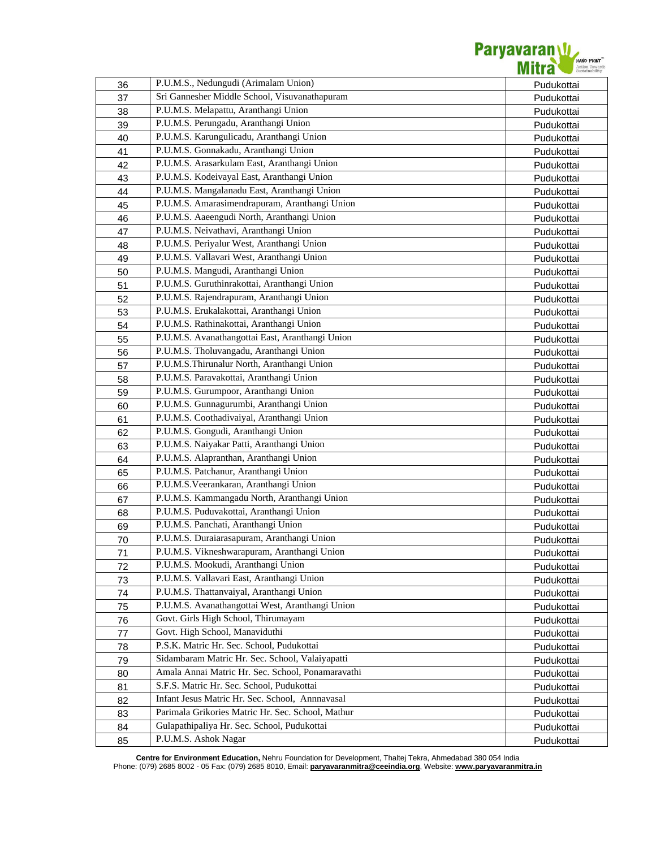

| 36 | P.U.M.S., Nedungudi (Arimalam Union)              | Pudukottai |
|----|---------------------------------------------------|------------|
| 37 | Sri Gannesher Middle School, Visuvanathapuram     | Pudukottai |
| 38 | P.U.M.S. Melapattu, Aranthangi Union              | Pudukottai |
| 39 | P.U.M.S. Perungadu, Aranthangi Union              | Pudukottai |
| 40 | P.U.M.S. Karungulicadu, Aranthangi Union          | Pudukottai |
| 41 | P.U.M.S. Gonnakadu, Aranthangi Union              | Pudukottai |
| 42 | P.U.M.S. Arasarkulam East, Aranthangi Union       | Pudukottai |
| 43 | P.U.M.S. Kodeivayal East, Aranthangi Union        | Pudukottai |
| 44 | P.U.M.S. Mangalanadu East, Aranthangi Union       | Pudukottai |
| 45 | P.U.M.S. Amarasimendrapuram, Aranthangi Union     | Pudukottai |
| 46 | P.U.M.S. Aaeengudi North, Aranthangi Union        | Pudukottai |
| 47 | P.U.M.S. Neivathavi, Aranthangi Union             | Pudukottai |
| 48 | P.U.M.S. Periyalur West, Aranthangi Union         | Pudukottai |
| 49 | P.U.M.S. Vallavari West, Aranthangi Union         | Pudukottai |
| 50 | P.U.M.S. Mangudi, Aranthangi Union                | Pudukottai |
| 51 | P.U.M.S. Guruthinrakottai, Aranthangi Union       | Pudukottai |
| 52 | P.U.M.S. Rajendrapuram, Aranthangi Union          | Pudukottai |
| 53 | P.U.M.S. Erukalakottai, Aranthangi Union          | Pudukottai |
| 54 | P.U.M.S. Rathinakottai, Aranthangi Union          | Pudukottai |
| 55 | P.U.M.S. Avanathangottai East, Aranthangi Union   | Pudukottai |
| 56 | P.U.M.S. Tholuvangadu, Aranthangi Union           | Pudukottai |
| 57 | P.U.M.S.Thirunalur North, Aranthangi Union        | Pudukottai |
| 58 | P.U.M.S. Paravakottai, Aranthangi Union           | Pudukottai |
| 59 | P.U.M.S. Gurumpoor, Aranthangi Union              | Pudukottai |
| 60 | P.U.M.S. Gunnagurumbi, Aranthangi Union           | Pudukottai |
| 61 | P.U.M.S. Coothadivaiyal, Aranthangi Union         | Pudukottai |
| 62 | P.U.M.S. Gongudi, Aranthangi Union                | Pudukottai |
| 63 | P.U.M.S. Naiyakar Patti, Aranthangi Union         | Pudukottai |
| 64 | P.U.M.S. Alapranthan, Aranthangi Union            | Pudukottai |
| 65 | P.U.M.S. Patchanur, Aranthangi Union              | Pudukottai |
| 66 | P.U.M.S. Veerankaran, Aranthangi Union            | Pudukottai |
| 67 | P.U.M.S. Kammangadu North, Aranthangi Union       | Pudukottai |
| 68 | P.U.M.S. Puduvakottai, Aranthangi Union           | Pudukottai |
| 69 | P.U.M.S. Panchati, Aranthangi Union               | Pudukottai |
| 70 | P.U.M.S. Duraiarasapuram, Aranthangi Union        | Pudukottai |
| 71 | P.U.M.S. Vikneshwarapuram, Aranthangi Union       | Pudukottai |
| 72 | P.U.M.S. Mookudi, Aranthangi Union                | Pudukottai |
| 73 | P.U.M.S. Vallavari East, Aranthangi Union         | Pudukottai |
| 74 | P.U.M.S. Thattanvaiyal, Aranthangi Union          | Pudukottai |
| 75 | P.U.M.S. Avanathangottai West, Aranthangi Union   | Pudukottai |
| 76 | Govt. Girls High School, Thirumayam               | Pudukottai |
| 77 | Govt. High School, Manaviduthi                    | Pudukottai |
| 78 | P.S.K. Matric Hr. Sec. School, Pudukottai         | Pudukottai |
| 79 | Sidambaram Matric Hr. Sec. School, Valaiyapatti   | Pudukottai |
| 80 | Amala Annai Matric Hr. Sec. School, Ponamaravathi | Pudukottai |
| 81 | S.F.S. Matric Hr. Sec. School, Pudukottai         | Pudukottai |
| 82 | Infant Jesus Matric Hr. Sec. School, Annnavasal   | Pudukottai |
| 83 | Parimala Grikories Matric Hr. Sec. School, Mathur | Pudukottai |
| 84 | Gulapathipaliya Hr. Sec. School, Pudukottai       | Pudukottai |
| 85 | P.U.M.S. Ashok Nagar                              | Pudukottai |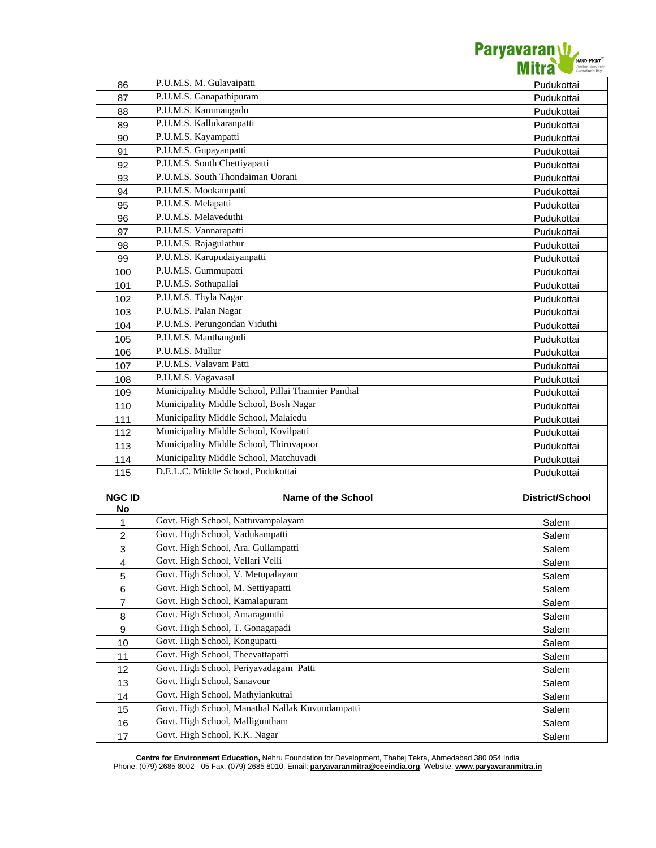

| 86             | P.U.M.S. M. Gulavaipatti                            | Pudukottai      |
|----------------|-----------------------------------------------------|-----------------|
| 87             | P.U.M.S. Ganapathipuram                             | Pudukottai      |
| 88             | P.U.M.S. Kammangadu                                 | Pudukottai      |
| 89             | P.U.M.S. Kallukaranpatti                            | Pudukottai      |
| 90             | P.U.M.S. Kayampatti                                 | Pudukottai      |
| 91             | P.U.M.S. Gupayanpatti                               | Pudukottai      |
| 92             | P.U.M.S. South Chettiyapatti                        | Pudukottai      |
| 93             | P.U.M.S. South Thondaiman Uorani                    | Pudukottai      |
| 94             | P.U.M.S. Mookampatti                                | Pudukottai      |
| 95             | P.U.M.S. Melapatti                                  | Pudukottai      |
| 96             | P.U.M.S. Melaveduthi                                | Pudukottai      |
| 97             | P.U.M.S. Vannarapatti                               | Pudukottai      |
| 98             | P.U.M.S. Rajagulathur                               | Pudukottai      |
| 99             | P.U.M.S. Karupudaiyanpatti                          | Pudukottai      |
| 100            | P.U.M.S. Gummupatti                                 | Pudukottai      |
| 101            | P.U.M.S. Sothupallai                                | Pudukottai      |
| 102            | P.U.M.S. Thyla Nagar                                | Pudukottai      |
| 103            | P.U.M.S. Palan Nagar                                | Pudukottai      |
| 104            | P.U.M.S. Perungondan Viduthi                        | Pudukottai      |
| 105            | P.U.M.S. Manthangudi                                | Pudukottai      |
| 106            | P.U.M.S. Mullur                                     | Pudukottai      |
| 107            | P.U.M.S. Valavam Patti                              | Pudukottai      |
| 108            | P.U.M.S. Vagavasal                                  | Pudukottai      |
| 109            | Municipality Middle School, Pillai Thannier Panthal | Pudukottai      |
| 110            | Municipality Middle School, Bosh Nagar              | Pudukottai      |
| 111            | Municipality Middle School, Malaiedu                | Pudukottai      |
| 112            | Municipality Middle School, Kovilpatti              | Pudukottai      |
| 113            | Municipality Middle School, Thiruvapoor             | Pudukottai      |
| 114            | Municipality Middle School, Matchuvadi              | Pudukottai      |
| 115            | D.E.L.C. Middle School, Pudukottai                  | Pudukottai      |
|                |                                                     |                 |
| <b>NGC ID</b>  | <b>Name of the School</b>                           | District/School |
| No             |                                                     |                 |
| 1              | Govt. High School, Nattuvampalayam                  | Salem           |
| 2              | Govt. High School, Vadukampatti                     | Salem           |
| 3              | Govt. High School, Ara. Gullampatti                 | Salem           |
| 4              | Govt. High School, Vellari Velli                    | Salem           |
| 5              | Govt. High School, V. Metupalayam                   | Salem           |
| 6              | Govt. High School, M. Settiyapatti                  | Salem           |
| $\overline{7}$ | Govt. High School, Kamalapuram                      | Salem           |
| 8              | Govt. High School, Amaragunthi                      | Salem           |
| 9              | Govt. High School, T. Gonagapadi                    | Salem           |
| 10             | Govt. High School, Kongupatti                       | Salem           |
| 11             | Govt. High School, Theevattapatti                   | Salem           |
| 12             | Govt. High School, Periyavadagam Patti              | Salem           |
| 13             | Govt. High School, Sanavour                         | Salem           |
| 14             | Govt. High School, Mathyiankuttai                   | Salem           |
| 15             | Govt. High School, Manathal Nallak Kuvundampatti    | Salem           |
| 16             | Govt. High School, Malliguntham                     | Salem           |
| 17             | Govt. High School, K.K. Nagar                       | Salem           |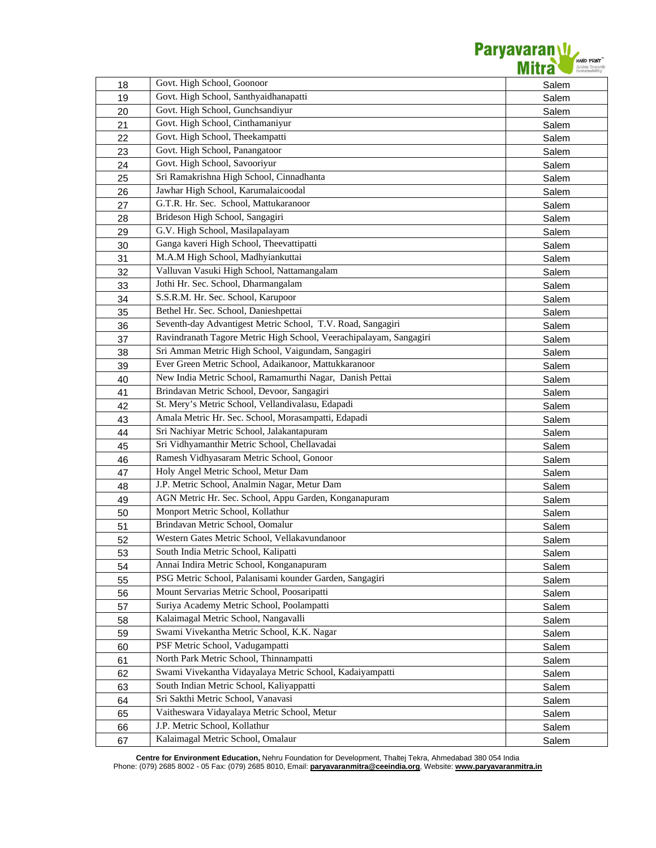

| 18 | Govt. High School, Goonoor                                         | Salem |
|----|--------------------------------------------------------------------|-------|
| 19 | Govt. High School, Santhyaidhanapatti                              | Salem |
| 20 | Govt. High School, Gunchsandiyur                                   | Salem |
| 21 | Govt. High School, Cinthamaniyur                                   | Salem |
| 22 | Govt. High School, Theekampatti                                    | Salem |
| 23 | Govt. High School, Panangatoor                                     | Salem |
| 24 | Govt. High School, Savooriyur                                      | Salem |
| 25 | Sri Ramakrishna High School, Cinnadhanta                           | Salem |
| 26 | Jawhar High School, Karumalaicoodal                                | Salem |
| 27 | G.T.R. Hr. Sec. School, Mattukaranoor                              | Salem |
| 28 | Brideson High School, Sangagiri                                    | Salem |
| 29 | G.V. High School, Masilapalayam                                    | Salem |
| 30 | Ganga kaveri High School, Theevattipatti                           | Salem |
| 31 | M.A.M High School, Madhyiankuttai                                  | Salem |
| 32 | Valluvan Vasuki High School, Nattamangalam                         | Salem |
| 33 | Jothi Hr. Sec. School, Dharmangalam                                | Salem |
| 34 | S.S.R.M. Hr. Sec. School, Karupoor                                 | Salem |
| 35 | Bethel Hr. Sec. School, Danieshpettai                              | Salem |
| 36 | Seventh-day Advantigest Metric School, T.V. Road, Sangagiri        | Salem |
| 37 | Ravindranath Tagore Metric High School, Veerachipalayam, Sangagiri | Salem |
| 38 | Sri Amman Metric High School, Vaigundam, Sangagiri                 | Salem |
| 39 | Ever Green Metric School, Adaikanoor, Mattukkaranoor               | Salem |
| 40 | New India Metric School, Ramamurthi Nagar, Danish Pettai           | Salem |
| 41 | Brindavan Metric School, Devoor, Sangagiri                         | Salem |
| 42 | St. Mery's Metric School, Vellandivalasu, Edapadi                  | Salem |
| 43 | Amala Metric Hr. Sec. School, Morasampatti, Edapadi                | Salem |
| 44 | Sri Nachiyar Metric School, Jalakantapuram                         | Salem |
| 45 | Sri Vidhyamanthir Metric School, Chellavadai                       | Salem |
| 46 | Ramesh Vidhyasaram Metric School, Gonoor                           | Salem |
| 47 | Holy Angel Metric School, Metur Dam                                | Salem |
| 48 | J.P. Metric School, Analmin Nagar, Metur Dam                       | Salem |
| 49 | AGN Metric Hr. Sec. School, Appu Garden, Konganapuram              | Salem |
| 50 | Monport Metric School, Kollathur                                   | Salem |
| 51 | Brindavan Metric School, Oomalur                                   | Salem |
| 52 | Western Gates Metric School, Vellakavundanoor                      | Salem |
| 53 | South India Metric School, Kalipatti                               | Salem |
| 54 | Annai Indira Metric School, Konganapuram                           | Salem |
| 55 | PSG Metric School, Palanisami kounder Garden, Sangagiri            | Salem |
| 56 | Mount Servarias Metric School, Poosaripatti                        | Salem |
| 57 | Suriya Academy Metric School, Poolampatti                          | Salem |
| 58 | Kalaimagal Metric School, Nangavalli                               | Salem |
| 59 | Swami Vivekantha Metric School, K.K. Nagar                         | Salem |
| 60 | PSF Metric School, Vadugampatti                                    | Salem |
| 61 | North Park Metric School, Thinnampatti                             | Salem |
| 62 | Swami Vivekantha Vidayalaya Metric School, Kadaiyampatti           | Salem |
| 63 | South Indian Metric School, Kaliyappatti                           | Salem |
| 64 | Sri Sakthi Metric School, Vanavasi                                 | Salem |
| 65 | Vaitheswara Vidayalaya Metric School, Metur                        | Salem |
| 66 | J.P. Metric School, Kollathur                                      | Salem |
| 67 | Kalaimagal Metric School, Omalaur                                  | Salem |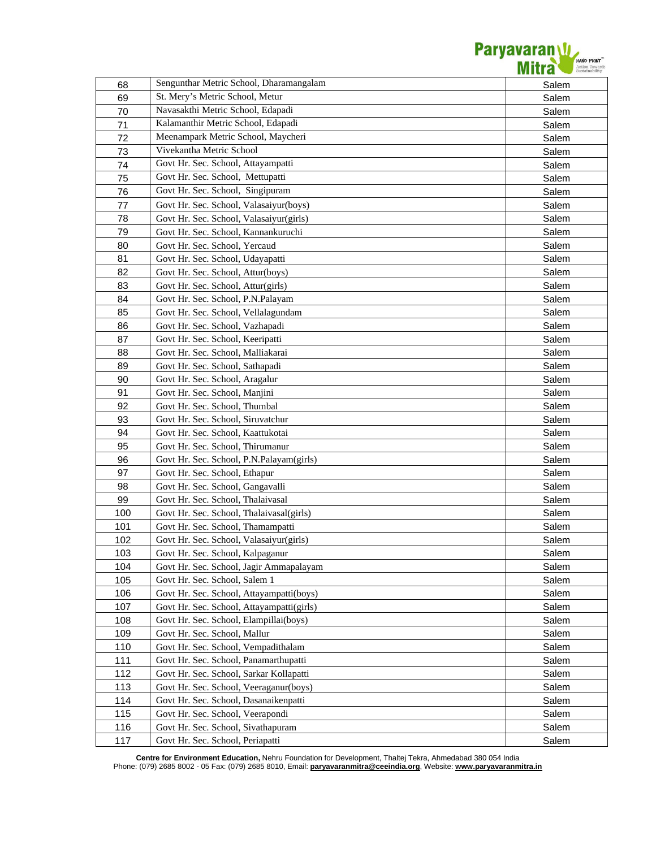

| 68  | Sengunthar Metric School, Dharamangalam   | Salem |
|-----|-------------------------------------------|-------|
| 69  | St. Mery's Metric School, Metur           | Salem |
| 70  | Navasakthi Metric School, Edapadi         | Salem |
| 71  | Kalamanthir Metric School, Edapadi        | Salem |
| 72  | Meenampark Metric School, Maycheri        | Salem |
| 73  | Vivekantha Metric School                  | Salem |
| 74  | Govt Hr. Sec. School, Attayampatti        | Salem |
| 75  | Govt Hr. Sec. School, Mettupatti          | Salem |
| 76  | Govt Hr. Sec. School, Singipuram          | Salem |
| 77  | Govt Hr. Sec. School, Valasaiyur(boys)    | Salem |
| 78  | Govt Hr. Sec. School, Valasaiyur(girls)   | Salem |
| 79  | Govt Hr. Sec. School, Kannankuruchi       | Salem |
| 80  | Govt Hr. Sec. School, Yercaud             | Salem |
| 81  | Govt Hr. Sec. School, Udayapatti          | Salem |
| 82  | Govt Hr. Sec. School, Attur(boys)         | Salem |
| 83  | Govt Hr. Sec. School, Attur(girls)        | Salem |
| 84  | Govt Hr. Sec. School, P.N.Palayam         | Salem |
| 85  | Govt Hr. Sec. School, Vellalagundam       | Salem |
| 86  | Govt Hr. Sec. School, Vazhapadi           | Salem |
| 87  | Govt Hr. Sec. School, Keeripatti          | Salem |
| 88  | Govt Hr. Sec. School, Malliakarai         | Salem |
| 89  | Govt Hr. Sec. School, Sathapadi           | Salem |
| 90  | Govt Hr. Sec. School, Aragalur            | Salem |
| 91  | Govt Hr. Sec. School, Manjini             | Salem |
| 92  | Govt Hr. Sec. School, Thumbal             | Salem |
| 93  | Govt Hr. Sec. School, Siruvatchur         | Salem |
| 94  | Govt Hr. Sec. School, Kaattukotai         | Salem |
| 95  | Govt Hr. Sec. School, Thirumanur          | Salem |
| 96  | Govt Hr. Sec. School, P.N.Palayam(girls)  | Salem |
| 97  | Govt Hr. Sec. School, Ethapur             | Salem |
| 98  | Govt Hr. Sec. School, Gangavalli          | Salem |
| 99  | Govt Hr. Sec. School, Thalaivasal         | Salem |
| 100 | Govt Hr. Sec. School, Thalaivasal(girls)  | Salem |
| 101 | Govt Hr. Sec. School, Thamampatti         | Salem |
| 102 | Govt Hr. Sec. School, Valasaiyur(girls)   | Salem |
| 103 | Govt Hr. Sec. School, Kalpaganur          | Salem |
| 104 | Govt Hr. Sec. School, Jagir Ammapalayam   | Salem |
| 105 | Govt Hr. Sec. School, Salem 1             | Salem |
| 106 | Govt Hr. Sec. School, Attayampatti(boys)  | Salem |
| 107 | Govt Hr. Sec. School, Attayampatti(girls) | Salem |
| 108 | Govt Hr. Sec. School, Elampillai(boys)    | Salem |
| 109 | Govt Hr. Sec. School, Mallur              | Salem |
| 110 | Govt Hr. Sec. School, Vempadithalam       | Salem |
| 111 | Govt Hr. Sec. School, Panamarthupatti     | Salem |
| 112 | Govt Hr. Sec. School, Sarkar Kollapatti   | Salem |
| 113 | Govt Hr. Sec. School, Veeraganur(boys)    | Salem |
| 114 | Govt Hr. Sec. School, Dasanaikenpatti     | Salem |
| 115 | Govt Hr. Sec. School, Veerapondi          | Salem |
| 116 | Govt Hr. Sec. School, Sivathapuram        | Salem |
| 117 | Govt Hr. Sec. School, Periapatti          | Salem |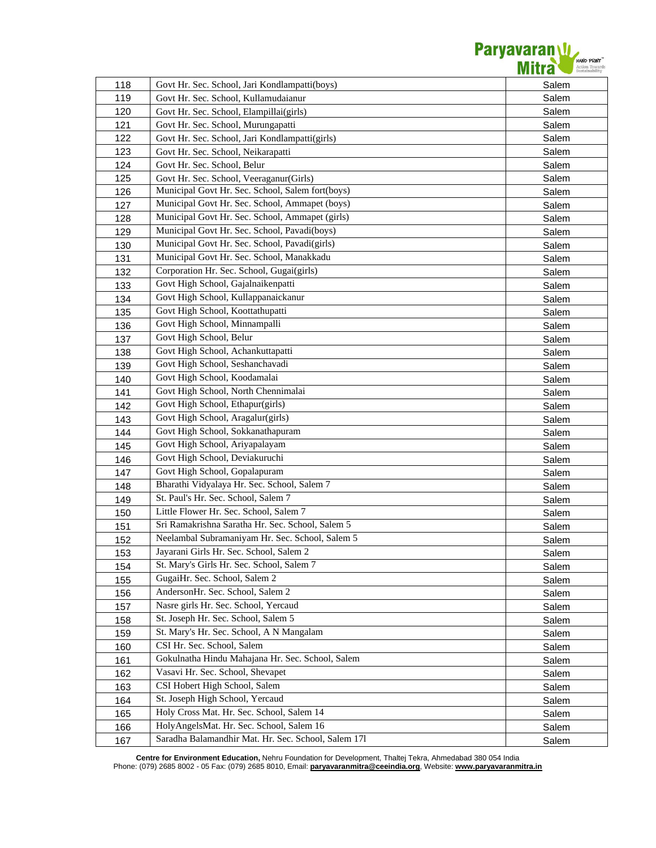

| 118 | Govt Hr. Sec. School, Jari Kondlampatti(boys)       | Salem |
|-----|-----------------------------------------------------|-------|
| 119 | Govt Hr. Sec. School, Kullamudaianur                | Salem |
| 120 | Govt Hr. Sec. School, Elampillai(girls)             | Salem |
| 121 | Govt Hr. Sec. School, Murungapatti                  | Salem |
| 122 | Govt Hr. Sec. School, Jari Kondlampatti(girls)      | Salem |
| 123 | Govt Hr. Sec. School, Neikarapatti                  | Salem |
| 124 | Govt Hr. Sec. School, Belur                         | Salem |
| 125 | Govt Hr. Sec. School, Veeraganur(Girls)             | Salem |
| 126 | Municipal Govt Hr. Sec. School, Salem fort(boys)    | Salem |
| 127 | Municipal Govt Hr. Sec. School, Ammapet (boys)      | Salem |
| 128 | Municipal Govt Hr. Sec. School, Ammapet (girls)     | Salem |
| 129 | Municipal Govt Hr. Sec. School, Pavadi(boys)        | Salem |
| 130 | Municipal Govt Hr. Sec. School, Pavadi(girls)       | Salem |
| 131 | Municipal Govt Hr. Sec. School, Manakkadu           | Salem |
| 132 | Corporation Hr. Sec. School, Gugai(girls)           | Salem |
| 133 | Govt High School, Gajalnaikenpatti                  | Salem |
| 134 | Govt High School, Kullappanaickanur                 | Salem |
| 135 | Govt High School, Koottathupatti                    | Salem |
| 136 | Govt High School, Minnampalli                       | Salem |
| 137 | Govt High School, Belur                             | Salem |
| 138 | Govt High School, Achankuttapatti                   | Salem |
| 139 | Govt High School, Seshanchavadi                     | Salem |
| 140 | Govt High School, Koodamalai                        | Salem |
| 141 | Govt High School, North Chennimalai                 | Salem |
| 142 | Govt High School, Ethapur(girls)                    | Salem |
| 143 | Govt High School, Aragalur(girls)                   | Salem |
| 144 | Govt High School, Sokkanathapuram                   | Salem |
| 145 | Govt High School, Ariyapalayam                      | Salem |
| 146 | Govt High School, Deviakuruchi                      | Salem |
| 147 | Govt High School, Gopalapuram                       | Salem |
| 148 | Bharathi Vidyalaya Hr. Sec. School, Salem 7         | Salem |
| 149 | St. Paul's Hr. Sec. School, Salem 7                 | Salem |
| 150 | Little Flower Hr. Sec. School, Salem 7              | Salem |
| 151 | Sri Ramakrishna Saratha Hr. Sec. School, Salem 5    | Salem |
| 152 | Neelambal Subramaniyam Hr. Sec. School, Salem 5     | Salem |
| 153 | Jayarani Girls Hr. Sec. School, Salem 2             | Salem |
| 154 | St. Mary's Girls Hr. Sec. School, Salem 7           | Salem |
| 155 | GugaiHr. Sec. School, Salem 2                       | Salem |
| 156 | AndersonHr. Sec. School, Salem 2                    | Salem |
| 157 | Nasre girls Hr. Sec. School, Yercaud                | Salem |
| 158 | St. Joseph Hr. Sec. School, Salem 5                 | Salem |
| 159 | St. Mary's Hr. Sec. School, A N Mangalam            | Salem |
| 160 | CSI Hr. Sec. School, Salem                          | Salem |
| 161 | Gokulnatha Hindu Mahajana Hr. Sec. School, Salem    | Salem |
| 162 | Vasavi Hr. Sec. School, Shevapet                    | Salem |
| 163 | CSI Hobert High School, Salem                       | Salem |
| 164 | St. Joseph High School, Yercaud                     | Salem |
| 165 | Holy Cross Mat. Hr. Sec. School, Salem 14           | Salem |
| 166 | HolyAngelsMat. Hr. Sec. School, Salem 16            | Salem |
| 167 | Saradha Balamandhir Mat. Hr. Sec. School, Salem 171 | Salem |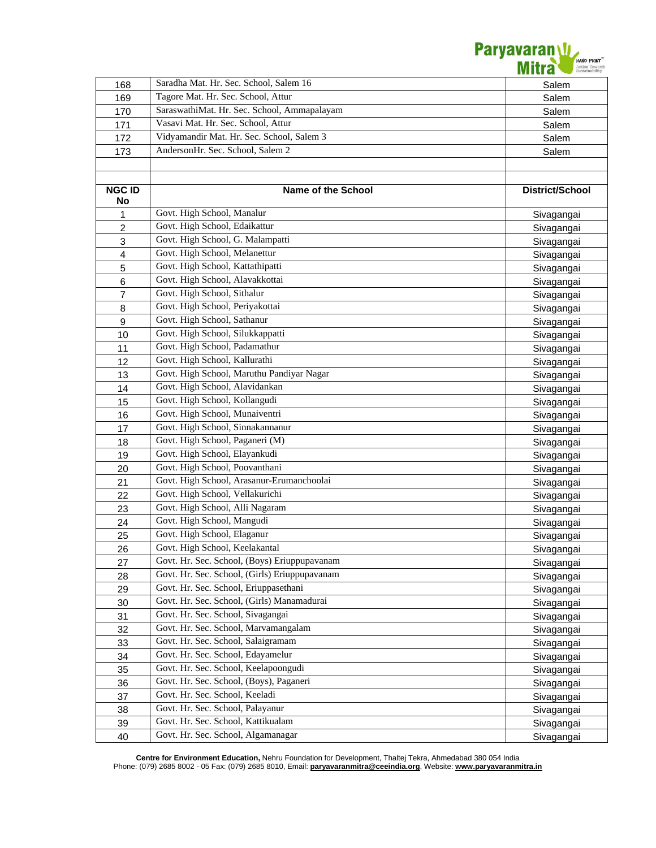

| 168            | Saradha Mat. Hr. Sec. School, Salem 16        | Salem           |
|----------------|-----------------------------------------------|-----------------|
| 169            | Tagore Mat. Hr. Sec. School, Attur            | Salem           |
| 170            | SaraswathiMat. Hr. Sec. School, Ammapalayam   | Salem           |
| 171            | Vasavi Mat. Hr. Sec. School, Attur            | Salem           |
| 172            | Vidyamandir Mat. Hr. Sec. School, Salem 3     | Salem           |
| 173            | AndersonHr. Sec. School, Salem 2              | Salem           |
|                |                                               |                 |
|                |                                               |                 |
| <b>NGC ID</b>  | <b>Name of the School</b>                     | District/School |
| No             |                                               |                 |
| 1              | Govt. High School, Manalur                    | Sivagangai      |
| $\overline{2}$ | Govt. High School, Edaikattur                 | Sivagangai      |
| 3              | Govt. High School, G. Malampatti              | Sivagangai      |
| 4              | Govt. High School, Melanettur                 | Sivagangai      |
| 5              | Govt. High School, Kattathipatti              | Sivagangai      |
| 6              | Govt. High School, Alavakkottai               | Sivagangai      |
| $\overline{7}$ | Govt. High School, Sithalur                   | Sivagangai      |
| 8              | Govt. High School, Periyakottai               | Sivagangai      |
| 9              | Govt. High School, Sathanur                   | Sivagangai      |
| 10             | Govt. High School, Silukkappatti              | Sivagangai      |
| 11             | Govt. High School, Padamathur                 | Sivagangai      |
| 12             | Govt. High School, Kallurathi                 | Sivagangai      |
| 13             | Govt. High School, Maruthu Pandiyar Nagar     | Sivagangai      |
| 14             | Govt. High School, Alavidankan                | Sivagangai      |
| 15             | Govt. High School, Kollangudi                 | Sivagangai      |
| 16             | Govt. High School, Munaiventri                | Sivagangai      |
| 17             | Govt. High School, Sinnakannanur              | Sivagangai      |
| 18             | Govt. High School, Paganeri (M)               | Sivagangai      |
| 19             | Govt. High School, Elayankudi                 | Sivagangai      |
| 20             | Govt. High School, Poovanthani                | Sivagangai      |
| 21             | Govt. High School, Arasanur-Erumanchoolai     | Sivagangai      |
| 22             | Govt. High School, Vellakurichi               | Sivagangai      |
| 23             | Govt. High School, Alli Nagaram               | Sivagangai      |
| 24             | Govt. High School, Mangudi                    | Sivagangai      |
| 25             | Govt. High School, Elaganur                   | Sivagangai      |
| 26             | Govt. High School, Keelakantal                | Sivagangai      |
| 27             | Govt. Hr. Sec. School, (Boys) Eriuppupavanam  | Sivagangai      |
| 28             | Govt. Hr. Sec. School, (Girls) Eriuppupavanam | Sivagangai      |
| 29             | Govt. Hr. Sec. School, Eriuppasethani         | Sivagangai      |
| 30             | Govt. Hr. Sec. School, (Girls) Manamadurai    | Sivagangai      |
| 31             | Govt. Hr. Sec. School, Sivagangai             | Sivagangai      |
| 32             | Govt. Hr. Sec. School, Marvamangalam          | Sivagangai      |
| 33             | Govt. Hr. Sec. School, Salaigramam            | Sivagangai      |
| 34             | Govt. Hr. Sec. School, Edayamelur             | Sivagangai      |
| 35             | Govt. Hr. Sec. School, Keelapoongudi          | Sivagangai      |
| 36             | Govt. Hr. Sec. School, (Boys), Paganeri       | Sivagangai      |
| 37             | Govt. Hr. Sec. School, Keeladi                | Sivagangai      |
| 38             | Govt. Hr. Sec. School, Palayanur              | Sivagangai      |
| 39             | Govt. Hr. Sec. School, Kattikualam            | Sivagangai      |
| 40             | Govt. Hr. Sec. School, Algamanagar            | Sivagangai      |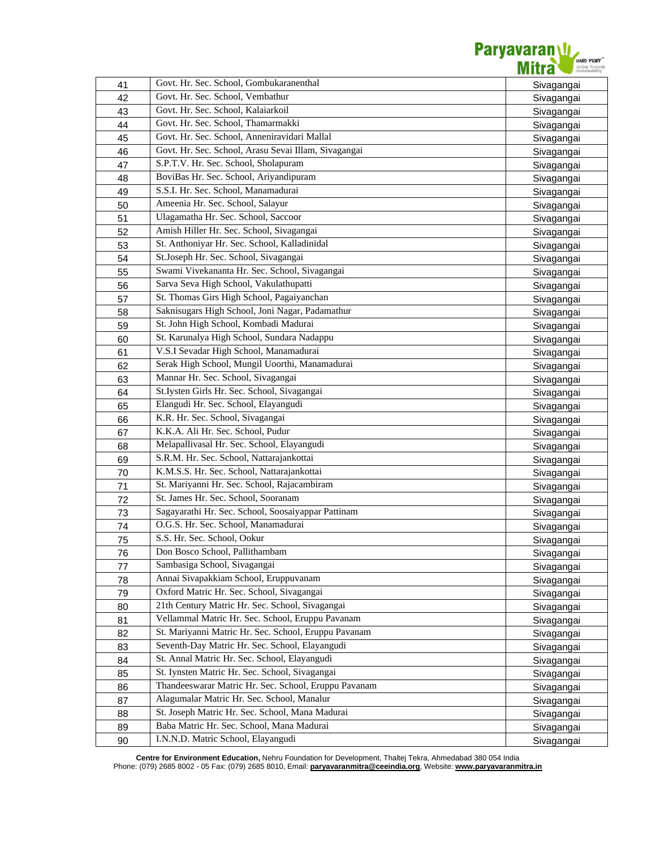

| 41       | Govt. Hr. Sec. School, Gombukaranenthal              | Sivagangai               |
|----------|------------------------------------------------------|--------------------------|
| 42       | Govt. Hr. Sec. School, Vembathur                     | Sivagangai               |
| 43       | Govt. Hr. Sec. School, Kalaiarkoil                   | Sivagangai               |
| 44       | Govt. Hr. Sec. School, Thamarmakki                   | Sivagangai               |
| 45       | Govt. Hr. Sec. School, Anneniravidari Mallal         | Sivagangai               |
| 46       | Govt. Hr. Sec. School, Arasu Sevai Illam, Sivagangai | Sivagangai               |
| 47       | S.P.T.V. Hr. Sec. School, Sholapuram                 | Sivagangai               |
| 48       | BoviBas Hr. Sec. School, Ariyandipuram               | Sivagangai               |
| 49       | S.S.I. Hr. Sec. School, Manamadurai                  | Sivagangai               |
| 50       | Ameenia Hr. Sec. School, Salayur                     | Sivagangai               |
| 51       | Ulagamatha Hr. Sec. School, Saccoor                  | Sivagangai               |
| 52       | Amish Hiller Hr. Sec. School, Sivagangai             | Sivagangai               |
| 53       | St. Anthoniyar Hr. Sec. School, Kalladinidal         | Sivagangai               |
| 54       | St.Joseph Hr. Sec. School, Sivagangai                | Sivagangai               |
| 55       | Swami Vivekananta Hr. Sec. School, Sivagangai        | Sivagangai               |
| 56       | Sarva Seva High School, Vakulathupatti               | Sivagangai               |
| 57       | St. Thomas Girs High School, Pagaiyanchan            | Sivagangai               |
| 58       | Saknisugars High School, Joni Nagar, Padamathur      | Sivagangai               |
| 59       | St. John High School, Kombadi Madurai                | Sivagangai               |
| 60       | St. Karunalya High School, Sundara Nadappu           | Sivagangai               |
| 61       | V.S.I Sevadar High School, Manamadurai               | Sivagangai               |
| 62       | Serak High School, Mungil Uoorthi, Manamadurai       | Sivagangai               |
| 63       | Mannar Hr. Sec. School, Sivagangai                   | Sivagangai               |
| 64       | St.Iysten Girls Hr. Sec. School, Sivagangai          | Sivagangai               |
| 65       | Elangudi Hr. Sec. School, Elayangudi                 | Sivagangai               |
| 66       | K.R. Hr. Sec. School, Sivagangai                     | Sivagangai               |
| 67       | K.K.A. Ali Hr. Sec. School, Pudur                    | Sivagangai               |
| 68       | Melapallivasal Hr. Sec. School, Elayangudi           | Sivagangai               |
| 69       | S.R.M. Hr. Sec. School, Nattarajankottai             | Sivagangai               |
| 70       | K.M.S.S. Hr. Sec. School, Nattarajankottai           | Sivagangai               |
| 71       | St. Mariyanni Hr. Sec. School, Rajacambiram          | Sivagangai               |
| 72       | St. James Hr. Sec. School, Sooranam                  | Sivagangai               |
| 73       | Sagayarathi Hr. Sec. School, Soosaiyappar Pattinam   | Sivagangai               |
| 74       | O.G.S. Hr. Sec. School, Manamadurai                  | Sivagangai               |
| 75       | S.S. Hr. Sec. School, Ookur                          | Sivagangai               |
| 76       | Don Bosco School, Pallithambam                       |                          |
| 77       | Sambasiga School, Sivagangai                         | Sivagangai               |
| 78       | Annai Sivapakkiam School, Eruppuvanam                | Sivagangai<br>Sivagangai |
| 79       | Oxford Matric Hr. Sec. School, Sivagangai            | Sivagangai               |
| 80       | 21th Century Matric Hr. Sec. School, Sivagangai      | Sivagangai               |
| 81       | Vellammal Matric Hr. Sec. School, Eruppu Pavanam     |                          |
| 82       | St. Mariyanni Matric Hr. Sec. School, Eruppu Pavanam | Sivagangai               |
| 83       | Seventh-Day Matric Hr. Sec. School, Elayangudi       | Sivagangai               |
| 84       | St. Annal Matric Hr. Sec. School, Elayangudi         | Sivagangai               |
|          | St. Iynsten Matric Hr. Sec. School, Sivagangai       | Sivagangai               |
| 85       | Thandeeswarar Matric Hr. Sec. School, Eruppu Pavanam | Sivagangai               |
| 86<br>87 | Alagumalar Matric Hr. Sec. School, Manalur           | Sivagangai               |
|          | St. Joseph Matric Hr. Sec. School, Mana Madurai      | Sivagangai               |
| 88<br>89 | Baba Matric Hr. Sec. School, Mana Madurai            | Sivagangai               |
| 90       | I.N.N.D. Matric School, Elayangudi                   | Sivagangai               |
|          |                                                      | Sivagangai               |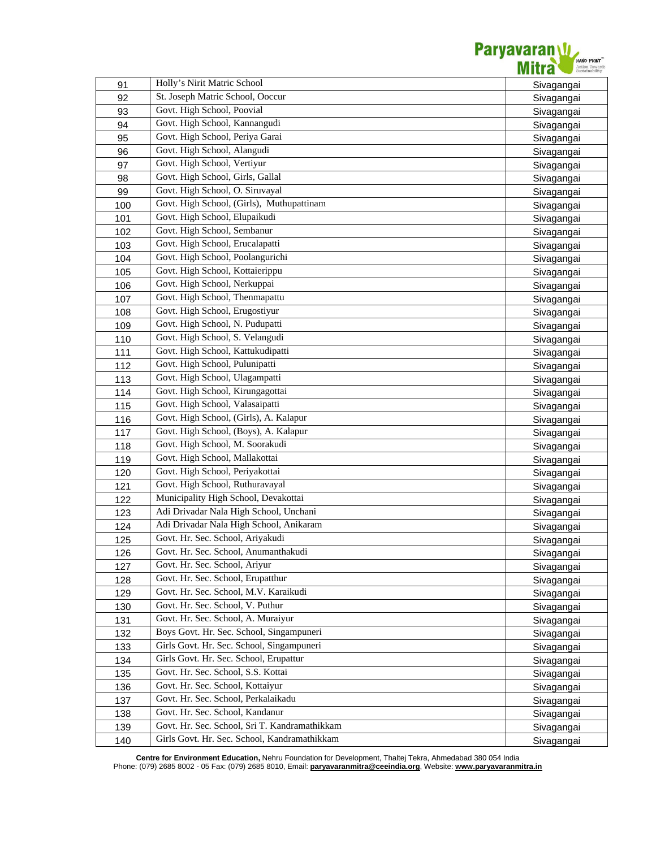

|     | Holly's Nirit Matric School                                      |            |
|-----|------------------------------------------------------------------|------------|
| 91  | St. Joseph Matric School, Ooccur                                 | Sivagangai |
| 92  |                                                                  | Sivagangai |
| 93  | Govt. High School, Poovial                                       | Sivagangai |
| 94  | Govt. High School, Kannangudi<br>Govt. High School, Periya Garai | Sivagangai |
| 95  |                                                                  | Sivagangai |
| 96  | Govt. High School, Alangudi                                      | Sivagangai |
| 97  | Govt. High School, Vertiyur                                      | Sivagangai |
| 98  | Govt. High School, Girls, Gallal                                 | Sivagangai |
| 99  | Govt. High School, O. Siruvayal                                  | Sivagangai |
| 100 | Govt. High School, (Girls), Muthupattinam                        | Sivagangai |
| 101 | Govt. High School, Elupaikudi                                    | Sivagangai |
| 102 | Govt. High School, Sembanur                                      | Sivagangai |
| 103 | Govt. High School, Erucalapatti                                  | Sivagangai |
| 104 | Govt. High School, Poolangurichi                                 | Sivagangai |
| 105 | Govt. High School, Kottaierippu                                  | Sivagangai |
| 106 | Govt. High School, Nerkuppai                                     | Sivagangai |
| 107 | Govt. High School, Thenmapattu                                   | Sivagangai |
| 108 | Govt. High School, Erugostiyur                                   | Sivagangai |
| 109 | Govt. High School, N. Pudupatti                                  | Sivagangai |
| 110 | Govt. High School, S. Velangudi                                  | Sivagangai |
| 111 | Govt. High School, Kattukudipatti                                | Sivagangai |
| 112 | Govt. High School, Pulunipatti                                   | Sivagangai |
| 113 | Govt. High School, Ulagampatti                                   | Sivagangai |
| 114 | Govt. High School, Kirungagottai                                 | Sivagangai |
| 115 | Govt. High School, Valasaipatti                                  | Sivagangai |
| 116 | Govt. High School, (Girls), A. Kalapur                           | Sivagangai |
| 117 | Govt. High School, (Boys), A. Kalapur                            | Sivagangai |
| 118 | Govt. High School, M. Soorakudi                                  | Sivagangai |
| 119 | Govt. High School, Mallakottai                                   | Sivagangai |
| 120 | Govt. High School, Periyakottai                                  | Sivagangai |
| 121 | Govt. High School, Ruthuravayal                                  | Sivagangai |
| 122 | Municipality High School, Devakottai                             | Sivagangai |
| 123 | Adi Drivadar Nala High School, Unchani                           | Sivagangai |
| 124 | Adi Drivadar Nala High School, Anikaram                          | Sivagangai |
| 125 | Govt. Hr. Sec. School, Ariyakudi                                 | Sivagangai |
| 126 | Govt. Hr. Sec. School, Anumanthakudi                             | Sivagangai |
| 127 | Govt. Hr. Sec. School, Ariyur                                    | Sivagangai |
| 128 | Govt. Hr. Sec. School, Erupatthur                                | Sivagangai |
| 129 | Govt. Hr. Sec. School, M.V. Karaikudi                            | Sivagangai |
| 130 | Govt. Hr. Sec. School, V. Puthur                                 | Sivagangai |
| 131 | Govt. Hr. Sec. School, A. Muraiyur                               | Sivagangai |
| 132 | Boys Govt. Hr. Sec. School, Singampuneri                         | Sivagangai |
| 133 | Girls Govt. Hr. Sec. School, Singampuneri                        | Sivagangai |
| 134 | Girls Govt. Hr. Sec. School, Erupattur                           | Sivagangai |
| 135 | Govt. Hr. Sec. School, S.S. Kottai                               | Sivagangai |
| 136 | Govt. Hr. Sec. School, Kottaiyur                                 | Sivagangai |
| 137 | Govt. Hr. Sec. School, Perkalaikadu                              | Sivagangai |
| 138 | Govt. Hr. Sec. School, Kandanur                                  | Sivagangai |
| 139 | Govt. Hr. Sec. School, Sri T. Kandramathikkam                    | Sivagangai |
| 140 | Girls Govt. Hr. Sec. School, Kandramathikkam                     | Sivagangai |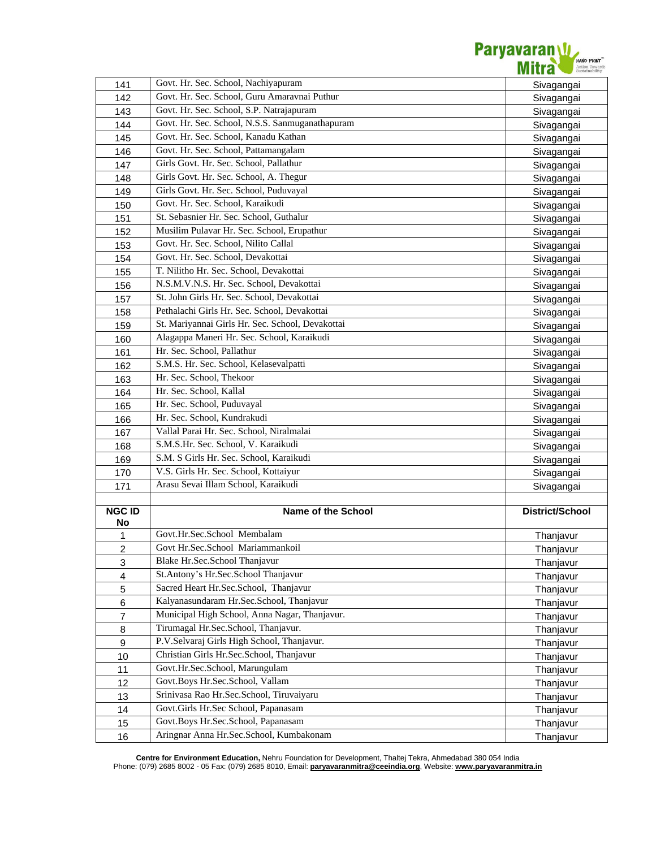

| 141                                         | Govt. Hr. Sec. School, Nachiyapuram              | Sivagangai             |
|---------------------------------------------|--------------------------------------------------|------------------------|
| 142                                         | Govt. Hr. Sec. School, Guru Amaravnai Puthur     | Sivagangai             |
| 143                                         | Govt. Hr. Sec. School, S.P. Natrajapuram         | Sivagangai             |
| 144                                         | Govt. Hr. Sec. School, N.S.S. Sanmuganathapuram  | Sivagangai             |
| 145                                         | Govt. Hr. Sec. School, Kanadu Kathan             | Sivagangai             |
| 146                                         | Govt. Hr. Sec. School, Pattamangalam             | Sivagangai             |
| 147                                         | Girls Govt. Hr. Sec. School, Pallathur           | Sivagangai             |
| 148                                         | Girls Govt. Hr. Sec. School, A. Thegur           | Sivagangai             |
| 149                                         | Girls Govt. Hr. Sec. School, Puduvayal           | Sivagangai             |
| 150                                         | Govt. Hr. Sec. School, Karaikudi                 | Sivagangai             |
| 151                                         | St. Sebasnier Hr. Sec. School, Guthalur          | Sivagangai             |
| 152                                         | Musilim Pulavar Hr. Sec. School, Erupathur       | Sivagangai             |
| 153                                         | Govt. Hr. Sec. School, Nilito Callal             | Sivagangai             |
| 154                                         | Govt. Hr. Sec. School, Devakottai                | Sivagangai             |
| 155                                         | T. Nilitho Hr. Sec. School, Devakottai           | Sivagangai             |
| 156                                         | N.S.M.V.N.S. Hr. Sec. School, Devakottai         | Sivagangai             |
| 157                                         | St. John Girls Hr. Sec. School, Devakottai       | Sivagangai             |
| 158                                         | Pethalachi Girls Hr. Sec. School, Devakottai     | Sivagangai             |
| 159                                         | St. Mariyannai Girls Hr. Sec. School, Devakottai | Sivagangai             |
| 160                                         | Alagappa Maneri Hr. Sec. School, Karaikudi       | Sivagangai             |
| 161                                         | Hr. Sec. School, Pallathur                       | Sivagangai             |
| 162                                         | S.M.S. Hr. Sec. School, Kelasevalpatti           | Sivagangai             |
| 163                                         | Hr. Sec. School, Thekoor                         | Sivagangai             |
| 164                                         | Hr. Sec. School, Kallal                          | Sivagangai             |
| 165                                         | Hr. Sec. School, Puduvayal                       | Sivagangai             |
| 166                                         | Hr. Sec. School, Kundrakudi                      | Sivagangai             |
| 167                                         | Vallal Parai Hr. Sec. School, Niralmalai         | Sivagangai             |
| 168                                         | S.M.S.Hr. Sec. School, V. Karaikudi              | Sivagangai             |
| 169                                         | S.M. S Girls Hr. Sec. School, Karaikudi          | Sivagangai             |
| 170                                         | V.S. Girls Hr. Sec. School, Kottaiyur            | Sivagangai             |
| 171                                         | Arasu Sevai Illam School, Karaikudi              | Sivagangai             |
|                                             |                                                  |                        |
| <b>NGC ID</b>                               | <b>Name of the School</b>                        | District/School        |
| No                                          | Govt.Hr.Sec.School Membalam                      |                        |
| $\mathbf{1}$                                | Govt Hr.Sec.School Mariammankoil                 | Thanjavur              |
| $\overline{2}$                              | Blake Hr.Sec.School Thanjavur                    | Thanjavur              |
| $\ensuremath{\mathsf{3}}$<br>$\overline{4}$ | St.Antony's Hr.Sec.School Thanjavur              | Thanjavur              |
| $\sqrt{5}$                                  | Sacred Heart Hr.Sec.School, Thanjavur            | Thanjavur              |
| 6                                           | Kalyanasundaram Hr.Sec.School, Thanjavur         | Thanjavur<br>Thanjavur |
| $\overline{7}$                              | Municipal High School, Anna Nagar, Thanjavur.    | Thanjavur              |
| 8                                           | Tirumagal Hr.Sec.School, Thanjavur.              | Thanjavur              |
| $\boldsymbol{9}$                            | P.V.Selvaraj Girls High School, Thanjavur.       | Thanjavur              |
| 10                                          | Christian Girls Hr.Sec.School, Thanjavur         | Thanjavur              |
| 11                                          | Govt.Hr.Sec.School, Marungulam                   | Thanjavur              |
| 12                                          | Govt.Boys Hr.Sec.School, Vallam                  | Thanjavur              |
| 13                                          | Srinivasa Rao Hr.Sec.School, Tiruvaiyaru         | Thanjavur              |
| 14                                          | Govt.Girls Hr.Sec School, Papanasam              | Thanjavur              |
| 15                                          | Govt.Boys Hr.Sec.School, Papanasam               | Thanjavur              |
|                                             | Aringnar Anna Hr.Sec.School, Kumbakonam          |                        |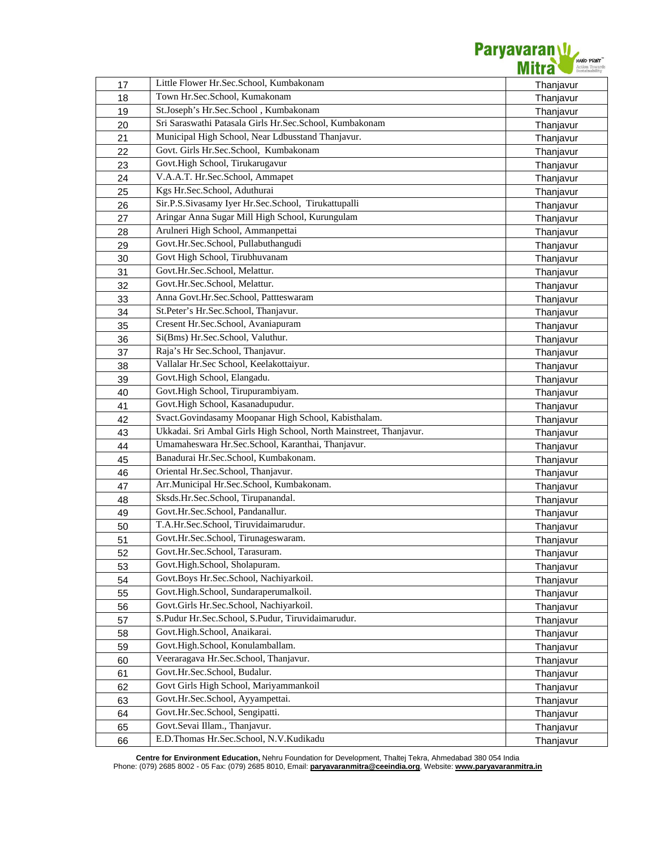

| 17 | Little Flower Hr.Sec.School, Kumbakonam                            | Thanjavur |
|----|--------------------------------------------------------------------|-----------|
| 18 | Town Hr.Sec.School, Kumakonam                                      | Thanjavur |
| 19 | St.Joseph's Hr.Sec.School, Kumbakonam                              | Thanjavur |
| 20 | Sri Saraswathi Patasala Girls Hr.Sec.School, Kumbakonam            | Thanjavur |
| 21 | Municipal High School, Near Ldbusstand Thanjavur.                  | Thanjavur |
| 22 | Govt. Girls Hr.Sec.School, Kumbakonam                              | Thanjavur |
| 23 | Govt.High School, Tirukarugavur                                    | Thanjavur |
| 24 | V.A.A.T. Hr.Sec.School, Ammapet                                    | Thanjavur |
| 25 | Kgs Hr.Sec.School, Aduthurai                                       | Thanjavur |
| 26 | Sir.P.S.Sivasamy Iyer Hr.Sec.School, Tirukattupalli                | Thanjavur |
| 27 | Aringar Anna Sugar Mill High School, Kurungulam                    | Thanjavur |
| 28 | Arulneri High School, Ammanpettai                                  | Thanjavur |
| 29 | Govt.Hr.Sec.School, Pullabuthangudi                                | Thanjavur |
| 30 | Govt High School, Tirubhuvanam                                     | Thanjavur |
| 31 | Govt.Hr.Sec.School, Melattur.                                      | Thanjavur |
| 32 | Govt.Hr.Sec.School, Melattur.                                      | Thanjavur |
| 33 | Anna Govt.Hr.Sec.School, Pattteswaram                              | Thanjavur |
| 34 | St.Peter's Hr.Sec.School, Thanjavur.                               | Thanjavur |
|    | Cresent Hr.Sec.School, Avaniapuram                                 |           |
| 35 | Si(Bms) Hr.Sec.School, Valuthur.                                   | Thanjavur |
| 36 | Raja's Hr Sec.School, Thanjavur.                                   | Thanjavur |
| 37 | Vallalar Hr.Sec School, Keelakottaiyur.                            | Thanjavur |
| 38 | Govt.High School, Elangadu.                                        | Thanjavur |
| 39 | Govt.High School, Tirupurambiyam.                                  | Thanjavur |
| 40 | Govt.High School, Kasanadupudur.                                   | Thanjavur |
| 41 |                                                                    | Thanjavur |
| 42 | Svact.Govindasamy Moopanar High School, Kabisthalam.               | Thanjavur |
| 43 | Ukkadai. Sri Ambal Girls High School, North Mainstreet, Thanjavur. | Thanjavur |
| 44 | Umamaheswara Hr.Sec.School, Karanthai, Thanjavur.                  | Thanjavur |
| 45 | Banadurai Hr.Sec.School, Kumbakonam.                               | Thanjavur |
| 46 | Oriental Hr.Sec.School, Thanjavur.                                 | Thanjavur |
| 47 | Arr.Municipal Hr.Sec.School, Kumbakonam.                           | Thanjavur |
| 48 | Sksds.Hr.Sec.School, Tirupanandal.                                 | Thanjavur |
| 49 | Govt.Hr.Sec.School, Pandanallur.                                   | Thanjavur |
| 50 | T.A.Hr.Sec.School, Tiruvidaimarudur.                               | Thanjavur |
| 51 | Govt.Hr.Sec.School, Tirunageswaram.                                | Thanjavur |
| 52 | Govt.Hr.Sec.School, Tarasuram.                                     | Thanjavur |
| 53 | Govt.High.School, Sholapuram.                                      | Thanjavur |
| 54 | Govt.Boys Hr.Sec.School, Nachiyarkoil.                             | Thanjavur |
| 55 | Govt.High.School, Sundaraperumalkoil.                              | Thanjavur |
| 56 | Govt.Girls Hr.Sec.School, Nachiyarkoil.                            | Thanjavur |
| 57 | S.Pudur Hr.Sec.School, S.Pudur, Tiruvidaimarudur.                  | Thanjavur |
| 58 | Govt.High.School, Anaikarai.                                       | Thanjavur |
| 59 | Govt.High.School, Konulamballam.                                   | Thanjavur |
| 60 | Veeraragava Hr.Sec.School, Thanjavur.                              | Thanjavur |
| 61 | Govt.Hr.Sec.School, Budalur.                                       | Thanjavur |
| 62 | Govt Girls High School, Mariyammankoil                             | Thanjavur |
| 63 | Govt.Hr.Sec.School, Ayyampettai.                                   | Thanjavur |
| 64 | Govt.Hr.Sec.School, Sengipatti.                                    | Thanjavur |
| 65 | Govt.Sevai Illam., Thanjavur.                                      | Thanjavur |
| 66 | E.D.Thomas Hr.Sec.School, N.V.Kudikadu                             | Thanjavur |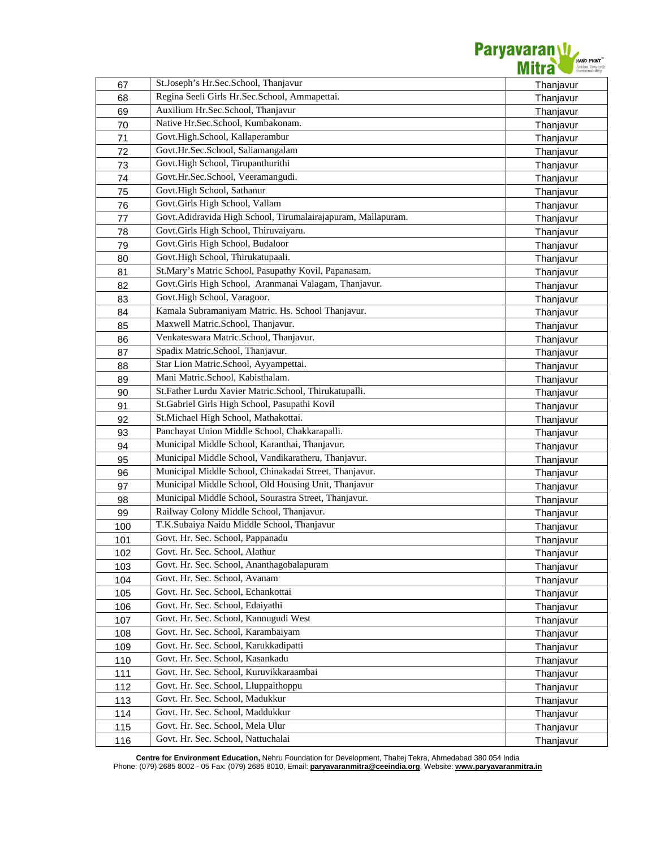

| 67  | St.Joseph's Hr.Sec.School, Thanjavur                         | Thanjavur |
|-----|--------------------------------------------------------------|-----------|
| 68  | Regina Seeli Girls Hr.Sec.School, Ammapettai.                | Thanjavur |
| 69  | Auxilium Hr.Sec.School, Thanjavur                            | Thanjavur |
| 70  | Native Hr.Sec.School, Kumbakonam.                            | Thanjavur |
| 71  | Govt.High.School, Kallaperambur                              | Thanjavur |
| 72  | Govt.Hr.Sec.School, Saliamangalam                            | Thanjavur |
| 73  | Govt.High School, Tirupanthurithi                            | Thanjavur |
| 74  | Govt.Hr.Sec.School, Veeramangudi.                            | Thanjavur |
| 75  | Govt.High School, Sathanur                                   | Thanjavur |
| 76  | Govt.Girls High School, Vallam                               | Thanjavur |
| 77  | Govt.Adidravida High School, Tirumalairajapuram, Mallapuram. | Thanjavur |
| 78  | Govt.Girls High School, Thiruvaiyaru.                        | Thanjavur |
| 79  | Govt.Girls High School, Budaloor                             | Thanjavur |
| 80  | Govt.High School, Thirukatupaali.                            | Thanjavur |
| 81  | St.Mary's Matric School, Pasupathy Kovil, Papanasam.         | Thanjavur |
| 82  | Govt.Girls High School, Aranmanai Valagam, Thanjavur.        | Thanjavur |
| 83  | Govt.High School, Varagoor.                                  |           |
|     | Kamala Subramaniyam Matric. Hs. School Thanjavur.            | Thanjavur |
| 84  | Maxwell Matric.School, Thanjavur.                            | Thanjavur |
| 85  | Venkateswara Matric.School, Thanjavur.                       | Thanjavur |
| 86  | Spadix Matric.School, Thanjavur.                             | Thanjavur |
| 87  | Star Lion Matric.School, Ayyampettai.                        | Thanjavur |
| 88  | Mani Matric.School, Kabisthalam.                             | Thanjavur |
| 89  | St.Father Lurdu Xavier Matric.School, Thirukatupalli.        | Thanjavur |
| 90  |                                                              | Thanjavur |
| 91  | St.Gabriel Girls High School, Pasupathi Kovil                | Thanjavur |
| 92  | St.Michael High School, Mathakottai.                         | Thanjavur |
| 93  | Panchayat Union Middle School, Chakkarapalli.                | Thanjavur |
| 94  | Municipal Middle School, Karanthai, Thanjavur.               | Thanjavur |
| 95  | Municipal Middle School, Vandikaratheru, Thanjavur.          | Thanjavur |
| 96  | Municipal Middle School, Chinakadai Street, Thanjavur.       | Thanjavur |
| 97  | Municipal Middle School, Old Housing Unit, Thanjavur         | Thanjavur |
| 98  | Municipal Middle School, Sourastra Street, Thanjavur.        | Thanjavur |
| 99  | Railway Colony Middle School, Thanjavur.                     | Thanjavur |
| 100 | T.K.Subaiya Naidu Middle School, Thanjavur                   | Thanjavur |
| 101 | Govt. Hr. Sec. School, Pappanadu                             | Thanjavur |
| 102 | Govt. Hr. Sec. School, Alathur                               | Thanjavur |
| 103 | Govt. Hr. Sec. School, Ananthagobalapuram                    | Thanjavur |
| 104 | Govt. Hr. Sec. School, Avanam                                | Thanjavur |
| 105 | Govt. Hr. Sec. School, Echankottai                           | Thanjavur |
| 106 | Govt. Hr. Sec. School, Edaiyathi                             | Thanjavur |
| 107 | Govt. Hr. Sec. School, Kannugudi West                        | Thanjavur |
| 108 | Govt. Hr. Sec. School, Karambaiyam                           | Thanjavur |
| 109 | Govt. Hr. Sec. School, Karukkadipatti                        | Thanjavur |
| 110 | Govt. Hr. Sec. School, Kasankadu                             | Thanjavur |
| 111 | Govt. Hr. Sec. School, Kuruvikkaraambai                      | Thanjavur |
| 112 | Govt. Hr. Sec. School, Lluppaithoppu                         | Thanjavur |
| 113 | Govt. Hr. Sec. School, Madukkur                              | Thanjavur |
| 114 | Govt. Hr. Sec. School, Maddukkur                             | Thanjavur |
| 115 | Govt. Hr. Sec. School, Mela Ulur                             | Thanjavur |
| 116 | Govt. Hr. Sec. School, Nattuchalai                           | Thanjavur |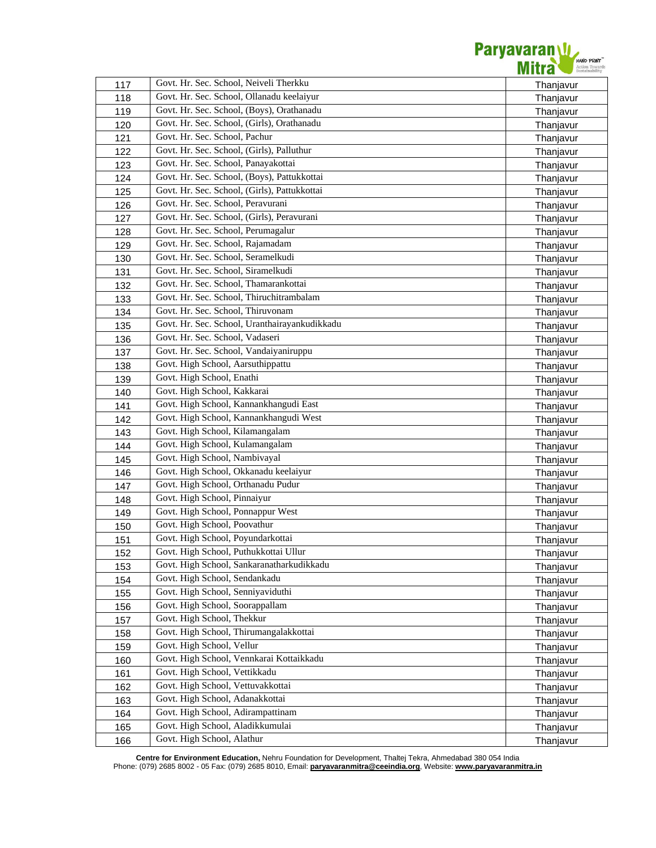

| 117 | Govt. Hr. Sec. School, Neiveli Therkku        | Thanjavur |
|-----|-----------------------------------------------|-----------|
| 118 | Govt. Hr. Sec. School, Ollanadu keelaiyur     | Thanjavur |
| 119 | Govt. Hr. Sec. School, (Boys), Orathanadu     | Thanjavur |
| 120 | Govt. Hr. Sec. School, (Girls), Orathanadu    | Thanjavur |
| 121 | Govt. Hr. Sec. School, Pachur                 | Thanjavur |
| 122 | Govt. Hr. Sec. School, (Girls), Palluthur     | Thanjavur |
| 123 | Govt. Hr. Sec. School, Panayakottai           | Thanjavur |
| 124 | Govt. Hr. Sec. School, (Boys), Pattukkottai   | Thanjavur |
| 125 | Govt. Hr. Sec. School, (Girls), Pattukkottai  | Thanjavur |
| 126 | Govt. Hr. Sec. School, Peravurani             | Thanjavur |
| 127 | Govt. Hr. Sec. School, (Girls), Peravurani    | Thanjavur |
| 128 | Govt. Hr. Sec. School, Perumagalur            | Thanjavur |
| 129 | Govt. Hr. Sec. School, Rajamadam              | Thanjavur |
| 130 | Govt. Hr. Sec. School, Seramelkudi            | Thanjavur |
| 131 | Govt. Hr. Sec. School, Siramelkudi            | Thanjavur |
| 132 | Govt. Hr. Sec. School, Thamarankottai         | Thanjavur |
| 133 | Govt. Hr. Sec. School, Thiruchitrambalam      | Thanjavur |
| 134 | Govt. Hr. Sec. School, Thiruvonam             | Thanjavur |
| 135 | Govt. Hr. Sec. School, Uranthairayankudikkadu | Thanjavur |
| 136 | Govt. Hr. Sec. School, Vadaseri               | Thanjavur |
| 137 | Govt. Hr. Sec. School, Vandaiyaniruppu        | Thanjavur |
| 138 | Govt. High School, Aarsuthippattu             | Thanjavur |
| 139 | Govt. High School, Enathi                     | Thanjavur |
| 140 | Govt. High School, Kakkarai                   | Thanjavur |
| 141 | Govt. High School, Kannankhangudi East        | Thanjavur |
| 142 | Govt. High School, Kannankhangudi West        | Thanjavur |
| 143 | Govt. High School, Kilamangalam               | Thanjavur |
| 144 | Govt. High School, Kulamangalam               | Thanjavur |
| 145 | Govt. High School, Nambivayal                 | Thanjavur |
| 146 | Govt. High School, Okkanadu keelaiyur         | Thanjavur |
| 147 | Govt. High School, Orthanadu Pudur            | Thanjavur |
| 148 | Govt. High School, Pinnaiyur                  | Thanjavur |
| 149 | Govt. High School, Ponnappur West             | Thanjavur |
| 150 | Govt. High School, Poovathur                  | Thanjavur |
| 151 | Govt. High School, Poyundarkottai             | Thanjavur |
| 152 | Govt. High School, Puthukkottai Ullur         | Thanjavur |
| 153 | Govt. High School, Sankaranatharkudikkadu     | Thanjavur |
| 154 | Govt. High School, Sendankadu                 | Thanjavur |
| 155 | Govt. High School, Senniyaviduthi             | Thanjavur |
| 156 | Govt. High School, Soorappallam               | Thanjavur |
| 157 | Govt. High School, Thekkur                    | Thanjavur |
| 158 | Govt. High School, Thirumangalakkottai        | Thanjavur |
| 159 | Govt. High School, Vellur                     | Thanjavur |
| 160 | Govt. High School, Vennkarai Kottaikkadu      | Thanjavur |
| 161 | Govt. High School, Vettikkadu                 | Thanjavur |
| 162 | Govt. High School, Vettuvakkottai             | Thanjavur |
| 163 | Govt. High School, Adanakkottai               | Thanjavur |
| 164 | Govt. High School, Adirampattinam             | Thanjavur |
| 165 | Govt. High School, Aladikkumulai              | Thanjavur |
| 166 | Govt. High School, Alathur                    | Thanjavur |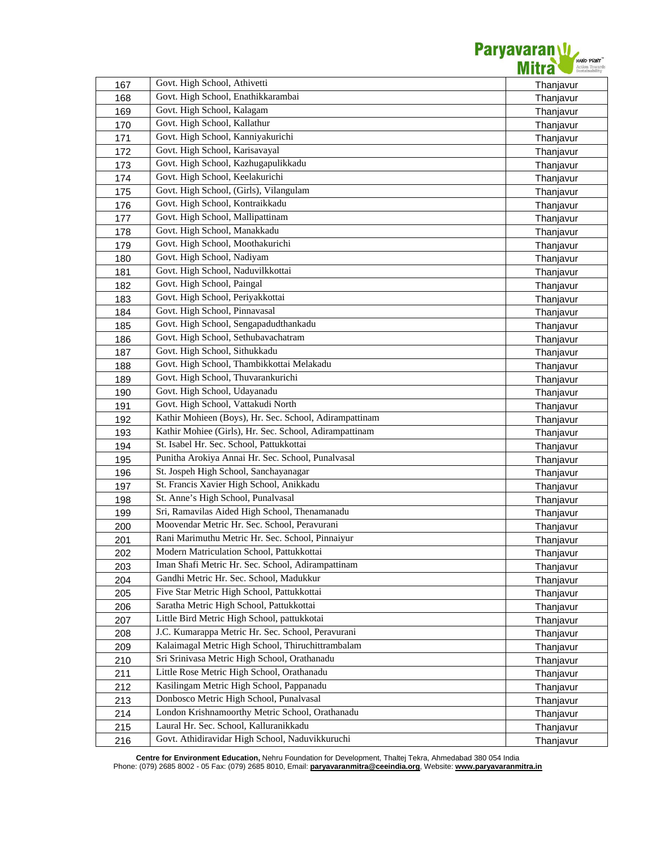

| 167 | Govt. High School, Athivetti                           | Thanjavur |
|-----|--------------------------------------------------------|-----------|
| 168 | Govt. High School, Enathikkarambai                     | Thanjavur |
| 169 | Govt. High School, Kalagam                             | Thanjavur |
| 170 | Govt. High School, Kallathur                           | Thanjavur |
| 171 | Govt. High School, Kanniyakurichi                      | Thanjavur |
| 172 | Govt. High School, Karisavayal                         | Thanjavur |
| 173 | Govt. High School, Kazhugapulikkadu                    | Thanjavur |
| 174 | Govt. High School, Keelakurichi                        | Thanjavur |
| 175 | Govt. High School, (Girls), Vilangulam                 | Thanjavur |
| 176 | Govt. High School, Kontraikkadu                        | Thanjavur |
| 177 | Govt. High School, Mallipattinam                       | Thanjavur |
| 178 | Govt. High School, Manakkadu                           | Thanjavur |
| 179 | Govt. High School, Moothakurichi                       | Thanjavur |
| 180 | Govt. High School, Nadiyam                             | Thanjavur |
| 181 | Govt. High School, Naduvilkkottai                      | Thanjavur |
| 182 | Govt. High School, Paingal                             | Thanjavur |
| 183 | Govt. High School, Periyakkottai                       | Thanjavur |
| 184 | Govt. High School, Pinnavasal                          | Thanjavur |
| 185 | Govt. High School, Sengapadudthankadu                  | Thanjavur |
| 186 | Govt. High School, Sethubavachatram                    | Thanjavur |
| 187 | Govt. High School, Sithukkadu                          | Thanjavur |
| 188 | Govt. High School, Thambikkottai Melakadu              | Thanjavur |
| 189 | Govt. High School, Thuvarankurichi                     | Thanjavur |
| 190 | Govt. High School, Udayanadu                           | Thanjavur |
| 191 | Govt. High School, Vattakudi North                     | Thanjavur |
| 192 | Kathir Mohieen (Boys), Hr. Sec. School, Adirampattinam | Thanjavur |
| 193 | Kathir Mohiee (Girls), Hr. Sec. School, Adirampattinam | Thanjavur |
| 194 | St. Isabel Hr. Sec. School, Pattukkottai               | Thanjavur |
| 195 | Punitha Arokiya Annai Hr. Sec. School, Punalvasal      | Thanjavur |
| 196 | St. Jospeh High School, Sanchayanagar                  | Thanjavur |
| 197 | St. Francis Xavier High School, Anikkadu               | Thanjavur |
| 198 | St. Anne's High School, Punalvasal                     | Thanjavur |
| 199 | Sri, Ramavilas Aided High School, Thenamanadu          | Thanjavur |
| 200 | Moovendar Metric Hr. Sec. School, Peravurani           | Thanjavur |
| 201 | Rani Marimuthu Metric Hr. Sec. School, Pinnaiyur       | Thanjavur |
| 202 | Modern Matriculation School, Pattukkottai              | Thanjavur |
| 203 | Iman Shafi Metric Hr. Sec. School, Adirampattinam      | Thanjavur |
| 204 | Gandhi Metric Hr. Sec. School, Madukkur                | Thanjavur |
| 205 | Five Star Metric High School, Pattukkottai             | Thanjavur |
| 206 | Saratha Metric High School, Pattukkottai               | Thanjavur |
| 207 | Little Bird Metric High School, pattukkotai            | Thanjavur |
| 208 | J.C. Kumarappa Metric Hr. Sec. School, Peravurani      | Thanjavur |
| 209 | Kalaimagal Metric High School, Thiruchittrambalam      | Thanjavur |
| 210 | Sri Srinivasa Metric High School, Orathanadu           | Thanjavur |
| 211 | Little Rose Metric High School, Orathanadu             | Thanjavur |
| 212 | Kasilingam Metric High School, Pappanadu               | Thanjavur |
| 213 | Donbosco Metric High School, Punalvasal                | Thanjavur |
| 214 | London Krishnamoorthy Metric School, Orathanadu        | Thanjavur |
| 215 | Laural Hr. Sec. School, Kalluranikkadu                 | Thanjavur |
| 216 | Govt. Athidiravidar High School, Naduvikkuruchi        | Thanjavur |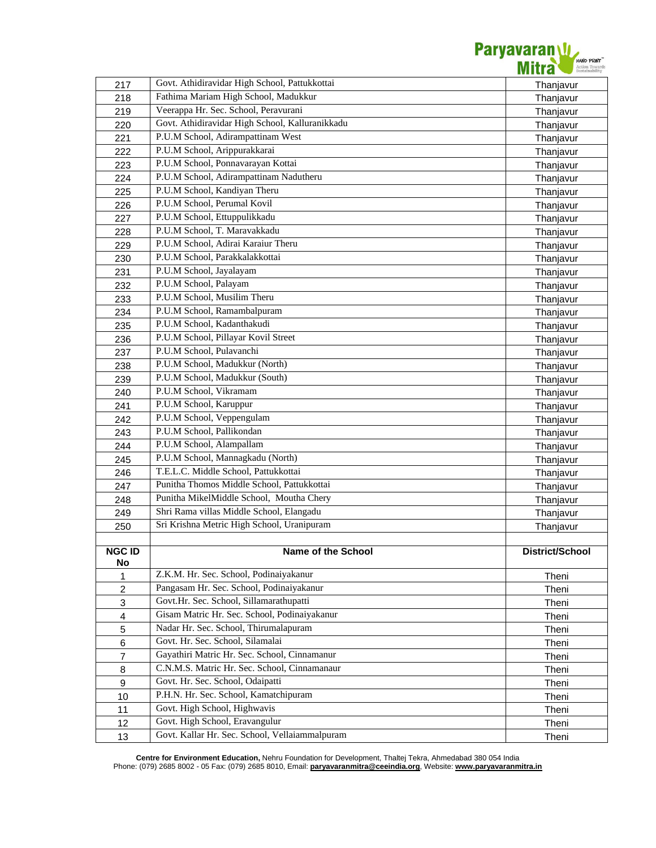

| 217                       | Govt. Athidiravidar High School, Pattukkottai   | Thanjavur       |
|---------------------------|-------------------------------------------------|-----------------|
| 218                       | Fathima Mariam High School, Madukkur            | Thanjavur       |
| 219                       | Veerappa Hr. Sec. School, Peravurani            | Thanjavur       |
| 220                       | Govt. Athidiravidar High School, Kalluranikkadu | Thanjavur       |
| 221                       | P.U.M School, Adirampattinam West               | Thanjavur       |
| 222                       | P.U.M School, Arippurakkarai                    | Thanjavur       |
| 223                       | P.U.M School, Ponnavarayan Kottai               | Thanjavur       |
| 224                       | P.U.M School, Adirampattinam Nadutheru          | Thanjavur       |
| 225                       | P.U.M School, Kandiyan Theru                    | Thanjavur       |
| 226                       | P.U.M School, Perumal Kovil                     | Thanjavur       |
| 227                       | P.U.M School, Ettuppulikkadu                    | Thanjavur       |
| 228                       | P.U.M School, T. Maravakkadu                    | Thanjavur       |
| 229                       | P.U.M School, Adirai Karaiur Theru              | Thanjavur       |
| 230                       | P.U.M School, Parakkalakkottai                  | Thanjavur       |
| 231                       | P.U.M School, Jayalayam                         | Thanjavur       |
| 232                       | P.U.M School, Palayam                           | Thanjavur       |
| 233                       | P.U.M School, Musilim Theru                     | Thanjavur       |
| 234                       | P.U.M School, Ramambalpuram                     | Thanjavur       |
| 235                       | P.U.M School, Kadanthakudi                      | Thanjavur       |
| 236                       | P.U.M School, Pillayar Kovil Street             | Thanjavur       |
| 237                       | P.U.M School, Pulavanchi                        | Thanjavur       |
| 238                       | P.U.M School, Madukkur (North)                  | Thanjavur       |
| 239                       | P.U.M School, Madukkur (South)                  | Thanjavur       |
| 240                       | P.U.M School, Vikramam                          | Thanjavur       |
| 241                       | P.U.M School, Karuppur                          | Thanjavur       |
| 242                       | P.U.M School, Veppengulam                       | Thanjavur       |
| 243                       | P.U.M School, Pallikondan                       | Thanjavur       |
| 244                       | P.U.M School, Alampallam                        | Thanjavur       |
| 245                       | P.U.M School, Mannagkadu (North)                | Thanjavur       |
| 246                       | T.E.L.C. Middle School, Pattukkottai            | Thanjavur       |
| 247                       | Punitha Thomos Middle School, Pattukkottai      | Thanjavur       |
| 248                       | Punitha MikelMiddle School, Moutha Chery        | Thanjavur       |
| 249                       | Shri Rama villas Middle School, Elangadu        | Thanjavur       |
| 250                       | Sri Krishna Metric High School, Uranipuram      | Thanjavur       |
|                           |                                                 |                 |
| <b>NGC ID</b>             | Name of the School                              | District/School |
| No                        |                                                 |                 |
| 1                         | Z.K.M. Hr. Sec. School, Podinaiyakanur          | Theni           |
| $\overline{c}$            | Pangasam Hr. Sec. School, Podinaiyakanur        | Theni           |
| $\ensuremath{\mathsf{3}}$ | Govt.Hr. Sec. School, Sillamarathupatti         | Theni           |
| $\overline{\mathbf{4}}$   | Gisam Matric Hr. Sec. School, Podinaiyakanur    | Theni           |
| $\mathbf 5$               | Nadar Hr. Sec. School, Thirumalapuram           | Theni           |
| $\,6$                     | Govt. Hr. Sec. School, Silamalai                | Theni           |
| $\overline{7}$            | Gayathiri Matric Hr. Sec. School, Cinnamanur    | Theni           |
| 8                         | C.N.M.S. Matric Hr. Sec. School, Cinnamanaur    | Theni           |
| 9                         | Govt. Hr. Sec. School, Odaipatti                | Theni           |
| 10                        | P.H.N. Hr. Sec. School, Kamatchipuram           | Theni           |
| 11                        | Govt. High School, Highwavis                    | Theni           |
| 12                        | Govt. High School, Eravangulur                  | Theni           |
| 13                        | Govt. Kallar Hr. Sec. School, Vellaiammalpuram  | Theni           |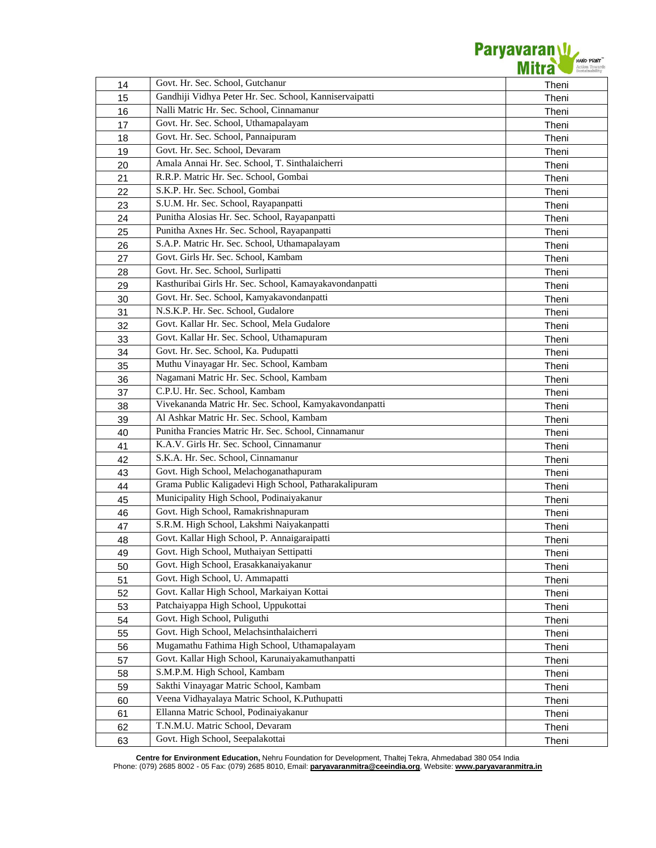

| 14 | Govt. Hr. Sec. School, Gutchanur                        | Theni |
|----|---------------------------------------------------------|-------|
| 15 | Gandhiji Vidhya Peter Hr. Sec. School, Kanniservaipatti | Theni |
| 16 | Nalli Matric Hr. Sec. School, Cinnamanur                | Theni |
| 17 | Govt. Hr. Sec. School, Uthamapalayam                    | Theni |
| 18 | Govt. Hr. Sec. School, Pannaipuram                      | Theni |
| 19 | Govt. Hr. Sec. School, Devaram                          | Theni |
| 20 | Amala Annai Hr. Sec. School, T. Sinthalaicherri         | Theni |
| 21 | R.R.P. Matric Hr. Sec. School, Gombai                   | Theni |
| 22 | S.K.P. Hr. Sec. School, Gombai                          | Theni |
| 23 | S.U.M. Hr. Sec. School, Rayapanpatti                    | Theni |
| 24 | Punitha Alosias Hr. Sec. School, Rayapanpatti           | Theni |
| 25 | Punitha Axnes Hr. Sec. School, Rayapanpatti             | Theni |
| 26 | S.A.P. Matric Hr. Sec. School, Uthamapalayam            | Theni |
| 27 | Govt. Girls Hr. Sec. School, Kambam                     | Theni |
| 28 | Govt. Hr. Sec. School, Surlipatti                       | Theni |
| 29 | Kasthuribai Girls Hr. Sec. School, Kamayakavondanpatti  | Theni |
| 30 | Govt. Hr. Sec. School, Kamyakavondanpatti               | Theni |
| 31 | N.S.K.P. Hr. Sec. School, Gudalore                      | Theni |
| 32 | Govt. Kallar Hr. Sec. School, Mela Gudalore             | Theni |
| 33 | Govt. Kallar Hr. Sec. School, Uthamapuram               | Theni |
| 34 | Govt. Hr. Sec. School, Ka. Pudupatti                    | Theni |
| 35 | Muthu Vinayagar Hr. Sec. School, Kambam                 | Theni |
| 36 | Nagamani Matric Hr. Sec. School, Kambam                 | Theni |
| 37 | C.P.U. Hr. Sec. School, Kambam                          | Theni |
| 38 | Vivekananda Matric Hr. Sec. School, Kamyakavondanpatti  | Theni |
| 39 | Al Ashkar Matric Hr. Sec. School, Kambam                | Theni |
| 40 | Punitha Francies Matric Hr. Sec. School, Cinnamanur     | Theni |
| 41 | K.A.V. Girls Hr. Sec. School, Cinnamanur                | Theni |
| 42 | S.K.A. Hr. Sec. School, Cinnamanur                      | Theni |
| 43 | Govt. High School, Melachoganathapuram                  | Theni |
| 44 | Grama Public Kaligadevi High School, Patharakalipuram   | Theni |
| 45 | Municipality High School, Podinaiyakanur                | Theni |
| 46 | Govt. High School, Ramakrishnapuram                     | Theni |
| 47 | S.R.M. High School, Lakshmi Naiyakanpatti               | Theni |
| 48 | Govt. Kallar High School, P. Annaigaraipatti            | Theni |
| 49 | Govt. High School, Muthaiyan Settipatti                 | Theni |
| 50 | Govt. High School, Erasakkanaiyakanur                   | Theni |
| 51 | Govt. High School, U. Ammapatti                         | Theni |
| 52 | Govt. Kallar High School, Markaiyan Kottai              | Theni |
| 53 | Patchaiyappa High School, Uppukottai                    | Theni |
| 54 | Govt. High School, Puliguthi                            | Theni |
| 55 | Govt. High School, Melachsinthalaicherri                | Theni |
| 56 | Mugamathu Fathima High School, Uthamapalayam            | Theni |
| 57 | Govt. Kallar High School, Karunaiyakamuthanpatti        | Theni |
| 58 | S.M.P.M. High School, Kambam                            | Theni |
| 59 | Sakthi Vinayagar Matric School, Kambam                  | Theni |
| 60 | Veena Vidhayalaya Matric School, K.Puthupatti           | Theni |
| 61 | Ellanna Matric School, Podinaiyakanur                   | Theni |
| 62 | T.N.M.U. Matric School, Devaram                         | Theni |
| 63 | Govt. High School, Seepalakottai                        | Theni |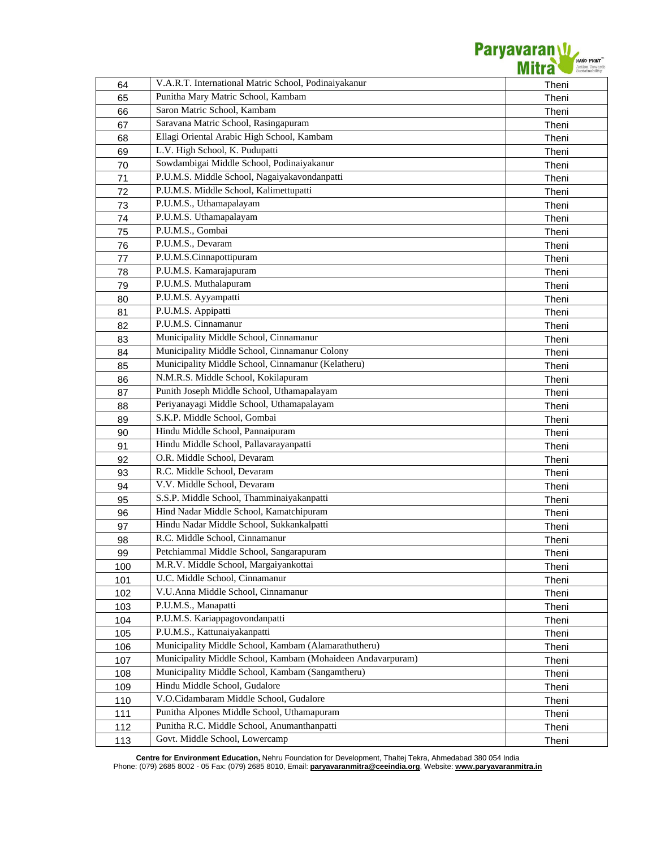Paryavaran W

| 64       | V.A.R.T. International Matric School, Podinaiyakanur        | Theni          |
|----------|-------------------------------------------------------------|----------------|
| 65       | Punitha Mary Matric School, Kambam                          | Theni          |
| 66       | Saron Matric School, Kambam                                 | Theni          |
| 67       | Saravana Matric School, Rasingapuram                        | Theni          |
| 68       | Ellagi Oriental Arabic High School, Kambam                  | Theni          |
| 69       | L.V. High School, K. Pudupatti                              | Theni          |
| 70       | Sowdambigai Middle School, Podinaiyakanur                   | Theni          |
| 71       | P.U.M.S. Middle School, Nagaiyakavondanpatti                | Theni          |
| 72       | P.U.M.S. Middle School, Kalimettupatti                      | Theni          |
| 73       | P.U.M.S., Uthamapalayam                                     | Theni          |
| 74       | P.U.M.S. Uthamapalayam                                      | Theni          |
| 75       | P.U.M.S., Gombai                                            | Theni          |
| 76       | P.U.M.S., Devaram                                           | Theni          |
| 77       | P.U.M.S.Cinnapottipuram                                     | Theni          |
| 78       | P.U.M.S. Kamarajapuram                                      | Theni          |
| 79       | P.U.M.S. Muthalapuram                                       | Theni          |
| 80       | P.U.M.S. Ayyampatti                                         | Theni          |
| 81       | P.U.M.S. Appipatti                                          | Theni          |
| 82       | P.U.M.S. Cinnamanur                                         | Theni          |
| 83       | Municipality Middle School, Cinnamanur                      | Theni          |
|          | Municipality Middle School, Cinnamanur Colony               |                |
| 84       | Municipality Middle School, Cinnamanur (Kelatheru)          | Theni          |
| 85<br>86 | N.M.R.S. Middle School, Kokilapuram                         | Theni<br>Theni |
|          | Punith Joseph Middle School, Uthamapalayam                  |                |
| 87       | Periyanayagi Middle School, Uthamapalayam                   | Theni          |
| 88       | S.K.P. Middle School, Gombai                                | Theni          |
| 89       | Hindu Middle School, Pannaipuram                            | Theni          |
| 90       | Hindu Middle School, Pallavarayanpatti                      | Theni          |
| 91       | O.R. Middle School, Devaram                                 | Theni          |
| 92       |                                                             | Theni          |
| 93       | R.C. Middle School, Devaram                                 | Theni          |
| 94       | V.V. Middle School, Devaram                                 | Theni          |
| 95       | S.S.P. Middle School, Thamminaiyakanpatti                   | Theni          |
| 96       | Hind Nadar Middle School, Kamatchipuram                     | Theni          |
| 97       | Hindu Nadar Middle School, Sukkankalpatti                   | Theni          |
| 98       | R.C. Middle School, Cinnamanur                              | Theni          |
| 99       | Petchiammal Middle School, Sangarapuram                     | Theni          |
| 100      | M.R.V. Middle School, Margaiyankottai                       | Theni          |
| 101      | U.C. Middle School, Cinnamanur                              | Theni          |
| 102      | V.U.Anna Middle School, Cinnamanur                          | Theni          |
| 103      | P.U.M.S., Manapatti                                         | Theni          |
| 104      | P.U.M.S. Kariappagovondanpatti                              | Theni          |
| 105      | P.U.M.S., Kattunaiyakanpatti                                | Theni          |
| 106      | Municipality Middle School, Kambam (Alamarathutheru)        | Theni          |
| 107      | Municipality Middle School, Kambam (Mohaideen Andavarpuram) | Theni          |
| 108      | Municipality Middle School, Kambam (Sangamtheru)            | Theni          |
| 109      | Hindu Middle School, Gudalore                               | Theni          |
| 110      | V.O.Cidambaram Middle School, Gudalore                      | Theni          |
| 111      | Punitha Alpones Middle School, Uthamapuram                  | Theni          |
| 112      | Punitha R.C. Middle School, Anumanthanpatti                 | Theni          |
| 113      | Govt. Middle School, Lowercamp                              | Theni          |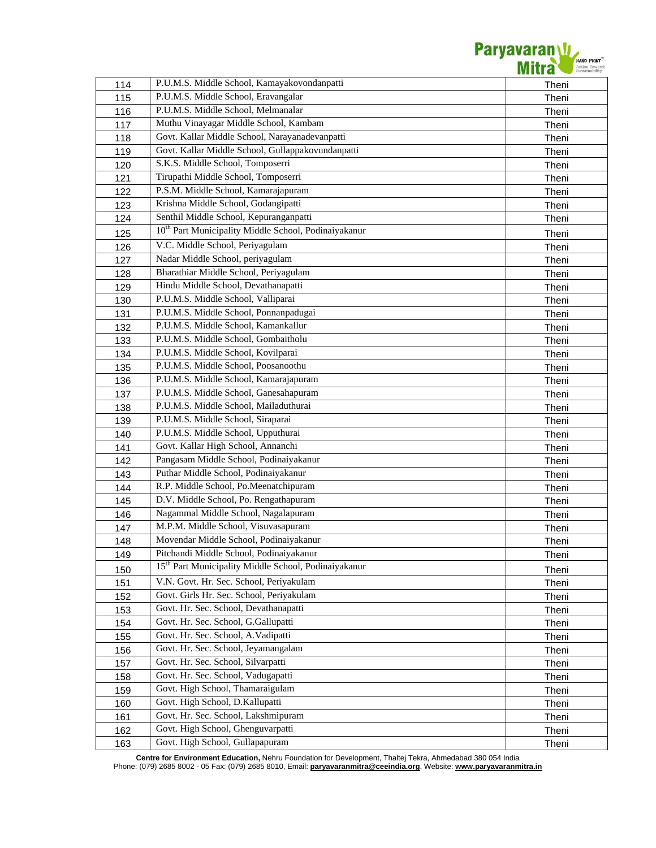

| 114 | P.U.M.S. Middle School, Kamayakovondanpatti                      | Theni |
|-----|------------------------------------------------------------------|-------|
| 115 | P.U.M.S. Middle School, Eravangalar                              | Theni |
| 116 | P.U.M.S. Middle School, Melmanalar                               | Theni |
| 117 | Muthu Vinayagar Middle School, Kambam                            | Theni |
| 118 | Govt. Kallar Middle School, Narayanadevanpatti                   | Theni |
| 119 | Govt. Kallar Middle School, Gullappakovundanpatti                | Theni |
| 120 | S.K.S. Middle School, Tomposerri                                 | Theni |
| 121 | Tirupathi Middle School, Tomposerri                              | Theni |
| 122 | P.S.M. Middle School, Kamarajapuram                              | Theni |
| 123 | Krishna Middle School, Godangipatti                              | Theni |
| 124 | Senthil Middle School, Kepuranganpatti                           | Theni |
| 125 | 10 <sup>th</sup> Part Municipality Middle School, Podinaiyakanur | Theni |
| 126 | V.C. Middle School, Periyagulam                                  | Theni |
| 127 | Nadar Middle School, periyagulam                                 | Theni |
| 128 | Bharathiar Middle School, Periyagulam                            | Theni |
| 129 | Hindu Middle School, Devathanapatti                              | Theni |
| 130 | P.U.M.S. Middle School, Valliparai                               | Theni |
| 131 | P.U.M.S. Middle School, Ponnanpadugai                            | Theni |
| 132 | P.U.M.S. Middle School, Kamankallur                              | Theni |
| 133 | P.U.M.S. Middle School, Gombaitholu                              | Theni |
| 134 | P.U.M.S. Middle School, Kovilparai                               | Theni |
| 135 | P.U.M.S. Middle School, Poosanoothu                              | Theni |
| 136 | P.U.M.S. Middle School, Kamarajapuram                            | Theni |
| 137 | P.U.M.S. Middle School, Ganesahapuram                            | Theni |
| 138 | P.U.M.S. Middle School, Mailaduthurai                            | Theni |
| 139 | P.U.M.S. Middle School, Siraparai                                | Theni |
| 140 | P.U.M.S. Middle School, Upputhurai                               | Theni |
| 141 | Govt. Kallar High School, Annanchi                               | Theni |
| 142 | Pangasam Middle School, Podinaiyakanur                           | Theni |
| 143 | Puthar Middle School, Podinaiyakanur                             | Theni |
| 144 | R.P. Middle School, Po.Meenatchipuram                            | Theni |
| 145 | D.V. Middle School, Po. Rengathapuram                            | Theni |
| 146 | Nagammal Middle School, Nagalapuram                              | Theni |
| 147 | M.P.M. Middle School, Visuvasapuram                              | Theni |
| 148 | Movendar Middle School, Podinaiyakanur                           | Theni |
| 149 | Pitchandi Middle School, Podinaiyakanur                          | Theni |
| 150 | 15 <sup>th</sup> Part Municipality Middle School, Podinaiyakanur | Theni |
| 151 | V.N. Govt. Hr. Sec. School, Periyakulam                          | Theni |
| 152 | Govt. Girls Hr. Sec. School, Periyakulam                         | Theni |
| 153 | Govt. Hr. Sec. School, Devathanapatti                            | Theni |
| 154 | Govt. Hr. Sec. School, G.Gallupatti                              | Theni |
| 155 | Govt. Hr. Sec. School, A.Vadipatti                               | Theni |
| 156 | Govt. Hr. Sec. School, Jeyamangalam                              | Theni |
| 157 | Govt. Hr. Sec. School, Silvarpatti                               | Theni |
| 158 | Govt. Hr. Sec. School, Vadugapatti                               | Theni |
| 159 | Govt. High School, Thamaraigulam                                 | Theni |
| 160 | Govt. High School, D.Kallupatti                                  | Theni |
| 161 | Govt. Hr. Sec. School, Lakshmipuram                              | Theni |
| 162 | Govt. High School, Ghenguvarpatti                                | Theni |
| 163 | Govt. High School, Gullapapuram                                  | Theni |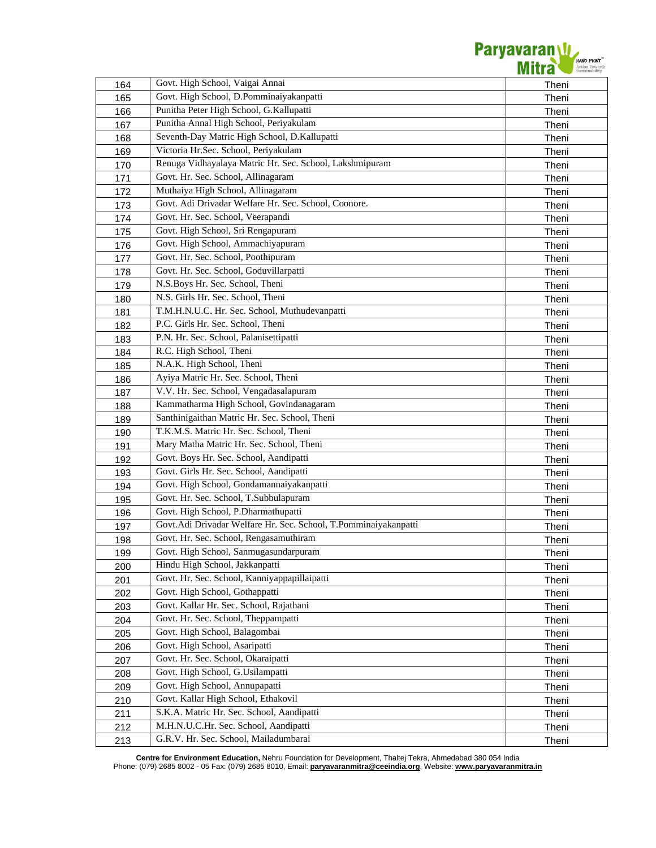

| 164 | Govt. High School, Vaigai Annai                                 | Theni |
|-----|-----------------------------------------------------------------|-------|
| 165 | Govt. High School, D.Pomminaiyakanpatti                         | Theni |
| 166 | Punitha Peter High School, G.Kallupatti                         | Theni |
| 167 | Punitha Annal High School, Periyakulam                          | Theni |
| 168 | Seventh-Day Matric High School, D.Kallupatti                    | Theni |
| 169 | Victoria Hr.Sec. School, Periyakulam                            | Theni |
| 170 | Renuga Vidhayalaya Matric Hr. Sec. School, Lakshmipuram         | Theni |
| 171 | Govt. Hr. Sec. School, Allinagaram                              | Theni |
| 172 | Muthaiya High School, Allinagaram                               | Theni |
| 173 | Govt. Adi Drivadar Welfare Hr. Sec. School, Coonore.            | Theni |
| 174 | Govt. Hr. Sec. School, Veerapandi                               | Theni |
| 175 | Govt. High School, Sri Rengapuram                               | Theni |
| 176 | Govt. High School, Ammachiyapuram                               | Theni |
| 177 | Govt. Hr. Sec. School, Poothipuram                              | Theni |
| 178 | Govt. Hr. Sec. School, Goduvillarpatti                          | Theni |
| 179 | N.S.Boys Hr. Sec. School, Theni                                 | Theni |
| 180 | N.S. Girls Hr. Sec. School, Theni                               | Theni |
| 181 | T.M.H.N.U.C. Hr. Sec. School, Muthudevanpatti                   | Theni |
| 182 | P.C. Girls Hr. Sec. School, Theni                               | Theni |
| 183 | P.N. Hr. Sec. School, Palanisettipatti                          | Theni |
| 184 | R.C. High School, Theni                                         | Theni |
| 185 | N.A.K. High School, Theni                                       | Theni |
| 186 | Ayiya Matric Hr. Sec. School, Theni                             | Theni |
| 187 | V.V. Hr. Sec. School, Vengadasalapuram                          | Theni |
| 188 | Kammatharma High School, Govindanagaram                         | Theni |
| 189 | Santhinigaithan Matric Hr. Sec. School, Theni                   | Theni |
| 190 | T.K.M.S. Matric Hr. Sec. School, Theni                          | Theni |
| 191 | Mary Matha Matric Hr. Sec. School, Theni                        | Theni |
| 192 | Govt. Boys Hr. Sec. School, Aandipatti                          | Theni |
| 193 | Govt. Girls Hr. Sec. School, Aandipatti                         | Theni |
| 194 | Govt. High School, Gondamannaiyakanpatti                        | Theni |
| 195 | Govt. Hr. Sec. School, T.Subbulapuram                           | Theni |
| 196 | Govt. High School, P.Dharmathupatti                             | Theni |
| 197 | Govt.Adi Drivadar Welfare Hr. Sec. School, T.Pomminaiyakanpatti | Theni |
| 198 | Govt. Hr. Sec. School, Rengasamuthiram                          | Theni |
| 199 | Govt. High School, Sanmugasundarpuram                           | Theni |
| 200 | Hindu High School, Jakkanpatti                                  | Theni |
| 201 | Govt. Hr. Sec. School, Kanniyappapillaipatti                    | Theni |
| 202 | Govt. High School, Gothappatti                                  | Theni |
| 203 | Govt. Kallar Hr. Sec. School, Rajathani                         | Theni |
| 204 | Govt. Hr. Sec. School, Theppampatti                             | Theni |
| 205 | Govt. High School, Balagombai                                   | Theni |
| 206 | Govt. High School, Asaripatti                                   | Theni |
| 207 | Govt. Hr. Sec. School, Okaraipatti                              | Theni |
| 208 | Govt. High School, G.Usilampatti                                | Theni |
| 209 | Govt. High School, Annupapatti                                  | Theni |
| 210 | Govt. Kallar High School, Ethakovil                             | Theni |
| 211 | S.K.A. Matric Hr. Sec. School, Aandipatti                       | Theni |
| 212 | M.H.N.U.C.Hr. Sec. School, Aandipatti                           | Theni |
| 213 | G.R.V. Hr. Sec. School, Mailadumbarai                           | Theni |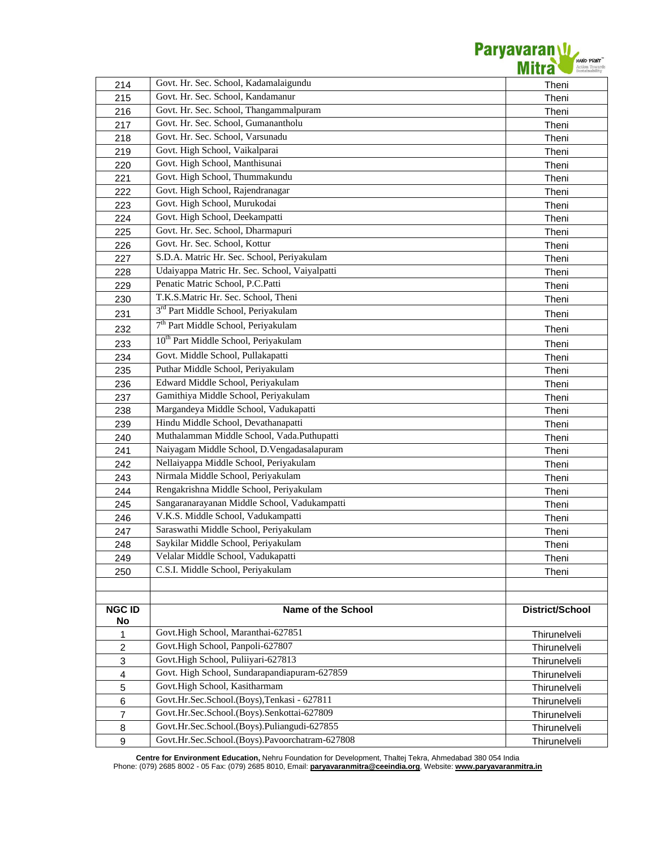

| 214            | Govt. Hr. Sec. School, Kadamalaigundu            | Theni           |
|----------------|--------------------------------------------------|-----------------|
| 215            | Govt. Hr. Sec. School, Kandamanur                | Theni           |
| 216            | Govt. Hr. Sec. School, Thangammalpuram           | Theni           |
| 217            | Govt. Hr. Sec. School, Gumanantholu              | Theni           |
| 218            | Govt. Hr. Sec. School, Varsunadu                 | Theni           |
| 219            | Govt. High School, Vaikalparai                   | Theni           |
| 220            | Govt. High School, Manthisunai                   | Theni           |
| 221            | Govt. High School, Thummakundu                   | Theni           |
| 222            | Govt. High School, Rajendranagar                 | Theni           |
| 223            | Govt. High School, Murukodai                     | Theni           |
| 224            | Govt. High School, Deekampatti                   | Theni           |
| 225            | Govt. Hr. Sec. School, Dharmapuri                | Theni           |
| 226            | Govt. Hr. Sec. School, Kottur                    | Theni           |
| 227            | S.D.A. Matric Hr. Sec. School, Periyakulam       | Theni           |
| 228            | Udaiyappa Matric Hr. Sec. School, Vaiyalpatti    | Theni           |
| 229            | Penatic Matric School, P.C.Patti                 | Theni           |
| 230            | T.K.S.Matric Hr. Sec. School, Theni              | Theni           |
| 231            | 3 <sup>rd</sup> Part Middle School, Periyakulam  | Theni           |
| 232            | 7 <sup>th</sup> Part Middle School, Periyakulam  | Theni           |
| 233            | 10 <sup>th</sup> Part Middle School, Periyakulam | Theni           |
| 234            | Govt. Middle School, Pullakapatti                | Theni           |
| 235            | Puthar Middle School, Periyakulam                | Theni           |
| 236            | Edward Middle School, Periyakulam                | Theni           |
| 237            | Gamithiya Middle School, Periyakulam             | Theni           |
| 238            | Margandeya Middle School, Vadukapatti            | Theni           |
| 239            | Hindu Middle School, Devathanapatti              | Theni           |
| 240            | Muthalamman Middle School, Vada.Puthupatti       | Theni           |
| 241            | Naiyagam Middle School, D.Vengadasalapuram       | Theni           |
| 242            | Nellaiyappa Middle School, Periyakulam           | Theni           |
| 243            | Nirmala Middle School, Periyakulam               | Theni           |
| 244            | Rengakrishna Middle School, Periyakulam          | Theni           |
| 245            | Sangaranarayanan Middle School, Vadukampatti     | Theni           |
| 246            | V.K.S. Middle School, Vadukampatti               | Theni           |
| 247            | Saraswathi Middle School, Periyakulam            | Theni           |
| 248            | Saykilar Middle School, Periyakulam              | Theni           |
| 249            | Velalar Middle School, Vadukapatti               | Theni           |
| 250            | C.S.I. Middle School, Periyakulam                | Theni           |
|                |                                                  |                 |
|                |                                                  |                 |
| <b>NGC ID</b>  | Name of the School                               | District/School |
| No             |                                                  |                 |
| 1              | Govt.High School, Maranthai-627851               | Thirunelveli    |
| $\overline{2}$ | Govt.High School, Panpoli-627807                 | Thirunelveli    |
| 3              | Govt.High School, Puliiyari-627813               | Thirunelveli    |
| $\overline{4}$ | Govt. High School, Sundarapandiapuram-627859     | Thirunelveli    |
| 5              | Govt.High School, Kasitharmam                    | Thirunelveli    |
| 6              | Govt.Hr.Sec.School.(Boys),Tenkasi - 627811       | Thirunelveli    |
| $\overline{7}$ | Govt.Hr.Sec.School.(Boys).Senkottai-627809       | Thirunelveli    |
| 8              | Govt.Hr.Sec.School.(Boys).Puliangudi-627855      | Thirunelveli    |
| 9              | Govt.Hr.Sec.School.(Boys).Pavoorchatram-627808   | Thirunelveli    |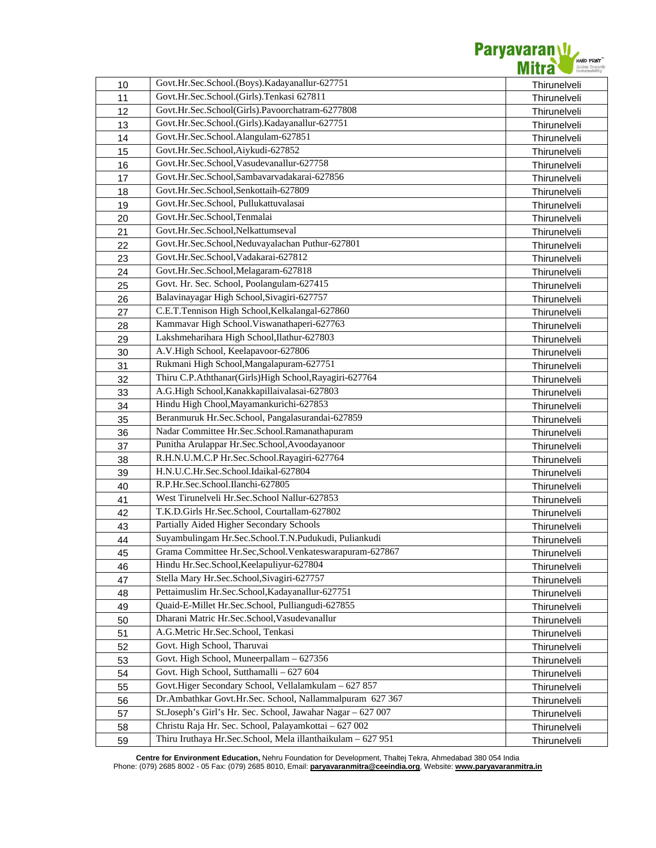

|    | Govt.Hr.Sec.School.(Boys).Kadayanallur-627751               |              |
|----|-------------------------------------------------------------|--------------|
| 10 | Govt.Hr.Sec.School.(Girls).Tenkasi 627811                   | Thirunelveli |
| 11 | Govt.Hr.Sec.School(Girls).Pavoorchatram-6277808             | Thirunelveli |
| 12 | Govt.Hr.Sec.School.(Girls).Kadayanallur-627751              | Thirunelveli |
| 13 | Govt.Hr.Sec.School.Alangulam-627851                         | Thirunelveli |
| 14 |                                                             | Thirunelveli |
| 15 | Govt.Hr.Sec.School,Aiykudi-627852                           | Thirunelveli |
| 16 | Govt.Hr.Sec.School,Vasudevanallur-627758                    | Thirunelveli |
| 17 | Govt.Hr.Sec.School,Sambavarvadakarai-627856                 | Thirunelveli |
| 18 | Govt.Hr.Sec.School,Senkottaih-627809                        | Thirunelveli |
| 19 | Govt.Hr.Sec.School, Pullukattuvalasai                       | Thirunelveli |
| 20 | Govt.Hr.Sec.School,Tenmalai                                 | Thirunelveli |
| 21 | Govt.Hr.Sec.School,Nelkattumseval                           | Thirunelveli |
| 22 | Govt.Hr.Sec.School,Neduvayalachan Puthur-627801             | Thirunelveli |
| 23 | Govt.Hr.Sec.School,Vadakarai-627812                         | Thirunelveli |
| 24 | Govt.Hr.Sec.School,Melagaram-627818                         | Thirunelveli |
| 25 | Govt. Hr. Sec. School, Poolangulam-627415                   | Thirunelveli |
| 26 | Balavinayagar High School, Sivagiri-627757                  | Thirunelveli |
| 27 | C.E.T.Tennison High School, Kelkalangal-627860              | Thirunelveli |
| 28 | Kammavar High School. Viswanathaperi-627763                 | Thirunelveli |
| 29 | Lakshmeharihara High School, Ilathur-627803                 | Thirunelveli |
| 30 | A.V.High School, Keelapavoor-627806                         | Thirunelveli |
| 31 | Rukmani High School, Mangalapuram-627751                    | Thirunelveli |
| 32 | Thiru C.P.Aththanar(Girls)High School, Rayagiri-627764      | Thirunelveli |
| 33 | A.G.High School, Kanakkapillaivalasai-627803                | Thirunelveli |
| 34 | Hindu High Chool, Mayamankurichi-627853                     | Thirunelveli |
| 35 | Beranmuruk Hr.Sec.School, Pangalasurandai-627859            | Thirunelveli |
| 36 | Nadar Committee Hr.Sec.School.Ramanathapuram                | Thirunelveli |
| 37 | Punitha Arulappar Hr.Sec.School,Avoodayanoor                | Thirunelveli |
| 38 | R.H.N.U.M.C.P Hr.Sec.School.Rayagiri-627764                 | Thirunelveli |
| 39 | H.N.U.C.Hr.Sec.School.Idaikal-627804                        | Thirunelveli |
| 40 | R.P.Hr.Sec.School.Ilanchi-627805                            | Thirunelveli |
| 41 | West Tirunelveli Hr.Sec.School Nallur-627853                | Thirunelveli |
| 42 | T.K.D.Girls Hr.Sec.School, Courtallam-627802                | Thirunelveli |
| 43 | Partially Aided Higher Secondary Schools                    | Thirunelveli |
| 44 | Suyambulingam Hr.Sec.School.T.N.Pudukudi, Puliankudi        | Thirunelveli |
| 45 | Grama Committee Hr.Sec, School. Venkateswarapuram-627867    | Thirunelveli |
| 46 | Hindu Hr.Sec.School,Keelapuliyur-627804                     | Thirunelveli |
| 47 | Stella Mary Hr.Sec.School, Sivagiri-627757                  | Thirunelveli |
| 48 | Pettaimuslim Hr.Sec.School, Kadayanallur-627751             | Thirunelveli |
| 49 | Quaid-E-Millet Hr.Sec.School, Pulliangudi-627855            | Thirunelveli |
| 50 | Dharani Matric Hr.Sec.School, Vasudevanallur                | Thirunelveli |
| 51 | A.G.Metric Hr.Sec.School, Tenkasi                           | Thirunelveli |
| 52 | Govt. High School, Tharuvai                                 | Thirunelveli |
| 53 | Govt. High School, Muneerpallam - 627356                    | Thirunelveli |
| 54 | Govt. High School, Sutthamalli - 627 604                    | Thirunelveli |
| 55 | Govt.Higer Secondary School, Vellalamkulam - 627 857        | Thirunelveli |
| 56 | Dr.Ambathkar Govt.Hr.Sec. School, Nallammalpuram 627 367    | Thirunelveli |
| 57 | St.Joseph's Girl's Hr. Sec. School, Jawahar Nagar - 627 007 | Thirunelveli |
| 58 | Christu Raja Hr. Sec. School, Palayamkottai - 627 002       | Thirunelveli |
| 59 | Thiru Iruthaya Hr.Sec.School, Mela illanthaikulam - 627 951 | Thirunelveli |
|    |                                                             |              |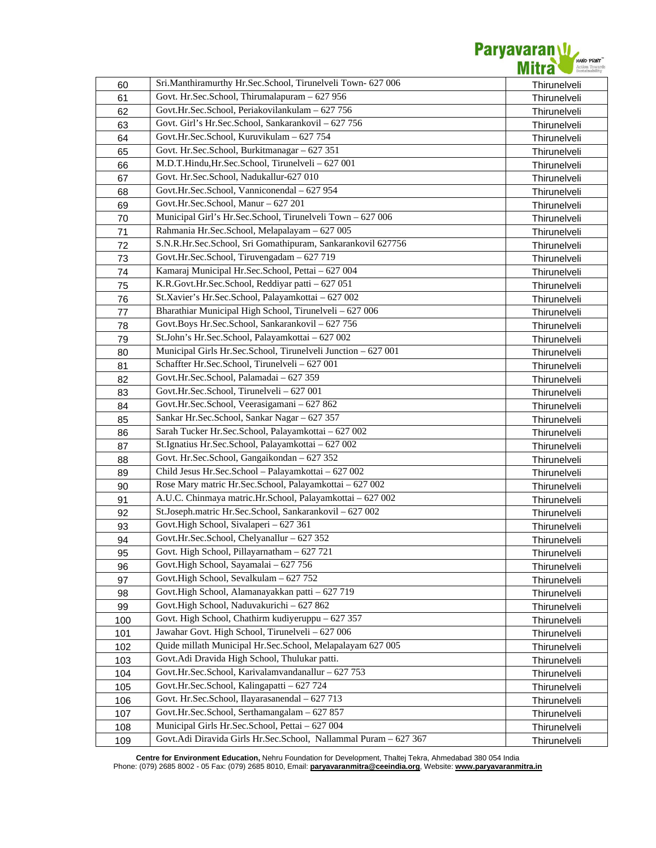

| 60  | Sri.Manthiramurthy Hr.Sec.School, Tirunelveli Town- 627 006      | Thirunelveli |
|-----|------------------------------------------------------------------|--------------|
| 61  | Govt. Hr.Sec.School, Thirumalapuram - 627 956                    | Thirunelveli |
| 62  | Govt.Hr.Sec.School, Periakovilankulam - 627 756                  | Thirunelveli |
| 63  | Govt. Girl's Hr.Sec.School, Sankarankovil - 627 756              | Thirunelveli |
| 64  | Govt.Hr.Sec.School, Kuruvikulam - 627 754                        | Thirunelveli |
| 65  | Govt. Hr.Sec.School, Burkitmanagar - 627 351                     | Thirunelveli |
| 66  | M.D.T.Hindu, Hr.Sec.School, Tirunelveli - 627 001                | Thirunelveli |
| 67  | Govt. Hr.Sec.School, Nadukallur-627 010                          | Thirunelveli |
| 68  | Govt.Hr.Sec.School, Vanniconendal - 627 954                      | Thirunelveli |
| 69  | Govt.Hr.Sec.School, Manur - 627 201                              | Thirunelveli |
| 70  | Municipal Girl's Hr.Sec.School, Tirunelveli Town - 627 006       | Thirunelveli |
| 71  | Rahmania Hr.Sec.School, Melapalayam - 627 005                    | Thirunelveli |
| 72  | S.N.R.Hr.Sec.School, Sri Gomathipuram, Sankarankovil 627756      | Thirunelveli |
| 73  | Govt.Hr.Sec.School, Tiruvengadam - 627 719                       | Thirunelveli |
| 74  | Kamaraj Municipal Hr.Sec.School, Pettai - 627 004                | Thirunelveli |
| 75  | K.R.Govt.Hr.Sec.School, Reddiyar patti - 627 051                 | Thirunelveli |
| 76  | St.Xavier's Hr.Sec.School, Palayamkottai - 627 002               | Thirunelveli |
| 77  | Bharathiar Municipal High School, Tirunelveli - 627 006          | Thirunelveli |
|     | Govt.Boys Hr.Sec.School, Sankarankovil - 627 756                 |              |
| 78  | St.John's Hr.Sec.School, Palayamkottai - 627 002                 | Thirunelveli |
| 79  | Municipal Girls Hr.Sec.School, Tirunelveli Junction - 627 001    | Thirunelveli |
| 80  | Schaffter Hr.Sec.School, Tirunelveli - 627 001                   | Thirunelveli |
| 81  | Govt.Hr.Sec.School, Palamadai - 627 359                          | Thirunelveli |
| 82  | Govt.Hr.Sec.School, Tirunelveli - 627 001                        | Thirunelveli |
| 83  | Govt.Hr.Sec.School, Veerasigamani - 627 862                      | Thirunelveli |
| 84  |                                                                  | Thirunelveli |
| 85  | Sankar Hr.Sec.School, Sankar Nagar - 627 357                     | Thirunelveli |
| 86  | Sarah Tucker Hr.Sec.School, Palayamkottai - 627 002              | Thirunelveli |
| 87  | St.Ignatius Hr.Sec.School, Palayamkottai - 627 002               | Thirunelveli |
| 88  | Govt. Hr.Sec.School, Gangaikondan - 627 352                      | Thirunelveli |
| 89  | Child Jesus Hr.Sec.School - Palayamkottai - 627 002              | Thirunelveli |
| 90  | Rose Mary matric Hr.Sec.School, Palayamkottai - 627 002          | Thirunelveli |
| 91  | A.U.C. Chinmaya matric.Hr.School, Palayamkottai - 627 002        | Thirunelveli |
| 92  | St.Joseph.matric Hr.Sec.School, Sankarankovil - 627 002          | Thirunelveli |
| 93  | Govt.High School, Sivalaperi - 627 361                           | Thirunelveli |
| 94  | Govt.Hr.Sec.School, Chelyanallur - 627 352                       | Thirunelveli |
| 95  | Govt. High School, Pillayarnatham $-627721$                      | Thirunelveli |
| 96  | Govt.High School, Sayamalai - 627 756                            | Thirunelveli |
| 97  | Govt.High School, Sevalkulam - 627 752                           | Thirunelveli |
| 98  | Govt.High School, Alamanayakkan patti - 627 719                  | Thirunelveli |
| 99  | Govt.High School, Naduvakurichi - 627 862                        | Thirunelveli |
| 100 | Govt. High School, Chathirm kudiyeruppu - 627 357                | Thirunelveli |
| 101 | Jawahar Govt. High School, Tirunelveli - 627 006                 | Thirunelveli |
| 102 | Quide millath Municipal Hr.Sec.School, Melapalayam 627 005       | Thirunelveli |
| 103 | Govt.Adi Dravida High School, Thulukar patti.                    | Thirunelveli |
| 104 | Govt.Hr.Sec.School, Karivalamvandanallur - 627 753               | Thirunelveli |
| 105 | Govt.Hr.Sec.School, Kalingapatti - 627 724                       | Thirunelveli |
| 106 | Govt. Hr.Sec.School, Ilayarasanendal - 627 713                   | Thirunelveli |
| 107 | Govt.Hr.Sec.School, Serthamangalam - 627 857                     | Thirunelveli |
| 108 | Municipal Girls Hr.Sec.School, Pettai - 627 004                  | Thirunelveli |
| 109 | Govt.Adi Diravida Girls Hr.Sec.School, Nallammal Puram - 627 367 | Thirunelveli |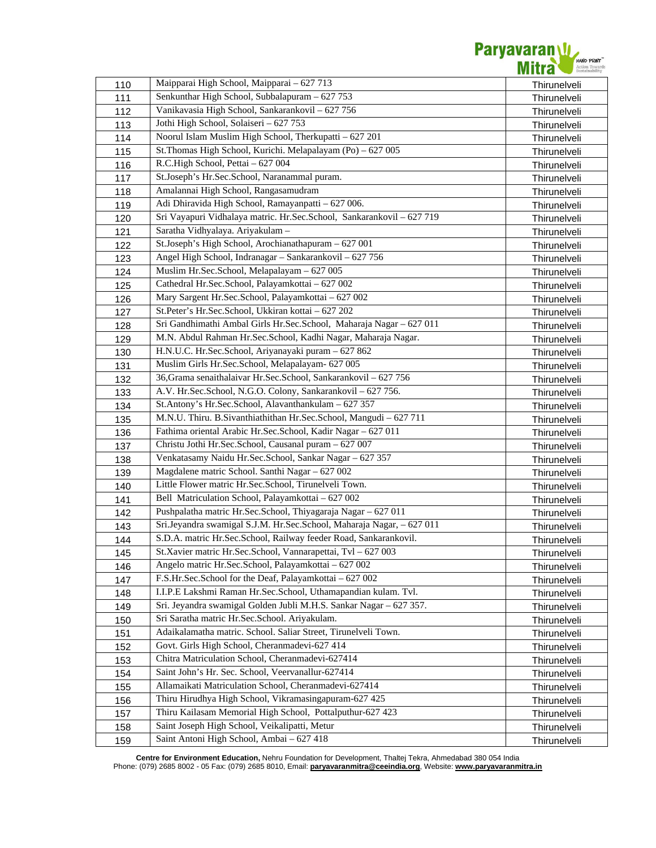

| 110 | Maipparai High School, Maipparai - 627 713                            | Thirunelveli |
|-----|-----------------------------------------------------------------------|--------------|
| 111 | Senkunthar High School, Subbalapuram - 627 753                        | Thirunelveli |
| 112 | Vanikavasia High School, Sankarankovil - 627 756                      | Thirunelveli |
| 113 | Jothi High School, Solaiseri - 627 753                                | Thirunelveli |
| 114 | Noorul Islam Muslim High School, Therkupatti - 627 201                | Thirunelveli |
| 115 | St. Thomas High School, Kurichi. Melapalayam (Po) - 627 005           | Thirunelveli |
| 116 | R.C.High School, Pettai - 627 004                                     | Thirunelveli |
| 117 | St.Joseph's Hr.Sec.School, Naranammal puram.                          | Thirunelveli |
| 118 | Amalannai High School, Rangasamudram                                  | Thirunelveli |
| 119 | Adi Dhiravida High School, Ramayanpatti - 627 006.                    | Thirunelveli |
| 120 | Sri Vayapuri Vidhalaya matric. Hr.Sec.School, Sankarankovil - 627 719 | Thirunelveli |
| 121 | Saratha Vidhyalaya. Ariyakulam -                                      | Thirunelveli |
| 122 | St.Joseph's High School, Arochianathapuram - 627 001                  | Thirunelveli |
| 123 | Angel High School, Indranagar - Sankarankovil - 627 756               | Thirunelveli |
| 124 | Muslim Hr.Sec.School, Melapalayam - 627 005                           | Thirunelveli |
| 125 | Cathedral Hr.Sec.School, Palayamkottai - 627 002                      | Thirunelveli |
| 126 | Mary Sargent Hr.Sec.School, Palayamkottai - 627 002                   | Thirunelveli |
| 127 | St.Peter's Hr.Sec.School, Ukkiran kottai - 627 202                    | Thirunelveli |
| 128 | Sri Gandhimathi Ambal Girls Hr.Sec.School, Maharaja Nagar - 627 011   | Thirunelveli |
| 129 | M.N. Abdul Rahman Hr.Sec.School, Kadhi Nagar, Maharaja Nagar.         | Thirunelveli |
| 130 | H.N.U.C. Hr.Sec.School, Ariyanayaki puram - 627 862                   | Thirunelveli |
| 131 | Muslim Girls Hr.Sec.School, Melapalayam- 627 005                      | Thirunelveli |
| 132 | 36, Grama senaithalaivar Hr. Sec. School, Sankarankovil - 627 756     | Thirunelveli |
| 133 | A.V. Hr.Sec.School, N.G.O. Colony, Sankarankovil - 627 756.           | Thirunelveli |
| 134 | St.Antony's Hr.Sec.School, Alavanthankulam - 627 357                  | Thirunelveli |
| 135 | M.N.U. Thiru. B.Sivanthiathithan Hr.Sec.School, Mangudi - 627 711     | Thirunelveli |
| 136 | Fathima oriental Arabic Hr.Sec.School, Kadir Nagar - 627 011          | Thirunelveli |
| 137 | Christu Jothi Hr.Sec.School, Causanal puram - 627 007                 | Thirunelveli |
| 138 | Venkatasamy Naidu Hr.Sec.School, Sankar Nagar - 627 357               | Thirunelveli |
| 139 | Magdalene matric School. Santhi Nagar - 627 002                       | Thirunelveli |
| 140 | Little Flower matric Hr.Sec.School, Tirunelveli Town.                 | Thirunelveli |
| 141 | Bell Matriculation School, Palayamkottai - 627 002                    | Thirunelveli |
| 142 | Pushpalatha matric Hr.Sec.School, Thiyagaraja Nagar - 627 011         | Thirunelveli |
| 143 | Sri.Jeyandra swamigal S.J.M. Hr.Sec.School, Maharaja Nagar, - 627 011 | Thirunelveli |
| 144 | S.D.A. matric Hr.Sec.School, Railway feeder Road, Sankarankovil.      | Thirunelveli |
| 145 | St.Xavier matric Hr.Sec.School, Vannarapettai, Tvl - 627 003          | Thirunelveli |
| 146 | Angelo matric Hr.Sec.School, Palayamkottai - 627 002                  | Thirunelveli |
| 147 | F.S.Hr.Sec.School for the Deaf, Palayamkottai - 627 002               | Thirunelveli |
| 148 | I.I.P.E Lakshmi Raman Hr.Sec.School, Uthamapandian kulam. Tvl.        | Thirunelveli |
| 149 | Sri. Jeyandra swamigal Golden Jubli M.H.S. Sankar Nagar - 627 357.    | Thirunelveli |
| 150 | Sri Saratha matric Hr.Sec.School. Ariyakulam.                         | Thirunelveli |
| 151 | Adaikalamatha matric. School. Saliar Street, Tirunelveli Town.        | Thirunelveli |
| 152 | Govt. Girls High School, Cheranmadevi-627 414                         | Thirunelveli |
| 153 | Chitra Matriculation School, Cheranmadevi-627414                      | Thirunelveli |
| 154 | Saint John's Hr. Sec. School, Veervanallur-627414                     | Thirunelveli |
| 155 | Allamaikati Matriculation School, Cheranmadevi-627414                 | Thirunelveli |
| 156 | Thiru Hirudhya High School, Vikramasingapuram-627 425                 | Thirunelveli |
| 157 | Thiru Kailasam Memorial High School, Pottalputhur-627 423             | Thirunelveli |
| 158 | Saint Joseph High School, Veikalipatti, Metur                         | Thirunelveli |
| 159 | Saint Antoni High School, Ambai - 627 418                             | Thirunelveli |
|     |                                                                       |              |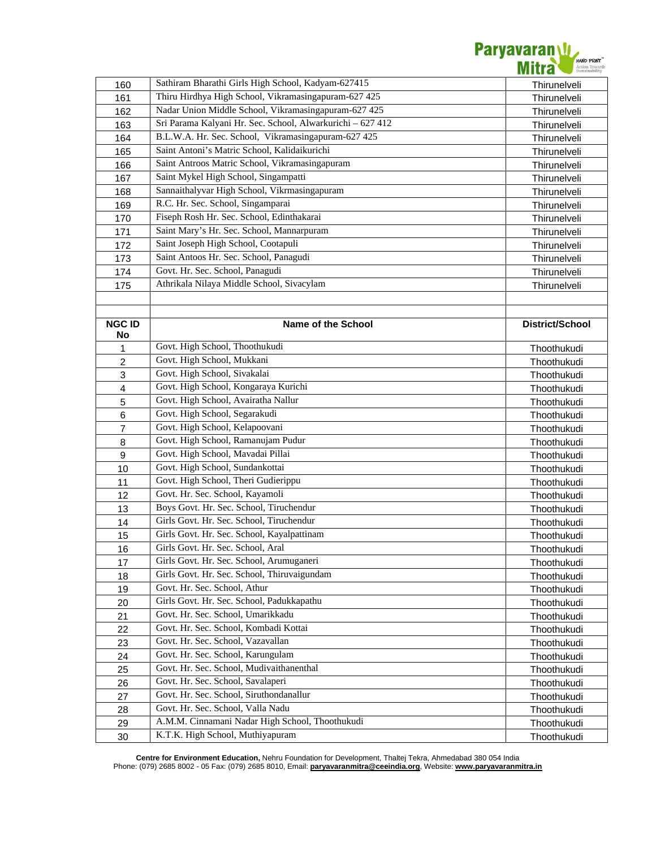

| 160                     | Sathiram Bharathi Girls High School, Kadyam-627415         | Thirunelveli    |
|-------------------------|------------------------------------------------------------|-----------------|
| 161                     | Thiru Hirdhya High School, Vikramasingapuram-627 425       | Thirunelveli    |
| 162                     | Nadar Union Middle School, Vikramasingapuram-627 425       | Thirunelveli    |
| 163                     | Sri Parama Kalyani Hr. Sec. School, Alwarkurichi - 627 412 | Thirunelveli    |
| 164                     | B.L.W.A. Hr. Sec. School, Vikramasingapuram-627 425        | Thirunelveli    |
| 165                     | Saint Antoni's Matric School, Kalidaikurichi               | Thirunelveli    |
| 166                     | Saint Antroos Matric School, Vikramasingapuram             | Thirunelveli    |
| 167                     | Saint Mykel High School, Singampatti                       | Thirunelveli    |
| 168                     | Sannaithalyvar High School, Vikrmasingapuram               | Thirunelveli    |
| 169                     | R.C. Hr. Sec. School, Singamparai                          | Thirunelveli    |
| 170                     | Fiseph Rosh Hr. Sec. School, Edinthakarai                  | Thirunelveli    |
| 171                     | Saint Mary's Hr. Sec. School, Mannarpuram                  | Thirunelveli    |
| 172                     | Saint Joseph High School, Cootapuli                        | Thirunelveli    |
| 173                     | Saint Antoos Hr. Sec. School, Panagudi                     | Thirunelveli    |
| 174                     | Govt. Hr. Sec. School, Panagudi                            | Thirunelveli    |
| 175                     | Athrikala Nilaya Middle School, Sivacylam                  | Thirunelveli    |
|                         |                                                            |                 |
|                         |                                                            |                 |
| <b>NGC ID</b>           | Name of the School                                         | District/School |
| No                      |                                                            |                 |
| 1                       | Govt. High School, Thoothukudi                             | Thoothukudi     |
| $\overline{c}$          | Govt. High School, Mukkani                                 | Thoothukudi     |
| 3                       | Govt. High School, Sivakalai                               | Thoothukudi     |
| $\overline{\mathbf{4}}$ | Govt. High School, Kongaraya Kurichi                       | Thoothukudi     |
| 5                       | Govt. High School, Avairatha Nallur                        | Thoothukudi     |
| 6                       | Govt. High School, Segarakudi                              | Thoothukudi     |
| $\overline{7}$          | Govt. High School, Kelapoovani                             | Thoothukudi     |
| 8                       | Govt. High School, Ramanujam Pudur                         | Thoothukudi     |
| $\mathsf g$             | Govt. High School, Mavadai Pillai                          | Thoothukudi     |
| 10                      | Govt. High School, Sundankottai                            | Thoothukudi     |
| 11                      | Govt. High School, Theri Gudierippu                        | Thoothukudi     |
| 12                      | Govt. Hr. Sec. School, Kayamoli                            | Thoothukudi     |
| 13                      | Boys Govt. Hr. Sec. School, Tiruchendur                    | Thoothukudi     |
| 14                      | Girls Govt. Hr. Sec. School, Tiruchendur                   | Thoothukudi     |
| 15                      | Girls Govt. Hr. Sec. School, Kayalpattinam                 | Thoothukudi     |
| 16                      | Girls Govt. Hr. Sec. School, Aral                          | Thoothukudi     |
| 17                      | Girls Govt. Hr. Sec. School, Arumuganeri                   | Thoothukudi     |
| 18                      | Girls Govt. Hr. Sec. School, Thiruvaigundam                | Thoothukudi     |
| 19                      | Govt. Hr. Sec. School, Athur                               | Thoothukudi     |
| 20                      | Girls Govt. Hr. Sec. School, Padukkapathu                  | Thoothukudi     |
| 21                      | Govt. Hr. Sec. School, Umarikkadu                          | Thoothukudi     |
| 22                      | Govt. Hr. Sec. School, Kombadi Kottai                      | Thoothukudi     |
| 23                      | Govt. Hr. Sec. School, Vazavallan                          | Thoothukudi     |
| 24                      | Govt. Hr. Sec. School, Karungulam                          | Thoothukudi     |
| 25                      | Govt. Hr. Sec. School, Mudivaithanenthal                   | Thoothukudi     |
| 26                      | Govt. Hr. Sec. School, Savalaperi                          | Thoothukudi     |
| 27                      | Govt. Hr. Sec. School, Siruthondanallur                    | Thoothukudi     |
| 28                      | Govt. Hr. Sec. School, Valla Nadu                          | Thoothukudi     |
| 29                      | A.M.M. Cinnamani Nadar High School, Thoothukudi            | Thoothukudi     |
| 30                      | K.T.K. High School, Muthiyapuram                           | Thoothukudi     |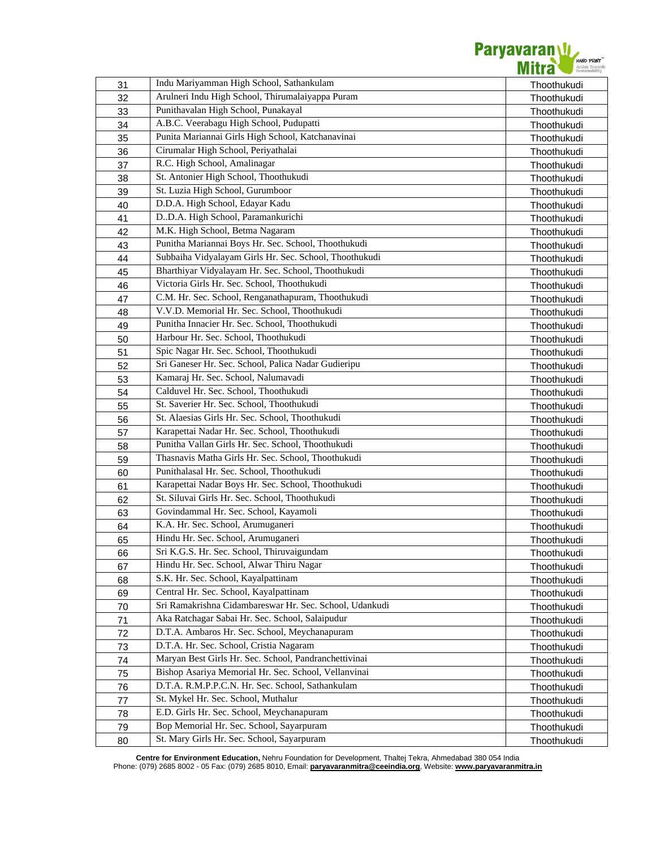

| 31 | Indu Mariyamman High School, Sathankulam                | Thoothukudi |
|----|---------------------------------------------------------|-------------|
| 32 | Arulneri Indu High School, Thirumalaiyappa Puram        | Thoothukudi |
| 33 | Punithavalan High School, Punakayal                     | Thoothukudi |
| 34 | A.B.C. Veerabagu High School, Pudupatti                 | Thoothukudi |
| 35 | Punita Mariannai Girls High School, Katchanavinai       | Thoothukudi |
| 36 | Cirumalar High School, Periyathalai                     | Thoothukudi |
| 37 | R.C. High School, Amalinagar                            | Thoothukudi |
| 38 | St. Antonier High School, Thoothukudi                   | Thoothukudi |
| 39 | St. Luzia High School, Gurumboor                        | Thoothukudi |
| 40 | D.D.A. High School, Edayar Kadu                         | Thoothukudi |
| 41 | D.D.A. High School, Paramankurichi                      | Thoothukudi |
| 42 | M.K. High School, Betma Nagaram                         | Thoothukudi |
| 43 | Punitha Mariannai Boys Hr. Sec. School, Thoothukudi     | Thoothukudi |
| 44 | Subbaiha Vidyalayam Girls Hr. Sec. School, Thoothukudi  | Thoothukudi |
| 45 | Bharthiyar Vidyalayam Hr. Sec. School, Thoothukudi      | Thoothukudi |
| 46 | Victoria Girls Hr. Sec. School, Thoothukudi             | Thoothukudi |
| 47 | C.M. Hr. Sec. School, Renganathapuram, Thoothukudi      | Thoothukudi |
| 48 | V.V.D. Memorial Hr. Sec. School, Thoothukudi            | Thoothukudi |
| 49 | Punitha Innacier Hr. Sec. School, Thoothukudi           | Thoothukudi |
| 50 | Harbour Hr. Sec. School, Thoothukudi                    | Thoothukudi |
| 51 | Spic Nagar Hr. Sec. School, Thoothukudi                 | Thoothukudi |
| 52 | Sri Ganeser Hr. Sec. School, Palica Nadar Gudieripu     | Thoothukudi |
| 53 | Kamaraj Hr. Sec. School, Nalumavadi                     | Thoothukudi |
| 54 | Calduvel Hr. Sec. School, Thoothukudi                   | Thoothukudi |
| 55 | St. Saverier Hr. Sec. School, Thoothukudi               | Thoothukudi |
| 56 | St. Alaesias Girls Hr. Sec. School, Thoothukudi         | Thoothukudi |
| 57 | Karapettai Nadar Hr. Sec. School, Thoothukudi           | Thoothukudi |
| 58 | Punitha Vallan Girls Hr. Sec. School, Thoothukudi       | Thoothukudi |
| 59 | Thasnavis Matha Girls Hr. Sec. School, Thoothukudi      | Thoothukudi |
| 60 | Punithalasal Hr. Sec. School, Thoothukudi               | Thoothukudi |
| 61 | Karapettai Nadar Boys Hr. Sec. School, Thoothukudi      | Thoothukudi |
| 62 | St. Siluvai Girls Hr. Sec. School, Thoothukudi          | Thoothukudi |
| 63 | Govindammal Hr. Sec. School, Kayamoli                   | Thoothukudi |
| 64 | K.A. Hr. Sec. School, Arumuganeri                       | Thoothukudi |
| 65 | Hindu Hr. Sec. School, Arumuganeri                      | Thoothukudi |
| 66 | Sri K.G.S. Hr. Sec. School, Thiruvaigundam              | Thoothukudi |
| 67 | Hindu Hr. Sec. School, Alwar Thiru Nagar                | Thoothukudi |
| 68 | S.K. Hr. Sec. School, Kayalpattinam                     | Thoothukudi |
| 69 | Central Hr. Sec. School, Kayalpattinam                  | Thoothukudi |
| 70 | Sri Ramakrishna Cidambareswar Hr. Sec. School, Udankudi | Thoothukudi |
| 71 | Aka Ratchagar Sabai Hr. Sec. School, Salaipudur         | Thoothukudi |
| 72 | D.T.A. Ambaros Hr. Sec. School, Meychanapuram           | Thoothukudi |
| 73 | D.T.A. Hr. Sec. School, Cristia Nagaram                 | Thoothukudi |
| 74 | Maryan Best Girls Hr. Sec. School, Pandranchettivinai   | Thoothukudi |
| 75 | Bishop Asariya Memorial Hr. Sec. School, Vellanvinai    | Thoothukudi |
| 76 | D.T.A. R.M.P.P.C.N. Hr. Sec. School, Sathankulam        | Thoothukudi |
| 77 | St. Mykel Hr. Sec. School, Muthalur                     | Thoothukudi |
| 78 | E.D. Girls Hr. Sec. School, Meychanapuram               | Thoothukudi |
| 79 | Bop Memorial Hr. Sec. School, Sayarpuram                | Thoothukudi |
| 80 | St. Mary Girls Hr. Sec. School, Sayarpuram              | Thoothukudi |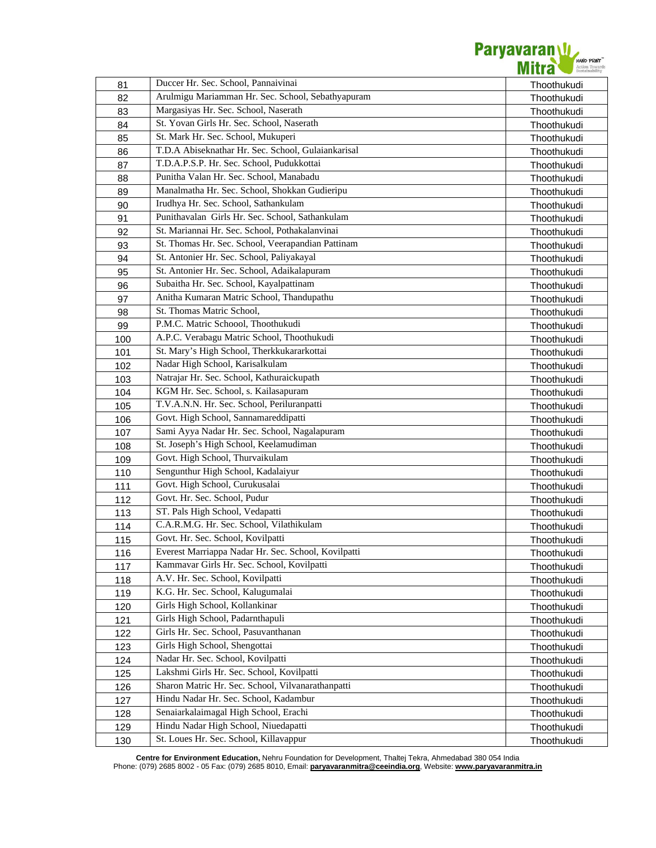

| 81  | Duccer Hr. Sec. School, Pannaivinai                 | Thoothukudi |
|-----|-----------------------------------------------------|-------------|
| 82  | Arulmigu Mariamman Hr. Sec. School, Sebathyapuram   | Thoothukudi |
| 83  | Margasiyas Hr. Sec. School, Naserath                | Thoothukudi |
| 84  | St. Yovan Girls Hr. Sec. School, Naserath           | Thoothukudi |
| 85  | St. Mark Hr. Sec. School, Mukuperi                  | Thoothukudi |
| 86  | T.D.A Abiseknathar Hr. Sec. School, Gulaiankarisal  | Thoothukudi |
| 87  | T.D.A.P.S.P. Hr. Sec. School, Pudukkottai           | Thoothukudi |
| 88  | Punitha Valan Hr. Sec. School, Manabadu             | Thoothukudi |
| 89  | Manalmatha Hr. Sec. School, Shokkan Gudieripu       | Thoothukudi |
| 90  | Irudhya Hr. Sec. School, Sathankulam                | Thoothukudi |
| 91  | Punithavalan Girls Hr. Sec. School, Sathankulam     | Thoothukudi |
| 92  | St. Mariannai Hr. Sec. School, Pothakalanvinai      | Thoothukudi |
| 93  | St. Thomas Hr. Sec. School, Veerapandian Pattinam   | Thoothukudi |
| 94  | St. Antonier Hr. Sec. School, Paliyakayal           | Thoothukudi |
| 95  | St. Antonier Hr. Sec. School, Adaikalapuram         | Thoothukudi |
| 96  | Subaitha Hr. Sec. School, Kayalpattinam             | Thoothukudi |
| 97  | Anitha Kumaran Matric School, Thandupathu           | Thoothukudi |
| 98  | St. Thomas Matric School,                           | Thoothukudi |
| 99  | P.M.C. Matric Schoool, Thoothukudi                  | Thoothukudi |
| 100 | A.P.C. Verabagu Matric School, Thoothukudi          | Thoothukudi |
| 101 | St. Mary's High School, Therkkukararkottai          | Thoothukudi |
| 102 | Nadar High School, Karisalkulam                     | Thoothukudi |
| 103 | Natrajar Hr. Sec. School, Kathuraickupath           | Thoothukudi |
| 104 | KGM Hr. Sec. School, s. Kailasapuram                | Thoothukudi |
| 105 | T.V.A.N.N. Hr. Sec. School, Periluranpatti          | Thoothukudi |
| 106 | Govt. High School, Sannamareddipatti                | Thoothukudi |
| 107 | Sami Ayya Nadar Hr. Sec. School, Nagalapuram        | Thoothukudi |
| 108 | St. Joseph's High School, Keelamudiman              | Thoothukudi |
| 109 | Govt. High School, Thurvaikulam                     | Thoothukudi |
| 110 | Sengunthur High School, Kadalaiyur                  | Thoothukudi |
| 111 | Govt. High School, Curukusalai                      | Thoothukudi |
| 112 | Govt. Hr. Sec. School, Pudur                        | Thoothukudi |
| 113 | ST. Pals High School, Vedapatti                     | Thoothukudi |
| 114 | C.A.R.M.G. Hr. Sec. School, Vilathikulam            | Thoothukudi |
| 115 | Govt. Hr. Sec. School, Kovilpatti                   | Thoothukudi |
| 116 | Everest Marriappa Nadar Hr. Sec. School, Kovilpatti | Thoothukudi |
| 117 | Kammavar Girls Hr. Sec. School, Kovilpatti          | Thoothukudi |
| 118 | A.V. Hr. Sec. School, Kovilpatti                    | Thoothukudi |
| 119 | K.G. Hr. Sec. School, Kalugumalai                   | Thoothukudi |
| 120 | Girls High School, Kollankinar                      | Thoothukudi |
| 121 | Girls High School, Padarnthapuli                    | Thoothukudi |
| 122 | Girls Hr. Sec. School, Pasuvanthanan                | Thoothukudi |
| 123 | Girls High School, Shengottai                       | Thoothukudi |
| 124 | Nadar Hr. Sec. School, Kovilpatti                   | Thoothukudi |
| 125 | Lakshmi Girls Hr. Sec. School, Kovilpatti           | Thoothukudi |
| 126 | Sharon Matric Hr. Sec. School, Vilvanarathanpatti   | Thoothukudi |
| 127 | Hindu Nadar Hr. Sec. School, Kadambur               | Thoothukudi |
| 128 | Senaiarkalaimagal High School, Erachi               | Thoothukudi |
| 129 | Hindu Nadar High School, Niuedapatti                | Thoothukudi |
| 130 | St. Loues Hr. Sec. School, Killavappur              | Thoothukudi |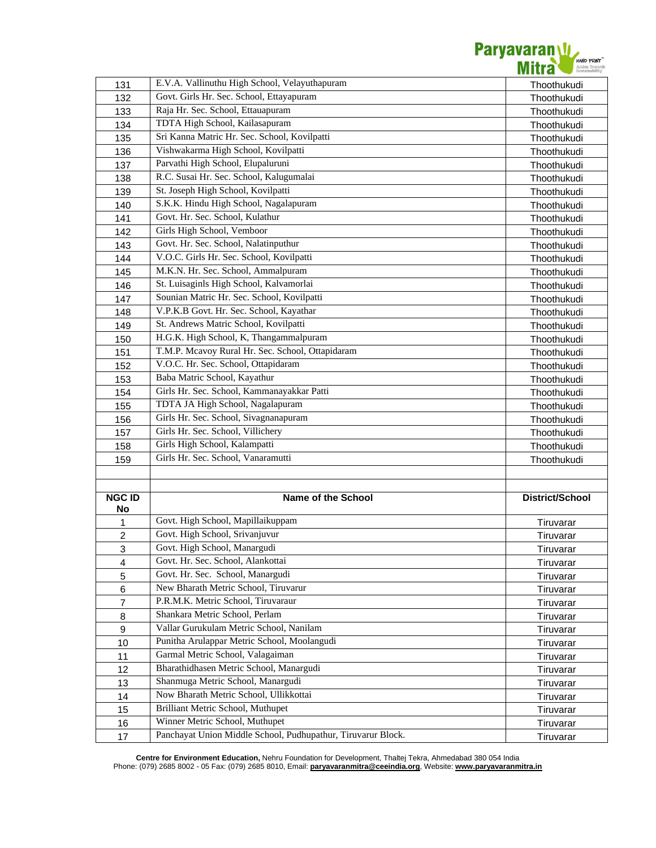

| 131                     | E.V.A. Vallinuthu High School, Velayuthapuram                                                  | Thoothukudi            |
|-------------------------|------------------------------------------------------------------------------------------------|------------------------|
| 132                     | Govt. Girls Hr. Sec. School, Ettayapuram                                                       | Thoothukudi            |
| 133                     | Raja Hr. Sec. School, Ettauapuram                                                              | Thoothukudi            |
| 134                     | TDTA High School, Kailasapuram                                                                 | Thoothukudi            |
| 135                     | Sri Kanna Matric Hr. Sec. School, Kovilpatti                                                   | Thoothukudi            |
| 136                     | Vishwakarma High School, Kovilpatti                                                            | Thoothukudi            |
| 137                     | Parvathi High School, Elupaluruni                                                              | Thoothukudi            |
| 138                     | R.C. Susai Hr. Sec. School, Kalugumalai                                                        | Thoothukudi            |
| 139                     | St. Joseph High School, Kovilpatti                                                             | Thoothukudi            |
| 140                     | S.K.K. Hindu High School, Nagalapuram                                                          | Thoothukudi            |
| 141                     | Govt. Hr. Sec. School, Kulathur                                                                | Thoothukudi            |
| 142                     | Girls High School, Vemboor                                                                     | Thoothukudi            |
| 143                     | Govt. Hr. Sec. School, Nalatinputhur                                                           | Thoothukudi            |
| 144                     | V.O.C. Girls Hr. Sec. School, Kovilpatti                                                       | Thoothukudi            |
| 145                     | M.K.N. Hr. Sec. School, Ammalpuram                                                             | Thoothukudi            |
| 146                     | St. Luisaginls High School, Kalvamorlai                                                        | Thoothukudi            |
| 147                     | Sounian Matric Hr. Sec. School, Kovilpatti                                                     | Thoothukudi            |
| 148                     | V.P.K.B Govt. Hr. Sec. School, Kayathar                                                        | Thoothukudi            |
| 149                     | St. Andrews Matric School, Kovilpatti                                                          | Thoothukudi            |
| 150                     | H.G.K. High School, K, Thangammalpuram                                                         | Thoothukudi            |
| 151                     | T.M.P. Mcavoy Rural Hr. Sec. School, Ottapidaram                                               | Thoothukudi            |
| 152                     | V.O.C. Hr. Sec. School, Ottapidaram                                                            | Thoothukudi            |
| 153                     | Baba Matric School, Kayathur                                                                   | Thoothukudi            |
| 154                     | Girls Hr. Sec. School, Kammanayakkar Patti                                                     | Thoothukudi            |
| 155                     | TDTA JA High School, Nagalapuram                                                               | Thoothukudi            |
| 156                     | Girls Hr. Sec. School, Sivagnanapuram                                                          | Thoothukudi            |
| 157                     | Girls Hr. Sec. School, Villichery                                                              | Thoothukudi            |
| 158                     | Girls High School, Kalampatti                                                                  | Thoothukudi            |
| 159                     | Girls Hr. Sec. School, Vanaramutti                                                             | Thoothukudi            |
|                         |                                                                                                |                        |
|                         |                                                                                                |                        |
| <b>NGC ID</b>           | <b>Name of the School</b>                                                                      | District/School        |
| No                      |                                                                                                |                        |
| $\mathbf{1}$            | Govt. High School, Mapillaikuppam                                                              | Tiruvarar              |
| 2                       | Govt. High School, Srivanjuvur                                                                 | Tiruvarar              |
| 3                       | Govt. High School, Manargudi                                                                   | Tiruvarar              |
| $\overline{\mathbf{4}}$ | Govt. Hr. Sec. School, Alankottai                                                              | Tiruvarar              |
| 5                       | Govt. Hr. Sec. School, Manargudi                                                               | Tiruvarar              |
| 6                       | New Bharath Metric School, Tiruvarur                                                           | Tiruvarar              |
| $\overline{7}$          | P.R.M.K. Metric School, Tiruvaraur                                                             | Tiruvarar              |
| 8                       | Shankara Metric School, Perlam                                                                 | Tiruvarar              |
| $\boldsymbol{9}$        | Vallar Gurukulam Metric School, Nanilam                                                        | Tiruvarar              |
| 10                      | Punitha Arulappar Metric School, Moolangudi                                                    | Tiruvarar              |
| 11                      | Garmal Metric School, Valagaiman                                                               | Tiruvarar              |
| 12                      | Bharathidhasen Metric School, Manargudi                                                        | Tiruvarar              |
| 13                      | Shanmuga Metric School, Manargudi                                                              | Tiruvarar              |
| 14                      | Now Bharath Metric School, Ullikkottai<br>Brilliant Metric School, Muthupet                    | Tiruvarar              |
| 15                      |                                                                                                |                        |
|                         |                                                                                                | Tiruvarar              |
| 16<br>17                | Winner Metric School, Muthupet<br>Panchayat Union Middle School, Pudhupathur, Tiruvarur Block. | Tiruvarar<br>Tiruvarar |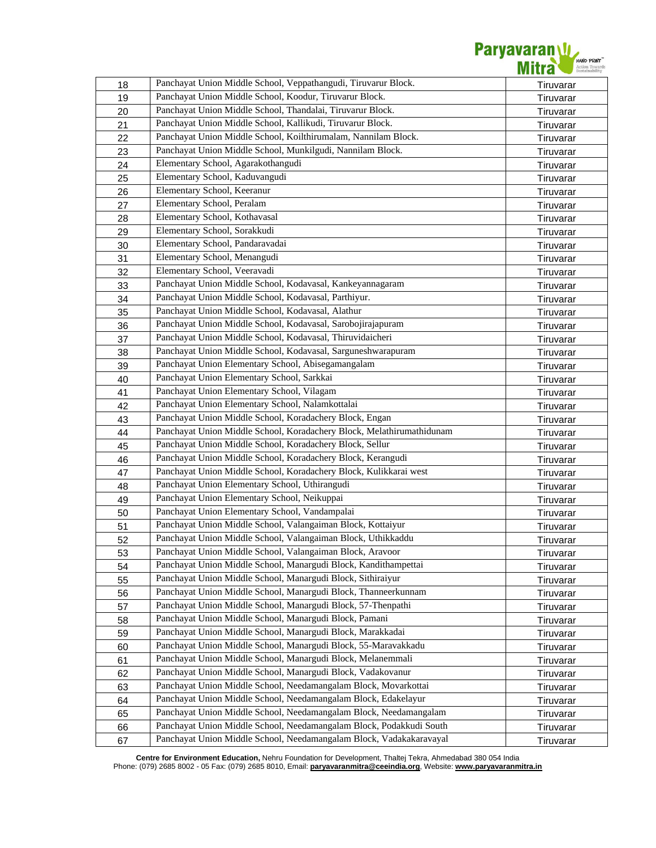

| 18 | Panchayat Union Middle School, Veppathangudi, Tiruvarur Block.        | Tiruvarar              |
|----|-----------------------------------------------------------------------|------------------------|
| 19 | Panchayat Union Middle School, Koodur, Tiruvarur Block.               | Tiruvarar              |
| 20 | Panchayat Union Middle School, Thandalai, Tiruvarur Block.            | Tiruvarar              |
| 21 | Panchayat Union Middle School, Kallikudi, Tiruvarur Block.            | Tiruvarar              |
| 22 | Panchayat Union Middle School, Koilthirumalam, Nannilam Block.        | Tiruvarar              |
| 23 | Panchayat Union Middle School, Munkilgudi, Nannilam Block.            | Tiruvarar              |
| 24 | Elementary School, Agarakothangudi                                    | Tiruvarar              |
| 25 | Elementary School, Kaduvangudi                                        | Tiruvarar              |
| 26 | Elementary School, Keeranur                                           | Tiruvarar              |
| 27 | Elementary School, Peralam                                            | Tiruvarar              |
| 28 | Elementary School, Kothavasal                                         | Tiruvarar              |
| 29 | Elementary School, Sorakkudi                                          | Tiruvarar              |
| 30 | Elementary School, Pandaravadai                                       | Tiruvarar              |
| 31 | Elementary School, Menangudi                                          | Tiruvarar              |
| 32 | Elementary School, Veeravadi                                          | Tiruvarar              |
| 33 | Panchayat Union Middle School, Kodavasal, Kankeyannagaram             | Tiruvarar              |
| 34 | Panchayat Union Middle School, Kodavasal, Parthiyur.                  | Tiruvarar              |
| 35 | Panchayat Union Middle School, Kodavasal, Alathur                     | Tiruvarar              |
| 36 | Panchayat Union Middle School, Kodavasal, Sarobojirajapuram           | Tiruvarar              |
| 37 | Panchayat Union Middle School, Kodavasal, Thiruvidaicheri             | Tiruvarar              |
| 38 | Panchayat Union Middle School, Kodavasal, Sarguneshwarapuram          | Tiruvarar              |
| 39 | Panchayat Union Elementary School, Abisegamangalam                    | Tiruvarar              |
| 40 | Panchayat Union Elementary School, Sarkkai                            | Tiruvarar              |
| 41 | Panchayat Union Elementary School, Vilagam                            | Tiruvarar              |
| 42 | Panchayat Union Elementary School, Nalamkottalai                      | Tiruvarar              |
| 43 | Panchayat Union Middle School, Koradachery Block, Engan               | Tiruvarar              |
| 44 | Panchayat Union Middle School, Koradachery Block, Melathirumathidunam | Tiruvarar              |
| 45 | Panchayat Union Middle School, Koradachery Block, Sellur              | Tiruvarar              |
| 46 | Panchayat Union Middle School, Koradachery Block, Kerangudi           | Tiruvarar              |
| 47 | Panchayat Union Middle School, Koradachery Block, Kulikkarai west     | Tiruvarar              |
| 48 | Panchayat Union Elementary School, Uthirangudi                        | Tiruvarar              |
| 49 | Panchayat Union Elementary School, Neikuppai                          | Tiruvarar              |
| 50 | Panchayat Union Elementary School, Vandampalai                        |                        |
| 51 | Panchayat Union Middle School, Valangaiman Block, Kottaiyur           | Tiruvarar<br>Tiruvarar |
| 52 | Panchayat Union Middle School, Valangaiman Block, Uthikkaddu          |                        |
| 53 | Panchayat Union Middle School, Valangaiman Block, Aravoor             | Tiruvarar<br>Tiruvarar |
| 54 | Panchayat Union Middle School, Manargudi Block, Kandithampettai       | Tiruvarar              |
| 55 | Panchayat Union Middle School, Manargudi Block, Sithiraiyur           | Tiruvarar              |
|    | Panchayat Union Middle School, Manargudi Block, Thanneerkunnam        |                        |
| 56 | Panchayat Union Middle School, Manargudi Block, 57-Thenpathi          | Tiruvarar              |
| 57 | Panchayat Union Middle School, Manargudi Block, Pamani                | Tiruvarar              |
| 58 | Panchayat Union Middle School, Manargudi Block, Marakkadai            | Tiruvarar              |
| 59 | Panchayat Union Middle School, Manargudi Block, 55-Maravakkadu        | Tiruvarar              |
| 60 | Panchayat Union Middle School, Manargudi Block, Melanemmali           | Tiruvarar              |
| 61 | Panchayat Union Middle School, Manargudi Block, Vadakovanur           | Tiruvarar              |
| 62 | Panchayat Union Middle School, Needamangalam Block, Movarkottai       | Tiruvarar              |
| 63 |                                                                       | Tiruvarar              |
| 64 | Panchayat Union Middle School, Needamangalam Block, Edakelayur        | Tiruvarar              |
| 65 | Panchayat Union Middle School, Needamangalam Block, Needamangalam     | Tiruvarar              |
| 66 | Panchayat Union Middle School, Needamangalam Block, Podakkudi South   | Tiruvarar              |
| 67 | Panchayat Union Middle School, Needamangalam Block, Vadakakaravayal   | Tiruvarar              |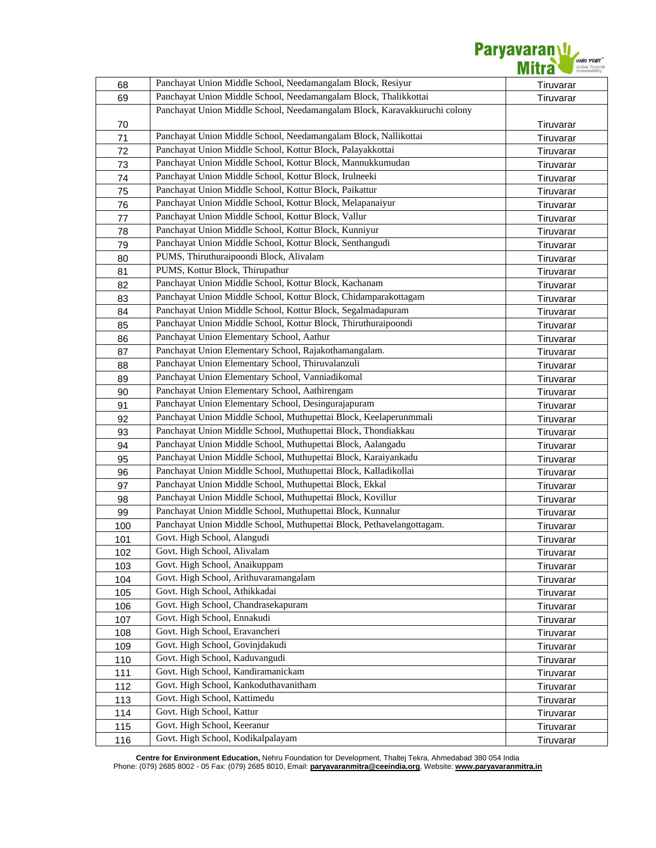

| 68       | Panchayat Union Middle School, Needamangalam Block, Resiyur               | Tiruvarar |
|----------|---------------------------------------------------------------------------|-----------|
| 69       | Panchayat Union Middle School, Needamangalam Block, Thalikkottai          | Tiruvarar |
|          | Panchayat Union Middle School, Needamangalam Block, Karavakkuruchi colony |           |
| 70       |                                                                           | Tiruvarar |
| 71       | Panchayat Union Middle School, Needamangalam Block, Nallikottai           | Tiruvarar |
| 72       | Panchayat Union Middle School, Kottur Block, Palayakkottai                | Tiruvarar |
| 73       | Panchayat Union Middle School, Kottur Block, Mannukkumudan                | Tiruvarar |
| 74       | Panchayat Union Middle School, Kottur Block, Irulneeki                    | Tiruvarar |
| 75       | Panchayat Union Middle School, Kottur Block, Paikattur                    | Tiruvarar |
| 76       | Panchayat Union Middle School, Kottur Block, Melapanaiyur                 | Tiruvarar |
| 77       | Panchayat Union Middle School, Kottur Block, Vallur                       | Tiruvarar |
| 78       | Panchayat Union Middle School, Kottur Block, Kunniyur                     | Tiruvarar |
| 79       | Panchayat Union Middle School, Kottur Block, Senthangudi                  | Tiruvarar |
| 80       | PUMS, Thiruthuraipoondi Block, Alivalam                                   | Tiruvarar |
| 81       | PUMS, Kottur Block, Thirupathur                                           | Tiruvarar |
| 82       | Panchayat Union Middle School, Kottur Block, Kachanam                     | Tiruvarar |
| 83       | Panchayat Union Middle School, Kottur Block, Chidamparakottagam           | Tiruvarar |
| 84       | Panchayat Union Middle School, Kottur Block, Segalmadapuram               | Tiruvarar |
| 85       | Panchayat Union Middle School, Kottur Block, Thiruthuraipoondi            | Tiruvarar |
| 86       | Panchayat Union Elementary School, Aathur                                 | Tiruvarar |
| 87       | Panchayat Union Elementary School, Rajakothamangalam.                     | Tiruvarar |
| 88       | Panchayat Union Elementary School, Thiruvalanzuli                         | Tiruvarar |
| 89       | Panchayat Union Elementary School, Vanniadikomal                          | Tiruvarar |
| 90       | Panchayat Union Elementary School, Aathirengam                            | Tiruvarar |
| 91       | Panchayat Union Elementary School, Desingurajapuram                       | Tiruvarar |
| 92       | Panchayat Union Middle School, Muthupettai Block, Keelaperunmmali         | Tiruvarar |
| 93       | Panchayat Union Middle School, Muthupettai Block, Thondiakkau             | Tiruvarar |
| 94       | Panchayat Union Middle School, Muthupettai Block, Aalangadu               | Tiruvarar |
| 95       | Panchayat Union Middle School, Muthupettai Block, Karaiyankadu            | Tiruvarar |
| 96       | Panchayat Union Middle School, Muthupettai Block, Kalladikollai           | Tiruvarar |
|          | Panchayat Union Middle School, Muthupettai Block, Ekkal                   |           |
| 97       | Panchayat Union Middle School, Muthupettai Block, Kovillur                | Tiruvarar |
| 98<br>99 | Panchayat Union Middle School, Muthupettai Block, Kunnalur                | Tiruvarar |
|          | Panchayat Union Middle School, Muthupettai Block, Pethavelangottagam.     | Tiruvarar |
| 100      | Govt. High School, Alangudi                                               | Tiruvarar |
| 101      | Govt. High School, Alivalam                                               | Tiruvarar |
| 102      | Govt. High School, Anaikuppam                                             | Tiruvarar |
| 103      | Govt. High School, Arithuvaramangalam                                     | Tiruvarar |
| 104      | Govt. High School, Athikkadai                                             | Tiruvarar |
| 105      | Govt. High School, Chandrasekapuram                                       | Tiruvarar |
| 106      | Govt. High School, Ennakudi                                               | Tiruvarar |
| 107      | Govt. High School, Eravancheri                                            | Tiruvarar |
| 108      | Govt. High School, Govinjdakudi                                           | Tiruvarar |
| 109      | Govt. High School, Kaduvangudi                                            | Tiruvarar |
| 110      | Govt. High School, Kandiramanickam                                        | Tiruvarar |
| 111      | Govt. High School, Kankoduthavanitham                                     | Tiruvarar |
| 112      | Govt. High School, Kattimedu                                              | Tiruvarar |
| 113      |                                                                           | Tiruvarar |
| 114      | Govt. High School, Kattur                                                 | Tiruvarar |
| 115      | Govt. High School, Keeranur                                               | Tiruvarar |
| 116      | Govt. High School, Kodikalpalayam                                         | Tiruvarar |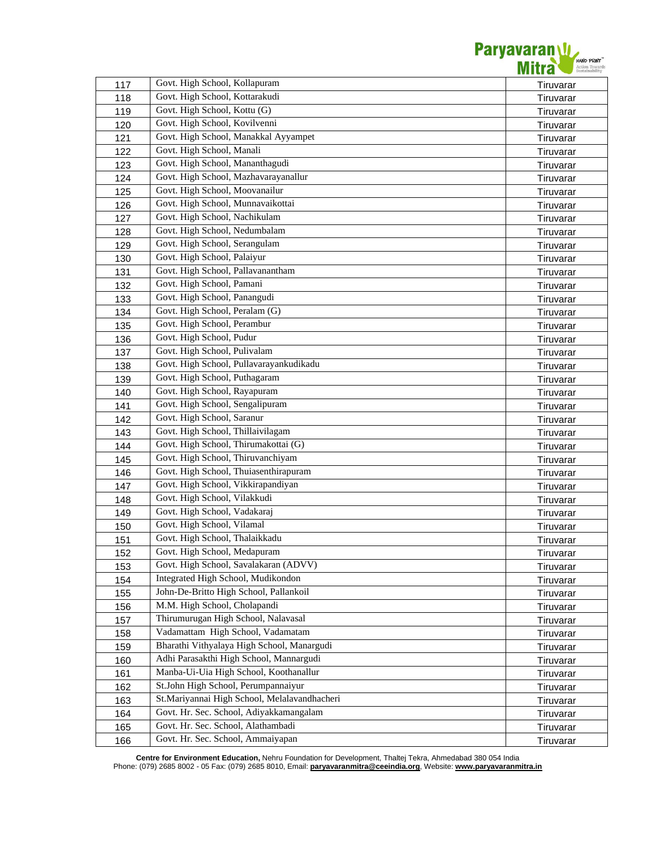

| 117 | Govt. High School, Kollapuram                | Tiruvarar |
|-----|----------------------------------------------|-----------|
| 118 | Govt. High School, Kottarakudi               | Tiruvarar |
| 119 | Govt. High School, Kottu (G)                 | Tiruvarar |
| 120 | Govt. High School, Kovilvenni                | Tiruvarar |
| 121 | Govt. High School, Manakkal Ayyampet         | Tiruvarar |
| 122 | Govt. High School, Manali                    | Tiruvarar |
| 123 | Govt. High School, Mananthagudi              | Tiruvarar |
| 124 | Govt. High School, Mazhavarayanallur         | Tiruvarar |
| 125 | Govt. High School, Moovanailur               | Tiruvarar |
| 126 | Govt. High School, Munnavaikottai            | Tiruvarar |
| 127 | Govt. High School, Nachikulam                | Tiruvarar |
| 128 | Govt. High School, Nedumbalam                | Tiruvarar |
| 129 | Govt. High School, Serangulam                | Tiruvarar |
| 130 | Govt. High School, Palaiyur                  | Tiruvarar |
| 131 | Govt. High School, Pallavanantham            | Tiruvarar |
| 132 | Govt. High School, Pamani                    | Tiruvarar |
| 133 | Govt. High School, Panangudi                 | Tiruvarar |
| 134 | Govt. High School, Peralam (G)               | Tiruvarar |
| 135 | Govt. High School, Perambur                  | Tiruvarar |
| 136 | Govt. High School, Pudur                     | Tiruvarar |
| 137 | Govt. High School, Pulivalam                 | Tiruvarar |
| 138 | Govt. High School, Pullavarayankudikadu      | Tiruvarar |
| 139 | Govt. High School, Puthagaram                | Tiruvarar |
| 140 | Govt. High School, Rayapuram                 | Tiruvarar |
| 141 | Govt. High School, Sengalipuram              | Tiruvarar |
| 142 | Govt. High School, Saranur                   | Tiruvarar |
| 143 | Govt. High School, Thillaivilagam            | Tiruvarar |
| 144 | Govt. High School, Thirumakottai (G)         | Tiruvarar |
| 145 | Govt. High School, Thiruvanchiyam            | Tiruvarar |
| 146 | Govt. High School, Thuiasenthirapuram        | Tiruvarar |
| 147 | Govt. High School, Vikkirapandiyan           | Tiruvarar |
| 148 | Govt. High School, Vilakkudi                 | Tiruvarar |
| 149 | Govt. High School, Vadakaraj                 | Tiruvarar |
| 150 | Govt. High School, Vilamal                   | Tiruvarar |
| 151 | Govt. High School, Thalaikkadu               | Tiruvarar |
| 152 | Govt. High School, Medapuram                 | Tiruvarar |
| 153 | Govt. High School, Savalakaran (ADVV)        | Tiruvarar |
| 154 | Integrated High School, Mudikondon           | Tiruvarar |
| 155 | John-De-Britto High School, Pallankoil       | Tiruvarar |
| 156 | M.M. High School, Cholapandi                 | Tiruvarar |
| 157 | Thirumurugan High School, Nalavasal          | Tiruvarar |
| 158 | Vadamattam High School, Vadamatam            | Tiruvarar |
| 159 | Bharathi Vithyalaya High School, Manargudi   | Tiruvarar |
| 160 | Adhi Parasakthi High School, Mannargudi      | Tiruvarar |
| 161 | Manba-Ui-Uia High School, Koothanallur       | Tiruvarar |
| 162 | St.John High School, Perumpannaiyur          | Tiruvarar |
| 163 | St.Mariyannai High School, Melalavandhacheri | Tiruvarar |
| 164 | Govt. Hr. Sec. School, Adiyakkamangalam      | Tiruvarar |
| 165 | Govt. Hr. Sec. School, Alathambadi           | Tiruvarar |
| 166 | Govt. Hr. Sec. School, Ammaiyapan            | Tiruvarar |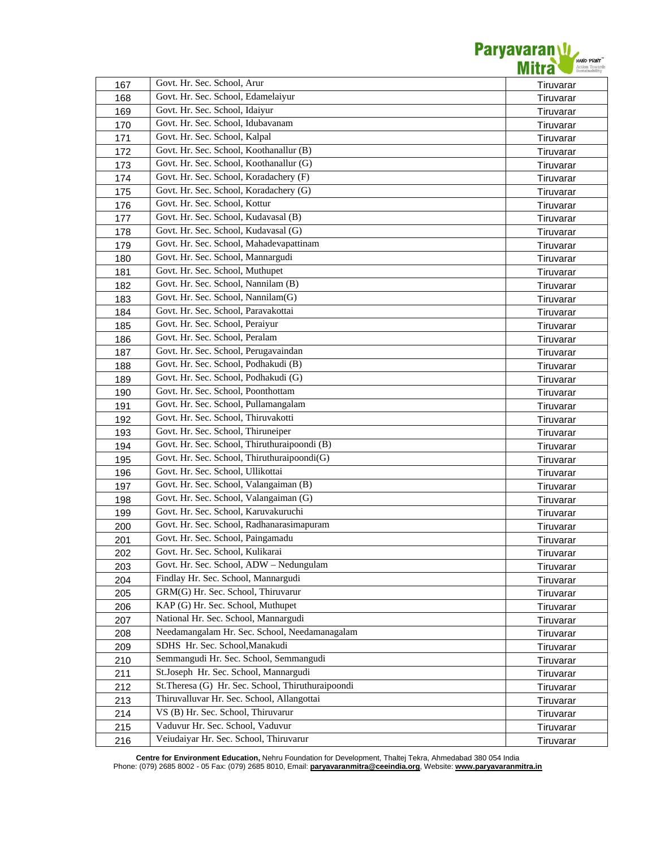

| 167 | Govt. Hr. Sec. School, Arur                       | Tiruvarar              |
|-----|---------------------------------------------------|------------------------|
| 168 | Govt. Hr. Sec. School, Edamelaiyur                | Tiruvarar              |
| 169 | Govt. Hr. Sec. School, Idaiyur                    | Tiruvarar              |
| 170 | Govt. Hr. Sec. School, Idubavanam                 | Tiruvarar              |
| 171 | Govt. Hr. Sec. School, Kalpal                     | Tiruvarar              |
| 172 | Govt. Hr. Sec. School, Koothanallur (B)           | Tiruvarar              |
| 173 | Govt. Hr. Sec. School, Koothanallur (G)           | Tiruvarar              |
| 174 | Govt. Hr. Sec. School, Koradachery (F)            | Tiruvarar              |
| 175 | Govt. Hr. Sec. School, Koradachery (G)            | Tiruvarar              |
| 176 | Govt. Hr. Sec. School, Kottur                     | Tiruvarar              |
| 177 | Govt. Hr. Sec. School, Kudavasal (B)              | Tiruvarar              |
| 178 | Govt. Hr. Sec. School, Kudavasal (G)              | Tiruvarar              |
| 179 | Govt. Hr. Sec. School, Mahadevapattinam           | Tiruvarar              |
| 180 | Govt. Hr. Sec. School, Mannargudi                 | Tiruvarar              |
| 181 | Govt. Hr. Sec. School, Muthupet                   | Tiruvarar              |
| 182 | Govt. Hr. Sec. School, Nannilam (B)               | Tiruvarar              |
| 183 | Govt. Hr. Sec. School, Nannilam(G)                | Tiruvarar              |
| 184 | Govt. Hr. Sec. School, Paravakottai               | Tiruvarar              |
| 185 | Govt. Hr. Sec. School, Peraiyur                   | Tiruvarar              |
| 186 | Govt. Hr. Sec. School, Peralam                    | Tiruvarar              |
| 187 | Govt. Hr. Sec. School, Perugavaindan              | Tiruvarar              |
| 188 | Govt. Hr. Sec. School, Podhakudi (B)              | Tiruvarar              |
| 189 | Govt. Hr. Sec. School, Podhakudi (G)              | Tiruvarar              |
| 190 | Govt. Hr. Sec. School, Poonthottam                | Tiruvarar              |
| 191 | Govt. Hr. Sec. School, Pullamangalam              | Tiruvarar              |
| 192 | Govt. Hr. Sec. School, Thiruvakotti               | Tiruvarar              |
| 193 | Govt. Hr. Sec. School, Thiruneiper                |                        |
| 194 | Govt. Hr. Sec. School, Thiruthuraipoondi (B)      | Tiruvarar<br>Tiruvarar |
| 195 | Govt. Hr. Sec. School, Thiruthuraipoondi(G)       |                        |
|     | Govt. Hr. Sec. School, Ullikottai                 | Tiruvarar              |
| 196 | Govt. Hr. Sec. School, Valangaiman (B)            | Tiruvarar<br>Tiruvarar |
| 197 | Govt. Hr. Sec. School, Valangaiman (G)            |                        |
| 198 | Govt. Hr. Sec. School, Karuvakuruchi              | Tiruvarar              |
| 199 | Govt. Hr. Sec. School, Radhanarasimapuram         | Tiruvarar              |
| 200 | Govt. Hr. Sec. School, Paingamadu                 | Tiruvarar              |
| 201 | Govt. Hr. Sec. School, Kulikarai                  | Tiruvarar              |
| 202 | Govt. Hr. Sec. School, ADW - Nedungulam           | Tiruvarar              |
| 203 | Findlay Hr. Sec. School, Mannargudi               | Tiruvarar              |
| 204 | GRM(G) Hr. Sec. School, Thiruvarur                | Tiruvarar              |
| 205 | KAP (G) Hr. Sec. School, Muthupet                 | Tiruvarar              |
| 206 | National Hr. Sec. School, Mannargudi              | Tiruvarar              |
| 207 | Needamangalam Hr. Sec. School, Needamanagalam     | Tiruvarar              |
| 208 | SDHS Hr. Sec. School, Manakudi                    | Tiruvarar              |
| 209 | Semmangudi Hr. Sec. School, Semmangudi            | Tiruvarar              |
| 210 |                                                   | Tiruvarar              |
| 211 | St.Joseph Hr. Sec. School, Mannargudi             | Tiruvarar              |
| 212 | St.Theresa (G) Hr. Sec. School, Thiruthuraipoondi | Tiruvarar              |
| 213 | Thiruvalluvar Hr. Sec. School, Allangottai        | Tiruvarar              |
| 214 | VS (B) Hr. Sec. School, Thiruvarur                | Tiruvarar              |
| 215 | Vaduvur Hr. Sec. School, Vaduvur                  | Tiruvarar              |
| 216 | Veiudaiyar Hr. Sec. School, Thiruvarur            | Tiruvarar              |